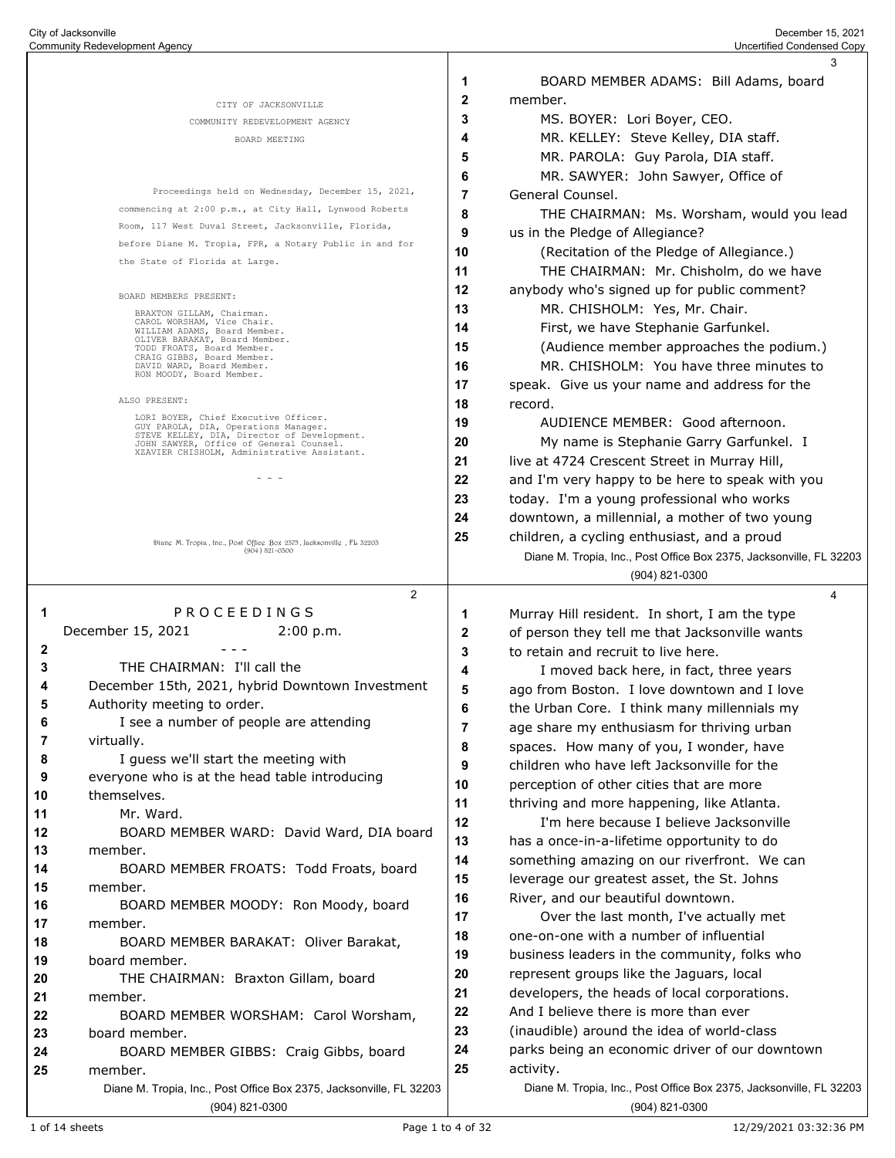|                     |                                                                                           |              | 3                                                                   |
|---------------------|-------------------------------------------------------------------------------------------|--------------|---------------------------------------------------------------------|
|                     |                                                                                           | 1            | BOARD MEMBER ADAMS: Bill Adams, board                               |
|                     | CITY OF JACKSONVILLE                                                                      | $\mathbf{2}$ | member.                                                             |
|                     | COMMUNITY REDEVELOPMENT AGENCY                                                            | 3            | MS. BOYER: Lori Boyer, CEO.                                         |
|                     | BOARD MEETING                                                                             | 4            | MR. KELLEY: Steve Kelley, DIA staff.                                |
|                     |                                                                                           | 5            | MR. PAROLA: Guy Parola, DIA staff.                                  |
|                     |                                                                                           | 6            | MR. SAWYER: John Sawyer, Office of                                  |
|                     | Proceedings held on Wednesday, December 15, 2021,                                         | 7            | General Counsel.                                                    |
|                     | commencing at 2:00 p.m., at City Hall, Lynwood Roberts                                    | 8            | THE CHAIRMAN: Ms. Worsham, would you lead                           |
|                     | Room, 117 West Duval Street, Jacksonville, Florida,                                       | 9            | us in the Pledge of Allegiance?                                     |
|                     | before Diane M. Tropia, FPR, a Notary Public in and for                                   | 10           | (Recitation of the Pledge of Allegiance.)                           |
|                     | the State of Florida at Large.                                                            | 11           | THE CHAIRMAN: Mr. Chisholm, do we have                              |
|                     |                                                                                           | 12           | anybody who's signed up for public comment?                         |
|                     | BOARD MEMBERS PRESENT:                                                                    | 13           | MR. CHISHOLM: Yes, Mr. Chair.                                       |
|                     | BRAXTON GILLAM, Chairman.<br>CAROL WORSHAM, Vice Chair.                                   | 14           | First, we have Stephanie Garfunkel.                                 |
|                     | WILLIAM ADAMS, Board Member.<br>OLIVER BARAKAT, Board Member.                             | 15           | (Audience member approaches the podium.)                            |
|                     | TODD FROATS, Board Member.<br>CRAIG GIBBS, Board Member.<br>DAVID WARD, Board Member.     | 16           | MR. CHISHOLM: You have three minutes to                             |
|                     | RON MOODY, Board Member.                                                                  |              |                                                                     |
|                     | ALSO PRESENT:                                                                             | 17           | speak. Give us your name and address for the                        |
|                     | LORI BOYER, Chief Executive Officer.                                                      | 18           | record.                                                             |
|                     | GUY PAROLA, DIA, Operations Manager.<br>STEVE KELLEY, DIA, Director of Development.       | 19           | AUDIENCE MEMBER: Good afternoon.                                    |
|                     | JOHN SAWYER, Office of General Counsel.<br>XZAVIER CHISHOLM, Administrative Assistant.    | 20           | My name is Stephanie Garry Garfunkel. I                             |
|                     |                                                                                           | 21           | live at 4724 Crescent Street in Murray Hill,                        |
|                     | - - -                                                                                     | 22           | and I'm very happy to be here to speak with you                     |
|                     |                                                                                           | 23           | today. I'm a young professional who works                           |
|                     |                                                                                           | 24           | downtown, a millennial, a mother of two young                       |
|                     | Diang M. Tropia, Ine., Post Offieg Box 2375, Jacksonvillg, FL 32203<br>$(904) 821 - 0500$ | 25           | children, a cycling enthusiast, and a proud                         |
|                     |                                                                                           |              | Diane M. Tropia, Inc., Post Office Box 2375, Jacksonville, FL 32203 |
|                     |                                                                                           |              | (904) 821-0300                                                      |
|                     | $\overline{2}$                                                                            |              | 4                                                                   |
| 1                   | PROCEEDINGS                                                                               | 1            | Murray Hill resident. In short, I am the type                       |
|                     | December 15, 2021<br>2:00 p.m.                                                            | 2            | of person they tell me that Jacksonville wants                      |
| 2                   |                                                                                           | 3            | to retain and recruit to live here.                                 |
| 3                   | THE CHAIRMAN: I'll call the                                                               | 4            | I moved back here, in fact, three years                             |
| 4                   | December 15th, 2021, hybrid Downtown Investment                                           | 5            | ago from Boston. I love downtown and I love                         |
| 5                   | Authority meeting to order.                                                               | 6            | the Urban Core. I think many millennials my                         |
| 6<br>$\overline{7}$ | I see a number of people are attending<br>virtually.                                      | 7            | age share my enthusiasm for thriving urban                          |
|                     | I guess we'll start the meeting with                                                      | 8            | spaces. How many of you, I wonder, have                             |
| 8<br>9              | everyone who is at the head table introducing                                             | 9            | children who have left Jacksonville for the                         |
| 10                  | themselves.                                                                               | 10           | perception of other cities that are more                            |
| 11                  | Mr. Ward.                                                                                 | 11           | thriving and more happening, like Atlanta.                          |
| 12                  | BOARD MEMBER WARD: David Ward, DIA board                                                  | 12           | I'm here because I believe Jacksonville                             |
| 13                  | member.                                                                                   | 13           | has a once-in-a-lifetime opportunity to do                          |
| 14                  | BOARD MEMBER FROATS: Todd Froats, board                                                   | 14           | something amazing on our riverfront. We can                         |
| 15                  | member.                                                                                   | 15           | leverage our greatest asset, the St. Johns                          |
| 16                  | BOARD MEMBER MOODY: Ron Moody, board                                                      | 16           | River, and our beautiful downtown.                                  |
| 17                  | member.                                                                                   | 17           | Over the last month, I've actually met                              |
| 18                  | BOARD MEMBER BARAKAT: Oliver Barakat,                                                     | 18           | one-on-one with a number of influential                             |
| 19                  | board member.                                                                             | 19           | business leaders in the community, folks who                        |
| 20                  | THE CHAIRMAN: Braxton Gillam, board                                                       | 20           | represent groups like the Jaguars, local                            |
| 21                  | member.                                                                                   | 21           | developers, the heads of local corporations.                        |
| 22                  | BOARD MEMBER WORSHAM: Carol Worsham,                                                      | 22           | And I believe there is more than ever                               |
| 23                  | board member.                                                                             | 23           | (inaudible) around the idea of world-class                          |
| 24                  | BOARD MEMBER GIBBS: Craig Gibbs, board                                                    | 24           | parks being an economic driver of our downtown                      |
| 25                  | member.                                                                                   | 25           | activity.                                                           |
|                     | Diane M. Tropia, Inc., Post Office Box 2375, Jacksonville, FL 32203                       |              | Diane M. Tropia, Inc., Post Office Box 2375, Jacksonville, FL 32203 |
|                     |                                                                                           |              |                                                                     |

(904) 821-0300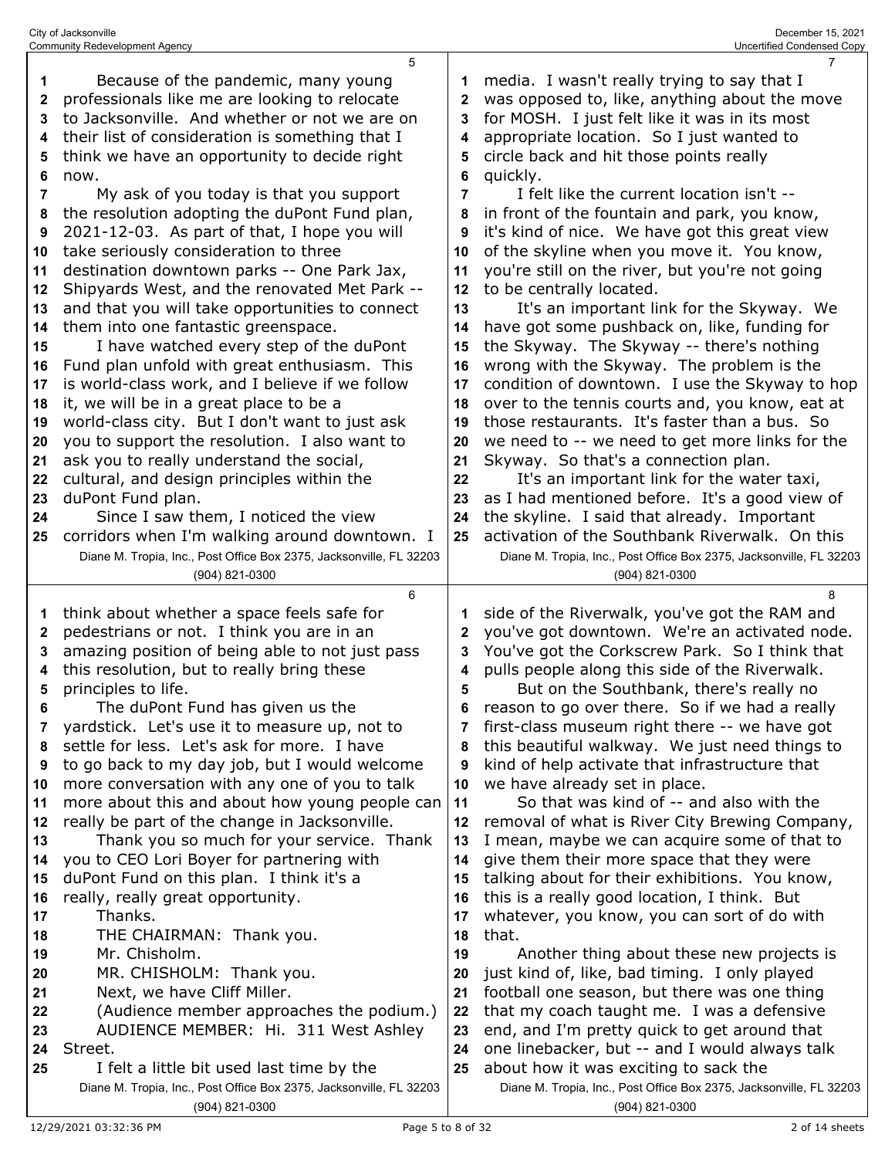| 1  | Because of the pandemic, many young                                                   | 1        | media. I wasn't really trying to say that I                                           |
|----|---------------------------------------------------------------------------------------|----------|---------------------------------------------------------------------------------------|
| 2  | professionals like me are looking to relocate                                         | 2        | was opposed to, like, anything about the move                                         |
| 3  | to Jacksonville. And whether or not we are on                                         | 3        | for MOSH. I just felt like it was in its most                                         |
| 4  | their list of consideration is something that I                                       | 4        | appropriate location. So I just wanted to                                             |
| 5  | think we have an opportunity to decide right                                          | 5        | circle back and hit those points really                                               |
| 6  | now.                                                                                  | 6        | quickly.                                                                              |
| 7  | My ask of you today is that you support                                               | 7        | I felt like the current location isn't --                                             |
| 8  | the resolution adopting the duPont Fund plan,                                         | 8        | in front of the fountain and park, you know,                                          |
| 9  | 2021-12-03. As part of that, I hope you will                                          | 9        | it's kind of nice. We have got this great view                                        |
| 10 | take seriously consideration to three                                                 | 10       | of the skyline when you move it. You know,                                            |
| 11 | destination downtown parks -- One Park Jax,                                           | 11       | you're still on the river, but you're not going                                       |
| 12 | Shipyards West, and the renovated Met Park --                                         | 12       | to be centrally located.                                                              |
| 13 | and that you will take opportunities to connect                                       | 13       | It's an important link for the Skyway. We                                             |
| 14 | them into one fantastic greenspace.                                                   | 14       | have got some pushback on, like, funding for                                          |
| 15 | I have watched every step of the duPont                                               | 15       | the Skyway. The Skyway -- there's nothing                                             |
| 16 | Fund plan unfold with great enthusiasm. This                                          | 16       | wrong with the Skyway. The problem is the                                             |
| 17 | is world-class work, and I believe if we follow                                       | 17       | condition of downtown. I use the Skyway to hop                                        |
| 18 | it, we will be in a great place to be a                                               | 18       | over to the tennis courts and, you know, eat at                                       |
| 19 | world-class city. But I don't want to just ask                                        | 19       | those restaurants. It's faster than a bus. So                                         |
| 20 | you to support the resolution. I also want to                                         | 20       | we need to -- we need to get more links for the                                       |
| 21 | ask you to really understand the social,                                              | 21       | Skyway. So that's a connection plan.                                                  |
| 22 | cultural, and design principles within the                                            | 22       | It's an important link for the water taxi,                                            |
| 23 | duPont Fund plan.                                                                     | 23       | as I had mentioned before. It's a good view of                                        |
| 24 | Since I saw them, I noticed the view                                                  | 24       | the skyline. I said that already. Important                                           |
| 25 | corridors when I'm walking around downtown. I                                         | 25       | activation of the Southbank Riverwalk. On this                                        |
|    | Diane M. Tropia, Inc., Post Office Box 2375, Jacksonville, FL 32203                   |          | Diane M. Tropia, Inc., Post Office Box 2375, Jacksonville, FL 32203                   |
|    | (904) 821-0300                                                                        |          | (904) 821-0300                                                                        |
|    | 6                                                                                     |          | 8                                                                                     |
| 1  | think about whether a space feels safe for                                            | 1        | side of the Riverwalk, you've got the RAM and                                         |
| 2  | pedestrians or not. I think you are in an                                             | 2        | you've got downtown. We're an activated node.                                         |
| 3  | amazing position of being able to not just pass                                       | 3        | You've got the Corkscrew Park. So I think that                                        |
| 4  | this resolution, but to really bring these                                            | 4        | pulls people along this side of the Riverwalk.                                        |
| 5  | principles to life.                                                                   | 5        | But on the Southbank, there's really no                                               |
| 6  | The duPont Fund has given us the                                                      | 6        | reason to go over there. So if we had a really                                        |
|    | yardstick. Let's use it to measure up, not to                                         | 7        | first-class museum right there -- we have got                                         |
| 8  | settle for less. Let's ask for more. I have                                           | 8        | this beautiful walkway. We just need things to                                        |
| 9  | to go back to my day job, but I would welcome                                         | 9        | kind of help activate that infrastructure that                                        |
| 10 | more conversation with any one of you to talk                                         | 10       | we have already set in place.                                                         |
| 11 | more about this and about how young people can                                        | 11       | So that was kind of -- and also with the                                              |
| 12 | really be part of the change in Jacksonville.                                         | 12       | removal of what is River City Brewing Company,                                        |
| 13 | Thank you so much for your service. Thank                                             | 13       | I mean, maybe we can acquire some of that to                                          |
| 14 | you to CEO Lori Boyer for partnering with                                             | 14       | give them their more space that they were                                             |
| 15 | duPont Fund on this plan. I think it's a                                              | 15       | talking about for their exhibitions. You know,                                        |
| 16 | really, really great opportunity.                                                     | 16       | this is a really good location, I think. But                                          |
| 17 | Thanks.                                                                               | 17       | whatever, you know, you can sort of do with                                           |
| 18 | THE CHAIRMAN: Thank you.                                                              | 18       | that.                                                                                 |
| 19 | Mr. Chisholm.                                                                         | 19       | Another thing about these new projects is                                             |
| 20 | MR. CHISHOLM: Thank you.                                                              | 20       | just kind of, like, bad timing. I only played                                         |
| 21 | Next, we have Cliff Miller.                                                           | 21       | football one season, but there was one thing                                          |
| 22 | (Audience member approaches the podium.)                                              | 22       | that my coach taught me. I was a defensive                                            |
| 23 | AUDIENCE MEMBER: Hi. 311 West Ashley                                                  | 23       | end, and I'm pretty quick to get around that                                          |
| 24 |                                                                                       |          |                                                                                       |
|    |                                                                                       |          |                                                                                       |
|    | Street.                                                                               | 24<br>25 | one linebacker, but -- and I would always talk                                        |
| 25 | I felt a little bit used last time by the                                             |          | about how it was exciting to sack the                                                 |
|    | Diane M. Tropia, Inc., Post Office Box 2375, Jacksonville, FL 32203<br>(904) 821-0300 |          | Diane M. Tropia, Inc., Post Office Box 2375, Jacksonville, FL 32203<br>(904) 821-0300 |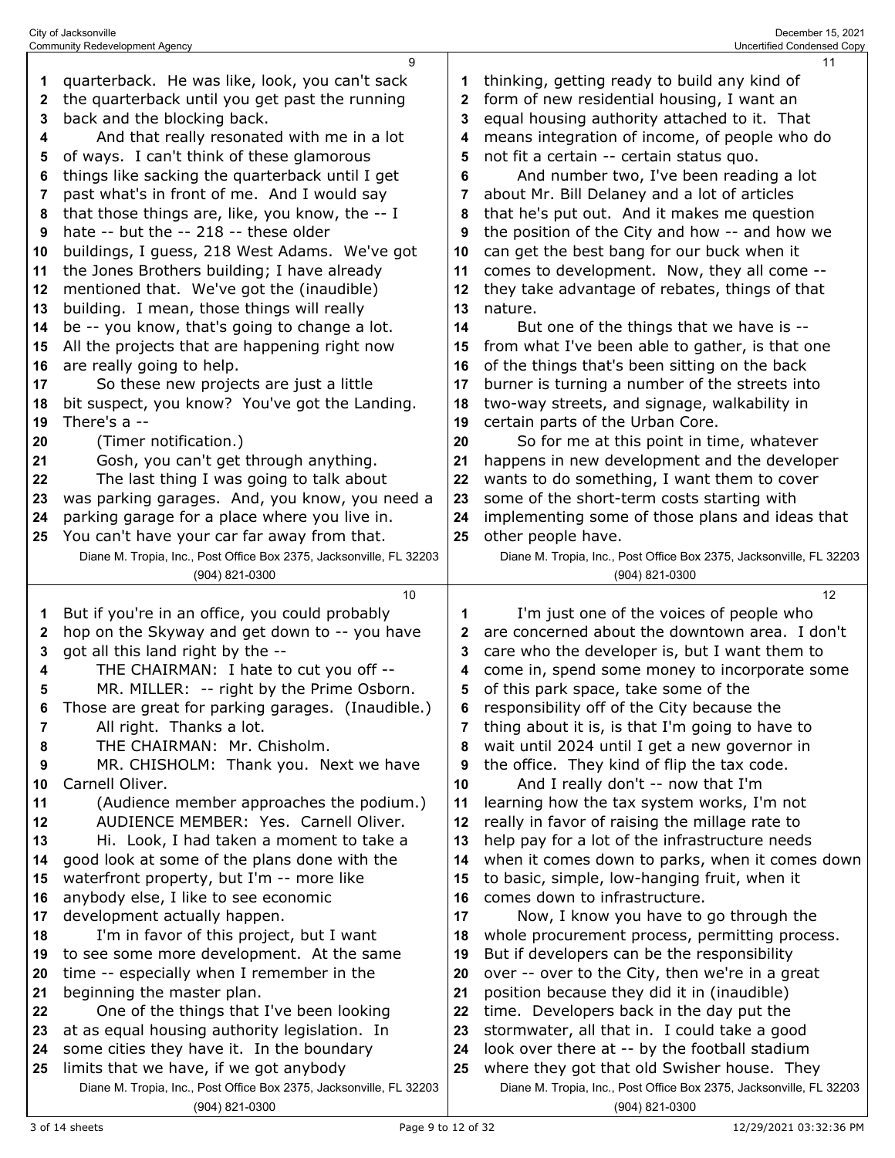| 1<br>2<br>3<br>4<br>5<br>6<br>7<br>8<br>9<br>10<br>11<br>12<br>13<br>14<br>15<br>16<br>17<br>18<br>19<br>20<br>21<br>22<br>23<br>24<br>25 | 9<br>quarterback. He was like, look, you can't sack<br>the quarterback until you get past the running<br>back and the blocking back.<br>And that really resonated with me in a lot<br>of ways. I can't think of these glamorous<br>things like sacking the quarterback until I get<br>past what's in front of me. And I would say<br>that those things are, like, you know, the -- I<br>hate -- but the -- 218 -- these older<br>buildings, I guess, 218 West Adams. We've got<br>the Jones Brothers building; I have already<br>mentioned that. We've got the (inaudible)<br>building. I mean, those things will really<br>be -- you know, that's going to change a lot.<br>All the projects that are happening right now<br>are really going to help.<br>So these new projects are just a little<br>bit suspect, you know? You've got the Landing.<br>There's a --<br>(Timer notification.)<br>Gosh, you can't get through anything.<br>The last thing I was going to talk about<br>was parking garages. And, you know, you need a<br>parking garage for a place where you live in.<br>You can't have your car far away from that.<br>Diane M. Tropia, Inc., Post Office Box 2375, Jacksonville, FL 32203 | 2<br>3<br>4<br>5<br>6<br>7<br>8<br>9<br>10<br>11<br>12<br>13<br>14<br>15<br>16<br>17<br>18<br>19<br>20<br>21<br>22<br>23<br>24<br>25      | 11<br>thinking, getting ready to build any kind of<br>form of new residential housing, I want an<br>equal housing authority attached to it. That<br>means integration of income, of people who do<br>not fit a certain -- certain status quo.<br>And number two, I've been reading a lot<br>about Mr. Bill Delaney and a lot of articles<br>that he's put out. And it makes me question<br>the position of the City and how -- and how we<br>can get the best bang for our buck when it<br>comes to development. Now, they all come --<br>they take advantage of rebates, things of that<br>nature.<br>But one of the things that we have is --<br>from what I've been able to gather, is that one<br>of the things that's been sitting on the back<br>burner is turning a number of the streets into<br>two-way streets, and signage, walkability in<br>certain parts of the Urban Core.<br>So for me at this point in time, whatever<br>happens in new development and the developer<br>wants to do something, I want them to cover<br>some of the short-term costs starting with<br>implementing some of those plans and ideas that<br>other people have.<br>Diane M. Tropia, Inc., Post Office Box 2375, Jacksonville, FL 32203<br>(904) 821-0300                                                     |
|-------------------------------------------------------------------------------------------------------------------------------------------|-------------------------------------------------------------------------------------------------------------------------------------------------------------------------------------------------------------------------------------------------------------------------------------------------------------------------------------------------------------------------------------------------------------------------------------------------------------------------------------------------------------------------------------------------------------------------------------------------------------------------------------------------------------------------------------------------------------------------------------------------------------------------------------------------------------------------------------------------------------------------------------------------------------------------------------------------------------------------------------------------------------------------------------------------------------------------------------------------------------------------------------------------------------------------------------------------------------|-------------------------------------------------------------------------------------------------------------------------------------------|-----------------------------------------------------------------------------------------------------------------------------------------------------------------------------------------------------------------------------------------------------------------------------------------------------------------------------------------------------------------------------------------------------------------------------------------------------------------------------------------------------------------------------------------------------------------------------------------------------------------------------------------------------------------------------------------------------------------------------------------------------------------------------------------------------------------------------------------------------------------------------------------------------------------------------------------------------------------------------------------------------------------------------------------------------------------------------------------------------------------------------------------------------------------------------------------------------------------------------------------------------------------------------------------------------------|
| 1<br>2<br>3<br>4<br>5<br>7<br>8<br>9<br>10<br>11<br>12<br>13<br>14<br>15<br>16<br>17<br>18<br>19<br>20<br>21<br>22<br>23<br>24<br>25      | (904) 821-0300<br>10<br>But if you're in an office, you could probably<br>hop on the Skyway and get down to -- you have<br>got all this land right by the --<br>THE CHAIRMAN: I hate to cut you off --<br>MR. MILLER: -- right by the Prime Osborn.<br>Those are great for parking garages. (Inaudible.)<br>All right. Thanks a lot.<br>THE CHAIRMAN: Mr. Chisholm.<br>MR. CHISHOLM: Thank you. Next we have<br>Carnell Oliver.<br>(Audience member approaches the podium.)<br>AUDIENCE MEMBER: Yes. Carnell Oliver.<br>Hi. Look, I had taken a moment to take a<br>good look at some of the plans done with the<br>waterfront property, but I'm -- more like<br>anybody else, I like to see economic<br>development actually happen.<br>I'm in favor of this project, but I want<br>to see some more development. At the same<br>time -- especially when I remember in the<br>beginning the master plan.<br>One of the things that I've been looking<br>at as equal housing authority legislation. In<br>some cities they have it. In the boundary<br>limits that we have, if we got anybody<br>Diane M. Tropia, Inc., Post Office Box 2375, Jacksonville, FL 32203<br>(904) 821-0300                      | 1<br>2<br>3<br>4<br>5<br>R<br>7<br>8<br>9<br>10<br>11<br>12<br>13<br>14<br>15<br>16<br>17<br>18<br>19<br>20<br>21<br>22<br>23<br>24<br>25 | 12<br>I'm just one of the voices of people who<br>are concerned about the downtown area. I don't<br>care who the developer is, but I want them to<br>come in, spend some money to incorporate some<br>of this park space, take some of the<br>responsibility off of the City because the<br>thing about it is, is that I'm going to have to<br>wait until 2024 until I get a new governor in<br>the office. They kind of flip the tax code.<br>And I really don't -- now that I'm<br>learning how the tax system works, I'm not<br>really in favor of raising the millage rate to<br>help pay for a lot of the infrastructure needs<br>when it comes down to parks, when it comes down<br>to basic, simple, low-hanging fruit, when it<br>comes down to infrastructure.<br>Now, I know you have to go through the<br>whole procurement process, permitting process.<br>But if developers can be the responsibility<br>over -- over to the City, then we're in a great<br>position because they did it in (inaudible)<br>time. Developers back in the day put the<br>stormwater, all that in. I could take a good<br>look over there at -- by the football stadium<br>where they got that old Swisher house. They<br>Diane M. Tropia, Inc., Post Office Box 2375, Jacksonville, FL 32203<br>(904) 821-0300 |

City of Jacksonville December 15, 2021 Community Redevelopment Agency Uncertified Condensed Copy

3 of 14 sheets 23 of 14 sheets 23 of 14 sheets 23 of 14 sheets 23 of 14 sheets 23 of 14 sheets 23 of 23 of 32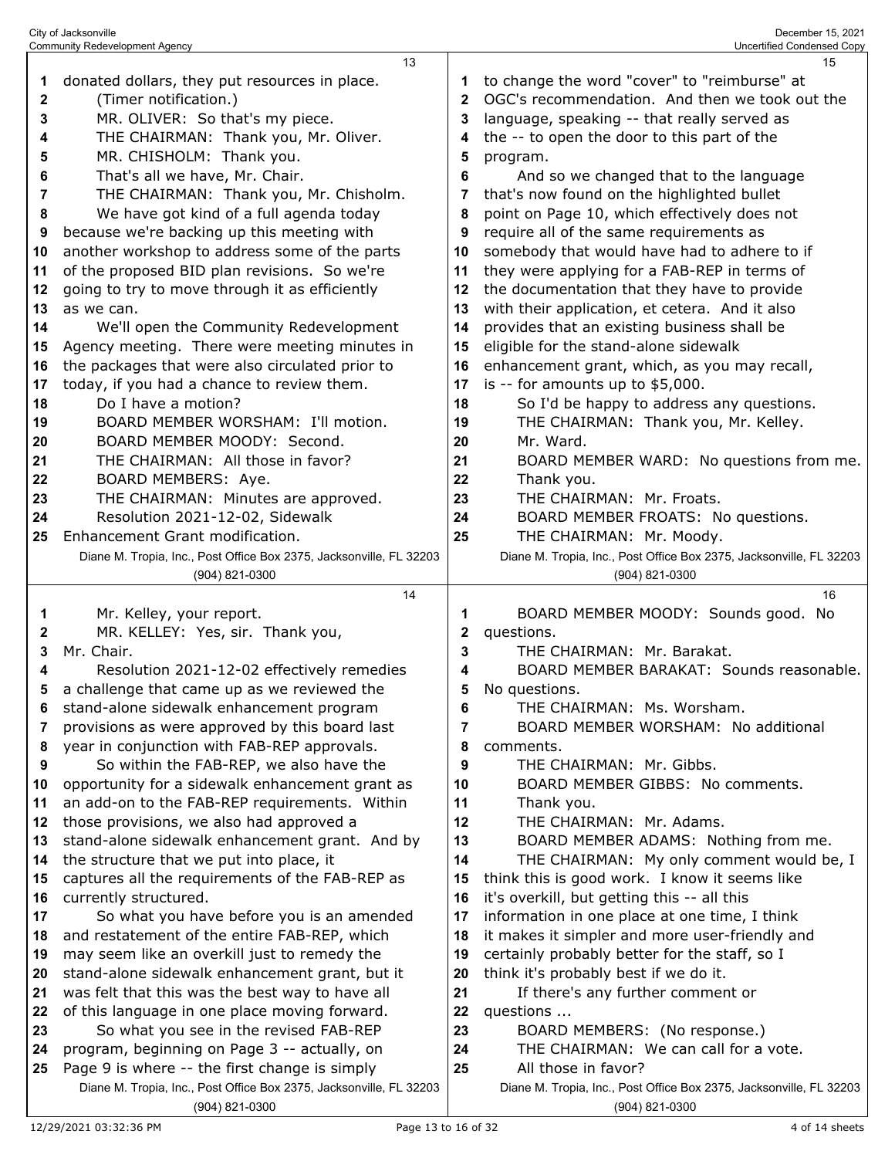|             | City of Jacksonville<br><b>Community Redevelopment Agency</b>                                 |                | December 15, 2021<br><b>Uncertified Condensed Copy</b>                                          |
|-------------|-----------------------------------------------------------------------------------------------|----------------|-------------------------------------------------------------------------------------------------|
|             | 13                                                                                            |                | 15                                                                                              |
| 1           | donated dollars, they put resources in place.                                                 | 1              | to change the word "cover" to "reimburse" at                                                    |
| $\mathbf 2$ | (Timer notification.)                                                                         | $\mathbf{2}$   | OGC's recommendation. And then we took out the                                                  |
| 3           | MR. OLIVER: So that's my piece.                                                               | 3              | language, speaking -- that really served as                                                     |
| 4           | THE CHAIRMAN: Thank you, Mr. Oliver.                                                          | 4              | the -- to open the door to this part of the                                                     |
| 5           | MR. CHISHOLM: Thank you.                                                                      | 5              | program.                                                                                        |
| 6           | That's all we have, Mr. Chair.                                                                | 6              | And so we changed that to the language                                                          |
| 7           | THE CHAIRMAN: Thank you, Mr. Chisholm.                                                        | 7              | that's now found on the highlighted bullet                                                      |
| 8           | We have got kind of a full agenda today                                                       | 8              | point on Page 10, which effectively does not                                                    |
| 9           | because we're backing up this meeting with                                                    | 9              | require all of the same requirements as                                                         |
| 10<br>11    | another workshop to address some of the parts<br>of the proposed BID plan revisions. So we're | 10<br>11       | somebody that would have had to adhere to if<br>they were applying for a FAB-REP in terms of    |
| 12          | going to try to move through it as efficiently                                                | 12             | the documentation that they have to provide                                                     |
| 13          | as we can.                                                                                    | 13             | with their application, et cetera. And it also                                                  |
| 14          | We'll open the Community Redevelopment                                                        | 14             | provides that an existing business shall be                                                     |
| 15          | Agency meeting. There were meeting minutes in                                                 | 15             | eligible for the stand-alone sidewalk                                                           |
| 16          | the packages that were also circulated prior to                                               | 16             | enhancement grant, which, as you may recall,                                                    |
| 17          | today, if you had a chance to review them.                                                    | 17             | is -- for amounts up to \$5,000.                                                                |
| 18          | Do I have a motion?                                                                           | 18             | So I'd be happy to address any questions.                                                       |
| 19          | BOARD MEMBER WORSHAM: I'll motion.                                                            | 19             | THE CHAIRMAN: Thank you, Mr. Kelley.                                                            |
| 20          | BOARD MEMBER MOODY: Second.                                                                   | 20             | Mr. Ward.                                                                                       |
| 21          | THE CHAIRMAN: All those in favor?                                                             | 21             | BOARD MEMBER WARD: No questions from me.                                                        |
| 22          | BOARD MEMBERS: Aye.                                                                           | 22             | Thank you.                                                                                      |
| 23          | THE CHAIRMAN: Minutes are approved.                                                           | 23             | THE CHAIRMAN: Mr. Froats.                                                                       |
| 24          | Resolution 2021-12-02, Sidewalk                                                               | 24             | BOARD MEMBER FROATS: No questions.                                                              |
| 25          | Enhancement Grant modification.                                                               | 25             | THE CHAIRMAN: Mr. Moody.                                                                        |
|             | Diane M. Tropia, Inc., Post Office Box 2375, Jacksonville, FL 32203                           |                | Diane M. Tropia, Inc., Post Office Box 2375, Jacksonville, FL 32203                             |
|             | (904) 821-0300                                                                                |                | (904) 821-0300                                                                                  |
|             | 14                                                                                            |                | 16                                                                                              |
| 1<br>2      | Mr. Kelley, your report.<br>MR. KELLEY: Yes, sir. Thank you,                                  | 1              | BOARD MEMBER MOODY: Sounds good. No<br>questions.                                               |
| 3           | Mr. Chair.                                                                                    | 2<br>3         | THE CHAIRMAN: Mr. Barakat.                                                                      |
| 4           | Resolution 2021-12-02 effectively remedies                                                    | 4              | BOARD MEMBER BARAKAT: Sounds reasonable.                                                        |
| 5           | a challenge that came up as we reviewed the                                                   | 5              | No questions.                                                                                   |
| 6           | stand-alone sidewalk enhancement program                                                      | 6              | THE CHAIRMAN: Ms. Worsham.                                                                      |
| 7           | provisions as were approved by this board last                                                | $\overline{7}$ | BOARD MEMBER WORSHAM: No additional                                                             |
| 8           | year in conjunction with FAB-REP approvals.                                                   | 8              | comments.                                                                                       |
| 9           | So within the FAB-REP, we also have the                                                       | 9              | THE CHAIRMAN: Mr. Gibbs.                                                                        |
| 10          | opportunity for a sidewalk enhancement grant as                                               | 10             | BOARD MEMBER GIBBS: No comments.                                                                |
| 11          | an add-on to the FAB-REP requirements. Within                                                 | 11             | Thank you.                                                                                      |
| 12          | those provisions, we also had approved a                                                      | 12             | THE CHAIRMAN: Mr. Adams.                                                                        |
| 13          | stand-alone sidewalk enhancement grant. And by                                                | 13             | BOARD MEMBER ADAMS: Nothing from me.                                                            |
| 14          | the structure that we put into place, it                                                      | 14             | THE CHAIRMAN: My only comment would be, I                                                       |
| 15          | captures all the requirements of the FAB-REP as                                               | 15             | think this is good work. I know it seems like                                                   |
| 16          | currently structured.                                                                         | 16             | it's overkill, but getting this -- all this                                                     |
| 17          | So what you have before you is an amended                                                     | 17             | information in one place at one time, I think                                                   |
| 18<br>19    | and restatement of the entire FAB-REP, which<br>may seem like an overkill just to remedy the  | 18<br>19       | it makes it simpler and more user-friendly and<br>certainly probably better for the staff, so I |
| 20          | stand-alone sidewalk enhancement grant, but it                                                | 20             | think it's probably best if we do it.                                                           |
| 21          | was felt that this was the best way to have all                                               | 21             | If there's any further comment or                                                               |
| 22          | of this language in one place moving forward.                                                 | 22             | questions                                                                                       |
| 23          |                                                                                               |                |                                                                                                 |
|             |                                                                                               |                |                                                                                                 |
| 24          | So what you see in the revised FAB-REP                                                        | 23             | BOARD MEMBERS: (No response.)                                                                   |
| 25          | program, beginning on Page 3 -- actually, on<br>Page 9 is where -- the first change is simply | 24<br>25       | THE CHAIRMAN: We can call for a vote.<br>All those in favor?                                    |
|             | Diane M. Tropia, Inc., Post Office Box 2375, Jacksonville, FL 32203                           |                | Diane M. Tropia, Inc., Post Office Box 2375, Jacksonville, FL 32203                             |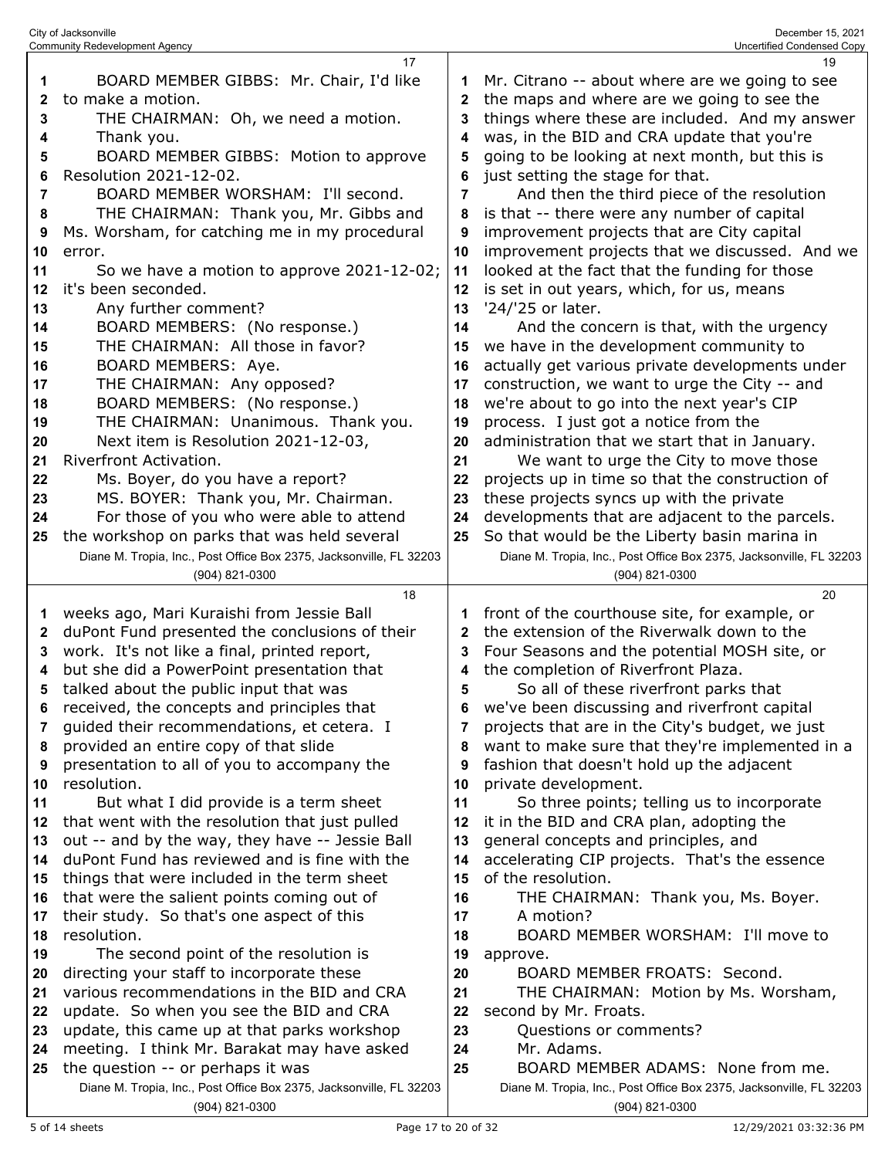|    | <b>Community Redevelopment Agency</b>                                                 |                | Uncertified Condensed Copy                                                            |
|----|---------------------------------------------------------------------------------------|----------------|---------------------------------------------------------------------------------------|
|    | 17                                                                                    |                | 19                                                                                    |
| 1  | BOARD MEMBER GIBBS: Mr. Chair, I'd like                                               | 1              | Mr. Citrano -- about where are we going to see                                        |
| 2  | to make a motion.                                                                     | $\mathbf{2}$   | the maps and where are we going to see the                                            |
| 3  | THE CHAIRMAN: Oh, we need a motion.                                                   | 3              | things where these are included. And my answer                                        |
| 4  | Thank you.                                                                            | 4              | was, in the BID and CRA update that you're                                            |
| 5  | BOARD MEMBER GIBBS: Motion to approve                                                 | 5              | going to be looking at next month, but this is                                        |
| 6  | Resolution 2021-12-02.                                                                | 6              | just setting the stage for that.                                                      |
| 7  | BOARD MEMBER WORSHAM: I'll second.                                                    | $\overline{7}$ | And then the third piece of the resolution                                            |
| 8  | THE CHAIRMAN: Thank you, Mr. Gibbs and                                                | 8              | is that -- there were any number of capital                                           |
| 9  | Ms. Worsham, for catching me in my procedural                                         | 9              | improvement projects that are City capital                                            |
| 10 | error.                                                                                | 10             | improvement projects that we discussed. And we                                        |
| 11 | So we have a motion to approve 2021-12-02;                                            | 11             | looked at the fact that the funding for those                                         |
| 12 | it's been seconded.                                                                   | 12             | is set in out years, which, for us, means                                             |
| 13 | Any further comment?                                                                  | 13             | '24/'25 or later.                                                                     |
| 14 | BOARD MEMBERS: (No response.)                                                         | 14             | And the concern is that, with the urgency                                             |
| 15 | THE CHAIRMAN: All those in favor?                                                     | 15             | we have in the development community to                                               |
| 16 | BOARD MEMBERS: Aye.                                                                   | 16             | actually get various private developments under                                       |
| 17 | THE CHAIRMAN: Any opposed?                                                            | 17             | construction, we want to urge the City -- and                                         |
|    | BOARD MEMBERS: (No response.)                                                         |                | we're about to go into the next year's CIP                                            |
| 18 |                                                                                       | 18             |                                                                                       |
| 19 | THE CHAIRMAN: Unanimous. Thank you.                                                   | 19             | process. I just got a notice from the                                                 |
| 20 | Next item is Resolution 2021-12-03,                                                   | 20             | administration that we start that in January.                                         |
| 21 | Riverfront Activation.                                                                | 21             | We want to urge the City to move those                                                |
| 22 | Ms. Boyer, do you have a report?                                                      | 22             | projects up in time so that the construction of                                       |
| 23 | MS. BOYER: Thank you, Mr. Chairman.                                                   | 23             | these projects syncs up with the private                                              |
| 24 | For those of you who were able to attend                                              | 24             | developments that are adjacent to the parcels.                                        |
| 25 | the workshop on parks that was held several                                           | 25             | So that would be the Liberty basin marina in                                          |
|    | Diane M. Tropia, Inc., Post Office Box 2375, Jacksonville, FL 32203                   |                | Diane M. Tropia, Inc., Post Office Box 2375, Jacksonville, FL 32203                   |
|    | (904) 821-0300                                                                        |                | (904) 821-0300                                                                        |
|    | 18                                                                                    |                | 20                                                                                    |
| 1  | weeks ago, Mari Kuraishi from Jessie Ball                                             | 1              | front of the courthouse site, for example, or                                         |
| 2  | duPont Fund presented the conclusions of their                                        | $\mathbf{2}$   | the extension of the Riverwalk down to the                                            |
| 3  | work. It's not like a final, printed report,                                          | 3              | Four Seasons and the potential MOSH site, or                                          |
| 4  | but she did a PowerPoint presentation that                                            | 4              | the completion of Riverfront Plaza.                                                   |
| 5  | talked about the public input that was                                                | 5              | So all of these riverfront parks that                                                 |
| 6  | received, the concepts and principles that                                            | 6              | we've been discussing and riverfront capital                                          |
| 7  | guided their recommendations, et cetera. I                                            | 7              | projects that are in the City's budget, we just                                       |
| 8  | provided an entire copy of that slide                                                 | 8              | want to make sure that they're implemented in a                                       |
| 9  | presentation to all of you to accompany the                                           | 9              | fashion that doesn't hold up the adjacent                                             |
| 10 | resolution.                                                                           | 10             | private development.                                                                  |
| 11 | But what I did provide is a term sheet                                                | 11             | So three points; telling us to incorporate                                            |
| 12 | that went with the resolution that just pulled                                        | 12             | it in the BID and CRA plan, adopting the                                              |
| 13 | out -- and by the way, they have -- Jessie Ball                                       | 13             | general concepts and principles, and                                                  |
|    |                                                                                       |                |                                                                                       |
| 14 | duPont Fund has reviewed and is fine with the                                         | 14             | accelerating CIP projects. That's the essence                                         |
| 15 | things that were included in the term sheet                                           | 15             | of the resolution.                                                                    |
| 16 | that were the salient points coming out of                                            | 16             | THE CHAIRMAN: Thank you, Ms. Boyer.                                                   |
| 17 | their study. So that's one aspect of this                                             | 17             | A motion?                                                                             |
| 18 | resolution.                                                                           | 18             | BOARD MEMBER WORSHAM: I'll move to                                                    |
| 19 | The second point of the resolution is                                                 | 19             | approve.                                                                              |
| 20 | directing your staff to incorporate these                                             | 20             | BOARD MEMBER FROATS: Second.                                                          |
| 21 | various recommendations in the BID and CRA                                            | 21             | THE CHAIRMAN: Motion by Ms. Worsham,                                                  |
| 22 | update. So when you see the BID and CRA                                               | 22             | second by Mr. Froats.                                                                 |
| 23 | update, this came up at that parks workshop                                           | 23             | Questions or comments?                                                                |
| 24 |                                                                                       | 24             | Mr. Adams.                                                                            |
| 25 | meeting. I think Mr. Barakat may have asked                                           | 25             | BOARD MEMBER ADAMS: None from me.                                                     |
|    | the question -- or perhaps it was                                                     |                |                                                                                       |
|    | Diane M. Tropia, Inc., Post Office Box 2375, Jacksonville, FL 32203<br>(904) 821-0300 |                | Diane M. Tropia, Inc., Post Office Box 2375, Jacksonville, FL 32203<br>(904) 821-0300 |

City of Jacksonville December 15, 2021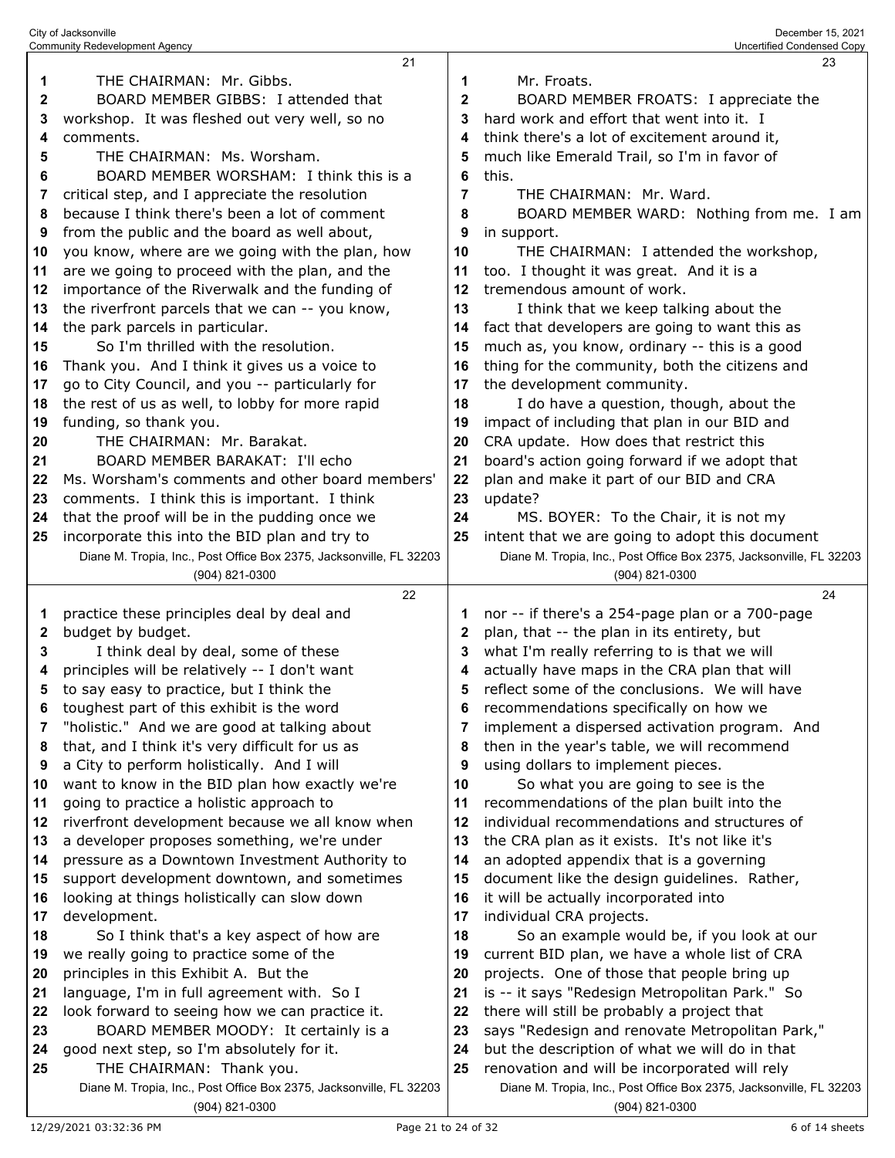|              | City of Jacksonville<br><b>Community Redevelopment Agency</b>       |              | December 15, 2021<br>Uncertified Condensed Copy                     |
|--------------|---------------------------------------------------------------------|--------------|---------------------------------------------------------------------|
|              | 21                                                                  |              | 23                                                                  |
| $\mathbf 1$  | THE CHAIRMAN: Mr. Gibbs.                                            | 1            | Mr. Froats.                                                         |
| $\mathbf 2$  | BOARD MEMBER GIBBS: I attended that                                 | $\mathbf 2$  | BOARD MEMBER FROATS: I appreciate the                               |
| 3            | workshop. It was fleshed out very well, so no                       | 3            | hard work and effort that went into it. I                           |
| 4            | comments.                                                           | 4            | think there's a lot of excitement around it,                        |
| 5            | THE CHAIRMAN: Ms. Worsham.                                          | 5            | much like Emerald Trail, so I'm in favor of                         |
| 6            | BOARD MEMBER WORSHAM: I think this is a                             | 6            | this.                                                               |
| 7            | critical step, and I appreciate the resolution                      | 7            | THE CHAIRMAN: Mr. Ward.                                             |
| 8            | because I think there's been a lot of comment                       | 8            | BOARD MEMBER WARD: Nothing from me. I am                            |
| 9            | from the public and the board as well about,                        | 9            | in support.                                                         |
| 10           | you know, where are we going with the plan, how                     | 10           | THE CHAIRMAN: I attended the workshop,                              |
| 11           | are we going to proceed with the plan, and the                      | 11           | too. I thought it was great. And it is a                            |
| 12           | importance of the Riverwalk and the funding of                      | 12           | tremendous amount of work.                                          |
| 13           | the riverfront parcels that we can -- you know,                     | 13           | I think that we keep talking about the                              |
| 14           | the park parcels in particular.                                     | 14           | fact that developers are going to want this as                      |
| 15           | So I'm thrilled with the resolution.                                | 15           | much as, you know, ordinary -- this is a good                       |
| 16           | Thank you. And I think it gives us a voice to                       | 16           | thing for the community, both the citizens and                      |
| 17           | go to City Council, and you -- particularly for                     | 17           | the development community.                                          |
| 18           | the rest of us as well, to lobby for more rapid                     | 18           | I do have a question, though, about the                             |
| 19           | funding, so thank you.                                              | 19           | impact of including that plan in our BID and                        |
| 20           | THE CHAIRMAN: Mr. Barakat.                                          | 20           | CRA update. How does that restrict this                             |
| 21           | BOARD MEMBER BARAKAT: I'll echo                                     | 21           | board's action going forward if we adopt that                       |
| 22           | Ms. Worsham's comments and other board members'                     | 22           | plan and make it part of our BID and CRA                            |
| 23           | comments. I think this is important. I think                        | 23           | update?                                                             |
| 24           | that the proof will be in the pudding once we                       | 24           | MS. BOYER: To the Chair, it is not my                               |
| 25           | incorporate this into the BID plan and try to                       | 25           | intent that we are going to adopt this document                     |
|              | Diane M. Tropia, Inc., Post Office Box 2375, Jacksonville, FL 32203 |              | Diane M. Tropia, Inc., Post Office Box 2375, Jacksonville, FL 32203 |
|              | (904) 821-0300                                                      |              | (904) 821-0300                                                      |
|              | 22                                                                  |              | 24                                                                  |
| 1            | practice these principles deal by deal and                          | 1            | nor -- if there's a 254-page plan or a 700-page                     |
| $\mathbf{2}$ | budget by budget.                                                   | $\mathbf{2}$ | plan, that -- the plan in its entirety, but                         |
| 3            | I think deal by deal, some of these                                 | 3            | what I'm really referring to is that we will                        |
| 4            | principles will be relatively -- I don't want                       | 4            | actually have maps in the CRA plan that will                        |
| 5            | to say easy to practice, but I think the                            | 5            | reflect some of the conclusions. We will have                       |
| 6            | toughest part of this exhibit is the word                           | 6            | recommendations specifically on how we                              |
| 7            | "holistic." And we are good at talking about                        | 7            | implement a dispersed activation program. And                       |
| 8            | that, and I think it's very difficult for us as                     | 8            | then in the year's table, we will recommend                         |

- a City to perform holistically. And I will want to know in the BID plan how exactly we're going to practice a holistic approach to riverfront development because we all know when a developer proposes something, we're under pressure as a Downtown Investment Authority to support development downtown, and sometimes looking at things holistically can slow down development. So I think that's a key aspect of how are entirety, but is that we will CRA plan that will ions. We will have **illy on how we** *<u>ivation</u>* program. And will recommend using dollars to implement pieces. So what you are going to see is the recommendations of the plan built into the individual recommendations and structures of the CRA plan as it exists. It's not like it's an adopted appendix that is a governing document like the design guidelines. Rather, it will be actually incorporated into individual CRA projects. So an example would be, if you look at our
- we really going to practice some of the principles in this Exhibit A. But the
- language, I'm in full agreement with. So I
- look forward to seeing how we can practice it.
- BOARD MEMBER MOODY: It certainly is a
- good next step, so I'm absolutely for it.
- THE CHAIRMAN: Thank you.
	- Diane M. Tropia, Inc., Post Office Box 2375, Jacksonville, FL 32203 (904) 821-0300

 current BID plan, we have a whole list of CRA projects. One of those that people bring up is -- it says "Redesign Metropolitan Park." So there will still be probably a project that

 says "Redesign and renovate Metropolitan Park," but the description of what we will do in that renovation and will be incorporated will rely

Diane M. Tropia, Inc., Post Office Box 2375, Jacksonville, FL 32203

(904) 821-0300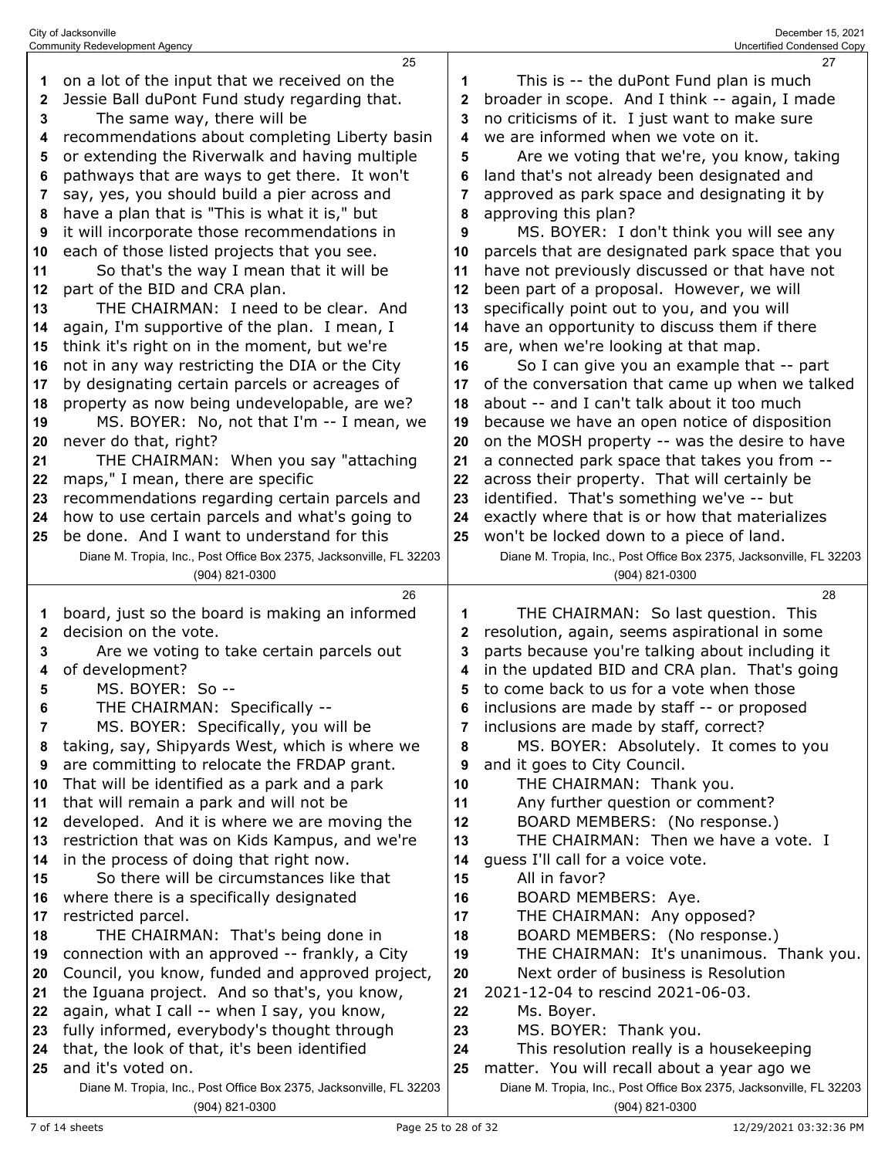|    | <b>Community Redevelopment Agency</b>                                                 |    | Uncertified Condensed Copy                                                            |
|----|---------------------------------------------------------------------------------------|----|---------------------------------------------------------------------------------------|
|    | 25                                                                                    |    | 27                                                                                    |
| 1  | on a lot of the input that we received on the                                         | 1  | This is -- the duPont Fund plan is much                                               |
| 2  | Jessie Ball duPont Fund study regarding that.                                         | 2  | broader in scope. And I think -- again, I made                                        |
| 3  | The same way, there will be                                                           | 3  | no criticisms of it. I just want to make sure                                         |
| 4  | recommendations about completing Liberty basin                                        | 4  | we are informed when we vote on it.                                                   |
| 5  | or extending the Riverwalk and having multiple                                        | 5  | Are we voting that we're, you know, taking                                            |
| 6  | pathways that are ways to get there. It won't                                         | 6  | land that's not already been designated and                                           |
| 7  | say, yes, you should build a pier across and                                          | 7  | approved as park space and designating it by                                          |
| 8  | have a plan that is "This is what it is," but                                         | 8  | approving this plan?                                                                  |
| 9  | it will incorporate those recommendations in                                          | 9  | MS. BOYER: I don't think you will see any                                             |
| 10 | each of those listed projects that you see.                                           | 10 | parcels that are designated park space that you                                       |
| 11 | So that's the way I mean that it will be                                              | 11 | have not previously discussed or that have not                                        |
| 12 | part of the BID and CRA plan.                                                         | 12 | been part of a proposal. However, we will                                             |
| 13 | THE CHAIRMAN: I need to be clear. And                                                 | 13 | specifically point out to you, and you will                                           |
| 14 | again, I'm supportive of the plan. I mean, I                                          | 14 | have an opportunity to discuss them if there                                          |
| 15 | think it's right on in the moment, but we're                                          | 15 | are, when we're looking at that map.                                                  |
| 16 | not in any way restricting the DIA or the City                                        | 16 | So I can give you an example that -- part                                             |
| 17 | by designating certain parcels or acreages of                                         | 17 | of the conversation that came up when we talked                                       |
| 18 | property as now being undevelopable, are we?                                          | 18 | about -- and I can't talk about it too much                                           |
| 19 | MS. BOYER: No, not that I'm -- I mean, we                                             | 19 | because we have an open notice of disposition                                         |
| 20 | never do that, right?                                                                 | 20 | on the MOSH property -- was the desire to have                                        |
| 21 | THE CHAIRMAN: When you say "attaching                                                 | 21 | a connected park space that takes you from --                                         |
| 22 | maps," I mean, there are specific                                                     | 22 | across their property. That will certainly be                                         |
| 23 | recommendations regarding certain parcels and                                         | 23 | identified. That's something we've -- but                                             |
| 24 | how to use certain parcels and what's going to                                        | 24 | exactly where that is or how that materializes                                        |
| 25 | be done. And I want to understand for this                                            | 25 | won't be locked down to a piece of land.                                              |
|    | Diane M. Tropia, Inc., Post Office Box 2375, Jacksonville, FL 32203                   |    | Diane M. Tropia, Inc., Post Office Box 2375, Jacksonville, FL 32203                   |
|    | (904) 821-0300                                                                        |    | (904) 821-0300                                                                        |
|    |                                                                                       |    |                                                                                       |
|    |                                                                                       |    |                                                                                       |
|    | 26                                                                                    |    | 28                                                                                    |
| 1  | board, just so the board is making an informed                                        | 1  | THE CHAIRMAN: So last question. This                                                  |
| 2  | decision on the vote.                                                                 | 2  | resolution, again, seems aspirational in some                                         |
| 3  | Are we voting to take certain parcels out                                             | 3  | parts because you're talking about including it                                       |
| 4  | of development?                                                                       | 4  | in the updated BID and CRA plan. That's going                                         |
| 5  | MS. BOYER: So --                                                                      | 5  | to come back to us for a vote when those                                              |
| 6  | THE CHAIRMAN: Specifically --                                                         | 6  | inclusions are made by staff -- or proposed                                           |
| 7  | MS. BOYER: Specifically, you will be                                                  |    | inclusions are made by staff, correct?                                                |
| 8  | taking, say, Shipyards West, which is where we                                        | 8  | MS. BOYER: Absolutely. It comes to you                                                |
| 9  | are committing to relocate the FRDAP grant.                                           | 9  | and it goes to City Council.                                                          |
| 10 | That will be identified as a park and a park                                          | 10 | THE CHAIRMAN: Thank you.                                                              |
| 11 | that will remain a park and will not be                                               | 11 | Any further question or comment?                                                      |
| 12 | developed. And it is where we are moving the                                          | 12 | BOARD MEMBERS: (No response.)                                                         |
| 13 | restriction that was on Kids Kampus, and we're                                        | 13 | THE CHAIRMAN: Then we have a vote. I                                                  |
| 14 | in the process of doing that right now.                                               | 14 | guess I'll call for a voice vote.                                                     |
| 15 | So there will be circumstances like that                                              | 15 | All in favor?                                                                         |
| 16 | where there is a specifically designated                                              | 16 | BOARD MEMBERS: Aye.                                                                   |
| 17 | restricted parcel.                                                                    | 17 | THE CHAIRMAN: Any opposed?                                                            |
| 18 | THE CHAIRMAN: That's being done in                                                    | 18 | BOARD MEMBERS: (No response.)                                                         |
| 19 | connection with an approved -- frankly, a City                                        | 19 | THE CHAIRMAN: It's unanimous. Thank you.                                              |
| 20 | Council, you know, funded and approved project,                                       | 20 | Next order of business is Resolution                                                  |
| 21 | the Iguana project. And so that's, you know,                                          | 21 | 2021-12-04 to rescind 2021-06-03.                                                     |
| 22 | again, what I call -- when I say, you know,                                           | 22 | Ms. Boyer.                                                                            |
| 23 | fully informed, everybody's thought through                                           | 23 | MS. BOYER: Thank you.                                                                 |
| 24 | that, the look of that, it's been identified                                          | 24 | This resolution really is a housekeeping                                              |
| 25 | and it's voted on.                                                                    | 25 | matter. You will recall about a year ago we                                           |
|    | Diane M. Tropia, Inc., Post Office Box 2375, Jacksonville, FL 32203<br>(904) 821-0300 |    | Diane M. Tropia, Inc., Post Office Box 2375, Jacksonville, FL 32203<br>(904) 821-0300 |

City of Jacksonville December 15, 2021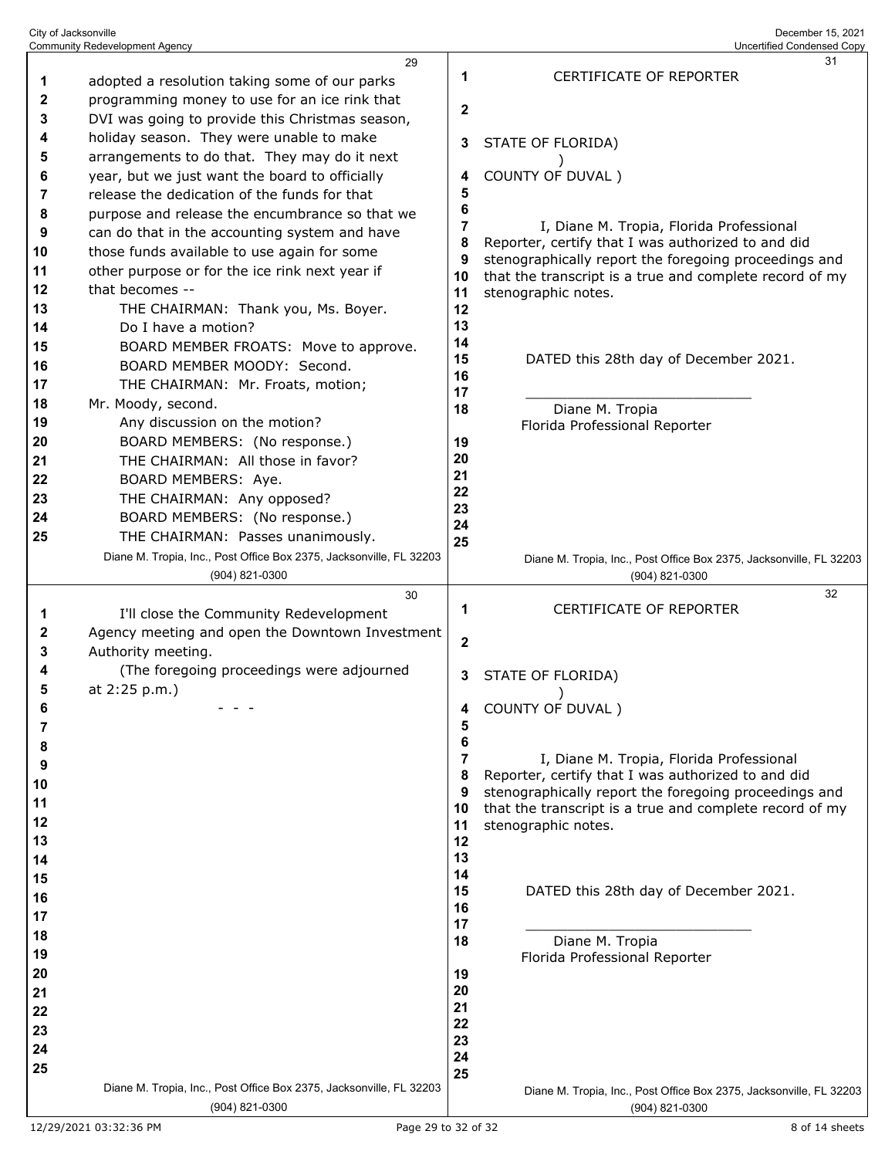| City of Jacksonville                  | December 15, 2021          |
|---------------------------------------|----------------------------|
| <b>Community Redevelopment Agency</b> | Uncertified Condensed Copy |

| 1                                    | 29<br>adopted a resolution taking some of our parks                                                                                                                                                                                                        | 1                                        | 31<br><b>CERTIFICATE OF REPORTER</b>                                                                                                                                                                                                      |
|--------------------------------------|------------------------------------------------------------------------------------------------------------------------------------------------------------------------------------------------------------------------------------------------------------|------------------------------------------|-------------------------------------------------------------------------------------------------------------------------------------------------------------------------------------------------------------------------------------------|
| 2<br>3<br>4                          | programming money to use for an ice rink that<br>DVI was going to provide this Christmas season,<br>holiday season. They were unable to make                                                                                                               | $\mathbf{2}$<br>3                        | STATE OF FLORIDA)                                                                                                                                                                                                                         |
| 5<br>6<br>7                          | arrangements to do that. They may do it next<br>year, but we just want the board to officially<br>release the dedication of the funds for that                                                                                                             | 4<br>5                                   | COUNTY OF DUVAL)                                                                                                                                                                                                                          |
| 8<br>9<br>10<br>11<br>12<br>13       | purpose and release the encumbrance so that we<br>can do that in the accounting system and have<br>those funds available to use again for some<br>other purpose or for the ice rink next year if<br>that becomes --<br>THE CHAIRMAN: Thank you, Ms. Boyer. | 6<br>7<br>8<br>9<br>10<br>11<br>12       | I, Diane M. Tropia, Florida Professional<br>Reporter, certify that I was authorized to and did<br>stenographically report the foregoing proceedings and<br>that the transcript is a true and complete record of my<br>stenographic notes. |
| 14<br>15<br>16<br>17                 | Do I have a motion?<br>BOARD MEMBER FROATS: Move to approve.<br>BOARD MEMBER MOODY: Second.<br>THE CHAIRMAN: Mr. Froats, motion;                                                                                                                           | 13<br>14<br>15<br>16<br>17               | DATED this 28th day of December 2021.                                                                                                                                                                                                     |
| 18<br>19<br>20<br>21                 | Mr. Moody, second.<br>Any discussion on the motion?<br>BOARD MEMBERS: (No response.)<br>THE CHAIRMAN: All those in favor?                                                                                                                                  | 18<br>19<br>20                           | Diane M. Tropia<br>Florida Professional Reporter                                                                                                                                                                                          |
| 22<br>23<br>24<br>25                 | BOARD MEMBERS: Aye.<br>THE CHAIRMAN: Any opposed?<br>BOARD MEMBERS: (No response.)<br>THE CHAIRMAN: Passes unanimously.                                                                                                                                    | 21<br>22<br>23<br>24<br>25               |                                                                                                                                                                                                                                           |
|                                      | Diane M. Tropia, Inc., Post Office Box 2375, Jacksonville, FL 32203<br>(904) 821-0300                                                                                                                                                                      |                                          | Diane M. Tropia, Inc., Post Office Box 2375, Jacksonville, FL 32203<br>(904) 821-0300                                                                                                                                                     |
| 1                                    | 30<br>I'll close the Community Redevelopment                                                                                                                                                                                                               | 1                                        | 32<br>CERTIFICATE OF REPORTER                                                                                                                                                                                                             |
| 2                                    | Agency meeting and open the Downtown Investment                                                                                                                                                                                                            |                                          |                                                                                                                                                                                                                                           |
| 3<br>4<br>5                          | Authority meeting.<br>(The foregoing proceedings were adjourned<br>at 2:25 p.m.)                                                                                                                                                                           | $\mathbf 2$<br>3                         | STATE OF FLORIDA)                                                                                                                                                                                                                         |
| 6<br>7                               |                                                                                                                                                                                                                                                            | 5                                        | COUNTY OF DUVAL)                                                                                                                                                                                                                          |
| 8<br>9<br>10<br>11<br>12<br>13<br>14 |                                                                                                                                                                                                                                                            | 6<br>7<br>8<br>9<br>10<br>11<br>12<br>13 | I, Diane M. Tropia, Florida Professional<br>Reporter, certify that I was authorized to and did<br>stenographically report the foregoing proceedings and<br>that the transcript is a true and complete record of my<br>stenographic notes. |
| 15<br>16<br>17                       |                                                                                                                                                                                                                                                            | 14<br>15<br>16<br>17                     | DATED this 28th day of December 2021.                                                                                                                                                                                                     |
| 18<br>19<br>20                       |                                                                                                                                                                                                                                                            | 18<br>19                                 | Diane M. Tropia<br>Florida Professional Reporter                                                                                                                                                                                          |
| 21<br>22<br>23<br>24<br>25           |                                                                                                                                                                                                                                                            | 20<br>21<br>22<br>23<br>24<br>25         |                                                                                                                                                                                                                                           |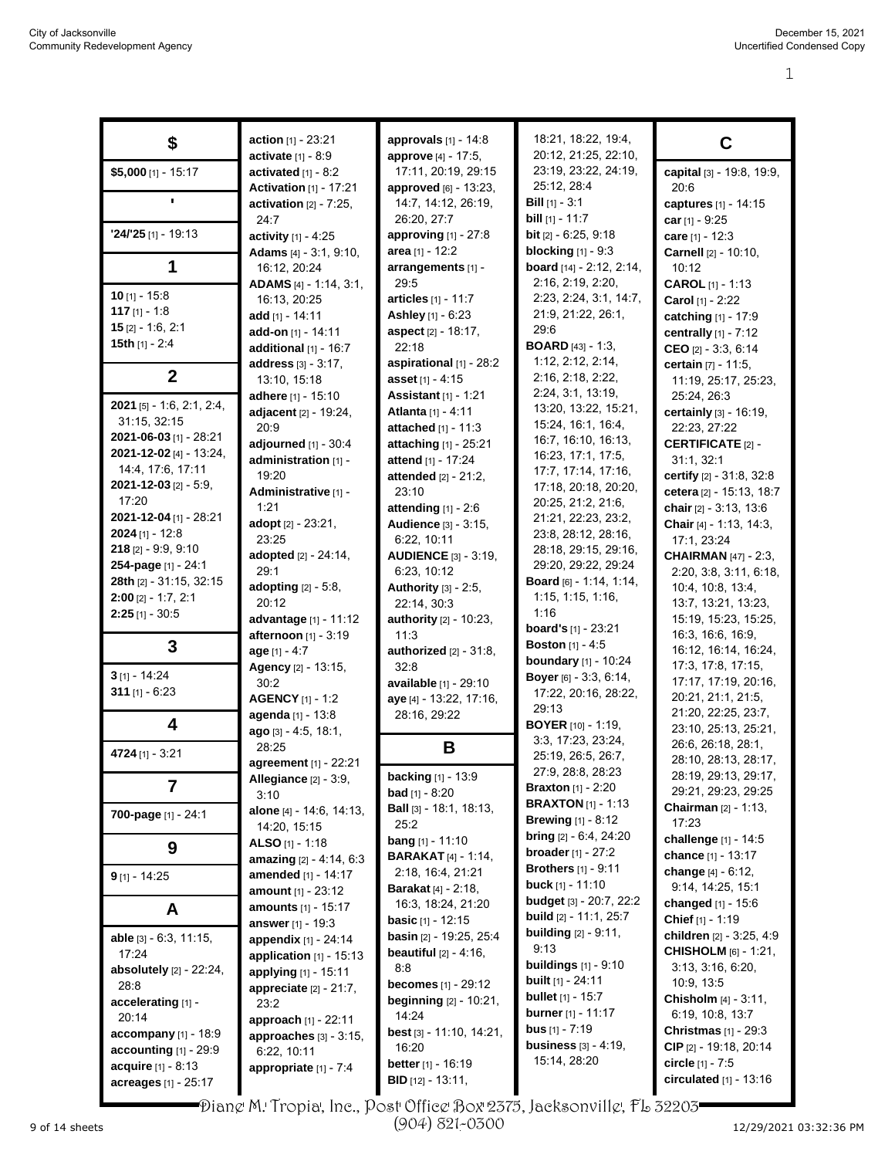|                               | <b>action</b> $[1] - 23:21$                      | approvals $[1] - 14.8$                            | 18:21, 18:22, 19:4,                | C                                         |
|-------------------------------|--------------------------------------------------|---------------------------------------------------|------------------------------------|-------------------------------------------|
| \$                            | <b>activate</b> $[1] - 8.9$                      | approve [4] - 17:5,                               | 20:12, 21:25, 22:10,               |                                           |
| \$5,000 [1] - 15:17           | activated $[1] - 8.2$                            | 17:11, 20:19, 29:15                               | 23:19, 23:22, 24:19,               | capital [3] - 19:8, 19:9,                 |
|                               | <b>Activation</b> [1] - 17:21                    | approved [6] - 13:23,                             | 25:12, 28:4                        | 20:6                                      |
|                               | activation $[2] - 7:25$ ,                        | 14:7, 14:12, 26:19,                               | <b>Bill</b> $[1] - 3:1$            | captures [1] - 14:15                      |
|                               | 24:7                                             | 26:20, 27:7                                       | <b>bill</b> $[1] - 11:7$           | car $[1] - 9:25$                          |
| $24/25$ [1] - 19:13           | activity $[1] - 4:25$                            | <b>approving</b> $[1] - 27:8$                     | <b>bit</b> $[2] - 6:25, 9:18$      | care [1] - 12:3                           |
|                               | Adams [4] - 3:1, 9:10,                           | area $[1] - 12:2$                                 | blocking $[1]$ - $9:3$             | Carnell [2] - 10:10,                      |
| 1                             | 16:12, 20:24                                     | arrangements [1] -                                | board [14] - 2:12, 2:14,           | 10:12                                     |
|                               | ADAMS [4] - 1:14, 3:1,                           | 29:5                                              | 2:16, 2:19, 2:20,                  | <b>CAROL</b> $[1] - 1:13$                 |
| $10$ [1] - 15:8               | 16:13, 20:25                                     | articles [1] - 11:7                               | 2:23, 2:24, 3:1, 14:7,             | Carol [1] - 2:22                          |
| 117 $[1] - 1.8$               | add [1] - 14:11                                  | Ashley [1] - 6:23                                 | 21:9, 21:22, 26:1,                 |                                           |
| $15$ [2] - 1.6, 2:1           | <b>add-on</b> [1] - 14:11                        | aspect [2] - 18:17,                               | 29:6                               | catching [1] - 17:9                       |
| 15th $[1] - 2:4$              | additional $[1]$ - 16:7                          | 22:18                                             | <b>BOARD</b> [43] - 1:3,           | centrally [1] - 7:12                      |
|                               |                                                  | aspirational [1] - 28:2                           | 1:12, 2:12, 2:14,                  | CEO $[2] - 3:3, 6:14$                     |
| $\mathbf{2}$                  | address [3] - 3:17,                              | asset [1] - 4:15                                  | 2:16, 2:18, 2:22,                  | certain [7] - 11:5,                       |
|                               | 13:10, 15:18                                     |                                                   | 2:24, 3:1, 13:19,                  | 11:19, 25:17, 25:23,                      |
| 2021 [5] - 1:6, 2:1, 2:4,     | adhere [1] - 15:10                               | <b>Assistant</b> [1] - 1:21<br>Atlanta [1] - 4:11 | 13:20, 13:22, 15:21,               | 25:24, 26:3                               |
| 31:15, 32:15                  | adjacent [2] - 19:24,<br>20:9                    | attached [1] - 11:3                               | 15:24, 16:1, 16:4,                 | certainly [3] - 16:19,<br>22:23, 27:22    |
| 2021-06-03 [1] - 28:21        |                                                  |                                                   | 16:7, 16:10, 16:13,                |                                           |
| 2021-12-02 [4] - 13:24,       | adjourned [1] - 30:4                             | attaching [1] - 25:21<br>attend [1] - 17:24       | 16:23, 17:1, 17:5,                 | <b>CERTIFICATE [2] -</b>                  |
| 14:4, 17:6, 17:11             | administration [1] -<br>19:20                    |                                                   | 17:7, 17:14, 17:16,                | 31:1, 32:1                                |
| $2021 - 12 - 03$ [2] - 5:9,   |                                                  | <b>attended</b> $[2] - 21:2$ ,                    | 17:18, 20:18, 20:20,               | certify [2] - 31:8, 32:8                  |
| 17:20                         | Administrative [1] -                             | 23:10                                             | 20:25, 21:2, 21:6,                 | cetera [2] - 15:13, 18:7                  |
| 2021-12-04 [1] - 28:21        | 1:21                                             | attending $[1] - 2:6$                             | 21:21, 22:23, 23:2,                | chair $[2] - 3:13, 13:6$                  |
| <b>2024</b> [1] - 12:8        | adopt [2] - 23:21,                               | Audience [3] - 3:15,                              | 23.8, 28.12, 28:16,                | <b>Chair</b> [4] - 1:13, 14:3,            |
| $218$ [2] - 9.9, 9.10         | 23:25                                            | 6:22, 10:11                                       | 28:18, 29:15, 29:16,               | 17:1, 23:24                               |
| 254-page [1] - 24:1           | adopted [2] - 24:14,<br>29:1                     | <b>AUDIENCE</b> [3] - 3:19,                       | 29:20, 29:22, 29:24                | <b>CHAIRMAN</b> [47] - 2:3,               |
| 28th [2] - 31:15, 32:15       |                                                  | 6:23, 10:12                                       | Board [6] - 1:14, 1:14,            | 2:20, 3:8, 3:11, 6:18,                    |
| $2:00$ [2] - 1:7, 2:1         | adopting [2] - 5:8,<br>20:12                     | Authority [3] - 2:5,                              | 1:15, 1:15, 1:16,                  | 10.4, 10.8, 13.4,                         |
| $2:25$ [1] - 30:5             |                                                  | 22:14, 30:3                                       | 1:16                               | 13:7, 13:21, 13:23,                       |
|                               | advantage [1] - 11:12                            | <b>authority</b> [2] - 10:23,                     | board's [1] - 23:21                | 15:19, 15:23, 15:25,<br>16:3, 16:6, 16:9, |
| 3                             | afternoon [1] - 3:19                             | 11:3                                              | <b>Boston</b> [1] - 4:5            | 16:12, 16:14, 16:24,                      |
|                               | $age [1] - 4.7$                                  | authorized $[2] - 31:8$ ,<br>32:8                 | <b>boundary</b> [1] - 10:24        | 17:3, 17:8, 17:15,                        |
| $3$ [1] - 14:24               | Agency [2] - 13:15,<br>30:2                      | available [1] - 29:10                             | Boyer [6] - 3:3, 6:14,             | 17:17, 17:19, 20:16,                      |
| 311 $[1] - 6:23$              |                                                  |                                                   | 17:22, 20:16, 28:22,               | 20:21, 21:1, 21:5,                        |
|                               | <b>AGENCY</b> [1] - 1:2                          | aye [4] - 13:22, 17:16,<br>28:16, 29:22           | 29:13                              | 21:20, 22:25, 23:7,                       |
| 4                             | agenda [1] - 13:8                                |                                                   | <b>BOYER</b> [10] - 1:19,          | 23:10, 25:13, 25:21,                      |
|                               | ago [3] - 4:5, 18:1,                             |                                                   | 3:3, 17:23, 23:24,                 | 26:6, 26:18, 28:1,                        |
| 4724 [1] - 3:21               | 28:25                                            | В                                                 | 25:19, 26:5, 26:7,                 | 28:10, 28:13, 28:17,                      |
|                               | agreement [1] - 22:21                            | <b>backing</b> [1] - 13:9                         | 27:9, 28:8, 28:23                  | 28:19, 29:13, 29:17,                      |
| 7                             | Allegiance $[2] - 3.9$ ,                         | <b>bad</b> [1] - $8:20$                           | <b>Braxton</b> $[1] - 2:20$        | 29:21, 29:23, 29:25                       |
|                               | 3:10                                             | Ball [3] - 18:1, 18:13,                           | <b>BRAXTON</b> $[1]$ - 1:13        | Chairman [2] - 1:13,                      |
| 700-page [1] - 24:1           | alone [4] - 14:6, 14:13,<br>14:20, 15:15         | 25:2                                              | <b>Brewing</b> $[1] - 8.12$        | 17:23                                     |
|                               | ALSO $[1] - 1:18$                                | <b>bang</b> [1] - 11:10                           | <b>bring</b> $[2] - 6.4$ , $24.20$ | challenge [1] - 14:5                      |
| 9                             |                                                  | <b>BARAKAT</b> [4] - 1:14,                        | <b>broader</b> [1] - 27:2          | chance [1] - 13:17                        |
|                               | amazing $[2] - 4.14, 6.3$<br>amended [1] - 14:17 | 2:18, 16:4, 21:21                                 | <b>Brothers</b> [1] - 9:11         | change [4] - 6:12,                        |
| $9$ [1] - 14:25               | <b>amount</b> $[1] - 23:12$                      | <b>Barakat</b> [4] - 2:18,                        | <b>buck</b> [1] - 11:10            | 9:14, 14:25, 15:1                         |
|                               |                                                  | 16:3, 18:24, 21:20                                | <b>budget</b> [3] - 20:7, 22:2     | changed [1] - 15:6                        |
| A                             | <b>amounts</b> [1] - 15:17                       | <b>basic</b> $[1] - 12:15$                        | <b>build</b> [2] - 11:1, 25:7      | Chief [1] - 1:19                          |
| able [3] - 6:3, 11:15,        | <b>answer</b> $[1] - 19:3$                       | basin [2] - 19:25, 25:4                           | <b>building</b> $[2] - 9:11$ ,     | children [2] - 3:25, 4:9                  |
| 17:24                         | appendix [1] - 24:14                             | <b>beautiful</b> $[2] - 4.16$ ,                   | 9:13                               | <b>CHISHOLM</b> [6] - 1:21,               |
| absolutely [2] - 22:24,       | application $[1]$ - 15:13                        | 8:8                                               | <b>buildings</b> $[1] - 9:10$      | 3:13, 3:16, 6:20,                         |
| 28:8                          | applying [1] - 15:11                             | <b>becomes</b> $[1] - 29:12$                      | <b>built</b> $[1]$ - 24:11         | 10:9, 13:5                                |
| accelerating [1] -            | appreciate [2] - 21:7,                           | <b>beginning</b> $[2] - 10:21$ ,                  | <b>bullet</b> $[1]$ - 15:7         | <b>Chisholm</b> $[4] - 3.11$ ,            |
| 20:14                         | 23:2                                             | 14:24                                             | <b>burner</b> [1] - 11:17          | 6:19, 10:8, 13:7                          |
| <b>accompany</b> $[1] - 18.9$ | approach [1] - 22:11                             | <b>best</b> [3] $- 11:10, 14:21,$                 | <b>bus</b> $[1] - 7:19$            | <b>Christmas</b> $[1] - 29.3$             |
| accounting $[1]$ - 29:9       | approaches [3] - 3:15,                           | 16:20                                             | <b>business</b> $[3] - 4:19$ ,     | CIP [2] - 19:18, 20:14                    |
| acquire [1] - 8:13            | 6:22, 10:11                                      | <b>better</b> [1] - 16:19                         | 15:14, 28:20                       | circle $[1] - 7:5$                        |
| acreages [1] - 25:17          | appropriate [1] - 7:4                            | <b>BID</b> [12] - 13:11,                          |                                    | circulated [1] - 13:16                    |
|                               |                                                  |                                                   |                                    |                                           |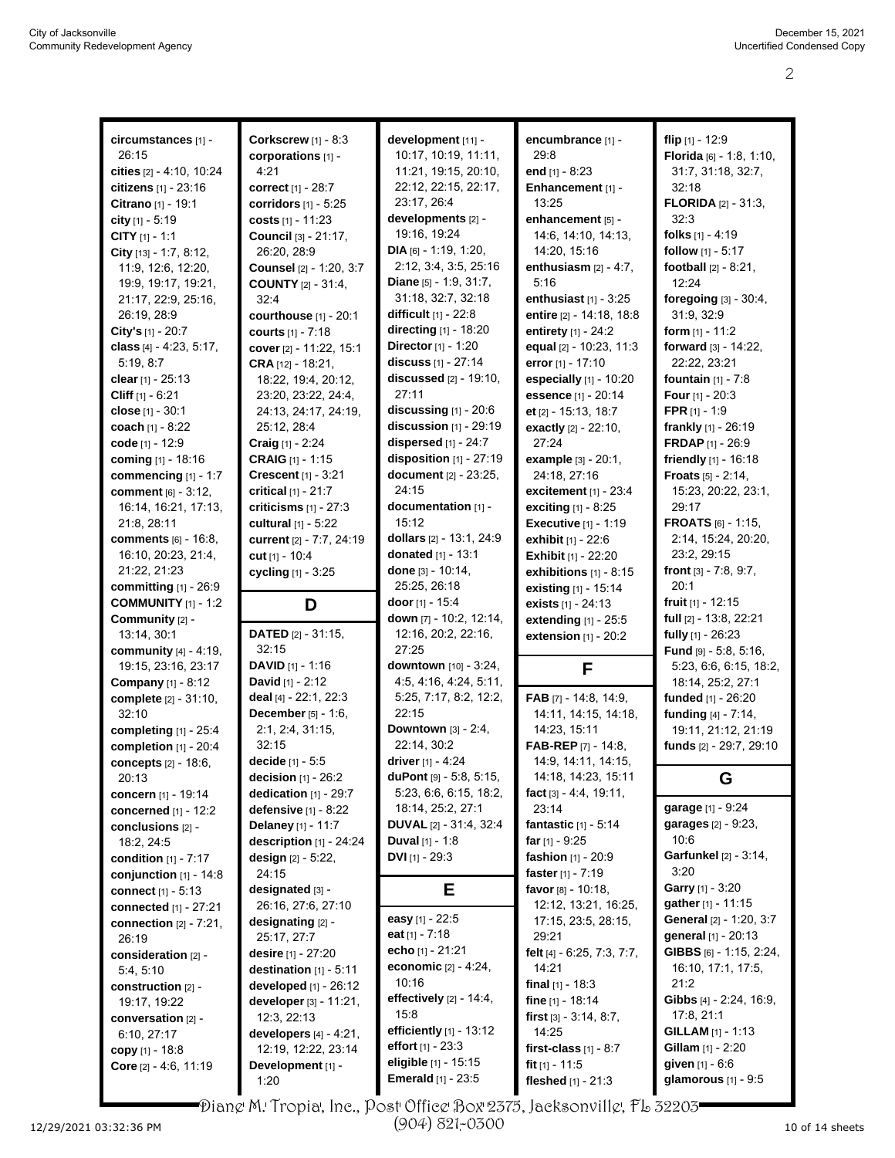| circumstances [1] -           | <b>Corkscrew</b> [1] - 8:3     | development [11] -              | encumbrance [1] -             | flip $[1]$ - 12:9               |
|-------------------------------|--------------------------------|---------------------------------|-------------------------------|---------------------------------|
| 26:15                         | corporations [1] -             | 10:17, 10:19, 11:11,            | 29.8                          | Florida [6] - 1:8, 1:10,        |
|                               |                                |                                 |                               |                                 |
| cities [2] - 4:10, 10:24      | 4:21                           | 11:21, 19:15, 20:10,            | end $[1] - 8:23$              | 31:7, 31:18, 32:7,              |
| citizens [1] - 23:16          | correct [1] - 28:7             | 22:12, 22:15, 22:17,            | Enhancement [1] -             | 32:18                           |
| Citrano [1] - 19:1            | <b>corridors</b> $[1] - 5:25$  | 23:17, 26:4                     | 13:25                         | <b>FLORIDA</b> [2] - 31:3,      |
| city [1] - 5:19               | costs $[1] - 11:23$            | developments [2] -              | enhancement [5] -             | 32:3                            |
| CITY $[1] - 1:1$              | Council [3] - 21:17,           | 19:16, 19:24                    | 14:6, 14:10, 14:13,           | folks $[1] - 4:19$              |
| City $[13] - 1.7, 8.12$ ,     | 26:20, 28:9                    | <b>DIA</b> [6] - 1:19, 1:20,    | 14:20, 15:16                  | follow [1] - 5:17               |
| 11:9, 12:6, 12:20,            | <b>Counsel</b> [2] - 1:20, 3:7 | 2:12, 3:4, 3:5, 25:16           | enthusiasm $[2] - 4:7$ ,      | football [2] - 8:21,            |
| 19.9, 19:17, 19:21,           | <b>COUNTY</b> [2] - 31:4,      | Diane [5] - 1:9, 31:7,          | 5:16                          | 12:24                           |
| 21:17, 22:9, 25:16,           | 32:4                           | 31:18, 32:7, 32:18              | enthusiast $[1]$ - 3:25       | foregoing [3] - 30:4,           |
| 26:19, 28:9                   | courthouse [1] - 20:1          | <b>difficult</b> $[1] - 22:8$   | entire [2] - 14:18, 18:8      | 31:9, 32:9                      |
| City's $[1] - 20:7$           |                                | directing $[1]$ - 18:20         | entirety $[1] - 24.2$         | form $[1] - 11:2$               |
|                               | courts [1] - 7:18              |                                 |                               |                                 |
| class $[4] - 4:23, 5:17$ ,    | cover [2] - 11:22, 15:1        | Director [1] - 1:20             | equal [2] - 10:23, 11:3       | forward $[3] - 14:22$ ,         |
| 5:19, 8:7                     | <b>CRA</b> $[12] - 18:21$ ,    | discuss [1] - 27:14             | error [1] - 17:10             | 22:22, 23:21                    |
| clear $[1] - 25:13$           | 18:22, 19:4, 20:12,            | discussed [2] - 19:10,          | especially [1] - 10:20        | fountain $[1] - 7:8$            |
| Cliff $[1] - 6:21$            | 23:20, 23:22, 24:4,            | 27:11                           | essence [1] - 20:14           | <b>Four</b> $[1] - 20:3$        |
| close [1] - 30:1              | 24:13, 24:17, 24:19,           | discussing $[1]$ - $20:6$       | et [2] - 15:13, 18:7          | FPR $[1] - 1.9$                 |
| coach [1] - 8:22              | 25:12, 28:4                    | discussion [1] - 29:19          | exactly [2] - 22:10,          | frankly [1] - 26:19             |
| code [1] - 12:9               | <b>Craig</b> $[1] - 2:24$      | dispersed $[1]$ - 24:7          | 27:24                         | <b>FRDAP</b> $[1] - 26:9$       |
| coming [1] - 18:16            | <b>CRAIG</b> $[1] - 1:15$      | disposition [1] - 27:19         | <b>example</b> $[3] - 20:1$ , | friendly [1] - 16:18            |
|                               | Crescent [1] - 3:21            | document [2] - 23:25,           | 24:18, 27:16                  | Froats [5] - 2:14.              |
| commencing [1] - 1:7          |                                |                                 |                               |                                 |
| <b>comment</b> [6] - 3:12,    | critical [1] - 21:7            | 24:15                           | excitement $[1]$ - 23:4       | 15:23, 20:22, 23:1,             |
| 16:14, 16:21, 17:13,          | criticisms $[1]$ - 27:3        | documentation [1] -             | <b>exciting</b> $[1] - 8:25$  | 29:17                           |
| 21:8, 28:11                   | <b>cultural</b> [1] - 5:22     | 15:12                           | <b>Executive</b> [1] - 1:19   | FROATS [6] - 1:15,              |
| comments [6] - 16:8,          | current [2] - 7:7, 24:19       | dollars [2] - 13:1, 24:9        | exhibit [1] - 22:6            | 2:14, 15:24, 20:20,             |
| 16:10, 20:23, 21:4,           | cut $[1] - 10:4$               | donated [1] - 13:1              | <b>Exhibit</b> [1] - 22:20    | 23:2, 29:15                     |
| 21:22, 21:23                  | cycling [1] - 3:25             | done $[3] - 10:14$ ,            | exhibitions $[1]$ - 8:15      | front $[3] - 7.8, 9.7$ ,        |
| committing $[1]$ - 26:9       |                                | 25:25, 26:18                    | existing [1] - 15:14          | 20:1                            |
| <b>COMMUNITY</b> [1] - 1:2    | D                              | door $[1]$ - 15:4               | exists [1] - 24:13            | fruit $[1] - 12:15$             |
| Community [2] -               |                                | down [7] - 10:2, 12:14,         |                               | full [2] - 13:8, 22:21          |
| 13:14, 30:1                   | <b>DATED</b> $[2] - 31:15$ ,   | 12:16, 20:2, 22:16,             | extending $[1]$ - 25:5        |                                 |
|                               | 32:15                          |                                 | extension $[1]$ - $20:2$      | fully [1] - 26:23               |
| community [4] - 4:19,         |                                | 27:25                           |                               | <b>Fund</b> $[9] - 5:8, 5:16$ , |
| 19:15, 23:16, 23:17           | <b>DAVID</b> $[1] - 1:16$      | downtown [10] - 3:24,           | F                             | 5:23, 6:6, 6:15, 18:2,          |
| <b>Company</b> $[1] - 8:12$   | <b>David</b> $[1] - 2:12$      | 4:5, 4:16, 4:24, 5:11,          |                               | 18:14, 25:2, 27:1               |
| complete [2] - 31:10,         | deal [4] - 22:1, 22:3          | 5:25, 7:17, 8:2, 12:2,          | FAB $[7] - 14.8, 14.9,$       | funded [1] - 26:20              |
| 32:10                         | <b>December</b> $[5] - 1:6$ ,  | 22:15                           | 14:11, 14:15, 14:18,          | funding [4] - 7:14,             |
| completing $[1]$ - 25:4       | 2:1, 2:4, 31:15,               | <b>Downtown</b> $[3] - 2.4$ ,   | 14:23, 15:11                  | 19:11, 21:12, 21:19             |
| completion $[1]$ - 20:4       | 32:15                          | 22:14, 30:2                     | <b>FAB-REP</b> $[7] - 14.8$   | funds [2] - 29:7, 29:10         |
| concepts [2] - 18:6,          | decide [1] - 5:5               | driver [1] - 4:24               | 14.9, 14.11, 14:15,           |                                 |
| 20:13                         | decision $[1] - 26:2$          | duPont [9] - 5:8, 5:15,         | 14:18, 14:23, 15:11           | G                               |
| concern [1] - 19:14           | dedication [1] - 29:7          | 5:23, 6.6, 6:15, 18:2,          | <b>fact</b> [3] - 4:4, 19:11, |                                 |
|                               |                                | 18:14, 25:2, 27:1               | 23:14                         | garage [1] - 9:24               |
| concerned $[1]$ - 12:2        | <b>defensive</b> $[1] - 8:22$  |                                 |                               | garages [2] - 9:23,             |
| conclusions [2] -             | Delaney [1] - 11:7             | <b>DUVAL</b> $[2] - 31.4, 32.4$ | fantastic [1] - 5:14          |                                 |
| 18:2, 24:5                    | description $[1]$ - 24:24      | Duval [1] - 1:8                 | far $[1] - 9.25$              | 10:6                            |
| <b>condition</b> $[1] - 7:17$ | design $[2] - 5:22$ ,          | DVI $[1]$ - 29:3                | fashion [1] - 20:9            | <b>Garfunkel</b> [2] - 3:14,    |
| conjunction $[1]$ - 14:8      | 24:15                          |                                 | faster $[1] - 7:19$           | 3:20                            |
| connect $[1] - 5.13$          | designated [3] -               | Е                               | favor [8] - 10:18,            | Garry [1] - 3:20                |
| connected [1] - 27:21         | 26:16, 27:6, 27:10             |                                 | 12:12, 13:21, 16:25,          | gather [1] - 11:15              |
| connection $[2] - 7:21$ ,     | designating [2] -              | easy [1] - 22:5                 | 17:15, 23:5, 28:15,           | General [2] - 1:20, 3:7         |
| 26:19                         | 25:17, 27:7                    | eat $[1] - 7:18$                | 29:21                         | general [1] - 20:13             |
| consideration [2] -           | desire $[1] - 27:20$           | echo [1] - 21:21                | felt [4] - 6:25, 7:3, 7:7,    | GIBBS $[6] - 1.15, 2.24,$       |
|                               | destination $[1] - 5:11$       | economic [2] - 4:24,            | 14:21                         | 16:10, 17:1, 17:5,              |
| 5:4, 5:10                     |                                | 10:16                           |                               | 21:2                            |
| construction [2] -            | developed [1] - 26:12          |                                 | final $[1]$ - 18:3            |                                 |
| 19:17, 19:22                  | developer [3] - 11:21,         | effectively $[2] - 14.4$ ,      | fine $[1] - 18.14$            | Gibbs $[4] - 2:24$ , 16:9,      |
| conversation [2] -            | 12:3, 22:13                    | 15:8                            | first $[3] - 3.14, 8.7,$      | 17:8, 21:1                      |
| 6:10, 27:17                   | developers $[4] - 4:21$ ,      | efficiently $[1]$ - 13:12       | 14:25                         | <b>GILLAM</b> $[1] - 1:13$      |
| copy $[1] - 18.8$             | 12:19, 12:22, 23:14            | effort $[1] - 23.3$             | first-class $[1] - 8.7$       | <b>Gillam</b> $[1] - 2:20$      |
| Core [2] - 4:6, 11:19         | Development [1] -              | eligible [1] - 15:15            | fit $[1]$ - 11:5              | <b>given</b> $[1] - 6.6$        |
|                               | 1:20                           | <b>Emerald</b> [1] - 23:5       | fleshed [1] - 21:3            | glamorous [1] - 9:5             |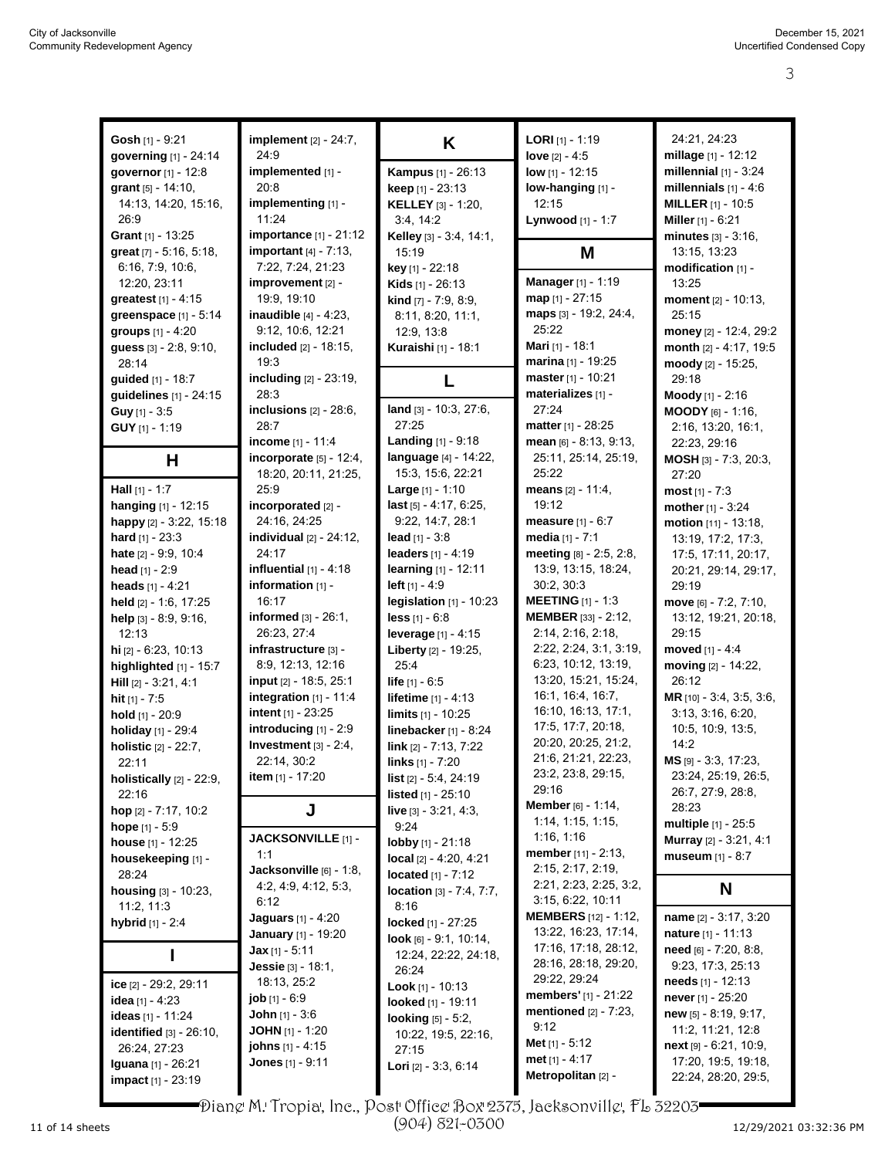| Gosh [1] - 9:21                          | implement [2] - 24:7,                 | K                              | <b>LORI</b> $[1]$ - 1:19                    | 24:21, 24:23                                    |
|------------------------------------------|---------------------------------------|--------------------------------|---------------------------------------------|-------------------------------------------------|
| governing [1] - 24:14                    | 24:9                                  |                                | love $[2] - 4.5$                            | millage [1] - 12:12                             |
| governor [1] - 12:8                      | implemented [1] -                     | <b>Kampus</b> [1] - 26:13      | low $[1] - 12:15$                           | millennial $[1]$ - 3:24                         |
| grant $[5] - 14:10$ ,                    | 20:8                                  | <b>keep</b> $[1] - 23:13$      | low-hanging [1] -                           | millennials $[1] - 4.6$                         |
| 14:13, 14:20, 15:16,                     | implementing [1] -                    | <b>KELLEY</b> [3] - 1:20,      | 12:15                                       | <b>MILLER</b> $[1]$ - 10:5                      |
| 26:9                                     | 11:24                                 | 3.4, 14:2                      | Lynwood [1] - 1:7                           | Miller [1] - 6:21                               |
| Grant $[1]$ - 13:25                      | <b>importance</b> $[1] - 21:12$       | Kelley [3] - 3:4, 14:1,        |                                             | minutes $[3] - 3:16$ ,                          |
| great $[7] - 5.16, 5.18,$                | important $[4]$ - 7:13,               | 15:19                          | M                                           | 13:15, 13:23                                    |
| 6:16, 7:9, 10:6,                         | 7:22, 7:24, 21:23                     | key [1] - 22:18                |                                             | modification [1] -                              |
| 12:20, 23:11                             | improvement [2] -                     | <b>Kids</b> $[1]$ - 26:13      | Manager [1] - 1:19                          | 13:25                                           |
| greatest [1] - 4:15                      | 19:9, 19:10                           | kind [7] - 7:9, 8:9,           | map [1] - 27:15                             | moment [2] - 10:13,                             |
| greenspace [1] - 5:14                    | inaudible [4] - 4:23.                 | 8:11, 8:20, 11:1,              | maps [3] - 19:2, 24:4,                      | 25:15                                           |
| groups [1] - 4:20                        | 9:12, 10:6, 12:21                     | 12:9, 13:8                     | 25:22                                       | money [2] - 12:4, 29:2                          |
| guess [3] - 2:8, 9:10,                   | included [2] - 18:15,                 | Kuraishi [1] - 18:1            | <b>Mari</b> [1] - 18:1                      | month [2] - 4:17, 19:5                          |
| 28:14                                    | 19:3                                  |                                | marina [1] - 19:25                          | moody [2] - 15:25,                              |
| guided [1] - 18:7                        | including [2] - 23:19,                | L                              | master [1] - 10:21                          | 29:18                                           |
| guidelines [1] - 24:15                   | 28:3                                  |                                | materializes [1] -                          | Moody [1] - 2:16                                |
| Guy [1] - 3:5                            | inclusions $[2] - 28.6$ ,             | land [3] - 10:3, 27:6,         | 27:24                                       | $MOODY_{[6]} - 1:16,$                           |
| <b>GUY</b> $[1]$ - 1:19                  | 28:7                                  | 27:25                          | matter [1] - 28:25                          | 2:16, 13:20, 16:1,                              |
|                                          | income [1] - 11:4                     | <b>Landing</b> [1] - 9:18      | $mean$ [6] - 8:13, 9:13,                    | 22:23, 29:16                                    |
|                                          | incorporate [5] - 12:4,               | language [4] - 14:22,          | 25:11, 25:14, 25:19,                        | MOSH [3] - 7:3, 20:3,                           |
| н                                        | 18:20, 20:11, 21:25,                  | 15:3, 15:6, 22:21              | 25:22                                       | 27:20                                           |
| <b>Hall</b> $[1] - 1:7$                  | 25:9                                  | Large $[1] - 1:10$             | means $[2] - 11.4$ ,                        | <b>most</b> $[1] - 7:3$                         |
| hanging [1] - 12:15                      | incorporated [2] -                    | last [5] - 4:17, 6:25,         | 19:12                                       | mother [1] - 3:24                               |
| happy $[2] - 3:22, 15:18$                | 24:16, 24:25                          | 9:22, 14:7, 28:1               | measure $[1] - 6:7$                         | motion [11] - 13:18,                            |
| <b>hard</b> $[1] - 23:3$                 | individual $[2]$ - $24:12$ ,          | lead $[1] - 3:8$               | media $[1] - 7:1$                           |                                                 |
|                                          | 24:17                                 | <b>leaders</b> $[1] - 4:19$    | meeting [8] - 2:5, 2:8,                     | 13:19, 17:2, 17:3,                              |
| hate [2] - 9.9, 10:4<br>head $[1] - 2:9$ | influential $[1] - 4.18$              | learning $[1] - 12:11$         | 13:9, 13:15, 18:24,                         | 17:5, 17:11, 20:17,                             |
|                                          | information [1] -                     | left $[1] - 4.9$               | 30:2, 30:3                                  | 20:21, 29:14, 29:17,<br>29:19                   |
| heads $[1] - 4:21$                       | 16:17                                 |                                | <b>MEETING</b> $[1]$ - 1:3                  |                                                 |
| held [2] - 1:6, 17:25                    | informed $[3] - 26.1$ ,               | legislation $[1]$ - 10:23      | MEMBER [33] - 2:12,                         | move [6] - 7:2, 7:10,                           |
| help [3] - 8:9, 9:16,                    | 26:23, 27:4                           | less $[1] - 6.8$               | 2:14, 2:16, 2:18,                           | 13:12, 19:21, 20:18,                            |
| 12:13                                    |                                       | leverage [1] - 4:15            |                                             | 29:15                                           |
| hi [2] - 6:23, 10:13                     | infrastructure [3] -                  | Liberty [2] - 19:25,           | 2:22, 2:24, 3:1, 3:19,                      | moved [1] - 4:4                                 |
| highlighted $[1]$ - 15:7                 | 8:9, 12:13, 12:16                     | 25:4                           | 6:23, 10:12, 13:19,<br>13:20, 15:21, 15:24, | moving [2] - 14:22,                             |
| <b>Hill</b> $[2] - 3:21, 4:1$            | input [2] - 18:5, 25:1                | <b>life</b> $[1] - 6.5$        | 16:1, 16:4, 16:7,                           | 26:12                                           |
| <b>hit</b> $[1] - 7:5$                   | integration $[1] - 11.4$              | <b>lifetime</b> $[1] - 4:13$   | 16:10, 16:13, 17:1,                         | MR [10] - 3:4, 3:5, 3:6,                        |
| hold [1] - 20:9                          | intent [1] - 23:25                    | limits [1] - 10:25             | 17:5, 17:7, 20:18,                          | 3:13, 3:16, 6:20,                               |
| holiday [1] - 29:4                       | introducing [1] - 2:9                 | linebacker $[1] - 8.24$        | 20:20, 20:25, 21:2,                         | 10:5, 10:9, 13:5,                               |
| holistic [2] - 22:7,                     | Investment $[3] - 2:4$ ,              | link [2] - 7:13, 7:22          | 21:6, 21:21, 22:23,                         | 14:2                                            |
| 22:11                                    | 22:14, 30:2                           | links [1] - 7:20               | 23:2, 23:8, 29:15,                          | MS [9] - 3:3, 17:23,                            |
| holistically $[2]$ - $22:9$ ,            | <b>item</b> $[1] - 17:20$             | list [2] - 5:4, 24:19          | 29:16                                       | 23:24, 25:19, 26:5,                             |
| 22:16                                    |                                       | listed [1] - 25:10             | Member [6] - 1:14,                          | 26:7, 27:9, 28:8,                               |
| hop $[2] - 7:17, 10:2$                   | J                                     | <b>live</b> $[3] - 3:21, 4:3,$ | 1:14, 1:15, 1:15,                           | 28:23                                           |
| <b>hope</b> $[1] - 5.9$                  | <b>JACKSONVILLE</b> [1] -             | 9:24                           | 1:16, 1:16                                  | multiple [1] - 25:5<br>Murray [2] - 3:21, 4:1   |
| house [1] - 12:25                        | 1:1                                   | <b>lobby</b> [1] - 21:18       | member [11] - 2:13,                         |                                                 |
| housekeeping [1] -                       | Jacksonville [6] - 1:8,               | local [2] - 4:20, 4:21         | 2:15, 2:17, 2:19,                           | museum $[1] - 8:7$                              |
| 28:24                                    | 4:2, 4:9, 4:12, 5:3,                  | <b>located</b> $[1] - 7:12$    | 2:21, 2:23, 2:25, 3:2,                      |                                                 |
| housing [3] - 10:23,                     | 6:12                                  | location [3] - 7:4, 7:7,       | 3:15, 6:22, 10:11                           | N                                               |
| 11:2, 11:3                               | <b>Jaguars</b> [1] - 4:20             | 8:16                           | <b>MEMBERS</b> [12] - 1:12,                 | name [2] - 3:17, 3:20                           |
| hybrid [1] - 2:4                         | <b>January</b> [1] - 19:20            | locked [1] - 27:25             | 13:22, 16:23, 17:14,                        | <b>nature</b> $[1] - 11:13$                     |
|                                          | $Jax$ [1] - 5:11                      | look $[6] - 9:1, 10:14,$       | 17:16, 17:18, 28:12,                        | need [6] - 7:20, 8:8,                           |
| I                                        | Jessie [3] - 18:1,                    | 12:24, 22:22, 24:18,           | 28:16, 28:18, 29:20,                        | 9:23, 17:3, 25:13                               |
|                                          |                                       | 26:24                          | 29:22, 29:24                                | needs [1] - 12:13                               |
| ice $[2]$ - 29:2, 29:11                  | 18:13, 25:2<br><b>job</b> $[1] - 6.9$ | <b>Look</b> $[1]$ - 10:13      | <b>members'</b> $[1]$ - 21:22               | never [1] - 25:20                               |
| idea [1] - 4:23                          |                                       | looked [1] - 19:11             | mentioned $[2] - 7:23$ ,                    | $new$ [5] - 8:19, 9:17,                         |
| ideas [1] - 11:24                        | <b>John</b> $[1] - 3.6$               | <b>looking</b> $[5] - 5:2$ ,   | 9:12                                        | 11:2, 11:21, 12:8                               |
| identified $[3] - 26:10$ ,               | <b>JOHN</b> [1] - 1:20                | 10:22, 19:5, 22:16,            | <b>Met</b> $[1]$ - 5:12                     |                                                 |
| 26:24, 27:23                             | <b>johns</b> [1] - 4:15               | 27:15                          | met $[1] - 4:17$                            | $next$ [9] - 6:21, 10:9,<br>17:20, 19:5, 19:18, |
| <b>Iguana</b> [1] - 26:21                | <b>Jones</b> $[1] - 9:11$             | Lori [2] - 3:3, 6:14           | Metropolitan [2] -                          |                                                 |
| impact [1] - 23:19                       |                                       |                                |                                             | 22:24, 28:20, 29:5,                             |

Diane M. Tropia, Inc., Post Office Box 2375, Jacksonville, FL 32203 (904) 821-0300

11 of 14 sheets Page 3 to 3 of 6 12/29/2021 03:32:36 PM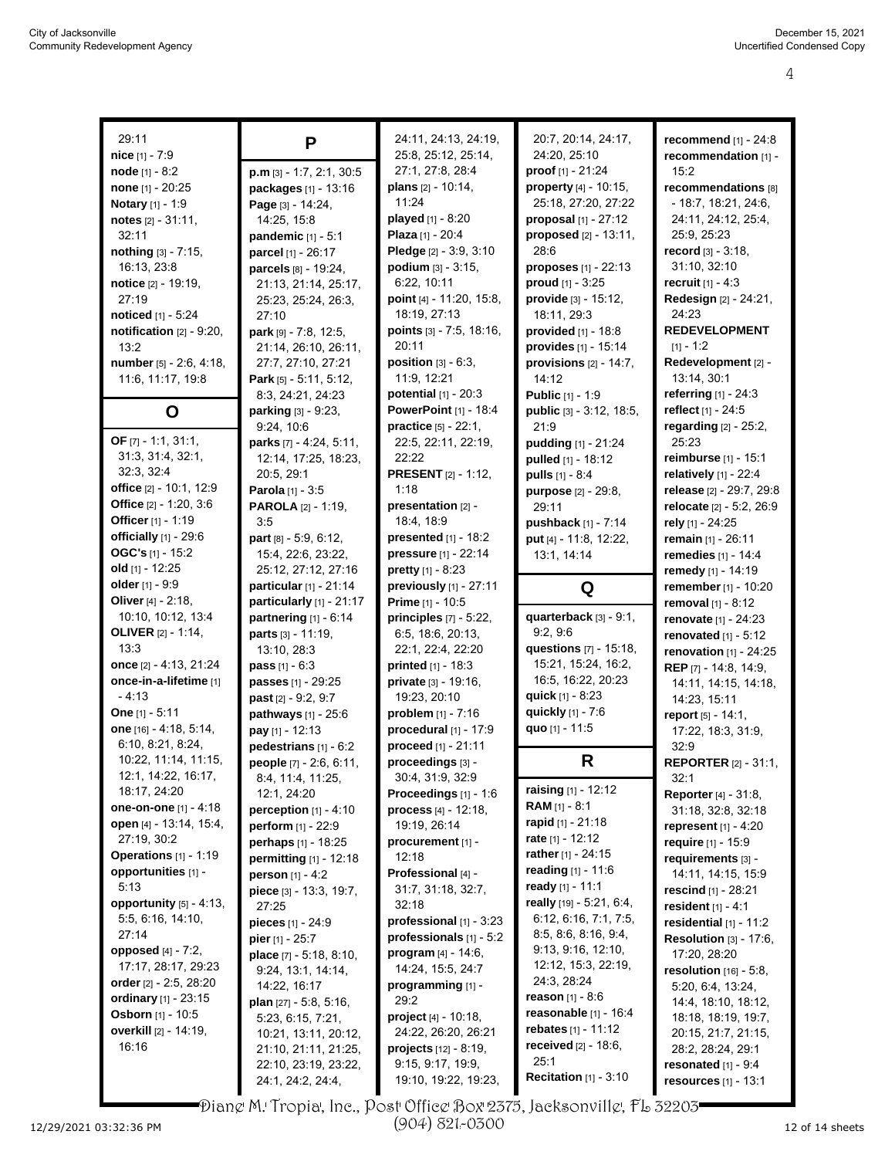| 29:11                          |                                 | 24:11, 24:13, 24:19,            | 20:7, 20:14, 24:17,             | recommend $[1] - 24:8$        |
|--------------------------------|---------------------------------|---------------------------------|---------------------------------|-------------------------------|
| nice [1] - 7:9                 | P                               | 25:8, 25:12, 25:14,             | 24:20, 25:10                    | recommendation [1] -          |
| node $[1] - 8:2$               | p.m [3] - 1:7, 2:1, 30:5        | 27:1, 27:8, 28:4                | proof [1] - 21:24               | 15:2                          |
| none [1] - 20:25               |                                 | <b>plans</b> $[2] - 10.14$ ,    | property [4] - 10:15,           | recommendations [8]           |
|                                | packages [1] - 13:16            | 11:24                           | 25:18, 27:20, 27:22             | $-18:7, 18:21, 24:6,$         |
| Notary [1] - 1:9               | Page [3] - 14:24,               | played [1] - 8:20               | proposal $[1]$ - 27:12          | 24:11, 24:12, 25:4,           |
| notes $[2] - 31:11$ ,          | 14:25, 15:8                     |                                 |                                 |                               |
| 32:11                          | pandemic $[1] - 5:1$            | Plaza [1] - 20:4                | proposed [2] - 13:11,           | 25:9, 25:23                   |
| nothing [3] - 7:15,            | parcel [1] - 26:17              | Pledge [2] - 3:9, 3:10          | 28:6<br>proposes [1] - 22:13    | record $[3] - 3:18$ ,         |
| 16:13, 23:8                    | parcels [8] - 19:24,            | <b>podium</b> $[3] - 3:15$ ,    |                                 | 31:10, 32:10                  |
| notice $[2] - 19:19$ ,         | 21:13, 21:14, 25:17,            | 6:22, 10:11                     | proud $[1] - 3:25$              | <b>recruit</b> $[1] - 4:3$    |
| 27:19                          | 25:23, 25:24, 26:3,             | point [4] - 11:20, 15:8,        | $\n  provide [3] - 15:12\n  in$ | Redesign [2] - 24:21,         |
| noticed [1] - 5:24             | 27:10                           | 18:19, 27:13                    | 18:11, 29:3                     | 24:23                         |
| notification $[2] - 9:20$ ,    | park [9] - 7:8, 12:5,           | points [3] - 7:5, 18:16,        | provided [1] - 18:8             | <b>REDEVELOPMENT</b>          |
| 13:2                           | 21:14, 26:10, 26:11,            | 20:11                           | provides [1] - 15:14            | $[1] - 1:2$                   |
| number [5] - 2:6, 4:18,        | 27:7, 27:10, 27:21              | position $[3] - 6:3$ ,          | provisions $[2]$ - 14:7,        | Redevelopment [2] -           |
| 11:6, 11:17, 19:8              | Park [5] - 5:11, 5:12,          | 11:9, 12:21                     | 14:12                           | 13:14, 30:1                   |
|                                | 8.3, 24:21, 24:23               | potential [1] - 20:3            | <b>Public</b> [1] - 1:9         | referring [1] - 24:3          |
| O                              | parking [3] - 9:23,             | <b>PowerPoint [1] - 18:4</b>    | public [3] - 3:12, 18:5,        | reflect [1] - 24:5            |
|                                | 9:24, 10:6                      | <b>practice</b> $[5] - 22:1$ ,  | 21:9                            | regarding [2] - 25:2,         |
| OF [7] - 1:1, 31:1,            | parks [7] - 4:24, 5:11,         | 22:5, 22:11, 22:19,             | pudding [1] - 21:24             | 25:23                         |
| 31:3, 31:4, 32:1,              | 12:14, 17:25, 18:23,            | 22:22                           | pulled [1] - 18:12              | reimburse $[1]$ - 15:1        |
| 32:3, 32:4                     | 20:5, 29:1                      | <b>PRESENT</b> [2] - 1:12,      | <b>pulls</b> $[1] - 8:4$        | relatively $[1]$ - 22:4       |
| office [2] - 10:1, 12:9        | <b>Parola</b> $[1] - 3:5$       | 1:18                            | purpose [2] - 29:8,             | release [2] - 29:7, 29:8      |
| Office [2] - 1:20, 3:6         | <b>PAROLA</b> [2] - 1:19,       | presentation [2] -              | 29:11                           | relocate [2] - 5:2, 26:9      |
| Officer [1] - 1:19             | 3:5                             | 18:4, 18:9                      | pushback [1] - 7:14             | rely [1] - 24:25              |
| officially $[1]$ - 29:6        | part $[8] - 5.9, 6.12$ ,        | presented [1] - 18:2            | put [4] - 11:8, 12:22,          | remain [1] - 26:11            |
| OGC's $[1]$ - 15:2             | 15:4, 22:6, 23:22,              | pressure [1] - 22:14            | 13:1, 14:14                     | remedies [1] - 14:4           |
| old [1] - 12:25                | 25:12, 27:12, 27:16             | pretty $[1] - 8:23$             |                                 | remedy [1] - 14:19            |
| older [1] - 9:9                | particular [1] - 21:14          | previously [1] - 27:11          | Q                               | remember [1] - 10:20          |
| Oliver $[4] - 2:18$ ,          | particularly [1] - 21:17        | Prime [1] - 10:5                |                                 | <b>removal</b> $[1] - 8:12$   |
| 10:10, 10:12, 13:4             | partnering $[1] - 6:14$         | principles $[7] - 5:22$ ,       | quarterback [3] - 9:1,          | renovate [1] - 24:23          |
| <b>OLIVER</b> [2] - 1:14,      | parts [3] - 11:19,              | 6.5, 18.6, 20.13,               | 9.2, 9.6                        | renovated $[1] - 5.12$        |
| 13:3                           | 13:10, 28:3                     | 22:1, 22:4, 22:20               | questions [7] - 15:18,          | renovation $[1] - 24:25$      |
| once [2] - 4:13, 21:24         | <b>pass</b> $[1] - 6:3$         | <b>printed</b> $[1] - 18:3$     | 15:21, 15:24, 16:2,             | <b>REP</b> [7] - 14:8, 14:9,  |
| once-in-a-lifetime [1]         | passes [1] - 29:25              | private [3] - 19:16,            | 16:5, 16:22, 20:23              | 14:11, 14:15, 14:18,          |
| $-4:13$                        | past [2] - 9:2, 9:7             | 19:23, 20:10                    | quick [1] - 8:23                | 14:23, 15:11                  |
| <b>One</b> $[1] - 5:11$        | pathways [1] - 25:6             | problem [1] - 7:16              | quickly [1] - 7:6               | report [5] - 14:1,            |
| one [16] - 4:18, 5:14,         | pay [1] - 12:13                 | <b>procedural</b> $[1] - 17:9$  | quo [1] - 11:5                  | 17:22, 18:3, 31:9,            |
| 6.10, 8.21, 8.24,              | pedestrians [1] - 6:2           | proceed [1] - 21:11             |                                 | 32:9                          |
| 10:22, 11:14, 11:15,           | people $[7] - 2.6, 6.11$ ,      | proceedings [3] -               | R                               | <b>REPORTER</b> [2] - 31:1,   |
| 12:1, 14:22, 16:17,            | 8.4, 11.4, 11.25,               | 30:4, 31:9, 32:9                |                                 | 32:1                          |
| 18:17, 24:20                   | 12:1, 24:20                     | Proceedings [1] - 1:6           | <b>raising</b> $[1]$ - 12:12    | <b>Reporter</b> [4] - 31:8,   |
| one-on-one [1] - 4:18          | perception $[1] - 4:10$         | process $[4] - 12:18$ ,         | <b>RAM</b> $[1] - 8.1$          | 31:18, 32:8, 32:18            |
| open [4] - 13:14, 15:4,        | <b>perform</b> $[1] - 22.9$     | 19:19, 26:14                    | rapid [1] - 21:18               | represent $[1] - 4:20$        |
| 27:19, 30:2                    | perhaps $[1] - 18:25$           | procurement [1] -               | rate [1] - 12:12                | <b>require</b> $[1] - 15:9$   |
| <b>Operations</b> $[1] - 1:19$ | permitting [1] - 12:18          | 12:18                           | rather $[1] - 24:15$            | requirements [3] -            |
| opportunities [1] -            | <b>person</b> $[1] - 4:2$       | <b>Professional [4] -</b>       | reading $[1] - 11.6$            | 14:11, 14:15, 15:9            |
| 5:13                           | piece [3] - 13:3, 19:7,         | 31:7, 31:18, 32:7,              | ready [1] - 11:1                | rescind $[1] - 28.21$         |
| opportunity $[5] - 4:13$ ,     | 27:25                           | 32:18                           | really [19] - 5:21, 6:4,        | resident $[1] - 4:1$          |
| 5:5, 6:16, 14:10,              | pieces [1] - 24:9               | professional [1] - 3:23         | 6:12, 6:16, 7:1, 7:5,           | residential $[1]$ - 11:2      |
| 27:14                          | pier [1] - 25:7                 | professionals $[1]$ - 5:2       | 8:5, 8:6, 8:16, 9:4,            | Resolution [3] - 17:6,        |
| opposed [4] - 7:2,             | place [7] - 5:18, 8:10,         | <b>program</b> $[4] - 14:6$ ,   | 9:13, 9:16, 12:10,              | 17:20, 28:20                  |
| 17:17, 28:17, 29:23            | 9:24, 13:1, 14:14,              | 14:24, 15:5, 24:7               | 12:12, 15:3, 22:19,             | resolution $[16] - 5.8$ ,     |
| order $[2]$ - 2:5, 28:20       | 14:22, 16:17                    | programming [1] -               | 24:3, 28:24                     | 5:20, 6:4, 13:24,             |
| ordinary $[1] - 23:15$         | <b>plan</b> $[27] - 5.8, 5.16,$ | 29:2                            | <b>reason</b> $[1] - 8.6$       | 14:4, 18:10, 18:12,           |
| <b>Osborn</b> [1] - 10:5       | 5:23, 6:15, 7:21,               | <b>project</b> $[4] - 10:18$ ,  | <b>reasonable</b> $[1]$ - 16:4  | 18:18, 18:19, 19:7,           |
| overkill [2] - 14:19,          | 10:21, 13:11, 20:12,            | 24:22, 26:20, 26:21             | rebates [1] - 11:12             | 20:15, 21:7, 21:15,           |
| 16:16                          | 21:10, 21:11, 21:25,            | <b>projects</b> $[12] - 8:19$ , | <b>received</b> $[2] - 18.6$ ,  | 28:2, 28:24, 29:1             |
|                                | 22:10, 23:19, 23:22,            | 9:15, 9:17, 19:9,               | 25:1                            | resonated $[1] - 9.4$         |
|                                | 24:1, 24:2, 24:4,               | 19:10, 19:22, 19:23,            | <b>Recitation</b> $[1] - 3:10$  | <b>resources</b> $[1] - 13:1$ |
|                                |                                 |                                 |                                 |                               |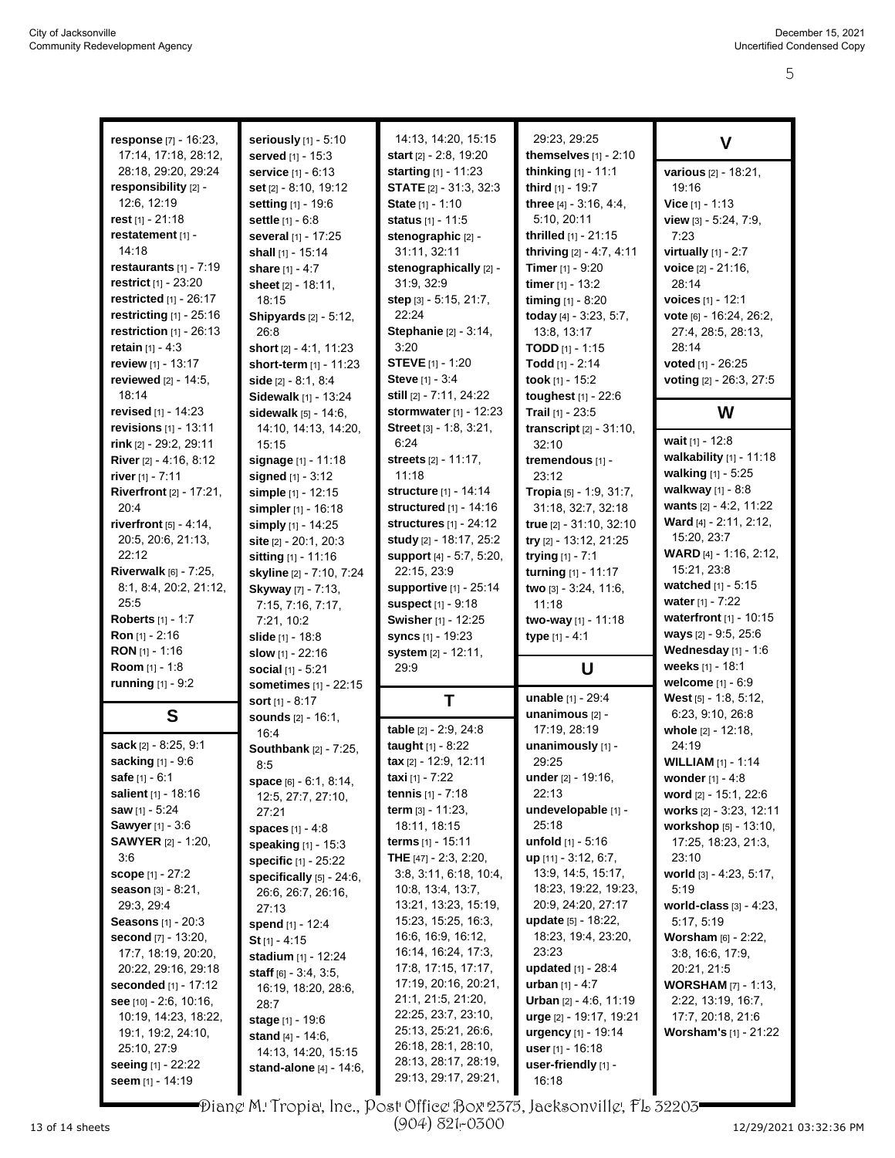| response [7] - 16:23.                 | seriously [1] - 5:10                                  | 14:13, 14:20, 15:15                        | 29:23.29:25                               | V                                                |
|---------------------------------------|-------------------------------------------------------|--------------------------------------------|-------------------------------------------|--------------------------------------------------|
| 17:14, 17:18, 28:12,                  | served [1] - 15:3                                     | start [2] - 2:8, 19:20                     | themselves [1] - 2:10                     |                                                  |
| 28:18, 29:20, 29:24                   | service [1] - 6:13                                    | <b>starting</b> [1] - 11:23                | thinking $[1] - 11:1$                     | various [2] - 18:21,                             |
| responsibility [2] -<br>12:6, 12:19   | set [2] - 8:10, 19:12                                 | <b>STATE</b> $[2] - 31:3, 32:3$            | third [1] - 19:7                          | 19:16                                            |
| rest $[1]$ - 21:18                    | setting [1] - 19:6                                    | State [1] - 1:10<br>status [1] - 11:5      | three $[4] - 3.16, 4.4$ ,<br>5:10, 20:11  | Vice $[1] - 1:13$                                |
| restatement [1] -                     | settle [1] - 6:8                                      | stenographic [2] -                         | thrilled [1] - 21:15                      | view [3] - 5:24, 7:9,<br>7:23                    |
| 14:18                                 | several [1] - 17:25<br>shall [1] - 15:14              | 31:11, 32:11                               | thriving $[2] - 4:7, 4:11$                | virtually $[1] - 2:7$                            |
| restaurants $[1] - 7:19$              | share [1] - 4:7                                       | stenographically [2] -                     | <b>Timer</b> $[1] - 9:20$                 | voice [2] - 21:16,                               |
| restrict [1] - 23:20                  | sheet [2] - 18:11,                                    | 31:9, 32:9                                 | timer $[1] - 13:2$                        | 28:14                                            |
| restricted $[1]$ - 26:17              | 18:15                                                 | step [3] - 5:15, 21:7,                     | timing $[1] - 8:20$                       | voices [1] - 12:1                                |
| restricting $[1]$ - 25:16             | <b>Shipyards</b> [2] - 5:12,                          | 22:24                                      | today [4] - 3:23, 5:7,                    | vote [6] - 16:24, 26:2,                          |
| restriction $[1]$ - 26:13             | 26.8                                                  | Stephanie [2] - 3:14,                      | 13:8, 13:17                               | 27:4, 28:5, 28:13,                               |
| <b>retain</b> $[1] - 4:3$             | short [2] - 4:1, 11:23                                | 3:20                                       | <b>TODD</b> $[1] - 1:15$                  | 28:14                                            |
| review [1] - 13:17                    | short-term $[1]$ - 11:23                              | <b>STEVE</b> [1] - 1:20                    | Todd $[1] - 2:14$                         | voted $[1] - 26:25$                              |
| reviewed [2] - 14:5,                  | side $[2] - 8.1, 8.4$                                 | Steve [1] - 3:4                            | took $[1]$ - 15:2                         | voting [2] - 26:3, 27:5                          |
| 18:14                                 | Sidewalk [1] - 13:24                                  | still [2] - 7:11, 24:22                    | toughest [1] - 22:6                       |                                                  |
| <b>revised</b> $[1]$ - 14:23          | sidewalk [5] - 14:6,                                  | stormwater [1] - 12:23                     | Trail $[1] - 23.5$                        | W                                                |
| revisions $[1] - 13:11$               | 14:10, 14:13, 14:20,                                  | Street [3] - 1.8, 3:21,                    | <b>transcript</b> $[2] - 31:10$ ,         |                                                  |
| rink [2] - 29:2, 29:11                | 15:15                                                 | 6:24                                       | 32:10                                     | wait $[1] - 12:8$                                |
| <b>River</b> [2] - 4:16, 8:12         | signage [1] - 11:18                                   | streets [2] - 11:17,                       | tremendous [1] -                          | walkability [1] - 11:18                          |
| river $[1]$ - 7:11                    | signed [1] - 3:12                                     | 11:18                                      | 23:12                                     | walking [1] - 5:25                               |
| <b>Riverfront</b> [2] - 17:21,        | simple [1] - 12:15                                    | structure [1] - 14:14                      | Tropia [5] - 1:9, 31:7,                   | walkway $[1] - 8.8$<br>wants [2] - 4:2, 11:22    |
| 20:4                                  | simpler [1] - 16:18                                   | structured [1] - 14:16                     | 31:18, 32:7, 32:18                        | Ward [4] - 2:11, 2:12,                           |
| riverfront $[5] - 4:14$ ,             | simply [1] - 14:25                                    | <b>structures</b> [1] - 24:12              | true [2] - 31:10, 32:10                   | 15:20, 23:7                                      |
| 20.5, 20.6, 21:13,<br>22:12           | site [2] - 20:1, 20:3                                 | study [2] - 18:17, 25:2                    | try [2] - 13:12, 21:25                    | WARD [4] - 1:16, 2:12,                           |
| Riverwalk [6] - 7:25,                 | sitting [1] - 11:16                                   | support [4] - 5:7, 5:20,<br>22:15, 23:9    | trying $[1] - 7:1$<br>turning [1] - 11:17 | 15:21, 23:8                                      |
| 8:1, 8:4, 20:2, 21:12,                | skyline [2] - 7:10, 7:24<br><b>Skyway</b> [7] - 7:13, | <b>supportive</b> [1] - 25:14              | two [3] - 3:24, 11:6,                     | watched [1] - 5:15                               |
| 25:5                                  | 7:15, 7:16, 7:17,                                     | <b>suspect</b> $[1]$ - $9:18$              | 11:18                                     | water $[1] - 7:22$                               |
| <b>Roberts</b> [1] - 1:7              | 7:21, 10:2                                            | Swisher [1] - 12:25                        | two-way [1] - 11:18                       | waterfront [1] - 10:15                           |
| <b>Ron</b> $[1]$ - 2:16               | slide [1] - 18:8                                      | syncs $[1]$ - 19:23                        | type $[1] - 4.1$                          | ways [2] - 9:5, 25:6                             |
| <b>RON</b> $[1]$ - 1:16               | slow $[1] - 22:16$                                    | system [2] - 12:11,                        |                                           | Wednesday $[1]$ - 1:6                            |
| Room [1] - 1:8                        | social [1] - 5:21                                     | 29.9                                       | U                                         | weeks [1] - 18:1                                 |
| running [1] - 9:2                     | sometimes [1] - 22:15                                 |                                            |                                           | welcome [1] - 6:9                                |
|                                       | sort [1] - 8:17                                       | T                                          | unable [1] - 29:4                         | <b>West</b> $[5] - 1.8$ , 5:12,                  |
| S                                     | <b>sounds</b> [2] - 16:1,                             |                                            | unanimous [2] -                           | 6:23, 9:10, 26:8                                 |
|                                       | 16:4                                                  | table [2] - 2:9, 24:8                      | 17:19, 28:19                              | whole [2] - 12:18,                               |
| sack [2] - 8:25, 9:1                  | <b>Southbank</b> [2] - 7:25,                          | taught [1] - 8:22                          | unanimously [1] -                         | 24:19                                            |
| sacking [1] - 9:6                     | 8:5                                                   | tax [2] - 12:9, 12:11                      | 29:25                                     | <b>WILLIAM</b> [1] - 1:14                        |
| <b>safe</b> $[1] - 6:1$               | space $[6] - 6.1, 8.14$ ,                             | <b>taxi</b> [1] - 7:22                     | under $[2] - 19:16$ ,<br>22:13            | <b>wonder</b> $[1] - 4.8$                        |
| salient [1] - 18:16<br>saw [1] - 5:24 | 12:5, 27:7, 27:10,                                    | <b>tennis</b> $[1] - 7:18$                 | undevelopable [1] -                       | word [2] - 15:1, 22:6<br>works [2] - 3:23, 12:11 |
| <b>Sawyer</b> [1] - 3:6               | 27:21                                                 | term $[3] - 11.23$ ,<br>18:11, 18:15       | 25:18                                     | workshop [5] - 13:10,                            |
| <b>SAWYER</b> [2] - 1:20,             | <b>spaces</b> $[1] - 4:8$                             |                                            | unfold [1] - 5:16                         | 17:25, 18:23, 21:3,                              |
| 3:6                                   | speaking [1] - 15:3<br><b>specific</b> [1] - 25:22    | THE $[47] - 2:3, 2:20,$                    | $up$ [11] - 3:12, 6:7,                    | 23:10                                            |
| <b>scope</b> $[1] - 27:2$             | specifically $[5]$ - 24:6,                            | 3:8, 3:11, 6:18, 10:4,                     | 13.9, 14.5, 15.17,                        | world [3] - 4:23, 5:17,                          |
| <b>season</b> $[3] - 8:21$ ,          | 26:6, 26:7, 26:16,                                    | 10:8, 13:4, 13:7,                          | 18:23, 19:22, 19:23,                      | 5:19                                             |
| 29:3, 29:4                            | 27:13                                                 | 13:21, 13:23, 15:19,                       | 20:9, 24:20, 27:17                        | world-class $[3] - 4:23$ ,                       |
| <b>Seasons</b> $[1] - 20.3$           | spend [1] - 12:4                                      | 15:23, 15:25, 16:3,                        | <b>update</b> $[5] - 18:22$ ,             | 5:17, 5:19                                       |
| second [7] - 13:20,                   | St $[1] - 4:15$                                       | 16:6, 16:9, 16:12,                         | 18:23, 19:4, 23:20,                       | <b>Worsham</b> $[6] - 2:22$ ,                    |
| 17:7, 18:19, 20:20,                   | stadium [1] - 12:24                                   | 16:14, 16:24, 17:3,                        | 23:23                                     | 3.8, 16.6, 17.9,                                 |
| 20:22, 29:16, 29:18                   | staff $[6] - 3.4, 3.5,$                               | 17:8, 17:15, 17:17,                        | updated [1] - 28:4                        | 20:21, 21:5                                      |
| <b>seconded</b> $[1] - 17:12$         | 16:19, 18:20, 28:6,                                   | 17:19, 20:16, 20:21,                       | <b>urban</b> $[1] - 4:7$                  | <b>WORSHAM</b> $[7] - 1.13$ ,                    |
| see $[10] - 2.6, 10.16,$              | 28:7                                                  | 21:1, 21:5, 21:20,                         | <b>Urban</b> $[2] - 4.6, 11.19$           | 2:22, 13:19, 16:7,                               |
| 10:19, 14:23, 18:22,                  | <b>stage</b> [1] - 19:6                               | 22:25, 23:7, 23:10,                        | urge [2] - 19:17, 19:21                   | 17:7, 20:18, 21:6                                |
| 19:1, 19:2, 24:10,                    | stand [4] - 14:6,                                     | 25:13, 25:21, 26:6,<br>26:18, 28:1, 28:10, | urgency [1] - 19:14                       | <b>Worsham's</b> $[1]$ - 21:22                   |
| 25:10, 27:9                           | 14:13, 14:20, 15:15                                   | 28:13, 28:17, 28:19,                       | user $[1]$ - 16:18                        |                                                  |
| <b>seeing</b> [1] - 22:22             | <b>stand-alone</b> $[4] - 14.6$ ,                     | 29:13, 29:17, 29:21,                       | user-friendly $[1]$ -                     |                                                  |
| seem [1] - 14:19                      |                                                       |                                            | 16:18                                     |                                                  |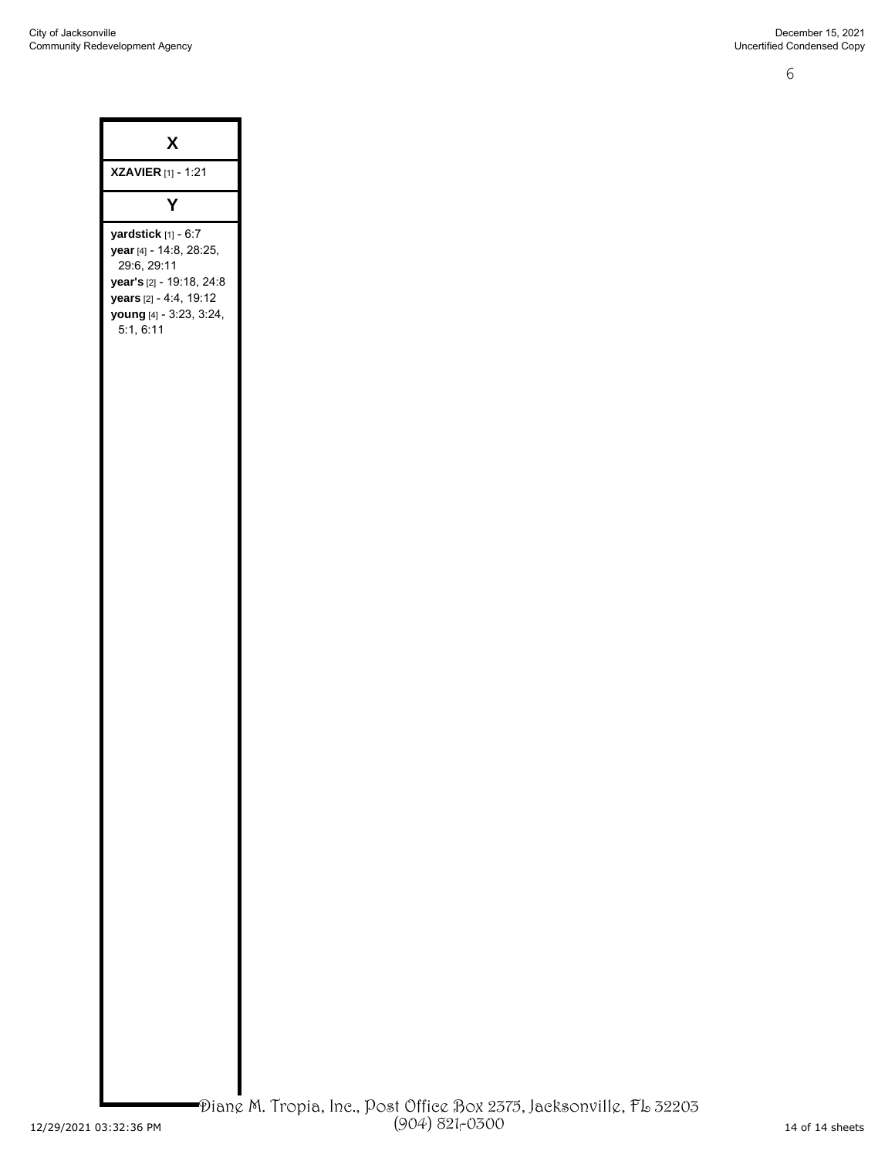6

| X                                                                                                                                                           |  |
|-------------------------------------------------------------------------------------------------------------------------------------------------------------|--|
| <b>XZAVIER</b> [1] - 1:21                                                                                                                                   |  |
| Υ                                                                                                                                                           |  |
| yardstick [1] - 6:7<br>year [4] - 14:8, 28:25,<br>29:6, 29:11<br>year's [2] - 19:18, 24:8<br>years [2] - 4:4, 19:12<br>young [4] - 3:23, 3:24,<br>5:1, 6:11 |  |
|                                                                                                                                                             |  |
|                                                                                                                                                             |  |
|                                                                                                                                                             |  |
|                                                                                                                                                             |  |
|                                                                                                                                                             |  |
|                                                                                                                                                             |  |
|                                                                                                                                                             |  |
|                                                                                                                                                             |  |
|                                                                                                                                                             |  |
|                                                                                                                                                             |  |
|                                                                                                                                                             |  |
|                                                                                                                                                             |  |
|                                                                                                                                                             |  |
|                                                                                                                                                             |  |
|                                                                                                                                                             |  |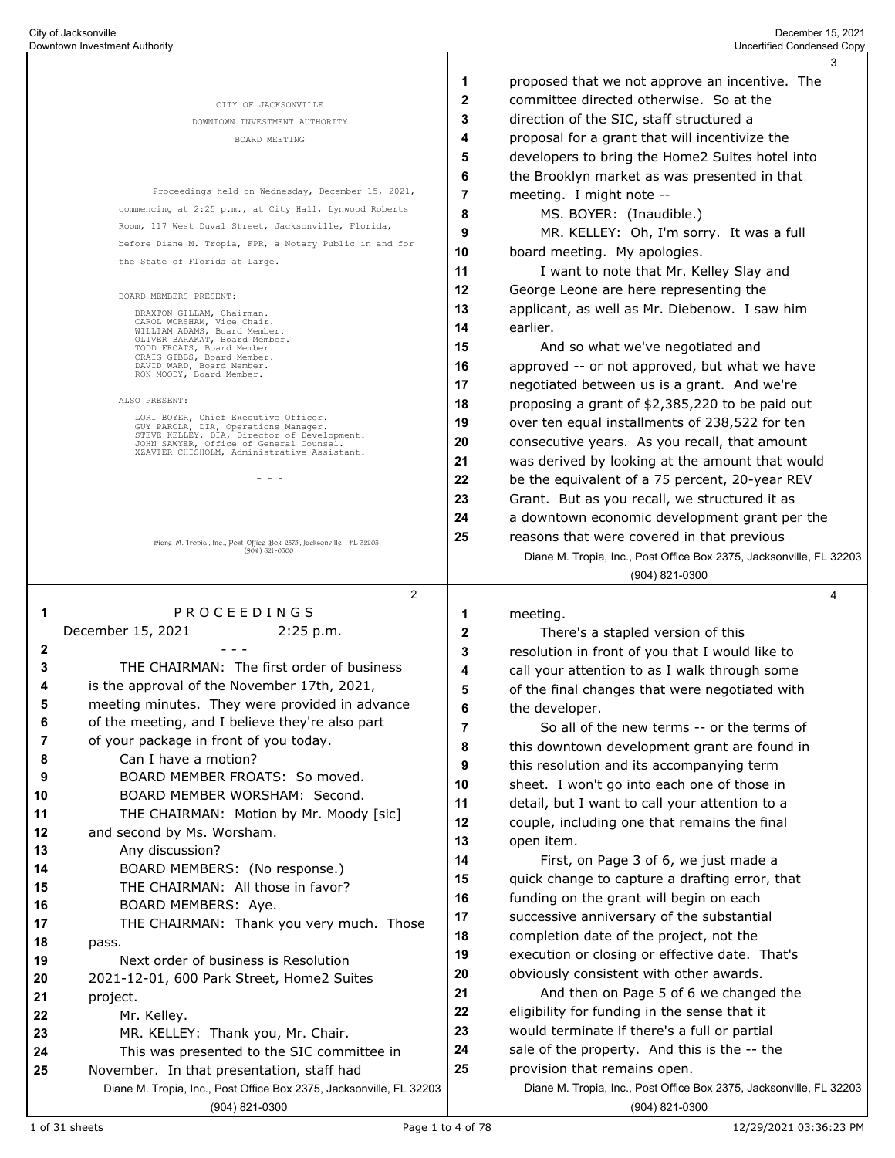|          |                                                                                        |              | 3                                                                   |
|----------|----------------------------------------------------------------------------------------|--------------|---------------------------------------------------------------------|
|          |                                                                                        | 1            | proposed that we not approve an incentive. The                      |
|          | CITY OF JACKSONVILLE                                                                   | $\mathbf{2}$ | committee directed otherwise. So at the                             |
|          | DOWNTOWN INVESTMENT AUTHORITY                                                          | 3            | direction of the SIC, staff structured a                            |
|          | BOARD MEETING                                                                          | 4            | proposal for a grant that will incentivize the                      |
|          |                                                                                        | 5            | developers to bring the Home2 Suites hotel into                     |
|          |                                                                                        | 6            | the Brooklyn market as was presented in that                        |
|          | Proceedings held on Wednesday, December 15, 2021,                                      | 7            | meeting. I might note --                                            |
|          | commencing at 2:25 p.m., at City Hall, Lynwood Roberts                                 | 8            | MS. BOYER: (Inaudible.)                                             |
|          | Room, 117 West Duval Street, Jacksonville, Florida,                                    | 9            | MR. KELLEY: Oh, I'm sorry. It was a full                            |
|          | before Diane M. Tropia, FPR, a Notary Public in and for                                | 10           | board meeting. My apologies.                                        |
|          | the State of Florida at Large.                                                         | 11           | I want to note that Mr. Kelley Slay and                             |
|          | BOARD MEMBERS PRESENT:                                                                 | 12           | George Leone are here representing the                              |
|          | BRAXTON GILLAM, Chairman.                                                              | 13           | applicant, as well as Mr. Diebenow. I saw him                       |
|          | CAROL WORSHAM, Vice Chair.<br>WILLIAM ADAMS, Board Member.                             | 14           | earlier.                                                            |
|          | OLIVER BARAKAT, Board Member.<br>TODD FROATS, Board Member.                            | 15           | And so what we've negotiated and                                    |
|          | CRAIG GIBBS, Board Member.<br>DAVID WARD, Board Member.                                | 16           | approved -- or not approved, but what we have                       |
|          | RON MOODY, Board Member.                                                               | 17           | negotiated between us is a grant. And we're                         |
|          | ALSO PRESENT:                                                                          | 18           | proposing a grant of \$2,385,220 to be paid out                     |
|          | LORI BOYER, Chief Executive Officer.<br>GUY PAROLA, DIA, Operations Manager.           | 19           | over ten equal installments of 238,522 for ten                      |
|          | STEVE KELLEY, DIA, Director of Development.<br>JOHN SAWYER, Office of General Counsel. | 20           | consecutive years. As you recall, that amount                       |
|          | XZAVIER CHISHOLM, Administrative Assistant.                                            | 21           | was derived by looking at the amount that would                     |
|          | $  -$                                                                                  | 22           | be the equivalent of a 75 percent, 20-year REV                      |
|          |                                                                                        | 23           | Grant. But as you recall, we structured it as                       |
|          |                                                                                        | 24           | a downtown economic development grant per the                       |
|          | Diang M. Tropia, Inc., Post Office Box 2375, Jacksonville, FL 32203                    | 25           | reasons that were covered in that previous                          |
|          | $(904) 821 - 0300$                                                                     |              | Diane M. Tropia, Inc., Post Office Box 2375, Jacksonville, FL 32203 |
|          |                                                                                        |              | $(904) 821 - 0300$                                                  |
|          | $\overline{2}$                                                                         |              | 4                                                                   |
| 1        | PROCEEDINGS                                                                            | 1            | meeting.                                                            |
|          | December 15, 2021<br>2:25 p.m.                                                         | 2            | There's a stapled version of this                                   |
| 2        |                                                                                        | 3            | resolution in front of you that I would like to                     |
| 3        | THE CHAIRMAN: The first order of business                                              |              |                                                                     |
| 4        |                                                                                        | 4            | call your attention to as I walk through some                       |
|          | is the approval of the November 17th, 2021,                                            | 5            | of the final changes that were negotiated with                      |
| 5        | meeting minutes. They were provided in advance                                         | 6            | the developer.                                                      |
| 6        | of the meeting, and I believe they're also part                                        | 7            | So all of the new terms -- or the terms of                          |
| 7        | of your package in front of you today.                                                 | 8            | this downtown development grant are found in                        |
| 8        | Can I have a motion?                                                                   | 9            | this resolution and its accompanying term                           |
| 9        | BOARD MEMBER FROATS: So moved.                                                         | 10           | sheet. I won't go into each one of those in                         |
| 10       | BOARD MEMBER WORSHAM: Second.                                                          | 11           | detail, but I want to call your attention to a                      |
| 11       | THE CHAIRMAN: Motion by Mr. Moody [sic]                                                | 12           | couple, including one that remains the final                        |
| 12       | and second by Ms. Worsham.                                                             | 13           | open item.                                                          |
| 13       | Any discussion?                                                                        | 14           | First, on Page 3 of 6, we just made a                               |
| 14       | BOARD MEMBERS: (No response.)                                                          | 15           | quick change to capture a drafting error, that                      |
| 15       | THE CHAIRMAN: All those in favor?                                                      | 16           | funding on the grant will begin on each                             |
| 16       | BOARD MEMBERS: Aye.                                                                    | 17           | successive anniversary of the substantial                           |
| 17       | THE CHAIRMAN: Thank you very much. Those                                               | 18           | completion date of the project, not the                             |
| 18       | pass.                                                                                  | 19           | execution or closing or effective date. That's                      |
| 19       | Next order of business is Resolution                                                   | 20           | obviously consistent with other awards.                             |
| 20       | 2021-12-01, 600 Park Street, Home2 Suites                                              | 21           | And then on Page 5 of 6 we changed the                              |
| 21<br>22 | project.                                                                               | 22           | eligibility for funding in the sense that it                        |
| 23       | Mr. Kelley.<br>MR. KELLEY: Thank you, Mr. Chair.                                       | 23           | would terminate if there's a full or partial                        |
| 24       | This was presented to the SIC committee in                                             | 24           | sale of the property. And this is the -- the                        |
| 25       | November. In that presentation, staff had                                              | 25           | provision that remains open.                                        |
|          | Diane M. Tropia, Inc., Post Office Box 2375, Jacksonville, FL 32203                    |              | Diane M. Tropia, Inc., Post Office Box 2375, Jacksonville, FL 32203 |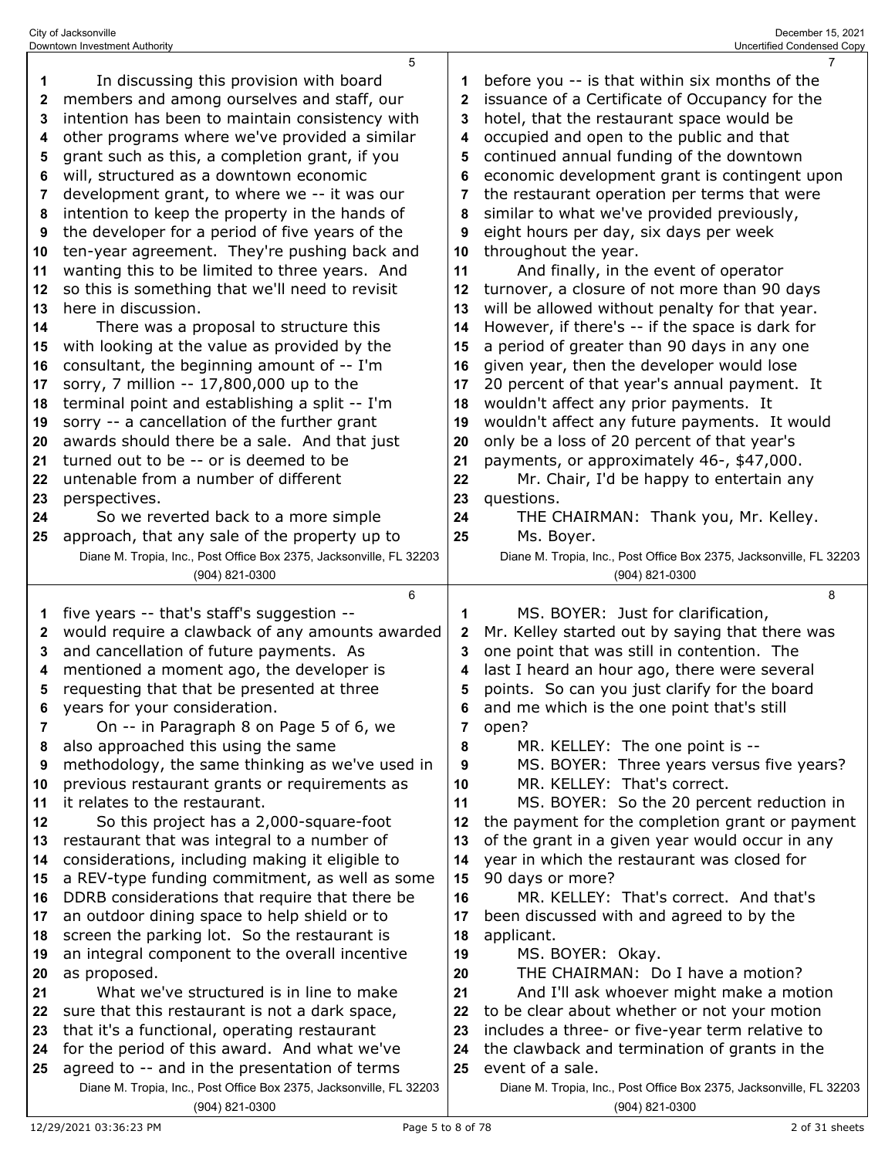|              | 5                                                                                                 |              | 7                                                                                     |
|--------------|---------------------------------------------------------------------------------------------------|--------------|---------------------------------------------------------------------------------------|
| 1            | In discussing this provision with board                                                           | 1            | before you -- is that within six months of the                                        |
| $\mathbf{2}$ | members and among ourselves and staff, our                                                        | $\mathbf{2}$ | issuance of a Certificate of Occupancy for the                                        |
| 3            | intention has been to maintain consistency with                                                   | 3            | hotel, that the restaurant space would be                                             |
| 4            | other programs where we've provided a similar                                                     | 4            | occupied and open to the public and that                                              |
| 5            | grant such as this, a completion grant, if you                                                    | 5            | continued annual funding of the downtown                                              |
| 6            | will, structured as a downtown economic                                                           | 6            | economic development grant is contingent upon                                         |
| 7            | development grant, to where we -- it was our                                                      | 7            | the restaurant operation per terms that were                                          |
| 8            | intention to keep the property in the hands of                                                    | 8            | similar to what we've provided previously,                                            |
| 9            | the developer for a period of five years of the                                                   | 9            | eight hours per day, six days per week                                                |
| 10           | ten-year agreement. They're pushing back and                                                      | 10           | throughout the year.                                                                  |
| 11           | wanting this to be limited to three years. And                                                    | 11           | And finally, in the event of operator                                                 |
|              | so this is something that we'll need to revisit                                                   |              | turnover, a closure of not more than 90 days                                          |
| 12           | here in discussion.                                                                               | 12           |                                                                                       |
| 13           |                                                                                                   | 13           | will be allowed without penalty for that year.                                        |
| 14           | There was a proposal to structure this                                                            | 14           | However, if there's -- if the space is dark for                                       |
| 15           | with looking at the value as provided by the                                                      | 15           | a period of greater than 90 days in any one                                           |
| 16           | consultant, the beginning amount of -- I'm                                                        | 16           | given year, then the developer would lose                                             |
| 17           | sorry, 7 million -- 17,800,000 up to the                                                          | 17           | 20 percent of that year's annual payment. It                                          |
| 18           | terminal point and establishing a split -- I'm                                                    | 18           | wouldn't affect any prior payments. It                                                |
| 19           | sorry -- a cancellation of the further grant                                                      | 19           | wouldn't affect any future payments. It would                                         |
| 20           | awards should there be a sale. And that just                                                      | 20           | only be a loss of 20 percent of that year's                                           |
| 21           | turned out to be -- or is deemed to be                                                            | 21           | payments, or approximately 46-, \$47,000.                                             |
| 22           | untenable from a number of different                                                              | 22           | Mr. Chair, I'd be happy to entertain any                                              |
| 23           | perspectives.                                                                                     | 23           | questions.                                                                            |
| 24           | So we reverted back to a more simple                                                              | 24           | THE CHAIRMAN: Thank you, Mr. Kelley.                                                  |
| 25           | approach, that any sale of the property up to                                                     | 25           | Ms. Boyer.                                                                            |
|              | Diane M. Tropia, Inc., Post Office Box 2375, Jacksonville, FL 32203                               |              | Diane M. Tropia, Inc., Post Office Box 2375, Jacksonville, FL 32203                   |
|              | (904) 821-0300                                                                                    |              | (904) 821-0300                                                                        |
|              |                                                                                                   |              |                                                                                       |
|              | 6                                                                                                 |              | 8                                                                                     |
| 1            | five years -- that's staff's suggestion --                                                        | 1            | MS. BOYER: Just for clarification,                                                    |
| $\mathbf{2}$ | would require a clawback of any amounts awarded                                                   | $\mathbf{2}$ | Mr. Kelley started out by saying that there was                                       |
| 3            | and cancellation of future payments. As                                                           | 3            | one point that was still in contention. The                                           |
| 4            | mentioned a moment ago, the developer is                                                          | 4            | last I heard an hour ago, there were several                                          |
| 5            | requesting that that be presented at three                                                        | 5            | points. So can you just clarify for the board                                         |
| 6            | years for your consideration.                                                                     | 6            | and me which is the one point that's still                                            |
| 7            | On -- in Paragraph 8 on Page 5 of 6, we                                                           | 7            | open?                                                                                 |
| 8            | also approached this using the same                                                               | 8            | MR. KELLEY: The one point is --                                                       |
| 9            | methodology, the same thinking as we've used in                                                   | 9            | MS. BOYER: Three years versus five years?                                             |
| 10           | previous restaurant grants or requirements as                                                     | 10           | MR. KELLEY: That's correct.                                                           |
| 11           | it relates to the restaurant.                                                                     | 11           | MS. BOYER: So the 20 percent reduction in                                             |
| 12           | So this project has a 2,000-square-foot                                                           | 12           | the payment for the completion grant or payment                                       |
| 13           | restaurant that was integral to a number of                                                       | 13           | of the grant in a given year would occur in any                                       |
| 14           |                                                                                                   | 14           |                                                                                       |
| 15           | considerations, including making it eligible to<br>a REV-type funding commitment, as well as some | 15           | year in which the restaurant was closed for<br>90 days or more?                       |
| 16           | DDRB considerations that require that there be                                                    | 16           | MR. KELLEY: That's correct. And that's                                                |
| 17           |                                                                                                   | 17           |                                                                                       |
|              | an outdoor dining space to help shield or to                                                      |              | been discussed with and agreed to by the                                              |
| 18           | screen the parking lot. So the restaurant is                                                      | 18<br>19     | applicant.                                                                            |
| 19           | an integral component to the overall incentive                                                    |              | MS. BOYER: Okay.                                                                      |
| 20<br>21     | as proposed.                                                                                      | 20           | THE CHAIRMAN: Do I have a motion?                                                     |
|              | What we've structured is in line to make                                                          | 21           | And I'll ask whoever might make a motion                                              |
| 22           | sure that this restaurant is not a dark space,                                                    | 22           | to be clear about whether or not your motion                                          |
| 23           | that it's a functional, operating restaurant                                                      | 23           | includes a three- or five-year term relative to                                       |
| 24           | for the period of this award. And what we've                                                      | 24           | the clawback and termination of grants in the                                         |
| 25           | agreed to -- and in the presentation of terms                                                     | 25           | event of a sale.                                                                      |
|              | Diane M. Tropia, Inc., Post Office Box 2375, Jacksonville, FL 32203<br>(904) 821-0300             |              | Diane M. Tropia, Inc., Post Office Box 2375, Jacksonville, FL 32203<br>(904) 821-0300 |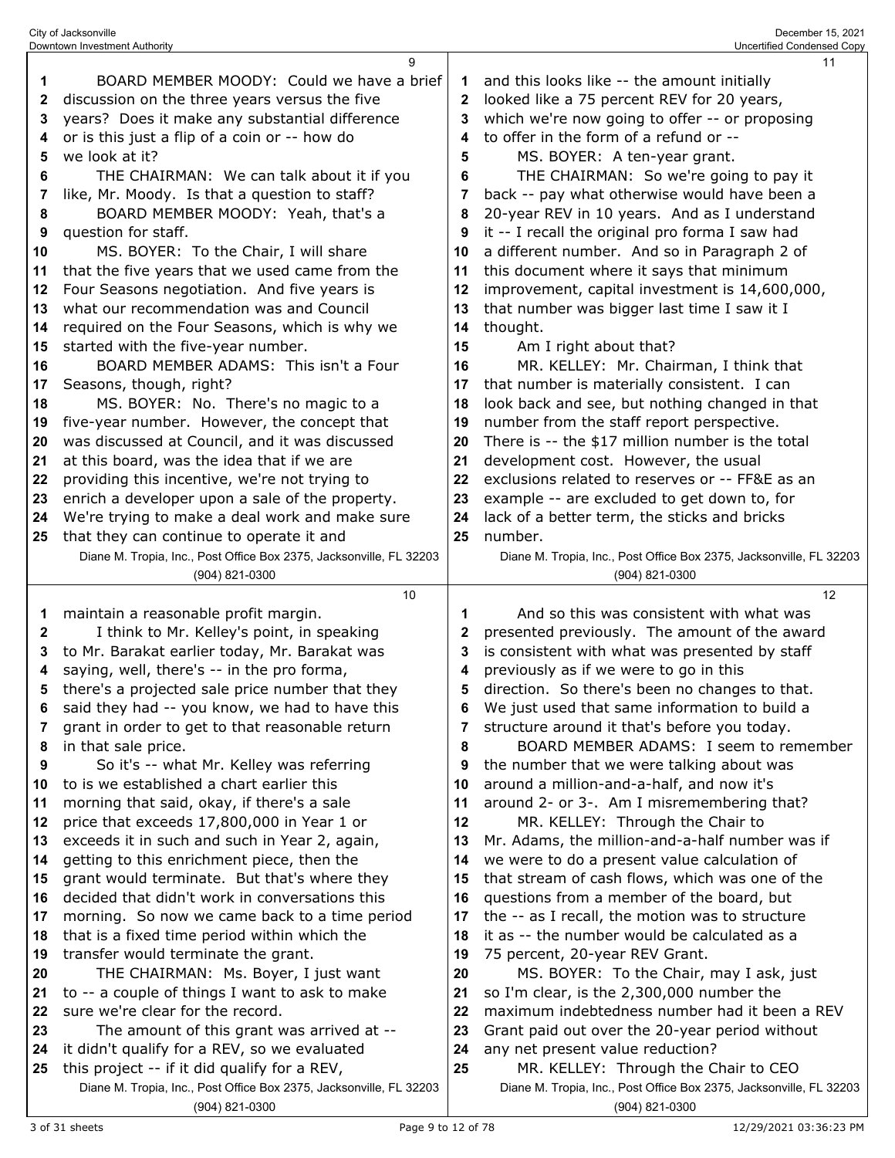|              | 9                                                                                     |    | 11                                                                                    |
|--------------|---------------------------------------------------------------------------------------|----|---------------------------------------------------------------------------------------|
| 1            | BOARD MEMBER MOODY: Could we have a brief                                             | 1  | and this looks like -- the amount initially                                           |
| 2            | discussion on the three years versus the five                                         | 2  | looked like a 75 percent REV for 20 years,                                            |
| 3            | years? Does it make any substantial difference                                        | 3  | which we're now going to offer -- or proposing                                        |
| 4            | or is this just a flip of a coin or -- how do                                         | 4  | to offer in the form of a refund or --                                                |
| 5            | we look at it?                                                                        | 5  | MS. BOYER: A ten-year grant.                                                          |
| 6            | THE CHAIRMAN: We can talk about it if you                                             | 6  | THE CHAIRMAN: So we're going to pay it                                                |
| 7            | like, Mr. Moody. Is that a question to staff?                                         | 7  | back -- pay what otherwise would have been a                                          |
| 8            | BOARD MEMBER MOODY: Yeah, that's a                                                    | 8  | 20-year REV in 10 years. And as I understand                                          |
| 9            | question for staff.                                                                   | 9  | it -- I recall the original pro forma I saw had                                       |
| 10           | MS. BOYER: To the Chair, I will share                                                 | 10 | a different number. And so in Paragraph 2 of                                          |
| 11           | that the five years that we used came from the                                        | 11 | this document where it says that minimum                                              |
| 12           | Four Seasons negotiation. And five years is                                           | 12 | improvement, capital investment is 14,600,000,                                        |
| 13           | what our recommendation was and Council                                               | 13 | that number was bigger last time I saw it I                                           |
| 14           | required on the Four Seasons, which is why we                                         | 14 | thought.                                                                              |
| 15           | started with the five-year number.                                                    | 15 | Am I right about that?                                                                |
| 16           | BOARD MEMBER ADAMS: This isn't a Four                                                 | 16 | MR. KELLEY: Mr. Chairman, I think that                                                |
| 17           | Seasons, though, right?                                                               | 17 | that number is materially consistent. I can                                           |
| 18           | MS. BOYER: No. There's no magic to a                                                  | 18 | look back and see, but nothing changed in that                                        |
| 19           | five-year number. However, the concept that                                           | 19 | number from the staff report perspective.                                             |
| 20           | was discussed at Council, and it was discussed                                        | 20 | There is -- the \$17 million number is the total                                      |
| 21           | at this board, was the idea that if we are                                            | 21 | development cost. However, the usual                                                  |
| 22           | providing this incentive, we're not trying to                                         | 22 | exclusions related to reserves or -- FF&E as an                                       |
|              | enrich a developer upon a sale of the property.                                       | 23 | example -- are excluded to get down to, for                                           |
| 23<br>24     | We're trying to make a deal work and make sure                                        | 24 | lack of a better term, the sticks and bricks                                          |
| 25           | that they can continue to operate it and                                              | 25 | number.                                                                               |
|              | Diane M. Tropia, Inc., Post Office Box 2375, Jacksonville, FL 32203                   |    | Diane M. Tropia, Inc., Post Office Box 2375, Jacksonville, FL 32203                   |
|              | (904) 821-0300                                                                        |    | (904) 821-0300                                                                        |
|              | 10                                                                                    |    | 12                                                                                    |
| 1            | maintain a reasonable profit margin.                                                  | 1  | And so this was consistent with what was                                              |
| $\mathbf{2}$ |                                                                                       |    |                                                                                       |
|              |                                                                                       |    |                                                                                       |
|              | I think to Mr. Kelley's point, in speaking                                            | 2  | presented previously. The amount of the award                                         |
| 3            | to Mr. Barakat earlier today, Mr. Barakat was                                         | 3  | is consistent with what was presented by staff                                        |
| 4            | saying, well, there's -- in the pro forma,                                            | 4  | previously as if we were to go in this                                                |
| 5            | there's a projected sale price number that they                                       | 5  | direction. So there's been no changes to that.                                        |
| 6            | said they had -- you know, we had to have this                                        | 6  | We just used that same information to build a                                         |
| 7            | grant in order to get to that reasonable return                                       | 7  | structure around it that's before you today.                                          |
| 8            | in that sale price.                                                                   | 8  | BOARD MEMBER ADAMS: I seem to remember                                                |
| 9            | So it's -- what Mr. Kelley was referring                                              | 9  | the number that we were talking about was                                             |
| 10           | to is we established a chart earlier this                                             | 10 | around a million-and-a-half, and now it's                                             |
| 11           | morning that said, okay, if there's a sale                                            | 11 | around 2- or 3-. Am I misremembering that?                                            |
| 12           | price that exceeds 17,800,000 in Year 1 or                                            | 12 | MR. KELLEY: Through the Chair to                                                      |
| 13           | exceeds it in such and such in Year 2, again,                                         | 13 | Mr. Adams, the million-and-a-half number was if                                       |
| 14           | getting to this enrichment piece, then the                                            | 14 | we were to do a present value calculation of                                          |
| 15           | grant would terminate. But that's where they                                          | 15 | that stream of cash flows, which was one of the                                       |
| 16           | decided that didn't work in conversations this                                        | 16 | questions from a member of the board, but                                             |
| 17           | morning. So now we came back to a time period                                         | 17 | the -- as I recall, the motion was to structure                                       |
| 18           | that is a fixed time period within which the                                          | 18 | it as -- the number would be calculated as a                                          |
| 19           | transfer would terminate the grant.                                                   | 19 | 75 percent, 20-year REV Grant.                                                        |
| 20           | THE CHAIRMAN: Ms. Boyer, I just want                                                  | 20 | MS. BOYER: To the Chair, may I ask, just                                              |
| 21           | to -- a couple of things I want to ask to make                                        | 21 | so I'm clear, is the 2,300,000 number the                                             |
| 22           | sure we're clear for the record.                                                      | 22 | maximum indebtedness number had it been a REV                                         |
| 23           | The amount of this grant was arrived at --                                            | 23 | Grant paid out over the 20-year period without                                        |
| 24           | it didn't qualify for a REV, so we evaluated                                          | 24 | any net present value reduction?                                                      |
| 25           | this project -- if it did qualify for a REV,                                          | 25 | MR. KELLEY: Through the Chair to CEO                                                  |
|              | Diane M. Tropia, Inc., Post Office Box 2375, Jacksonville, FL 32203<br>(904) 821-0300 |    | Diane M. Tropia, Inc., Post Office Box 2375, Jacksonville, FL 32203<br>(904) 821-0300 |

City of Jacksonville December 15, 2021 Downtown Investment Authority Uncertified Condensed Copy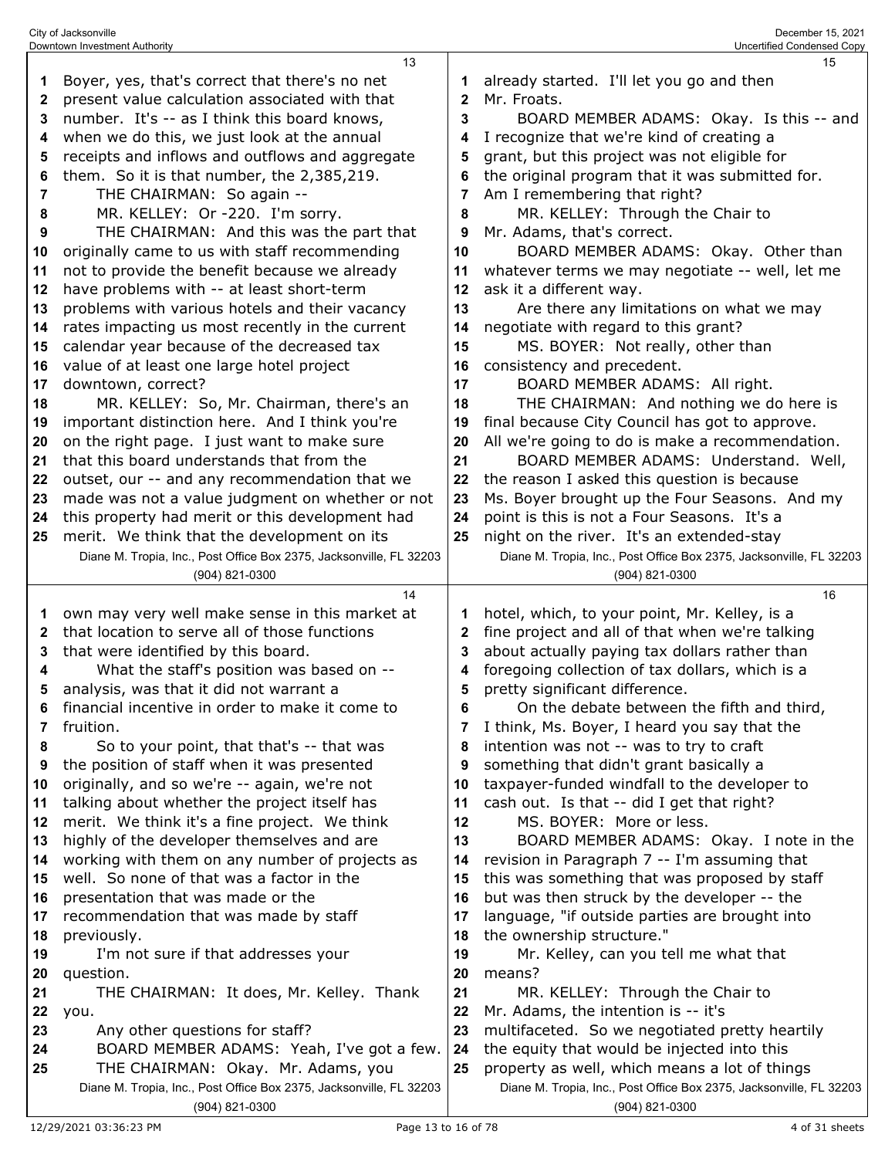|    | Downtown Investment Authority                                       |              | Uncertified Condensed Copy                                          |
|----|---------------------------------------------------------------------|--------------|---------------------------------------------------------------------|
|    | 13                                                                  |              | 15                                                                  |
| 1  | Boyer, yes, that's correct that there's no net                      |              | already started. I'll let you go and then                           |
| 2  | present value calculation associated with that                      | $\mathbf{2}$ | Mr. Froats.                                                         |
| 3  | number. It's -- as I think this board knows,                        | 3            | BOARD MEMBER ADAMS: Okay. Is this -- and                            |
| 4  | when we do this, we just look at the annual                         | 4            | I recognize that we're kind of creating a                           |
| 5  | receipts and inflows and outflows and aggregate                     | 5            | grant, but this project was not eligible for                        |
| 6  | them. So it is that number, the 2,385,219.                          |              | the original program that it was submitted for.                     |
|    | THE CHAIRMAN: So again --                                           |              |                                                                     |
| 7  |                                                                     |              | Am I remembering that right?                                        |
| 8  | MR. KELLEY: Or -220. I'm sorry.                                     | 8            | MR. KELLEY: Through the Chair to                                    |
| 9  | THE CHAIRMAN: And this was the part that                            | 9            | Mr. Adams, that's correct.                                          |
| 10 | originally came to us with staff recommending                       | 10           | BOARD MEMBER ADAMS: Okay. Other than                                |
| 11 | not to provide the benefit because we already                       | 11           | whatever terms we may negotiate -- well, let me                     |
| 12 | have problems with -- at least short-term                           | 12           | ask it a different way.                                             |
| 13 | problems with various hotels and their vacancy                      | 13           | Are there any limitations on what we may                            |
| 14 | rates impacting us most recently in the current                     | 14           | negotiate with regard to this grant?                                |
| 15 | calendar year because of the decreased tax                          | 15           | MS. BOYER: Not really, other than                                   |
| 16 | value of at least one large hotel project                           | 16           | consistency and precedent.                                          |
| 17 | downtown, correct?                                                  | 17           | BOARD MEMBER ADAMS: All right.                                      |
| 18 | MR. KELLEY: So, Mr. Chairman, there's an                            | 18           | THE CHAIRMAN: And nothing we do here is                             |
| 19 | important distinction here. And I think you're                      | 19           | final because City Council has got to approve.                      |
| 20 | on the right page. I just want to make sure                         | 20           | All we're going to do is make a recommendation.                     |
| 21 | that this board understands that from the                           | 21           | BOARD MEMBER ADAMS: Understand. Well,                               |
|    |                                                                     |              |                                                                     |
| 22 | outset, our -- and any recommendation that we                       | 22           | the reason I asked this question is because                         |
| 23 | made was not a value judgment on whether or not                     | 23           | Ms. Boyer brought up the Four Seasons. And my                       |
| 24 | this property had merit or this development had                     | 24           | point is this is not a Four Seasons. It's a                         |
| 25 | merit. We think that the development on its                         | 25           | night on the river. It's an extended-stay                           |
|    | Diane M. Tropia, Inc., Post Office Box 2375, Jacksonville, FL 32203 |              | Diane M. Tropia, Inc., Post Office Box 2375, Jacksonville, FL 32203 |
|    | (904) 821-0300                                                      |              | (904) 821-0300                                                      |
|    |                                                                     |              |                                                                     |
|    | 14                                                                  |              | 16                                                                  |
| 1  | own may very well make sense in this market at                      |              | hotel, which, to your point, Mr. Kelley, is a                       |
| 2  | that location to serve all of those functions                       | $\mathbf{2}$ | fine project and all of that when we're talking                     |
| 3  | that were identified by this board.                                 | 3            | about actually paying tax dollars rather than                       |
| 4  |                                                                     | 4            |                                                                     |
| 5  | What the staff's position was based on --                           | 5            | foregoing collection of tax dollars, which is a                     |
| 6  | analysis, was that it did not warrant a                             | 6            | pretty significant difference.                                      |
| 7  | financial incentive in order to make it come to                     | 7            | On the debate between the fifth and third,                          |
|    | fruition.                                                           | 8            | I think, Ms. Boyer, I heard you say that the                        |
| 8  | So to your point, that that's -- that was                           |              | intention was not -- was to try to craft                            |
| 9  | the position of staff when it was presented                         | 9            | something that didn't grant basically a                             |
| 10 | originally, and so we're -- again, we're not                        | 10           | taxpayer-funded windfall to the developer to                        |
| 11 | talking about whether the project itself has                        | 11           | cash out. Is that -- did I get that right?                          |
| 12 | merit. We think it's a fine project. We think                       | 12           | MS. BOYER: More or less.                                            |
| 13 | highly of the developer themselves and are                          | 13           | BOARD MEMBER ADAMS: Okay. I note in the                             |
| 14 | working with them on any number of projects as                      | 14           | revision in Paragraph 7 -- I'm assuming that                        |
| 15 | well. So none of that was a factor in the                           | 15           | this was something that was proposed by staff                       |
| 16 | presentation that was made or the                                   | 16           | but was then struck by the developer -- the                         |
| 17 | recommendation that was made by staff                               | 17           | language, "if outside parties are brought into                      |
| 18 | previously.                                                         | 18           | the ownership structure."                                           |
| 19 | I'm not sure if that addresses your                                 | 19           | Mr. Kelley, can you tell me what that                               |
| 20 | question.                                                           | 20           | means?                                                              |
| 21 | THE CHAIRMAN: It does, Mr. Kelley. Thank                            | 21           | MR. KELLEY: Through the Chair to                                    |
| 22 | you.                                                                | 22           | Mr. Adams, the intention is -- it's                                 |
| 23 | Any other questions for staff?                                      | 23           | multifaceted. So we negotiated pretty heartily                      |
| 24 | BOARD MEMBER ADAMS: Yeah, I've got a few.                           | 24           | the equity that would be injected into this                         |
| 25 | THE CHAIRMAN: Okay. Mr. Adams, you                                  | 25           | property as well, which means a lot of things                       |
|    | Diane M. Tropia, Inc., Post Office Box 2375, Jacksonville, FL 32203 |              | Diane M. Tropia, Inc., Post Office Box 2375, Jacksonville, FL 32203 |

City of Jacksonville December 15, 2021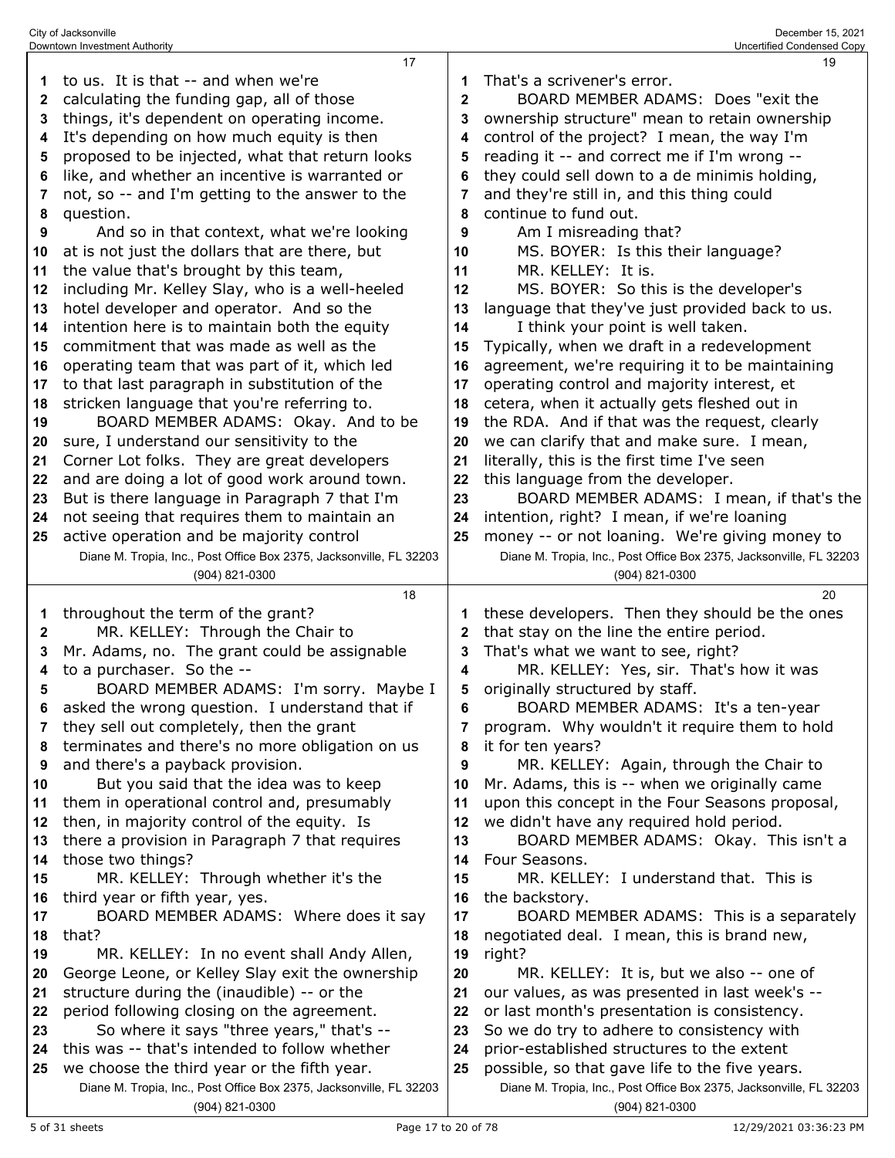| 1  | to us. It is that -- and when we're                                 | 1            | That's a scrivener's error.                                         |
|----|---------------------------------------------------------------------|--------------|---------------------------------------------------------------------|
| 2  | calculating the funding gap, all of those                           | $\mathbf{2}$ | BOARD MEMBER ADAMS: Does "exit the                                  |
| 3  | things, it's dependent on operating income.                         | 3            | ownership structure" mean to retain ownership                       |
| 4  | It's depending on how much equity is then                           | 4            | control of the project? I mean, the way I'm                         |
| 5  | proposed to be injected, what that return looks                     | 5            | reading it -- and correct me if I'm wrong --                        |
| 6  | like, and whether an incentive is warranted or                      | 6            | they could sell down to a de minimis holding,                       |
| 7  | not, so -- and I'm getting to the answer to the                     | 7            | and they're still in, and this thing could                          |
| 8  | question.                                                           | 8            | continue to fund out.                                               |
| 9  | And so in that context, what we're looking                          | 9            | Am I misreading that?                                               |
| 10 | at is not just the dollars that are there, but                      | 10           | MS. BOYER: Is this their language?                                  |
| 11 | the value that's brought by this team,                              | 11           | MR. KELLEY: It is.                                                  |
| 12 | including Mr. Kelley Slay, who is a well-heeled                     | 12           | MS. BOYER: So this is the developer's                               |
| 13 | hotel developer and operator. And so the                            | 13           | language that they've just provided back to us.                     |
| 14 | intention here is to maintain both the equity                       | 14           | I think your point is well taken.                                   |
| 15 | commitment that was made as well as the                             | 15           | Typically, when we draft in a redevelopment                         |
| 16 | operating team that was part of it, which led                       | 16           | agreement, we're requiring it to be maintaining                     |
|    | to that last paragraph in substitution of the                       | 17           | operating control and majority interest, et                         |
| 17 |                                                                     |              |                                                                     |
| 18 | stricken language that you're referring to.                         | 18           | cetera, when it actually gets fleshed out in                        |
| 19 | BOARD MEMBER ADAMS: Okay. And to be                                 | 19           | the RDA. And if that was the request, clearly                       |
| 20 | sure, I understand our sensitivity to the                           | 20           | we can clarify that and make sure. I mean,                          |
| 21 | Corner Lot folks. They are great developers                         | 21           | literally, this is the first time I've seen                         |
| 22 | and are doing a lot of good work around town.                       | 22           | this language from the developer.                                   |
| 23 | But is there language in Paragraph 7 that I'm                       | 23           | BOARD MEMBER ADAMS: I mean, if that's the                           |
| 24 | not seeing that requires them to maintain an                        | 24           | intention, right? I mean, if we're loaning                          |
| 25 | active operation and be majority control                            | 25           | money -- or not loaning. We're giving money to                      |
|    | Diane M. Tropia, Inc., Post Office Box 2375, Jacksonville, FL 32203 |              | Diane M. Tropia, Inc., Post Office Box 2375, Jacksonville, FL 32203 |
|    | (904) 821-0300                                                      |              | (904) 821-0300                                                      |
|    |                                                                     |              |                                                                     |
|    | 18                                                                  |              | 20                                                                  |
| 1  | throughout the term of the grant?                                   | 1            | these developers. Then they should be the ones                      |
| 2  | MR. KELLEY: Through the Chair to                                    | 2            | that stay on the line the entire period.                            |
| 3  | Mr. Adams, no. The grant could be assignable                        | 3            | That's what we want to see, right?                                  |
| 4  | to a purchaser. So the --                                           | 4            | MR. KELLEY: Yes, sir. That's how it was                             |
| 5  | BOARD MEMBER ADAMS: I'm sorry. Maybe I                              | 5            | originally structured by staff.                                     |
| 6  | asked the wrong question. I understand that if                      | 6            | BOARD MEMBER ADAMS: It's a ten-year                                 |
|    | they sell out completely, then the grant                            |              | program. Why wouldn't it require them to hold                       |
| 8  | terminates and there's no more obligation on us                     | 8            | it for ten years?                                                   |
| 9  | and there's a payback provision.                                    | 9            | MR. KELLEY: Again, through the Chair to                             |
| 10 | But you said that the idea was to keep                              | 10           | Mr. Adams, this is -- when we originally came                       |
| 11 | them in operational control and, presumably                         | 11           | upon this concept in the Four Seasons proposal,                     |
| 12 | then, in majority control of the equity. Is                         | 12           | we didn't have any required hold period.                            |
| 13 | there a provision in Paragraph 7 that requires                      | 13           | BOARD MEMBER ADAMS: Okay. This isn't a                              |
| 14 | those two things?                                                   | 14           | Four Seasons.                                                       |
| 15 | MR. KELLEY: Through whether it's the                                | 15           | MR. KELLEY: I understand that. This is                              |
| 16 | third year or fifth year, yes.                                      | 16           | the backstory.                                                      |
| 17 | BOARD MEMBER ADAMS: Where does it say                               | 17           | BOARD MEMBER ADAMS: This is a separately                            |
| 18 | that?                                                               | 18           | negotiated deal. I mean, this is brand new,                         |
| 19 | MR. KELLEY: In no event shall Andy Allen,                           | 19           | right?                                                              |
| 20 | George Leone, or Kelley Slay exit the ownership                     | 20           | MR. KELLEY: It is, but we also -- one of                            |
| 21 | structure during the (inaudible) -- or the                          | 21           | our values, as was presented in last week's --                      |
| 22 | period following closing on the agreement.                          | 22           | or last month's presentation is consistency.                        |
| 23 | So where it says "three years," that's --                           | 23           | So we do try to adhere to consistency with                          |
| 24 | this was -- that's intended to follow whether                       | 24           | prior-established structures to the extent                          |
| 25 | we choose the third year or the fifth year.                         | 25           | possible, so that gave life to the five years.                      |

City of Jacksonville December 15, 2021 Downtown Investment Authority Uncertified Condensed Copy

5 of 31 sheets Page 17 to 20 of 78 12/29/2021 03:36:23 PM

(904) 821-0300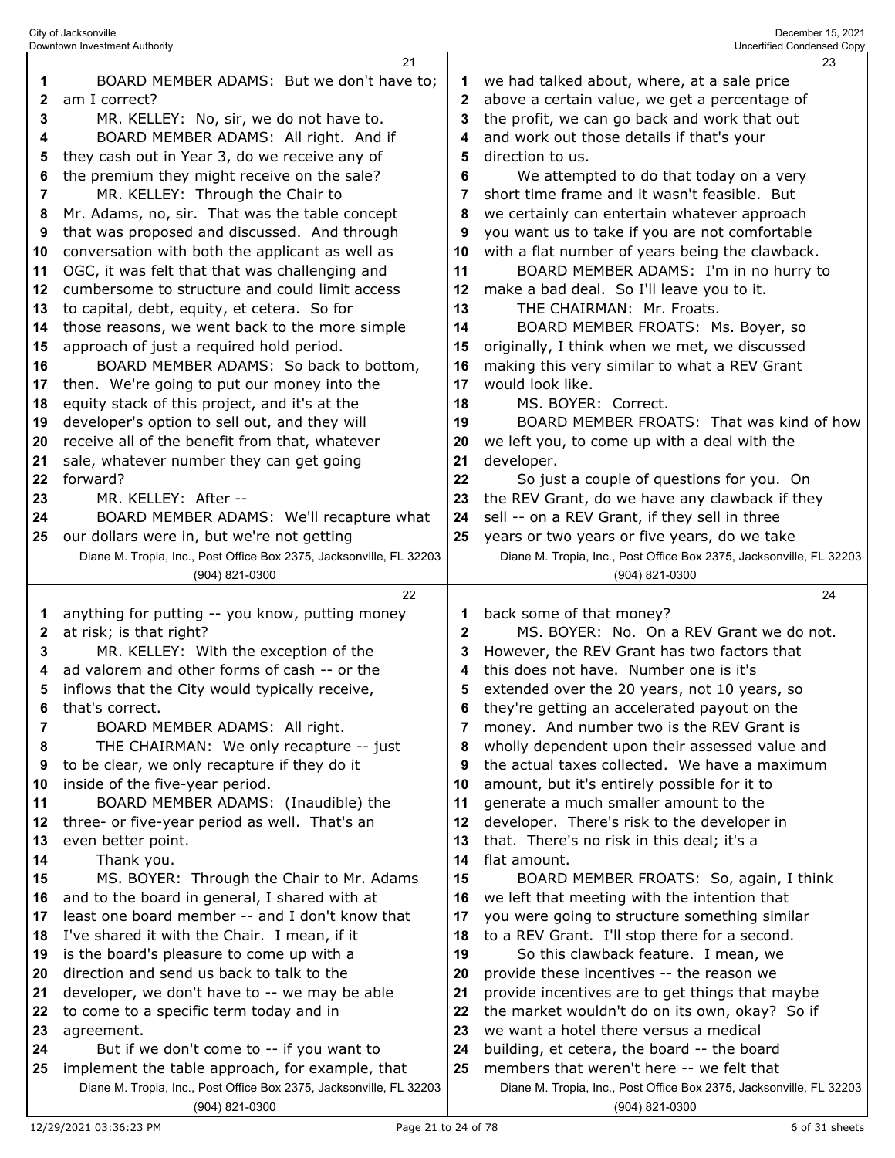|              | Downtown Investment Authority                                                         |              | Uncertified Condensed Copy                                                            |
|--------------|---------------------------------------------------------------------------------------|--------------|---------------------------------------------------------------------------------------|
|              | 21                                                                                    |              | 23                                                                                    |
| 1            | BOARD MEMBER ADAMS: But we don't have to;                                             | 1            | we had talked about, where, at a sale price                                           |
| $\mathbf{2}$ | am I correct?                                                                         | 2            | above a certain value, we get a percentage of                                         |
| 3            | MR. KELLEY: No, sir, we do not have to.                                               | 3            | the profit, we can go back and work that out                                          |
| 4            | BOARD MEMBER ADAMS: All right. And if                                                 | 4            | and work out those details if that's your                                             |
| 5            | they cash out in Year 3, do we receive any of                                         | 5            | direction to us.                                                                      |
| 6            | the premium they might receive on the sale?                                           | 6            | We attempted to do that today on a very                                               |
| 7            | MR. KELLEY: Through the Chair to                                                      | 7            | short time frame and it wasn't feasible. But                                          |
| 8            | Mr. Adams, no, sir. That was the table concept                                        | 8            | we certainly can entertain whatever approach                                          |
| 9            | that was proposed and discussed. And through                                          | 9            | you want us to take if you are not comfortable                                        |
|              |                                                                                       |              |                                                                                       |
| 10           | conversation with both the applicant as well as                                       | 10           | with a flat number of years being the clawback.                                       |
| 11           | OGC, it was felt that that was challenging and                                        | 11           | BOARD MEMBER ADAMS: I'm in no hurry to                                                |
| 12           | cumbersome to structure and could limit access                                        | 12           | make a bad deal. So I'll leave you to it.                                             |
| 13           | to capital, debt, equity, et cetera. So for                                           | 13           | THE CHAIRMAN: Mr. Froats.                                                             |
| 14           | those reasons, we went back to the more simple                                        | 14           | BOARD MEMBER FROATS: Ms. Boyer, so                                                    |
| 15           | approach of just a required hold period.                                              | 15           | originally, I think when we met, we discussed                                         |
| 16           | BOARD MEMBER ADAMS: So back to bottom,                                                | 16           | making this very similar to what a REV Grant                                          |
| 17           | then. We're going to put our money into the                                           | 17           | would look like.                                                                      |
| 18           | equity stack of this project, and it's at the                                         | 18           | MS. BOYER: Correct.                                                                   |
| 19           | developer's option to sell out, and they will                                         | 19           | BOARD MEMBER FROATS: That was kind of how                                             |
| 20           | receive all of the benefit from that, whatever                                        | 20           | we left you, to come up with a deal with the                                          |
| 21           | sale, whatever number they can get going                                              | 21           | developer.                                                                            |
| 22           | forward?                                                                              | 22           | So just a couple of questions for you. On                                             |
| 23           | MR. KELLEY: After --                                                                  | 23           | the REV Grant, do we have any clawback if they                                        |
| 24           | BOARD MEMBER ADAMS: We'll recapture what                                              | 24           | sell -- on a REV Grant, if they sell in three                                         |
| 25           | our dollars were in, but we're not getting                                            | 25           | years or two years or five years, do we take                                          |
|              | Diane M. Tropia, Inc., Post Office Box 2375, Jacksonville, FL 32203                   |              | Diane M. Tropia, Inc., Post Office Box 2375, Jacksonville, FL 32203                   |
|              | (904) 821-0300                                                                        |              | (904) 821-0300                                                                        |
|              |                                                                                       |              |                                                                                       |
|              |                                                                                       |              |                                                                                       |
|              | 22                                                                                    |              | 24                                                                                    |
| 1            | anything for putting -- you know, putting money                                       | 1            | back some of that money?                                                              |
| 2            | at risk; is that right?                                                               | $\mathbf{2}$ | MS. BOYER: No. On a REV Grant we do not.                                              |
| 3            | MR. KELLEY: With the exception of the                                                 | 3            | However, the REV Grant has two factors that                                           |
| 4            | ad valorem and other forms of cash -- or the                                          | 4            | this does not have. Number one is it's                                                |
| 5            | inflows that the City would typically receive,                                        | 5            | extended over the 20 years, not 10 years, so                                          |
| 6            | that's correct.                                                                       | 6            | they're getting an accelerated payout on the                                          |
| 7            | BOARD MEMBER ADAMS: All right.                                                        | 7            | money. And number two is the REV Grant is                                             |
| 8            | THE CHAIRMAN: We only recapture -- just                                               | 8            | wholly dependent upon their assessed value and                                        |
| 9            | to be clear, we only recapture if they do it                                          | 9            | the actual taxes collected. We have a maximum                                         |
| 10           | inside of the five-year period.                                                       | 10           | amount, but it's entirely possible for it to                                          |
| 11           | BOARD MEMBER ADAMS: (Inaudible) the                                                   | 11           | generate a much smaller amount to the                                                 |
| 12           | three- or five-year period as well. That's an                                         | 12           | developer. There's risk to the developer in                                           |
| 13           | even better point.                                                                    | 13           | that. There's no risk in this deal; it's a                                            |
| 14           | Thank you.                                                                            | 14           | flat amount.                                                                          |
| 15           | MS. BOYER: Through the Chair to Mr. Adams                                             | 15           | BOARD MEMBER FROATS: So, again, I think                                               |
| 16           | and to the board in general, I shared with at                                         | 16           | we left that meeting with the intention that                                          |
| 17           | least one board member -- and I don't know that                                       | 17           | you were going to structure something similar                                         |
| 18           | I've shared it with the Chair. I mean, if it                                          | 18           | to a REV Grant. I'll stop there for a second.                                         |
| 19           | is the board's pleasure to come up with a                                             | 19           | So this clawback feature. I mean, we                                                  |
| 20           | direction and send us back to talk to the                                             | 20           | provide these incentives -- the reason we                                             |
| 21           | developer, we don't have to -- we may be able                                         | 21           | provide incentives are to get things that maybe                                       |
| 22           | to come to a specific term today and in                                               | 22           | the market wouldn't do on its own, okay? So if                                        |
| 23           | agreement.                                                                            | 23           | we want a hotel there versus a medical                                                |
| 24           | But if we don't come to -- if you want to                                             | 24           | building, et cetera, the board -- the board                                           |
| 25           | implement the table approach, for example, that                                       | 25           | members that weren't here -- we felt that                                             |
|              | Diane M. Tropia, Inc., Post Office Box 2375, Jacksonville, FL 32203<br>(904) 821-0300 |              | Diane M. Tropia, Inc., Post Office Box 2375, Jacksonville, FL 32203<br>(904) 821-0300 |

City of Jacksonville December 15, 2021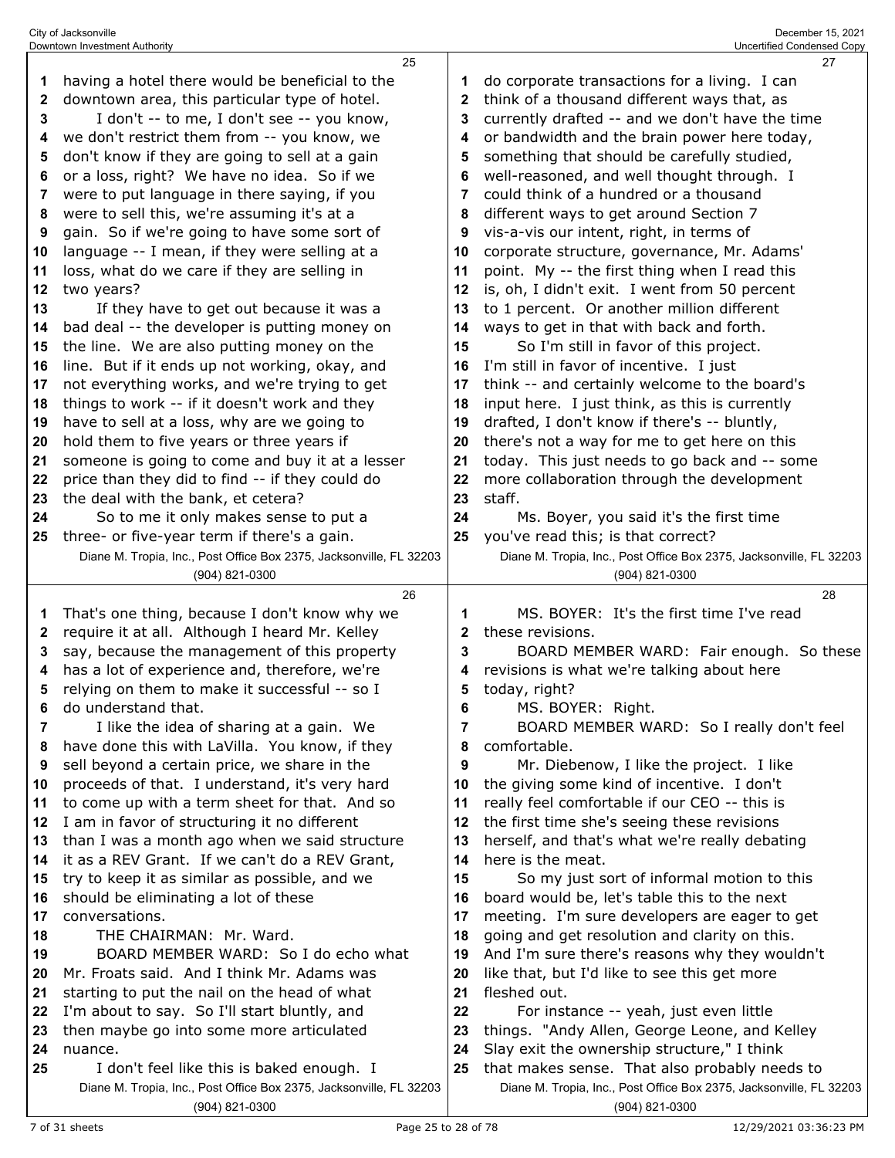|    | 25                                                                  |              | 27                                                                  |
|----|---------------------------------------------------------------------|--------------|---------------------------------------------------------------------|
| 1  | having a hotel there would be beneficial to the                     | 1            | do corporate transactions for a living. I can                       |
| 2  | downtown area, this particular type of hotel.                       | $\mathbf{2}$ | think of a thousand different ways that, as                         |
| 3  | I don't -- to me, I don't see -- you know,                          | 3            | currently drafted -- and we don't have the time                     |
| 4  | we don't restrict them from -- you know, we                         | 4            | or bandwidth and the brain power here today,                        |
| 5  | don't know if they are going to sell at a gain                      | 5            | something that should be carefully studied,                         |
| 6  | or a loss, right? We have no idea. So if we                         | 6            | well-reasoned, and well thought through. I                          |
| 7  | were to put language in there saying, if you                        | 7            | could think of a hundred or a thousand                              |
| 8  | were to sell this, we're assuming it's at a                         | 8            | different ways to get around Section 7                              |
| 9  | gain. So if we're going to have some sort of                        | 9            | vis-a-vis our intent, right, in terms of                            |
| 10 | language -- I mean, if they were selling at a                       | 10           | corporate structure, governance, Mr. Adams'                         |
|    |                                                                     |              |                                                                     |
| 11 | loss, what do we care if they are selling in                        | 11           | point. My -- the first thing when I read this                       |
| 12 | two years?                                                          | 12           | is, oh, I didn't exit. I went from 50 percent                       |
| 13 | If they have to get out because it was a                            | 13           | to 1 percent. Or another million different                          |
| 14 | bad deal -- the developer is putting money on                       | 14           | ways to get in that with back and forth.                            |
| 15 | the line. We are also putting money on the                          | 15           | So I'm still in favor of this project.                              |
| 16 | line. But if it ends up not working, okay, and                      | 16           | I'm still in favor of incentive. I just                             |
| 17 | not everything works, and we're trying to get                       | 17           | think -- and certainly welcome to the board's                       |
| 18 | things to work -- if it doesn't work and they                       | 18           | input here. I just think, as this is currently                      |
| 19 | have to sell at a loss, why are we going to                         | 19           | drafted, I don't know if there's -- bluntly,                        |
| 20 | hold them to five years or three years if                           | 20           | there's not a way for me to get here on this                        |
| 21 | someone is going to come and buy it at a lesser                     | 21           | today. This just needs to go back and -- some                       |
| 22 | price than they did to find -- if they could do                     | 22           | more collaboration through the development                          |
| 23 | the deal with the bank, et cetera?                                  | 23           | staff.                                                              |
| 24 | So to me it only makes sense to put a                               | 24           | Ms. Boyer, you said it's the first time                             |
| 25 | three- or five-year term if there's a gain.                         | 25           | you've read this; is that correct?                                  |
|    | Diane M. Tropia, Inc., Post Office Box 2375, Jacksonville, FL 32203 |              | Diane M. Tropia, Inc., Post Office Box 2375, Jacksonville, FL 32203 |
|    | (904) 821-0300                                                      |              | (904) 821-0300                                                      |
|    | 26                                                                  |              | 28                                                                  |
|    |                                                                     |              |                                                                     |
| 1  | That's one thing, because I don't know why we                       | 1            | MS. BOYER: It's the first time I've read                            |
| 2  | require it at all. Although I heard Mr. Kelley                      | 2            | these revisions.                                                    |
| 3  | say, because the management of this property                        | 3            | BOARD MEMBER WARD: Fair enough. So these                            |
| 4  | has a lot of experience and, therefore, we're                       | 4            | revisions is what we're talking about here                          |
| 5  |                                                                     | 5            |                                                                     |
| 6  | relying on them to make it successful -- so I                       | 6            | today, right?                                                       |
| 7  | do understand that.                                                 | 7            | MS. BOYER: Right.                                                   |
|    | I like the idea of sharing at a gain. We                            | 8            | BOARD MEMBER WARD: So I really don't feel                           |
| 8  | have done this with LaVilla. You know, if they                      |              | comfortable.                                                        |
| 9  | sell beyond a certain price, we share in the                        | 9            | Mr. Diebenow, I like the project. I like                            |
| 10 | proceeds of that. I understand, it's very hard                      | 10           | the giving some kind of incentive. I don't                          |
| 11 | to come up with a term sheet for that. And so                       | 11           | really feel comfortable if our CEO -- this is                       |
| 12 | I am in favor of structuring it no different                        | 12           | the first time she's seeing these revisions                         |
| 13 | than I was a month ago when we said structure                       | 13           | herself, and that's what we're really debating                      |
| 14 | it as a REV Grant. If we can't do a REV Grant,                      | 14           | here is the meat.                                                   |
| 15 | try to keep it as similar as possible, and we                       | 15           | So my just sort of informal motion to this                          |
| 16 | should be eliminating a lot of these                                | 16           | board would be, let's table this to the next                        |
| 17 | conversations.                                                      | 17           | meeting. I'm sure developers are eager to get                       |
| 18 | THE CHAIRMAN: Mr. Ward.                                             | 18           | going and get resolution and clarity on this.                       |
| 19 | BOARD MEMBER WARD: So I do echo what                                | 19           | And I'm sure there's reasons why they wouldn't                      |
| 20 | Mr. Froats said. And I think Mr. Adams was                          | 20           | like that, but I'd like to see this get more                        |
| 21 | starting to put the nail on the head of what                        | 21           | fleshed out.                                                        |
| 22 | I'm about to say. So I'll start bluntly, and                        | 22           | For instance -- yeah, just even little                              |
| 23 | then maybe go into some more articulated                            | 23           | things. "Andy Allen, George Leone, and Kelley                       |
| 24 | nuance.                                                             | 24           | Slay exit the ownership structure," I think                         |
| 25 | I don't feel like this is baked enough. I                           | 25           | that makes sense. That also probably needs to                       |
|    | Diane M. Tropia, Inc., Post Office Box 2375, Jacksonville, FL 32203 |              | Diane M. Tropia, Inc., Post Office Box 2375, Jacksonville, FL 32203 |

City of Jacksonville December 15, 2021 Downtown Investment Authority Uncertified Condensed Copy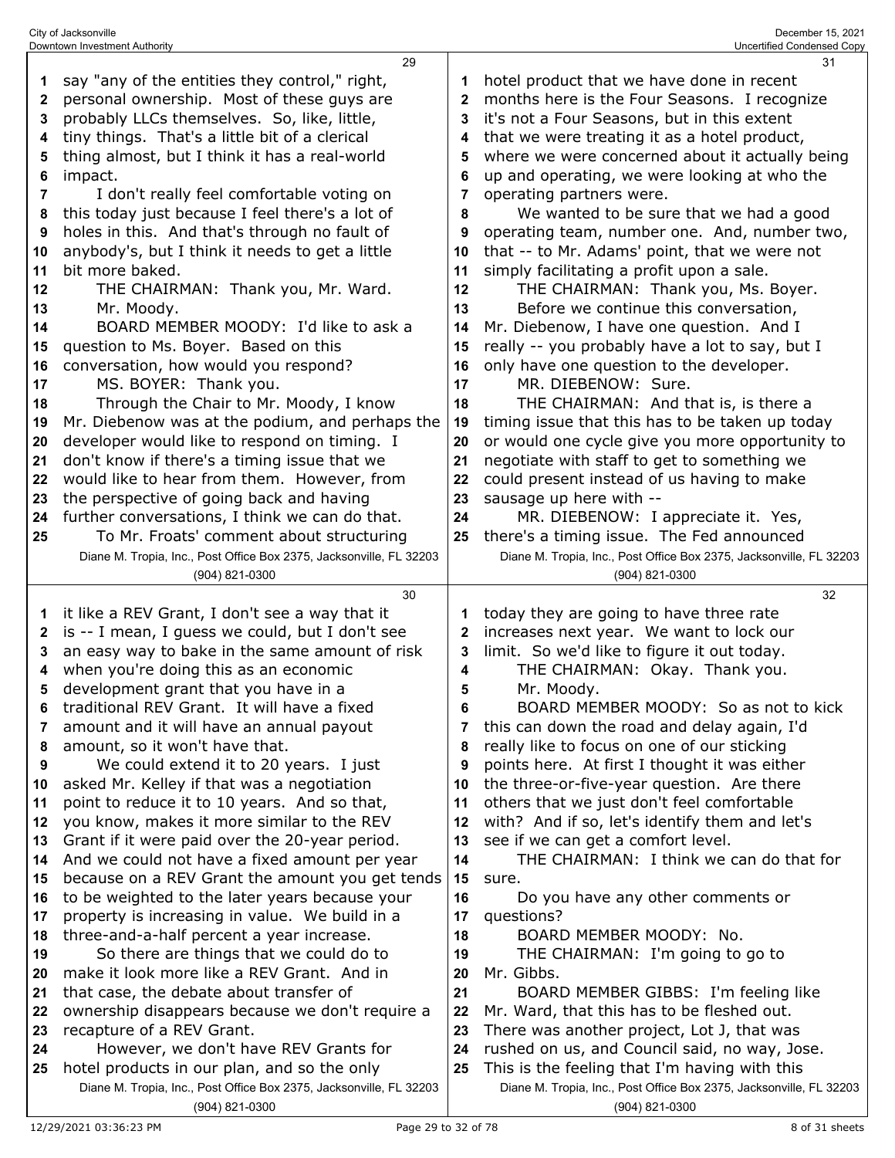| 1        | say "any of the entities they control," right,                                                                     |              | hotel product that we have done in recent                                                                            |
|----------|--------------------------------------------------------------------------------------------------------------------|--------------|----------------------------------------------------------------------------------------------------------------------|
| 2        | personal ownership. Most of these guys are                                                                         | $\mathbf{2}$ | months here is the Four Seasons. I recognize                                                                         |
| 3        | probably LLCs themselves. So, like, little,                                                                        | 3            | it's not a Four Seasons, but in this extent                                                                          |
| 4        | tiny things. That's a little bit of a clerical                                                                     | 4            | that we were treating it as a hotel product,                                                                         |
| 5        | thing almost, but I think it has a real-world                                                                      | 5            | where we were concerned about it actually being                                                                      |
| 6        | impact.                                                                                                            | 6            | up and operating, we were looking at who the                                                                         |
| 7        | I don't really feel comfortable voting on                                                                          | 7            | operating partners were.                                                                                             |
| 8        | this today just because I feel there's a lot of                                                                    | 8            | We wanted to be sure that we had a good                                                                              |
| 9        | holes in this. And that's through no fault of                                                                      | 9            | operating team, number one. And, number two,                                                                         |
| 10       | anybody's, but I think it needs to get a little                                                                    | 10           | that -- to Mr. Adams' point, that we were not                                                                        |
| 11       | bit more baked.                                                                                                    | 11           | simply facilitating a profit upon a sale.                                                                            |
| 12       | THE CHAIRMAN: Thank you, Mr. Ward.                                                                                 | 12           | THE CHAIRMAN: Thank you, Ms. Boyer.                                                                                  |
| 13       | Mr. Moody.                                                                                                         | 13           | Before we continue this conversation,                                                                                |
| 14       | BOARD MEMBER MOODY: I'd like to ask a                                                                              | 14           | Mr. Diebenow, I have one question. And I                                                                             |
| 15       | question to Ms. Boyer. Based on this                                                                               | 15           | really -- you probably have a lot to say, but I                                                                      |
| 16       | conversation, how would you respond?                                                                               | 16           | only have one question to the developer.                                                                             |
| 17       | MS. BOYER: Thank you.                                                                                              | 17           | MR. DIEBENOW: Sure.                                                                                                  |
| 18       | Through the Chair to Mr. Moody, I know                                                                             | 18           | THE CHAIRMAN: And that is, is there a                                                                                |
| 19       | Mr. Diebenow was at the podium, and perhaps the                                                                    | 19           | timing issue that this has to be taken up today                                                                      |
| 20       | developer would like to respond on timing. I                                                                       | 20           | or would one cycle give you more opportunity to                                                                      |
| 21       | don't know if there's a timing issue that we                                                                       | 21           | negotiate with staff to get to something we                                                                          |
| 22       | would like to hear from them. However, from                                                                        | 22           | could present instead of us having to make                                                                           |
| 23       | the perspective of going back and having                                                                           | 23           | sausage up here with --                                                                                              |
| 24       | further conversations, I think we can do that.                                                                     | 24           | MR. DIEBENOW: I appreciate it. Yes,                                                                                  |
| 25       | To Mr. Froats' comment about structuring                                                                           | 25           | there's a timing issue. The Fed announced                                                                            |
|          | Diane M. Tropia, Inc., Post Office Box 2375, Jacksonville, FL 32203                                                |              | Diane M. Tropia, Inc., Post Office Box 2375, Jacksonville, FL 32203                                                  |
|          | (904) 821-0300                                                                                                     |              | (904) 821-0300                                                                                                       |
|          |                                                                                                                    |              |                                                                                                                      |
|          | 30                                                                                                                 |              | 32                                                                                                                   |
| 1        | it like a REV Grant, I don't see a way that it                                                                     |              | today they are going to have three rate                                                                              |
| 2        | is -- I mean, I guess we could, but I don't see                                                                    | 2            | increases next year. We want to lock our                                                                             |
| 3        | an easy way to bake in the same amount of risk                                                                     | 3            | limit. So we'd like to figure it out today.                                                                          |
| 4        | when you're doing this as an economic                                                                              | 4            | THE CHAIRMAN: Okay. Thank you.                                                                                       |
| 5        | development grant that you have in a                                                                               | 5            | Mr. Moody.                                                                                                           |
| 6        | traditional REV Grant. It will have a fixed                                                                        | 6            | BOARD MEMBER MOODY: So as not to kick                                                                                |
|          | amount and it will have an annual payout                                                                           |              | this can down the road and delay again, I'd                                                                          |
| 8        | amount, so it won't have that.                                                                                     | 8            | really like to focus on one of our sticking                                                                          |
| 9        | We could extend it to 20 years. I just                                                                             | 9            | points here. At first I thought it was either                                                                        |
| 10       | asked Mr. Kelley if that was a negotiation                                                                         | 10           | the three-or-five-year question. Are there                                                                           |
| 11       | point to reduce it to 10 years. And so that,                                                                       | 11           | others that we just don't feel comfortable                                                                           |
| 12<br>13 | you know, makes it more similar to the REV                                                                         | 12           | with? And if so, let's identify them and let's                                                                       |
| 14       | Grant if it were paid over the 20-year period.<br>And we could not have a fixed amount per year                    | 13<br>14     | see if we can get a comfort level.<br>THE CHAIRMAN: I think we can do that for                                       |
| 15       | because on a REV Grant the amount you get tends                                                                    | 15           | sure.                                                                                                                |
| 16       | to be weighted to the later years because your                                                                     | 16           | Do you have any other comments or                                                                                    |
| 17       | property is increasing in value. We build in a                                                                     | 17           | questions?                                                                                                           |
| 18       | three-and-a-half percent a year increase.                                                                          | 18           | BOARD MEMBER MOODY: No.                                                                                              |
| 19       | So there are things that we could do to                                                                            | 19           | THE CHAIRMAN: I'm going to go to                                                                                     |
| 20       | make it look more like a REV Grant. And in                                                                         | 20           | Mr. Gibbs.                                                                                                           |
| 21       | that case, the debate about transfer of                                                                            | 21           | BOARD MEMBER GIBBS: I'm feeling like                                                                                 |
| 22       | ownership disappears because we don't require a                                                                    | 22           | Mr. Ward, that this has to be fleshed out.                                                                           |
| 23       | recapture of a REV Grant.                                                                                          | 23           | There was another project, Lot J, that was                                                                           |
| 24       | However, we don't have REV Grants for                                                                              | 24           | rushed on us, and Council said, no way, Jose.                                                                        |
| 25       | hotel products in our plan, and so the only<br>Diane M. Tropia, Inc., Post Office Box 2375, Jacksonville, FL 32203 | 25           | This is the feeling that I'm having with this<br>Diane M. Tropia, Inc., Post Office Box 2375, Jacksonville, FL 32203 |

City of Jacksonville December 15, 2021 Downtown Investment Authority Uncertified Condensed Copy

(904) 821-0300

(904) 821-0300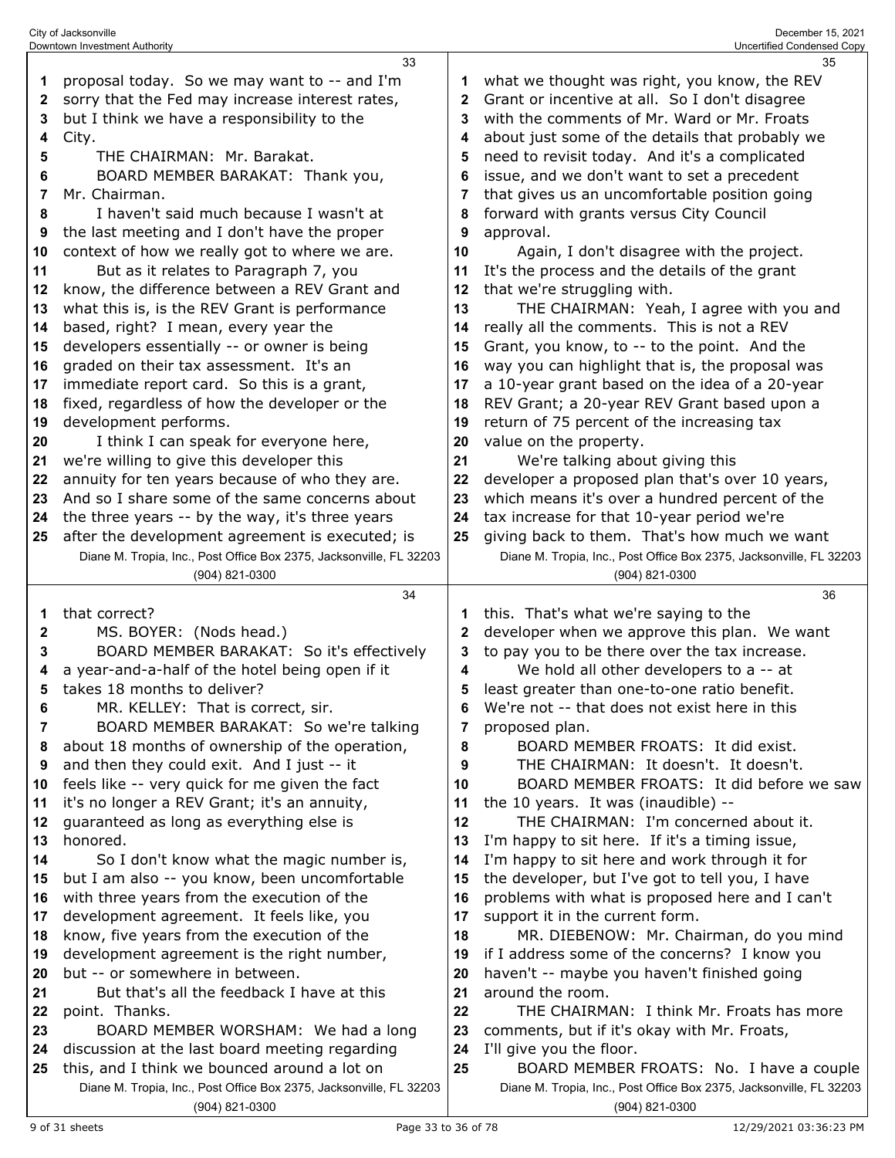| 1        | proposal today. So we may want to -- and I'm                                                                        | 1            | what we thought was right, you know, the REV                                                                    |
|----------|---------------------------------------------------------------------------------------------------------------------|--------------|-----------------------------------------------------------------------------------------------------------------|
| 2        | sorry that the Fed may increase interest rates,                                                                     | $\mathbf{2}$ | Grant or incentive at all. So I don't disagree                                                                  |
| 3        | but I think we have a responsibility to the                                                                         | 3            | with the comments of Mr. Ward or Mr. Froats                                                                     |
| 4        | City.                                                                                                               | 4            | about just some of the details that probably we                                                                 |
| 5        | THE CHAIRMAN: Mr. Barakat.                                                                                          | 5            | need to revisit today. And it's a complicated                                                                   |
| 6        | BOARD MEMBER BARAKAT: Thank you,                                                                                    | 6            | issue, and we don't want to set a precedent                                                                     |
| 7        | Mr. Chairman.                                                                                                       | 7            | that gives us an uncomfortable position going                                                                   |
| 8        | I haven't said much because I wasn't at                                                                             | 8            | forward with grants versus City Council                                                                         |
| 9        | the last meeting and I don't have the proper                                                                        | 9            | approval.                                                                                                       |
| 10       | context of how we really got to where we are.                                                                       | 10           | Again, I don't disagree with the project.                                                                       |
| 11       | But as it relates to Paragraph 7, you                                                                               | 11           | It's the process and the details of the grant                                                                   |
| 12       | know, the difference between a REV Grant and                                                                        | 12           | that we're struggling with.                                                                                     |
| 13       | what this is, is the REV Grant is performance                                                                       | 13           | THE CHAIRMAN: Yeah, I agree with you and                                                                        |
| 14       | based, right? I mean, every year the                                                                                | 14           | really all the comments. This is not a REV                                                                      |
| 15       | developers essentially -- or owner is being                                                                         | 15           | Grant, you know, to -- to the point. And the                                                                    |
| 16       | graded on their tax assessment. It's an                                                                             | 16           | way you can highlight that is, the proposal was                                                                 |
| 17       | immediate report card. So this is a grant,                                                                          | 17           | a 10-year grant based on the idea of a 20-year                                                                  |
| 18       | fixed, regardless of how the developer or the                                                                       | 18           | REV Grant; a 20-year REV Grant based upon a                                                                     |
| 19       | development performs.                                                                                               | 19           | return of 75 percent of the increasing tax                                                                      |
| 20       | I think I can speak for everyone here,                                                                              | 20           | value on the property.                                                                                          |
| 21       | we're willing to give this developer this                                                                           | 21           | We're talking about giving this                                                                                 |
| 22       | annuity for ten years because of who they are.                                                                      | 22           | developer a proposed plan that's over 10 years,                                                                 |
| 23       | And so I share some of the same concerns about                                                                      | 23           | which means it's over a hundred percent of the                                                                  |
| 24       | the three years -- by the way, it's three years                                                                     | 24           | tax increase for that 10-year period we're                                                                      |
| 25       | after the development agreement is executed; is                                                                     | 25           | giving back to them. That's how much we want                                                                    |
|          | Diane M. Tropia, Inc., Post Office Box 2375, Jacksonville, FL 32203                                                 |              | Diane M. Tropia, Inc., Post Office Box 2375, Jacksonville, FL 32203                                             |
|          | $(904)$ 821-0300                                                                                                    |              | (904) 821-0300                                                                                                  |
|          |                                                                                                                     |              |                                                                                                                 |
|          | 34                                                                                                                  |              | 36                                                                                                              |
| 1        | that correct?                                                                                                       | 1            | this. That's what we're saying to the                                                                           |
| 2        | MS. BOYER: (Nods head.)                                                                                             | $\mathbf{2}$ | developer when we approve this plan. We want                                                                    |
| 3        | BOARD MEMBER BARAKAT: So it's effectively                                                                           | 3            | to pay you to be there over the tax increase.                                                                   |
| 4        | a year-and-a-half of the hotel being open if it                                                                     | 4            | We hold all other developers to a -- at                                                                         |
| 5        | takes 18 months to deliver?                                                                                         | 5            | least greater than one-to-one ratio benefit.                                                                    |
| 6        | MR. KELLEY: That is correct, sir.                                                                                   | 6            | We're not -- that does not exist here in this                                                                   |
|          | BOARD MEMBER BARAKAT: So we're talking                                                                              | 7            | proposed plan.                                                                                                  |
| 8        | about 18 months of ownership of the operation,                                                                      | 8            | BOARD MEMBER FROATS: It did exist.                                                                              |
| 9        | and then they could exit. And I just -- it                                                                          | 9            | THE CHAIRMAN: It doesn't. It doesn't.                                                                           |
| 10       | feels like -- very quick for me given the fact                                                                      | 10           | BOARD MEMBER FROATS: It did before we saw                                                                       |
| 11       | it's no longer a REV Grant; it's an annuity,                                                                        | 11           | the 10 years. It was (inaudible) --                                                                             |
| 12       | guaranteed as long as everything else is                                                                            | 12           | THE CHAIRMAN: I'm concerned about it.                                                                           |
| 13       | honored.                                                                                                            | 13           | I'm happy to sit here. If it's a timing issue,                                                                  |
| 14<br>15 | So I don't know what the magic number is,                                                                           | 14<br>15     | I'm happy to sit here and work through it for                                                                   |
| 16       | but I am also -- you know, been uncomfortable                                                                       | 16           | the developer, but I've got to tell you, I have                                                                 |
| 17       | with three years from the execution of the<br>development agreement. It feels like, you                             | 17           | problems with what is proposed here and I can't<br>support it in the current form.                              |
| 18       | know, five years from the execution of the                                                                          | 18           | MR. DIEBENOW: Mr. Chairman, do you mind                                                                         |
| 19       | development agreement is the right number,                                                                          | 19           | if I address some of the concerns? I know you                                                                   |
| 20       | but -- or somewhere in between.                                                                                     | 20           | haven't -- maybe you haven't finished going                                                                     |
| 21       | But that's all the feedback I have at this                                                                          | 21           | around the room.                                                                                                |
| 22       | point. Thanks.                                                                                                      | 22           | THE CHAIRMAN: I think Mr. Froats has more                                                                       |
| 23       | BOARD MEMBER WORSHAM: We had a long                                                                                 | 23           | comments, but if it's okay with Mr. Froats,                                                                     |
| 24       | discussion at the last board meeting regarding                                                                      | 24           | I'll give you the floor.                                                                                        |
| 25       | this, and I think we bounced around a lot on<br>Diane M. Tropia, Inc., Post Office Box 2375, Jacksonville, FL 32203 | 25           | BOARD MEMBER FROATS: No. I have a couple<br>Diane M. Tropia, Inc., Post Office Box 2375, Jacksonville, FL 32203 |

(904) 821-0300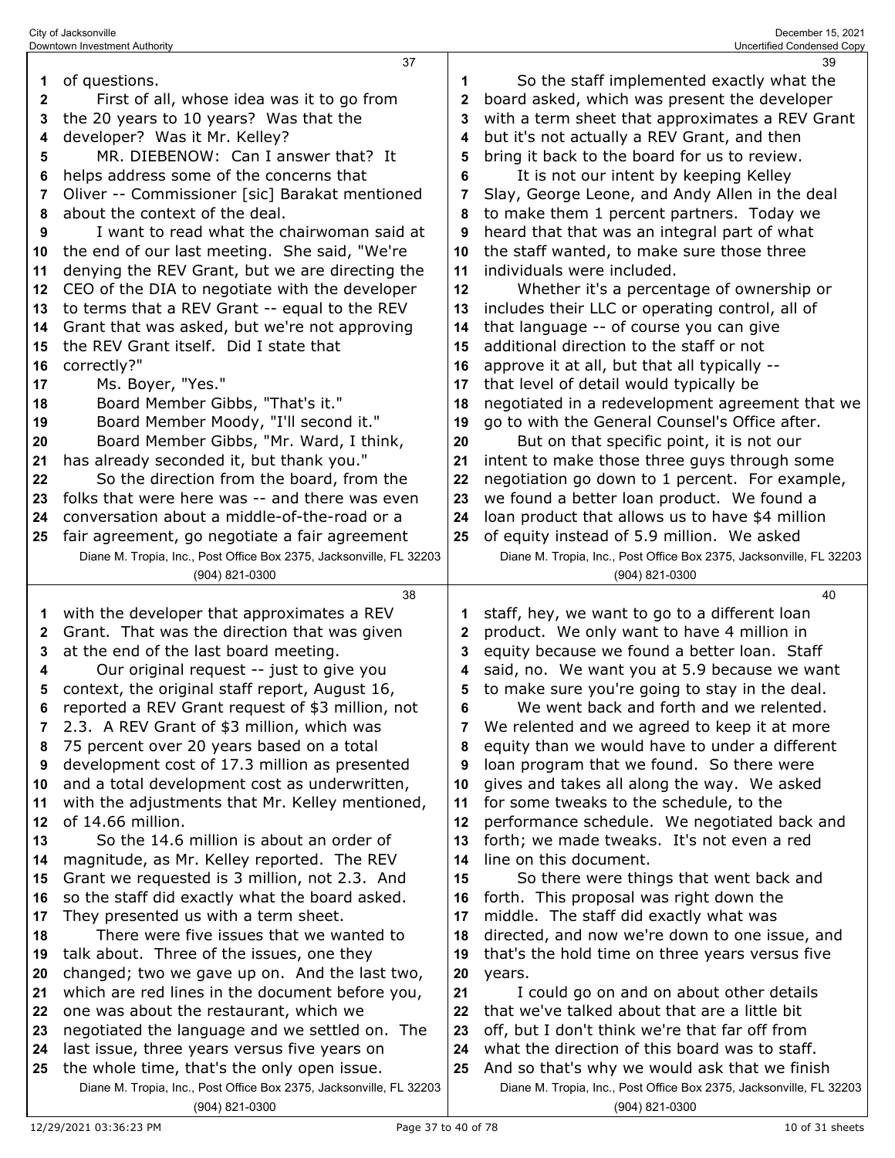|          | 37                                                                                         |          | 39                                                                  |
|----------|--------------------------------------------------------------------------------------------|----------|---------------------------------------------------------------------|
| 1        | of questions.                                                                              | 1        | So the staff implemented exactly what the                           |
| 2        | First of all, whose idea was it to go from                                                 | 2        | board asked, which was present the developer                        |
| 3        | the 20 years to 10 years? Was that the                                                     | 3        | with a term sheet that approximates a REV Grant                     |
| 4        | developer? Was it Mr. Kelley?                                                              | 4        | but it's not actually a REV Grant, and then                         |
| 5        | MR. DIEBENOW: Can I answer that? It                                                        | 5        | bring it back to the board for us to review.                        |
| 6        | helps address some of the concerns that                                                    | 6        | It is not our intent by keeping Kelley                              |
| 7        | Oliver -- Commissioner [sic] Barakat mentioned                                             | 7        | Slay, George Leone, and Andy Allen in the deal                      |
| 8        | about the context of the deal.                                                             | 8        | to make them 1 percent partners. Today we                           |
| 9        | I want to read what the chairwoman said at                                                 | 9        | heard that that was an integral part of what                        |
| 10       | the end of our last meeting. She said, "We're                                              | 10       | the staff wanted, to make sure those three                          |
| 11       | denying the REV Grant, but we are directing the                                            | 11       | individuals were included.                                          |
| 12       | CEO of the DIA to negotiate with the developer                                             | 12       | Whether it's a percentage of ownership or                           |
| 13       | to terms that a REV Grant -- equal to the REV                                              | 13       | includes their LLC or operating control, all of                     |
| 14       | Grant that was asked, but we're not approving                                              | 14       | that language -- of course you can give                             |
| 15       | the REV Grant itself. Did I state that                                                     | 15       | additional direction to the staff or not                            |
| 16       | correctly?"                                                                                | 16       | approve it at all, but that all typically --                        |
| 17       | Ms. Boyer, "Yes."                                                                          | 17       | that level of detail would typically be                             |
| 18       | Board Member Gibbs, "That's it."                                                           | 18       | negotiated in a redevelopment agreement that we                     |
| 19       | Board Member Moody, "I'll second it."                                                      | 19       | go to with the General Counsel's Office after.                      |
| 20       | Board Member Gibbs, "Mr. Ward, I think,                                                    | 20       | But on that specific point, it is not our                           |
| 21       | has already seconded it, but thank you."                                                   | 21       | intent to make those three guys through some                        |
| 22       | So the direction from the board, from the                                                  | 22       | negotiation go down to 1 percent. For example,                      |
| 23       | folks that were here was -- and there was even                                             | 23       | we found a better loan product. We found a                          |
| 24       | conversation about a middle-of-the-road or a                                               | 24       | loan product that allows us to have \$4 million                     |
| 25       | fair agreement, go negotiate a fair agreement                                              | 25       | of equity instead of 5.9 million. We asked                          |
|          | Diane M. Tropia, Inc., Post Office Box 2375, Jacksonville, FL 32203                        |          | Diane M. Tropia, Inc., Post Office Box 2375, Jacksonville, FL 32203 |
|          | (904) 821-0300                                                                             |          | (904) 821-0300                                                      |
|          |                                                                                            |          |                                                                     |
|          | 38                                                                                         |          | 40                                                                  |
| 1        | with the developer that approximates a REV                                                 | 1        | staff, hey, we want to go to a different loan                       |
| 2        | Grant. That was the direction that was given                                               | 2        | product. We only want to have 4 million in                          |
| 3        | at the end of the last board meeting.                                                      | 3        | equity because we found a better loan. Staff                        |
| 4        | Our original request -- just to give you                                                   | 4        | said, no. We want you at 5.9 because we want                        |
| 5        | context, the original staff report, August 16,                                             | 5        | to make sure you're going to stay in the deal.                      |
|          | reported a REV Grant request of \$3 million, not                                           | 6        | We went back and forth and we relented.                             |
| 7        | 2.3. A REV Grant of \$3 million, which was                                                 | 7        | We relented and we agreed to keep it at more                        |
| 8        | 75 percent over 20 years based on a total                                                  | 8        | equity than we would have to under a different                      |
| 9        | development cost of 17.3 million as presented                                              | 9        | loan program that we found. So there were                           |
| 10       | and a total development cost as underwritten,                                              | 10       | gives and takes all along the way. We asked                         |
| 11       | with the adjustments that Mr. Kelley mentioned,                                            | 11       | for some tweaks to the schedule, to the                             |
| 12       | of 14.66 million.                                                                          | 12       | performance schedule. We negotiated back and                        |
| 13       | So the 14.6 million is about an order of                                                   | 13       | forth; we made tweaks. It's not even a red                          |
| 14       | magnitude, as Mr. Kelley reported. The REV                                                 | 14       | line on this document.                                              |
| 15       | Grant we requested is 3 million, not 2.3. And                                              | 15       | So there were things that went back and                             |
| 16       | so the staff did exactly what the board asked.                                             | 16       | forth. This proposal was right down the                             |
| 17<br>18 | They presented us with a term sheet.<br>There were five issues that we wanted to           | 17<br>18 | middle. The staff did exactly what was                              |
| 19       |                                                                                            | 19       | directed, and now we're down to one issue, and                      |
| 20       | talk about. Three of the issues, one they<br>changed; two we gave up on. And the last two, | 20       | that's the hold time on three years versus five<br>years.           |
| 21       | which are red lines in the document before you,                                            | 21       | I could go on and on about other details                            |
| 22       | one was about the restaurant, which we                                                     | 22       | that we've talked about that are a little bit                       |
| 23       | negotiated the language and we settled on. The                                             | 23       | off, but I don't think we're that far off from                      |
| 24       | last issue, three years versus five years on                                               | 24       | what the direction of this board was to staff.                      |
| 25       | the whole time, that's the only open issue.                                                | 25       | And so that's why we would ask that we finish                       |
|          | Diane M. Tropia, Inc., Post Office Box 2375, Jacksonville, FL 32203                        |          | Diane M. Tropia, Inc., Post Office Box 2375, Jacksonville, FL 32203 |

City of Jacksonville December 15, 2021 Downtown Investment Authority Uncertified Condensed Copy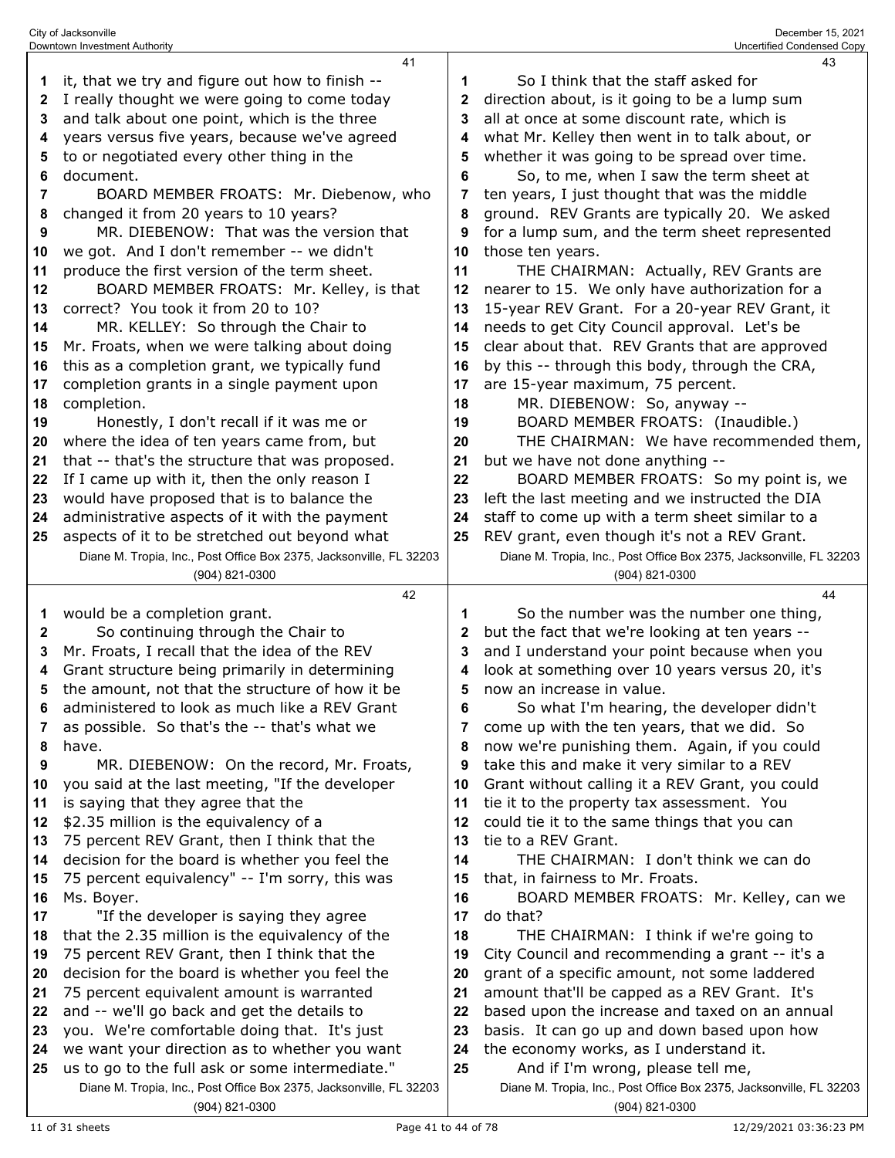|    | Downtown Investment Authority                                                         |    | Uncertified Condensed Copy                                                            |
|----|---------------------------------------------------------------------------------------|----|---------------------------------------------------------------------------------------|
|    | 41                                                                                    |    | 43                                                                                    |
| 1  | it, that we try and figure out how to finish --                                       | 1  | So I think that the staff asked for                                                   |
| 2  | I really thought we were going to come today                                          | 2  | direction about, is it going to be a lump sum                                         |
| 3  | and talk about one point, which is the three                                          | 3  | all at once at some discount rate, which is                                           |
| 4  | years versus five years, because we've agreed                                         | 4  | what Mr. Kelley then went in to talk about, or                                        |
| 5  | to or negotiated every other thing in the                                             | 5  | whether it was going to be spread over time.                                          |
| 6  | document.                                                                             | 6  | So, to me, when I saw the term sheet at                                               |
| 7  | BOARD MEMBER FROATS: Mr. Diebenow, who                                                | 7  | ten years, I just thought that was the middle                                         |
| 8  | changed it from 20 years to 10 years?                                                 | 8  | ground. REV Grants are typically 20. We asked                                         |
| 9  | MR. DIEBENOW: That was the version that                                               | 9  | for a lump sum, and the term sheet represented                                        |
| 10 | we got. And I don't remember -- we didn't                                             | 10 | those ten years.                                                                      |
| 11 | produce the first version of the term sheet.                                          | 11 | THE CHAIRMAN: Actually, REV Grants are                                                |
| 12 | BOARD MEMBER FROATS: Mr. Kelley, is that                                              | 12 | nearer to 15. We only have authorization for a                                        |
| 13 | correct? You took it from 20 to 10?                                                   | 13 | 15-year REV Grant. For a 20-year REV Grant, it                                        |
| 14 | MR. KELLEY: So through the Chair to                                                   | 14 | needs to get City Council approval. Let's be                                          |
| 15 | Mr. Froats, when we were talking about doing                                          | 15 | clear about that. REV Grants that are approved                                        |
| 16 | this as a completion grant, we typically fund                                         | 16 | by this -- through this body, through the CRA,                                        |
| 17 | completion grants in a single payment upon                                            | 17 | are 15-year maximum, 75 percent.                                                      |
| 18 | completion.                                                                           | 18 | MR. DIEBENOW: So, anyway --                                                           |
| 19 | Honestly, I don't recall if it was me or                                              | 19 | BOARD MEMBER FROATS: (Inaudible.)                                                     |
| 20 | where the idea of ten years came from, but                                            | 20 | THE CHAIRMAN: We have recommended them,                                               |
| 21 | that -- that's the structure that was proposed.                                       | 21 | but we have not done anything --                                                      |
| 22 | If I came up with it, then the only reason I                                          | 22 | BOARD MEMBER FROATS: So my point is, we                                               |
| 23 | would have proposed that is to balance the                                            | 23 | left the last meeting and we instructed the DIA                                       |
| 24 | administrative aspects of it with the payment                                         | 24 | staff to come up with a term sheet similar to a                                       |
| 25 | aspects of it to be stretched out beyond what                                         | 25 | REV grant, even though it's not a REV Grant.                                          |
|    | Diane M. Tropia, Inc., Post Office Box 2375, Jacksonville, FL 32203                   |    | Diane M. Tropia, Inc., Post Office Box 2375, Jacksonville, FL 32203                   |
|    | (904) 821-0300                                                                        |    | (904) 821-0300                                                                        |
|    |                                                                                       |    |                                                                                       |
|    | 42                                                                                    |    | 44                                                                                    |
| 1  | would be a completion grant.                                                          | 1  | So the number was the number one thing,                                               |
| 2  | So continuing through the Chair to                                                    | 2  | but the fact that we're looking at ten years --                                       |
| 3  | Mr. Froats, I recall that the idea of the REV                                         | 3  | and I understand your point because when you                                          |
| 4  | Grant structure being primarily in determining                                        | 4  | look at something over 10 years versus 20, it's                                       |
| 5  | the amount, not that the structure of how it be                                       | 5  | now an increase in value.                                                             |
| 6  | administered to look as much like a REV Grant                                         | 6  | So what I'm hearing, the developer didn't                                             |
| 7  | as possible. So that's the -- that's what we                                          | 7  | come up with the ten years, that we did. So                                           |
| 8  | have.                                                                                 | 8  | now we're punishing them. Again, if you could                                         |
| 9  | MR. DIEBENOW: On the record, Mr. Froats,                                              | 9  | take this and make it very similar to a REV                                           |
| 10 | you said at the last meeting, "If the developer                                       | 10 | Grant without calling it a REV Grant, you could                                       |
| 11 | is saying that they agree that the                                                    | 11 | tie it to the property tax assessment. You                                            |
| 12 | \$2.35 million is the equivalency of a                                                | 12 | could tie it to the same things that you can                                          |
| 13 | 75 percent REV Grant, then I think that the                                           | 13 | tie to a REV Grant.                                                                   |
| 14 | decision for the board is whether you feel the                                        | 14 | THE CHAIRMAN: I don't think we can do                                                 |
| 15 | 75 percent equivalency" -- I'm sorry, this was                                        | 15 | that, in fairness to Mr. Froats.                                                      |
| 16 | Ms. Boyer.                                                                            | 16 | BOARD MEMBER FROATS: Mr. Kelley, can we                                               |
| 17 | "If the developer is saying they agree                                                | 17 | do that?                                                                              |
| 18 | that the 2.35 million is the equivalency of the                                       | 18 | THE CHAIRMAN: I think if we're going to                                               |
| 19 | 75 percent REV Grant, then I think that the                                           | 19 | City Council and recommending a grant -- it's a                                       |
| 20 | decision for the board is whether you feel the                                        | 20 | grant of a specific amount, not some laddered                                         |
| 21 | 75 percent equivalent amount is warranted                                             | 21 | amount that'll be capped as a REV Grant. It's                                         |
| 22 | and -- we'll go back and get the details to                                           | 22 | based upon the increase and taxed on an annual                                        |
| 23 | you. We're comfortable doing that. It's just                                          | 23 | basis. It can go up and down based upon how                                           |
| 24 | we want your direction as to whether you want                                         | 24 | the economy works, as I understand it.                                                |
| 25 | us to go to the full ask or some intermediate."                                       | 25 | And if I'm wrong, please tell me,                                                     |
|    | Diane M. Tropia, Inc., Post Office Box 2375, Jacksonville, FL 32203<br>(904) 821-0300 |    | Diane M. Tropia, Inc., Post Office Box 2375, Jacksonville, FL 32203<br>(904) 821-0300 |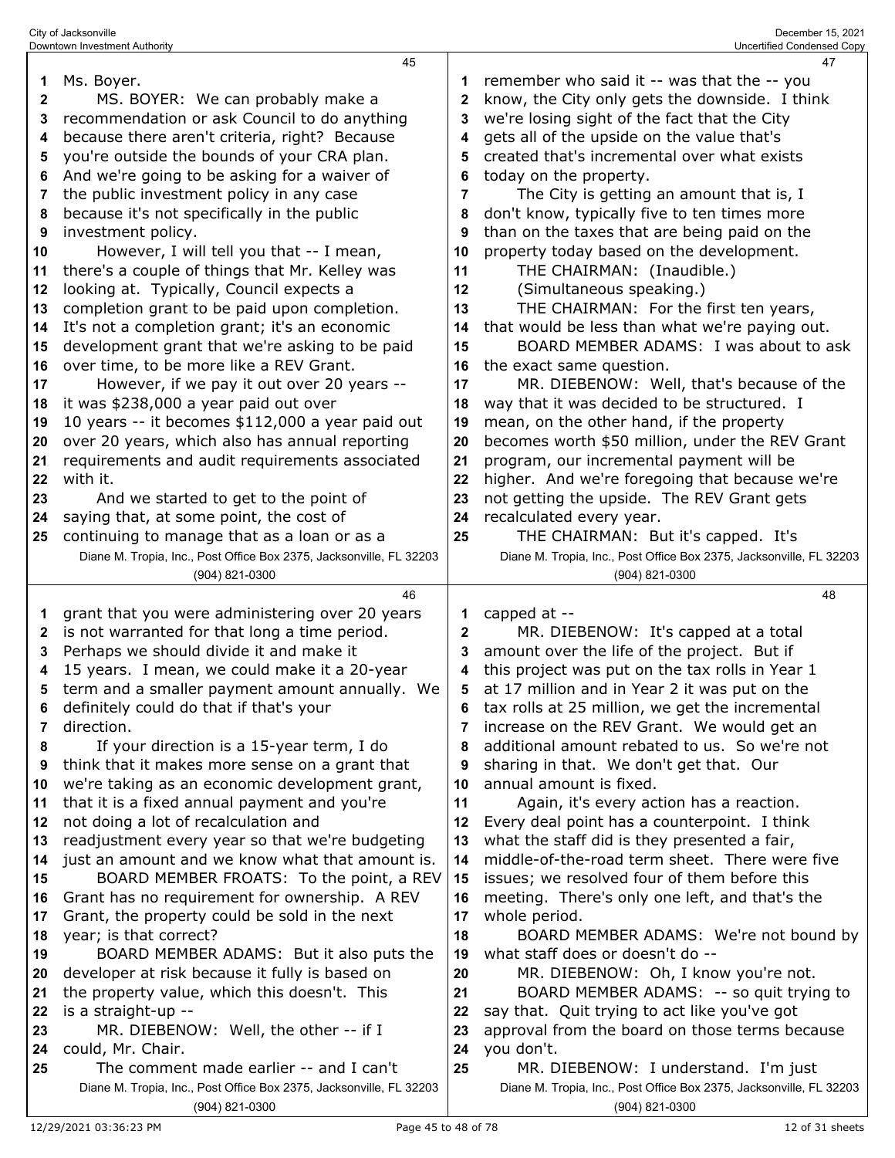|              | 45                                                                  |              | 47                                                                  |
|--------------|---------------------------------------------------------------------|--------------|---------------------------------------------------------------------|
| 1            | Ms. Boyer.                                                          |              | remember who said it -- was that the -- you                         |
| $\mathbf{2}$ | MS. BOYER: We can probably make a                                   | 2            | know, the City only gets the downside. I think                      |
| 3            | recommendation or ask Council to do anything                        | 3            | we're losing sight of the fact that the City                        |
| 4            | because there aren't criteria, right? Because                       |              | gets all of the upside on the value that's                          |
| 5            | you're outside the bounds of your CRA plan.                         | 5            | created that's incremental over what exists                         |
| 6            | And we're going to be asking for a waiver of                        | 6            | today on the property.                                              |
| 7            | the public investment policy in any case                            | 7            | The City is getting an amount that is, I                            |
|              | because it's not specifically in the public                         |              | don't know, typically five to ten times more                        |
| 8            |                                                                     | 8            |                                                                     |
| 9            | investment policy.                                                  | 9            | than on the taxes that are being paid on the                        |
| 10           | However, I will tell you that -- I mean,                            | 10           | property today based on the development.                            |
| 11           | there's a couple of things that Mr. Kelley was                      | 11           | THE CHAIRMAN: (Inaudible.)                                          |
| 12           | looking at. Typically, Council expects a                            | 12           | (Simultaneous speaking.)                                            |
| 13           | completion grant to be paid upon completion.                        | 13           | THE CHAIRMAN: For the first ten years,                              |
| 14           | It's not a completion grant; it's an economic                       | 14           | that would be less than what we're paying out.                      |
| 15           | development grant that we're asking to be paid                      | 15           | BOARD MEMBER ADAMS: I was about to ask                              |
| 16           | over time, to be more like a REV Grant.                             | 16           | the exact same question.                                            |
| 17           | However, if we pay it out over 20 years --                          | 17           | MR. DIEBENOW: Well, that's because of the                           |
| 18           | it was \$238,000 a year paid out over                               | 18           | way that it was decided to be structured. I                         |
| 19           | 10 years -- it becomes \$112,000 a year paid out                    | 19           | mean, on the other hand, if the property                            |
| 20           | over 20 years, which also has annual reporting                      | 20           | becomes worth \$50 million, under the REV Grant                     |
| 21           | requirements and audit requirements associated                      | 21           | program, our incremental payment will be                            |
| 22           | with it.                                                            | 22           | higher. And we're foregoing that because we're                      |
| 23           | And we started to get to the point of                               | 23           | not getting the upside. The REV Grant gets                          |
| 24           | saying that, at some point, the cost of                             | 24           | recalculated every year.                                            |
| 25           | continuing to manage that as a loan or as a                         | 25           | THE CHAIRMAN: But it's capped. It's                                 |
|              | Diane M. Tropia, Inc., Post Office Box 2375, Jacksonville, FL 32203 |              | Diane M. Tropia, Inc., Post Office Box 2375, Jacksonville, FL 32203 |
|              | (904) 821-0300                                                      |              | (904) 821-0300                                                      |
|              |                                                                     |              |                                                                     |
|              |                                                                     |              |                                                                     |
|              | 46                                                                  |              | 48                                                                  |
| 1            | grant that you were administering over 20 years                     | 1            | capped at --                                                        |
| 2            | is not warranted for that long a time period.                       | $\mathbf{2}$ | MR. DIEBENOW: It's capped at a total                                |
| 3            | Perhaps we should divide it and make it                             | 3            | amount over the life of the project. But if                         |
| 4            | 15 years. I mean, we could make it a 20-year                        | 4            | this project was put on the tax rolls in Year 1                     |
| 5            | term and a smaller payment amount annually. We                      | 5            | at 17 million and in Year 2 it was put on the                       |
| 6            | definitely could do that if that's your                             | 6            | tax rolls at 25 million, we get the incremental                     |
| 7            | direction.                                                          |              | increase on the REV Grant. We would get an                          |
| 8            | If your direction is a 15-year term, I do                           | 8            | additional amount rebated to us. So we're not                       |
| 9            | think that it makes more sense on a grant that                      | 9            | sharing in that. We don't get that. Our                             |
| 10           | we're taking as an economic development grant,                      | 10           | annual amount is fixed.                                             |
| 11           | that it is a fixed annual payment and you're                        | 11           | Again, it's every action has a reaction.                            |
| 12           | not doing a lot of recalculation and                                | 12           | Every deal point has a counterpoint. I think                        |
| 13           | readjustment every year so that we're budgeting                     | 13           | what the staff did is they presented a fair,                        |
| 14           | just an amount and we know what that amount is.                     | 14           | middle-of-the-road term sheet. There were five                      |
| 15           | BOARD MEMBER FROATS: To the point, a REV                            | 15           | issues; we resolved four of them before this                        |
| 16           | Grant has no requirement for ownership. A REV                       | 16           | meeting. There's only one left, and that's the                      |
| 17           | Grant, the property could be sold in the next                       | 17           | whole period.                                                       |
| 18           | year; is that correct?                                              | 18           | BOARD MEMBER ADAMS: We're not bound by                              |
| 19           | BOARD MEMBER ADAMS: But it also puts the                            | 19           | what staff does or doesn't do --                                    |
| 20           | developer at risk because it fully is based on                      | 20           | MR. DIEBENOW: Oh, I know you're not.                                |
| 21           | the property value, which this doesn't. This                        | 21           | BOARD MEMBER ADAMS: -- so quit trying to                            |
| 22           | is a straight-up --                                                 | 22           | say that. Quit trying to act like you've got                        |
| 23           | MR. DIEBENOW: Well, the other -- if I                               | 23           | approval from the board on those terms because                      |
| 24           | could, Mr. Chair.                                                   | 24           | you don't.                                                          |
| 25           | The comment made earlier -- and I can't                             | 25           | MR. DIEBENOW: I understand. I'm just                                |
|              | Diane M. Tropia, Inc., Post Office Box 2375, Jacksonville, FL 32203 |              | Diane M. Tropia, Inc., Post Office Box 2375, Jacksonville, FL 32203 |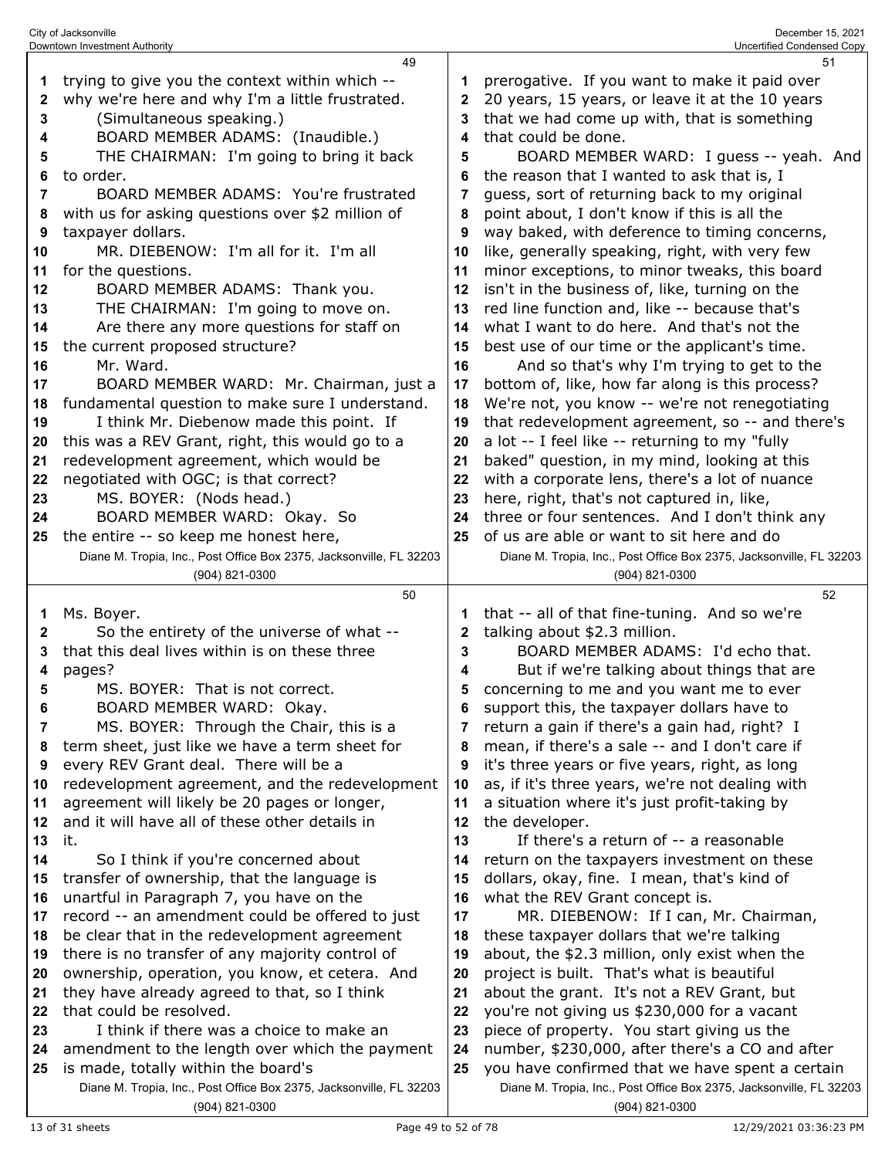|    | Downtown Investment Authority                                                                              |          | Uncertified Condensed Copy                                                                                             |
|----|------------------------------------------------------------------------------------------------------------|----------|------------------------------------------------------------------------------------------------------------------------|
|    | 49                                                                                                         |          | 51                                                                                                                     |
| 1  | trying to give you the context within which --                                                             |          | prerogative. If you want to make it paid over                                                                          |
| 2  | why we're here and why I'm a little frustrated.                                                            | 2        | 20 years, 15 years, or leave it at the 10 years                                                                        |
| 3  | (Simultaneous speaking.)                                                                                   | 3        | that we had come up with, that is something                                                                            |
| 4  | BOARD MEMBER ADAMS: (Inaudible.)                                                                           | 4        | that could be done.                                                                                                    |
| 5  | THE CHAIRMAN: I'm going to bring it back                                                                   | 5        | BOARD MEMBER WARD: I guess -- yeah. And                                                                                |
| 6  | to order.                                                                                                  | 6        | the reason that I wanted to ask that is, I                                                                             |
| 7  | BOARD MEMBER ADAMS: You're frustrated                                                                      | 7        | guess, sort of returning back to my original                                                                           |
|    |                                                                                                            |          |                                                                                                                        |
| 8  | with us for asking questions over \$2 million of                                                           | 8        | point about, I don't know if this is all the                                                                           |
| 9  | taxpayer dollars.                                                                                          | 9        | way baked, with deference to timing concerns,                                                                          |
| 10 | MR. DIEBENOW: I'm all for it. I'm all                                                                      | 10       | like, generally speaking, right, with very few                                                                         |
| 11 | for the questions.                                                                                         | 11       | minor exceptions, to minor tweaks, this board                                                                          |
| 12 | BOARD MEMBER ADAMS: Thank you.                                                                             | 12       | isn't in the business of, like, turning on the                                                                         |
| 13 | THE CHAIRMAN: I'm going to move on.                                                                        | 13       | red line function and, like -- because that's                                                                          |
| 14 | Are there any more questions for staff on                                                                  | 14       | what I want to do here. And that's not the                                                                             |
| 15 | the current proposed structure?                                                                            | 15       | best use of our time or the applicant's time.                                                                          |
| 16 | Mr. Ward.                                                                                                  | 16       | And so that's why I'm trying to get to the                                                                             |
| 17 | BOARD MEMBER WARD: Mr. Chairman, just a                                                                    | 17       | bottom of, like, how far along is this process?                                                                        |
| 18 | fundamental question to make sure I understand.                                                            | 18       | We're not, you know -- we're not renegotiating                                                                         |
| 19 | I think Mr. Diebenow made this point. If                                                                   | 19       | that redevelopment agreement, so -- and there's                                                                        |
| 20 | this was a REV Grant, right, this would go to a                                                            | 20       | a lot -- I feel like -- returning to my "fully                                                                         |
|    |                                                                                                            | 21       | baked" question, in my mind, looking at this                                                                           |
| 21 | redevelopment agreement, which would be                                                                    |          |                                                                                                                        |
| 22 | negotiated with OGC; is that correct?                                                                      | 22       | with a corporate lens, there's a lot of nuance                                                                         |
| 23 | MS. BOYER: (Nods head.)                                                                                    | 23       | here, right, that's not captured in, like,                                                                             |
| 24 | BOARD MEMBER WARD: Okay. So                                                                                | 24       | three or four sentences. And I don't think any                                                                         |
| 25 | the entire -- so keep me honest here,                                                                      | 25       | of us are able or want to sit here and do                                                                              |
|    | Diane M. Tropia, Inc., Post Office Box 2375, Jacksonville, FL 32203                                        |          | Diane M. Tropia, Inc., Post Office Box 2375, Jacksonville, FL 32203                                                    |
|    | (904) 821-0300                                                                                             |          | (904) 821-0300                                                                                                         |
|    |                                                                                                            |          |                                                                                                                        |
|    | 50                                                                                                         |          | 52                                                                                                                     |
| 1  | Ms. Boyer.                                                                                                 | 1        | that -- all of that fine-tuning. And so we're                                                                          |
| 2  | So the entirety of the universe of what --                                                                 | 2        | talking about \$2.3 million.                                                                                           |
| 3  | that this deal lives within is on these three                                                              | 3        | BOARD MEMBER ADAMS: I'd echo that.                                                                                     |
| 4  |                                                                                                            | 4        |                                                                                                                        |
| 5  | pages?<br>MS. BOYER: That is not correct.                                                                  | 5        | But if we're talking about things that are                                                                             |
|    |                                                                                                            |          | concerning to me and you want me to ever                                                                               |
| 6  | BOARD MEMBER WARD: Okay.                                                                                   | 6        | support this, the taxpayer dollars have to                                                                             |
| 7  | MS. BOYER: Through the Chair, this is a                                                                    | 7        | return a gain if there's a gain had, right? I                                                                          |
| 8  | term sheet, just like we have a term sheet for                                                             |          | mean, if there's a sale -- and I don't care if                                                                         |
| 9  | every REV Grant deal. There will be a                                                                      | 9        | it's three years or five years, right, as long                                                                         |
| 10 | redevelopment agreement, and the redevelopment                                                             | 10       | as, if it's three years, we're not dealing with                                                                        |
| 11 | agreement will likely be 20 pages or longer,                                                               | 11       | a situation where it's just profit-taking by                                                                           |
| 12 | and it will have all of these other details in                                                             | 12       | the developer.                                                                                                         |
| 13 | it.                                                                                                        | 13       | If there's a return of -- a reasonable                                                                                 |
| 14 | So I think if you're concerned about                                                                       | 14       | return on the taxpayers investment on these                                                                            |
| 15 | transfer of ownership, that the language is                                                                | 15       | dollars, okay, fine. I mean, that's kind of                                                                            |
| 16 | unartful in Paragraph 7, you have on the                                                                   | 16       | what the REV Grant concept is.                                                                                         |
| 17 | record -- an amendment could be offered to just                                                            | 17       | MR. DIEBENOW: If I can, Mr. Chairman,                                                                                  |
| 18 | be clear that in the redevelopment agreement                                                               | 18       | these taxpayer dollars that we're talking                                                                              |
| 19 | there is no transfer of any majority control of                                                            | 19       | about, the \$2.3 million, only exist when the                                                                          |
| 20 | ownership, operation, you know, et cetera. And                                                             | 20       | project is built. That's what is beautiful                                                                             |
| 21 | they have already agreed to that, so I think                                                               | 21       | about the grant. It's not a REV Grant, but                                                                             |
| 22 | that could be resolved.                                                                                    | 22       |                                                                                                                        |
| 23 | I think if there was a choice to make an                                                                   | 23       | you're not giving us \$230,000 for a vacant                                                                            |
|    |                                                                                                            |          | piece of property. You start giving us the                                                                             |
| 24 | amendment to the length over which the payment                                                             | 24<br>25 | number, \$230,000, after there's a CO and after                                                                        |
| 25 | is made, totally within the board's<br>Diane M. Tropia, Inc., Post Office Box 2375, Jacksonville, FL 32203 |          | you have confirmed that we have spent a certain<br>Diane M. Tropia, Inc., Post Office Box 2375, Jacksonville, FL 32203 |

City of Jacksonville December 15, 2021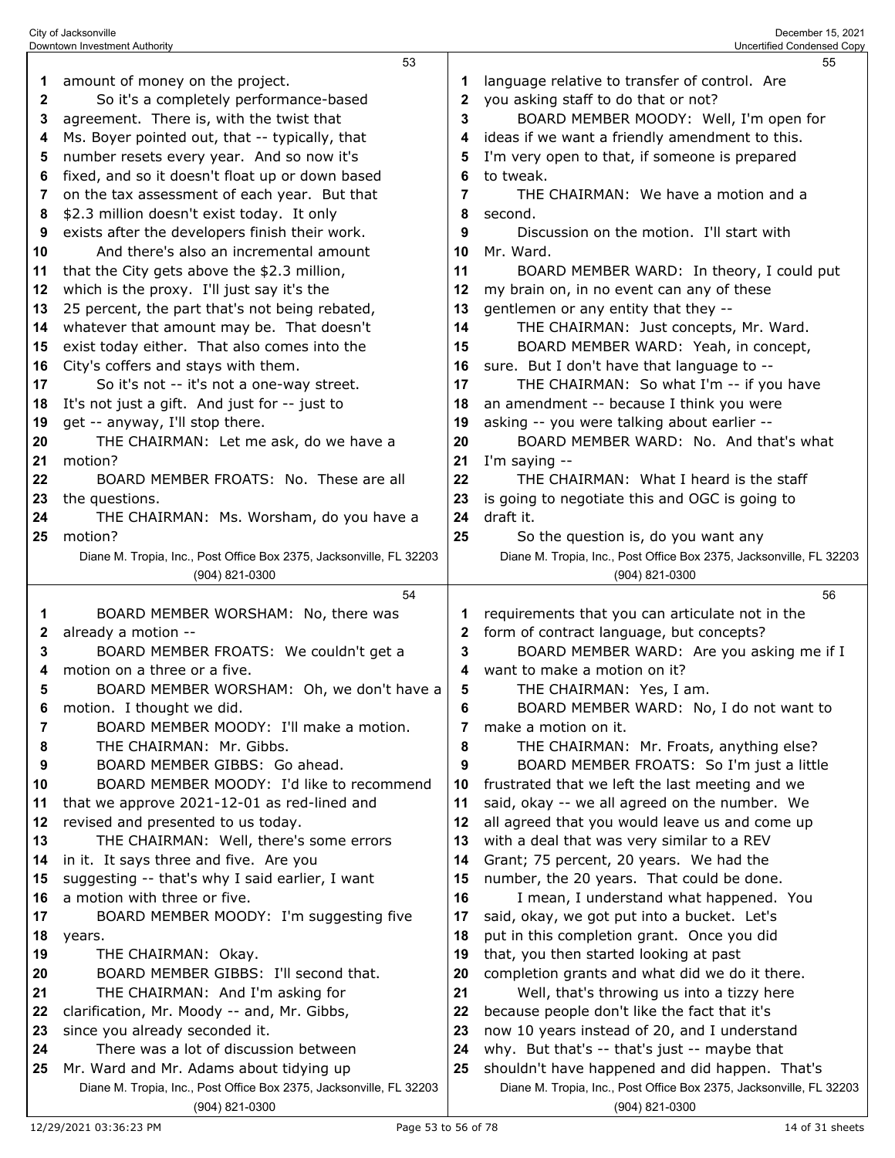|              | Downtown Investment Authority                                                         |          | Uncertified Condensed Copy                                                            |
|--------------|---------------------------------------------------------------------------------------|----------|---------------------------------------------------------------------------------------|
|              | 53                                                                                    |          | 55                                                                                    |
| 1            | amount of money on the project.                                                       | 1        | language relative to transfer of control. Are                                         |
| $\mathbf{2}$ | So it's a completely performance-based                                                | 2        | you asking staff to do that or not?                                                   |
| 3            | agreement. There is, with the twist that                                              | 3        | BOARD MEMBER MOODY: Well, I'm open for                                                |
| 4            | Ms. Boyer pointed out, that -- typically, that                                        | 4        | ideas if we want a friendly amendment to this.                                        |
| 5            | number resets every year. And so now it's                                             | 5        | I'm very open to that, if someone is prepared                                         |
| 6            | fixed, and so it doesn't float up or down based                                       | 6        | to tweak.                                                                             |
| 7            | on the tax assessment of each year. But that                                          | 7        | THE CHAIRMAN: We have a motion and a                                                  |
| 8            | \$2.3 million doesn't exist today. It only                                            | 8        | second.                                                                               |
| 9            | exists after the developers finish their work.                                        | 9        | Discussion on the motion. I'll start with                                             |
| 10           | And there's also an incremental amount                                                | 10       | Mr. Ward.                                                                             |
| 11           | that the City gets above the \$2.3 million,                                           | 11       | BOARD MEMBER WARD: In theory, I could put                                             |
| 12           | which is the proxy. I'll just say it's the                                            | 12       | my brain on, in no event can any of these                                             |
| 13           | 25 percent, the part that's not being rebated,                                        | 13       | gentlemen or any entity that they --                                                  |
|              |                                                                                       | 14       | THE CHAIRMAN: Just concepts, Mr. Ward.                                                |
| 14           | whatever that amount may be. That doesn't                                             |          | BOARD MEMBER WARD: Yeah, in concept,                                                  |
| 15           | exist today either. That also comes into the                                          | 15       |                                                                                       |
| 16           | City's coffers and stays with them.                                                   | 16       | sure. But I don't have that language to --                                            |
| 17           | So it's not -- it's not a one-way street.                                             | 17       | THE CHAIRMAN: So what I'm -- if you have                                              |
| 18           | It's not just a gift. And just for -- just to                                         | 18       | an amendment -- because I think you were                                              |
| 19           | get -- anyway, I'll stop there.                                                       | 19       | asking -- you were talking about earlier --                                           |
| 20           | THE CHAIRMAN: Let me ask, do we have a                                                | 20       | BOARD MEMBER WARD: No. And that's what                                                |
| 21           | motion?                                                                               | 21       | I'm saying --                                                                         |
| 22           | BOARD MEMBER FROATS: No. These are all                                                | 22       | THE CHAIRMAN: What I heard is the staff                                               |
| 23           | the questions.                                                                        | 23       | is going to negotiate this and OGC is going to                                        |
| 24           | THE CHAIRMAN: Ms. Worsham, do you have a                                              | 24       | draft it.                                                                             |
| 25           | motion?                                                                               | 25       | So the question is, do you want any                                                   |
|              | Diane M. Tropia, Inc., Post Office Box 2375, Jacksonville, FL 32203                   |          | Diane M. Tropia, Inc., Post Office Box 2375, Jacksonville, FL 32203                   |
|              | (904) 821-0300                                                                        |          | (904) 821-0300                                                                        |
|              | 54                                                                                    |          | 56                                                                                    |
| 1            | BOARD MEMBER WORSHAM: No, there was                                                   | 1        | requirements that you can articulate not in the                                       |
| 2            | already a motion --                                                                   | 2        | form of contract language, but concepts?                                              |
| 3            | BOARD MEMBER FROATS: We couldn't get a                                                | 3        | BOARD MEMBER WARD: Are you asking me if I                                             |
| 4            | motion on a three or a five.                                                          | 4        | want to make a motion on it?                                                          |
| 5            | BOARD MEMBER WORSHAM: Oh, we don't have a                                             | 5        | THE CHAIRMAN: Yes, I am.                                                              |
| 6            | motion. I thought we did.                                                             | 6        | BOARD MEMBER WARD: No, I do not want to                                               |
| 7            | BOARD MEMBER MOODY: I'll make a motion.                                               | 7        | make a motion on it.                                                                  |
| 8            | THE CHAIRMAN: Mr. Gibbs.                                                              | 8        | THE CHAIRMAN: Mr. Froats, anything else?                                              |
| 9            | BOARD MEMBER GIBBS: Go ahead.                                                         | 9        | BOARD MEMBER FROATS: So I'm just a little                                             |
| 10           | BOARD MEMBER MOODY: I'd like to recommend                                             | 10       | frustrated that we left the last meeting and we                                       |
| 11           | that we approve 2021-12-01 as red-lined and                                           | 11       | said, okay -- we all agreed on the number. We                                         |
| 12           | revised and presented to us today.                                                    | 12       | all agreed that you would leave us and come up                                        |
| 13           | THE CHAIRMAN: Well, there's some errors                                               | 13       | with a deal that was very similar to a REV                                            |
| 14           |                                                                                       | 14       | Grant; 75 percent, 20 years. We had the                                               |
|              |                                                                                       |          |                                                                                       |
|              | in it. It says three and five. Are you                                                | 15       |                                                                                       |
| 15           | suggesting -- that's why I said earlier, I want                                       | 16       | number, the 20 years. That could be done.                                             |
| 16<br>17     | a motion with three or five.                                                          |          | I mean, I understand what happened. You                                               |
|              | BOARD MEMBER MOODY: I'm suggesting five                                               | 17<br>18 | said, okay, we got put into a bucket. Let's                                           |
| 18           | years.                                                                                |          | put in this completion grant. Once you did                                            |
| 19           | THE CHAIRMAN: Okay.                                                                   | 19       | that, you then started looking at past                                                |
| 20           | BOARD MEMBER GIBBS: I'll second that.                                                 | 20       | completion grants and what did we do it there.                                        |
| 21           | THE CHAIRMAN: And I'm asking for                                                      | 21       | Well, that's throwing us into a tizzy here                                            |
| 22           | clarification, Mr. Moody -- and, Mr. Gibbs,                                           | 22       | because people don't like the fact that it's                                          |
| 23           | since you already seconded it.                                                        | 23       | now 10 years instead of 20, and I understand                                          |
| 24           | There was a lot of discussion between                                                 | 24       | why. But that's -- that's just -- maybe that                                          |
| 25           | Mr. Ward and Mr. Adams about tidying up                                               | 25       | shouldn't have happened and did happen. That's                                        |
|              | Diane M. Tropia, Inc., Post Office Box 2375, Jacksonville, FL 32203<br>(904) 821-0300 |          | Diane M. Tropia, Inc., Post Office Box 2375, Jacksonville, FL 32203<br>(904) 821-0300 |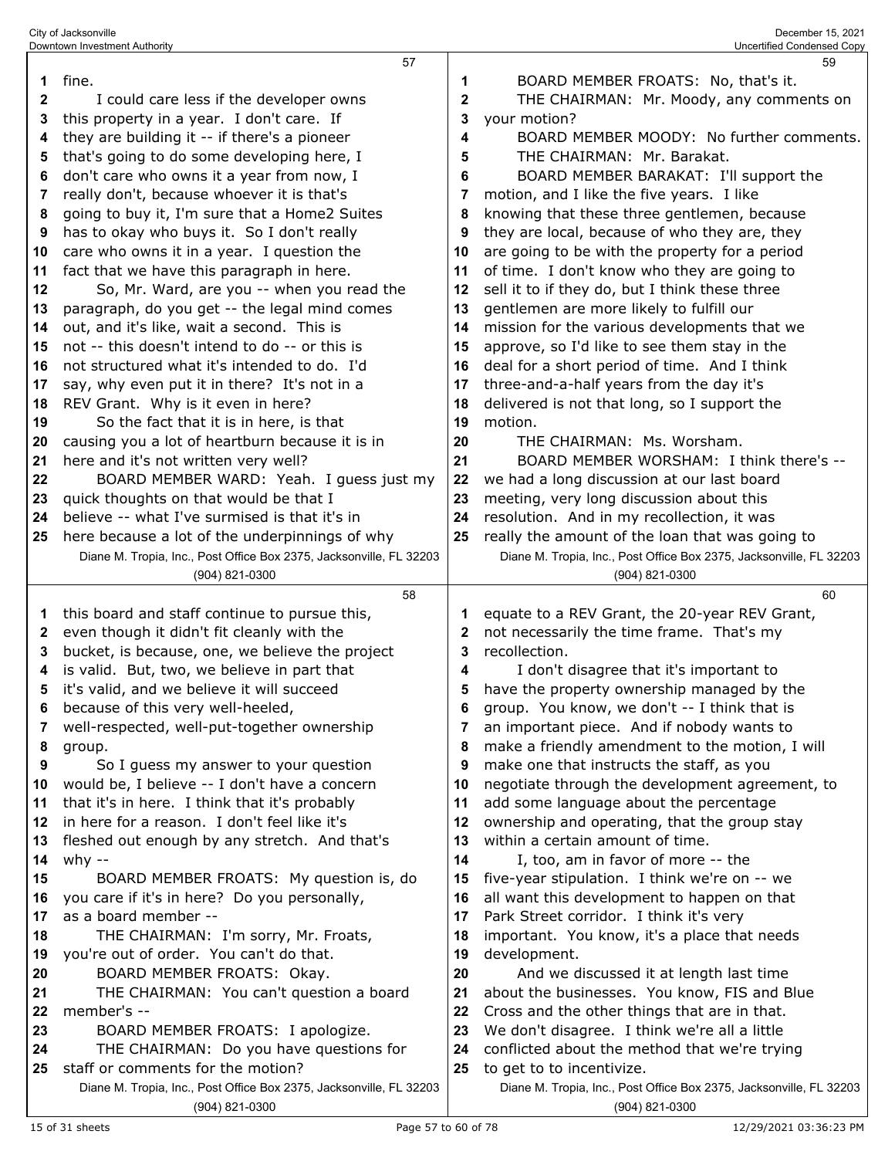|              | 57                                                                                           |              | 59                                                                         |
|--------------|----------------------------------------------------------------------------------------------|--------------|----------------------------------------------------------------------------|
| 1            | fine.                                                                                        | 1            | BOARD MEMBER FROATS: No, that's it.                                        |
| $\mathbf{2}$ | I could care less if the developer owns                                                      | $\mathbf{2}$ | THE CHAIRMAN: Mr. Moody, any comments on                                   |
|              |                                                                                              |              |                                                                            |
| 3            | this property in a year. I don't care. If                                                    | 3            | your motion?                                                               |
| 4            | they are building it -- if there's a pioneer                                                 | 4            | BOARD MEMBER MOODY: No further comments.                                   |
| 5            | that's going to do some developing here, I                                                   | 5            | THE CHAIRMAN: Mr. Barakat.                                                 |
| 6            | don't care who owns it a year from now, I                                                    | 6            | BOARD MEMBER BARAKAT: I'll support the                                     |
| 7            | really don't, because whoever it is that's                                                   | 7            | motion, and I like the five years. I like                                  |
| 8            | going to buy it, I'm sure that a Home2 Suites                                                | 8            | knowing that these three gentlemen, because                                |
| 9            | has to okay who buys it. So I don't really                                                   | 9            | they are local, because of who they are, they                              |
| 10           | care who owns it in a year. I question the                                                   | 10           | are going to be with the property for a period                             |
| 11           | fact that we have this paragraph in here.                                                    | 11           | of time. I don't know who they are going to                                |
| 12           | So, Mr. Ward, are you -- when you read the                                                   | 12           | sell it to if they do, but I think these three                             |
| 13           | paragraph, do you get -- the legal mind comes                                                | 13           | gentlemen are more likely to fulfill our                                   |
|              |                                                                                              | 14           |                                                                            |
| 14           | out, and it's like, wait a second. This is<br>not -- this doesn't intend to do -- or this is |              | mission for the various developments that we                               |
| 15           |                                                                                              | 15           | approve, so I'd like to see them stay in the                               |
| 16           | not structured what it's intended to do. I'd                                                 | 16           | deal for a short period of time. And I think                               |
| 17           | say, why even put it in there? It's not in a                                                 | 17           | three-and-a-half years from the day it's                                   |
| 18           | REV Grant. Why is it even in here?                                                           | 18           | delivered is not that long, so I support the                               |
| 19           | So the fact that it is in here, is that                                                      | 19           | motion.                                                                    |
| 20           | causing you a lot of heartburn because it is in                                              | 20           | THE CHAIRMAN: Ms. Worsham.                                                 |
| 21           | here and it's not written very well?                                                         | 21           | BOARD MEMBER WORSHAM: I think there's --                                   |
| 22           | BOARD MEMBER WARD: Yeah. I guess just my                                                     | 22           | we had a long discussion at our last board                                 |
| 23           | quick thoughts on that would be that I                                                       | 23           | meeting, very long discussion about this                                   |
| 24           | believe -- what I've surmised is that it's in                                                | 24           | resolution. And in my recollection, it was                                 |
| 25           | here because a lot of the underpinnings of why                                               | 25           | really the amount of the loan that was going to                            |
|              | Diane M. Tropia, Inc., Post Office Box 2375, Jacksonville, FL 32203                          |              | Diane M. Tropia, Inc., Post Office Box 2375, Jacksonville, FL 32203        |
|              | (904) 821-0300                                                                               |              | (904) 821-0300                                                             |
|              |                                                                                              |              |                                                                            |
|              |                                                                                              |              |                                                                            |
|              | 58                                                                                           |              | 60                                                                         |
| 1            | this board and staff continue to pursue this,                                                | 1            | equate to a REV Grant, the 20-year REV Grant,                              |
| 2            | even though it didn't fit cleanly with the                                                   | 2            | not necessarily the time frame. That's my                                  |
| 3            | bucket, is because, one, we believe the project                                              | 3            | recollection.                                                              |
| 4            | is valid. But, two, we believe in part that                                                  | 4            | I don't disagree that it's important to                                    |
| 5            | it's valid, and we believe it will succeed                                                   | 5            | have the property ownership managed by the                                 |
| 6            | because of this very well-heeled,                                                            | 6            | group. You know, we don't -- I think that is                               |
| 7            | well-respected, well-put-together ownership                                                  | 7            | an important piece. And if nobody wants to                                 |
| 8            | group.                                                                                       | 8            | make a friendly amendment to the motion, I will                            |
| 9            | So I guess my answer to your question                                                        | 9            | make one that instructs the staff, as you                                  |
| 10           | would be, I believe -- I don't have a concern                                                | 10           | negotiate through the development agreement, to                            |
| 11           | that it's in here. I think that it's probably                                                | 11           | add some language about the percentage                                     |
| 12           | in here for a reason. I don't feel like it's                                                 | 12           | ownership and operating, that the group stay                               |
| 13           | fleshed out enough by any stretch. And that's                                                | 13           | within a certain amount of time.                                           |
| 14           | why $-$                                                                                      | 14           | I, too, am in favor of more -- the                                         |
| 15           | BOARD MEMBER FROATS: My question is, do                                                      | 15           | five-year stipulation. I think we're on -- we                              |
| 16           | you care if it's in here? Do you personally,                                                 | 16           | all want this development to happen on that                                |
| 17           | as a board member --                                                                         | 17           | Park Street corridor. I think it's very                                    |
| 18           | THE CHAIRMAN: I'm sorry, Mr. Froats,                                                         | 18           | important. You know, it's a place that needs                               |
| 19           | you're out of order. You can't do that.                                                      | 19           | development.                                                               |
| 20           | BOARD MEMBER FROATS: Okay.                                                                   | 20           | And we discussed it at length last time                                    |
| 21           | THE CHAIRMAN: You can't question a board                                                     | 21           | about the businesses. You know, FIS and Blue                               |
| 22           | member's --                                                                                  | 22           | Cross and the other things that are in that.                               |
| 23           | BOARD MEMBER FROATS: I apologize.                                                            | 23           | We don't disagree. I think we're all a little                              |
| 24           |                                                                                              | 24           |                                                                            |
| 25           | THE CHAIRMAN: Do you have questions for<br>staff or comments for the motion?                 | 25           | conflicted about the method that we're trying<br>to get to to incentivize. |
|              | Diane M. Tropia, Inc., Post Office Box 2375, Jacksonville, FL 32203                          |              | Diane M. Tropia, Inc., Post Office Box 2375, Jacksonville, FL 32203        |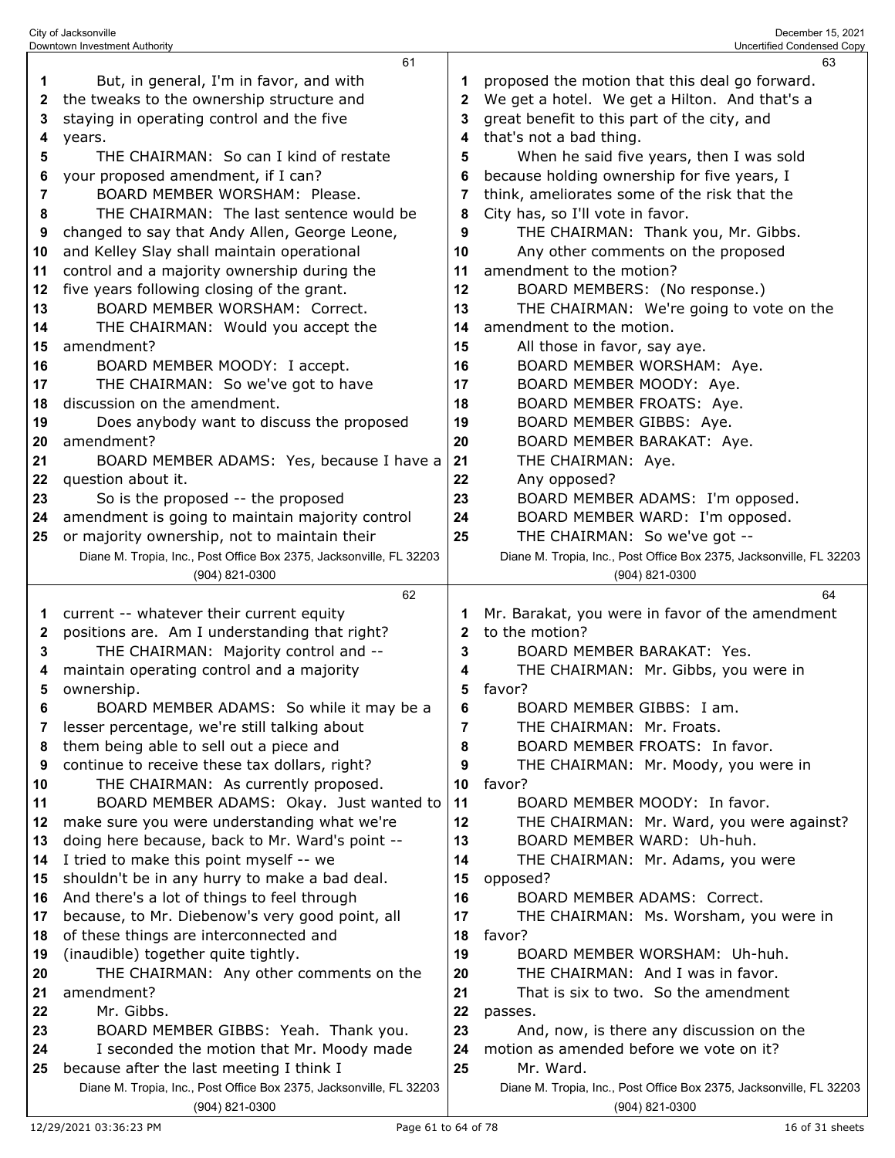|    | 61                                                                                    |              | 63                                                                                    |
|----|---------------------------------------------------------------------------------------|--------------|---------------------------------------------------------------------------------------|
| 1  | But, in general, I'm in favor, and with                                               |              | proposed the motion that this deal go forward.                                        |
| 2  | the tweaks to the ownership structure and                                             | $\mathbf{2}$ | We get a hotel. We get a Hilton. And that's a                                         |
| 3  | staying in operating control and the five                                             | 3            | great benefit to this part of the city, and                                           |
| 4  | years.                                                                                | 4            | that's not a bad thing.                                                               |
| 5  | THE CHAIRMAN: So can I kind of restate                                                | 5            | When he said five years, then I was sold                                              |
| 6  | your proposed amendment, if I can?                                                    | 6            | because holding ownership for five years, I                                           |
| 7  | BOARD MEMBER WORSHAM: Please.                                                         | 7            | think, ameliorates some of the risk that the                                          |
| 8  | THE CHAIRMAN: The last sentence would be                                              | 8            | City has, so I'll vote in favor.                                                      |
| 9  | changed to say that Andy Allen, George Leone,                                         | 9            | THE CHAIRMAN: Thank you, Mr. Gibbs.                                                   |
| 10 | and Kelley Slay shall maintain operational                                            | 10           | Any other comments on the proposed                                                    |
| 11 | control and a majority ownership during the                                           | 11           | amendment to the motion?                                                              |
| 12 | five years following closing of the grant.                                            | 12           | BOARD MEMBERS: (No response.)                                                         |
| 13 | BOARD MEMBER WORSHAM: Correct.                                                        | 13           | THE CHAIRMAN: We're going to vote on the                                              |
| 14 | THE CHAIRMAN: Would you accept the                                                    | 14           | amendment to the motion.                                                              |
| 15 | amendment?                                                                            | 15           | All those in favor, say aye.                                                          |
| 16 | BOARD MEMBER MOODY: I accept.                                                         | 16           | BOARD MEMBER WORSHAM: Aye.                                                            |
|    |                                                                                       |              |                                                                                       |
| 17 | THE CHAIRMAN: So we've got to have<br>discussion on the amendment.                    | 17           | BOARD MEMBER MOODY: Aye.                                                              |
| 18 |                                                                                       | 18           | BOARD MEMBER FROATS: Aye.                                                             |
| 19 | Does anybody want to discuss the proposed                                             | 19           | BOARD MEMBER GIBBS: Aye.                                                              |
| 20 | amendment?                                                                            | 20           | BOARD MEMBER BARAKAT: Aye.                                                            |
| 21 | BOARD MEMBER ADAMS: Yes, because I have a                                             | 21           | THE CHAIRMAN: Aye.                                                                    |
| 22 | question about it.                                                                    | 22           | Any opposed?                                                                          |
| 23 | So is the proposed -- the proposed                                                    | 23           | BOARD MEMBER ADAMS: I'm opposed.                                                      |
| 24 | amendment is going to maintain majority control                                       | 24           | BOARD MEMBER WARD: I'm opposed.                                                       |
| 25 | or majority ownership, not to maintain their                                          | 25           | THE CHAIRMAN: So we've got --                                                         |
|    | Diane M. Tropia, Inc., Post Office Box 2375, Jacksonville, FL 32203                   |              | Diane M. Tropia, Inc., Post Office Box 2375, Jacksonville, FL 32203                   |
|    | (904) 821-0300                                                                        |              | (904) 821-0300                                                                        |
|    |                                                                                       |              |                                                                                       |
|    | 62                                                                                    |              | 64                                                                                    |
| 1  | current -- whatever their current equity                                              | 1            | Mr. Barakat, you were in favor of the amendment                                       |
| 2  | positions are. Am I understanding that right?                                         | 2            | to the motion?                                                                        |
| 3  | THE CHAIRMAN: Majority control and --                                                 | 3            | BOARD MEMBER BARAKAT: Yes.                                                            |
| 4  | maintain operating control and a majority                                             | 4            | THE CHAIRMAN: Mr. Gibbs, you were in                                                  |
| 5  | ownership.                                                                            | 5            | favor?                                                                                |
| 6  | BOARD MEMBER ADAMS: So while it may be a                                              |              | BOARD MEMBER GIBBS: I am.                                                             |
| 7  | lesser percentage, we're still talking about                                          | 7            | THE CHAIRMAN: Mr. Froats.                                                             |
| 8  | them being able to sell out a piece and                                               | 8            | BOARD MEMBER FROATS: In favor.                                                        |
| 9  | continue to receive these tax dollars, right?                                         | 9            | THE CHAIRMAN: Mr. Moody, you were in                                                  |
| 10 | THE CHAIRMAN: As currently proposed.                                                  | 10           | favor?                                                                                |
| 11 | BOARD MEMBER ADAMS: Okay. Just wanted to                                              | 11           | BOARD MEMBER MOODY: In favor.                                                         |
| 12 | make sure you were understanding what we're                                           | 12           | THE CHAIRMAN: Mr. Ward, you were against?                                             |
| 13 | doing here because, back to Mr. Ward's point --                                       | 13           | BOARD MEMBER WARD: Uh-huh.                                                            |
| 14 | I tried to make this point myself -- we                                               | 14           | THE CHAIRMAN: Mr. Adams, you were                                                     |
| 15 | shouldn't be in any hurry to make a bad deal.                                         | 15           | opposed?                                                                              |
| 16 | And there's a lot of things to feel through                                           | 16           | BOARD MEMBER ADAMS: Correct.                                                          |
| 17 | because, to Mr. Diebenow's very good point, all                                       | 17           | THE CHAIRMAN: Ms. Worsham, you were in                                                |
| 18 | of these things are interconnected and                                                | 18           | favor?                                                                                |
| 19 | (inaudible) together quite tightly.                                                   | 19           | BOARD MEMBER WORSHAM: Uh-huh.                                                         |
| 20 | THE CHAIRMAN: Any other comments on the                                               | 20           | THE CHAIRMAN: And I was in favor.                                                     |
| 21 | amendment?                                                                            | 21           | That is six to two. So the amendment                                                  |
| 22 | Mr. Gibbs.                                                                            | 22           | passes.                                                                               |
| 23 | BOARD MEMBER GIBBS: Yeah. Thank you.                                                  | 23           | And, now, is there any discussion on the                                              |
| 24 | I seconded the motion that Mr. Moody made                                             | 24           | motion as amended before we vote on it?                                               |
| 25 | because after the last meeting I think I                                              | 25           | Mr. Ward.                                                                             |
|    | Diane M. Tropia, Inc., Post Office Box 2375, Jacksonville, FL 32203<br>(904) 821-0300 |              | Diane M. Tropia, Inc., Post Office Box 2375, Jacksonville, FL 32203<br>(904) 821-0300 |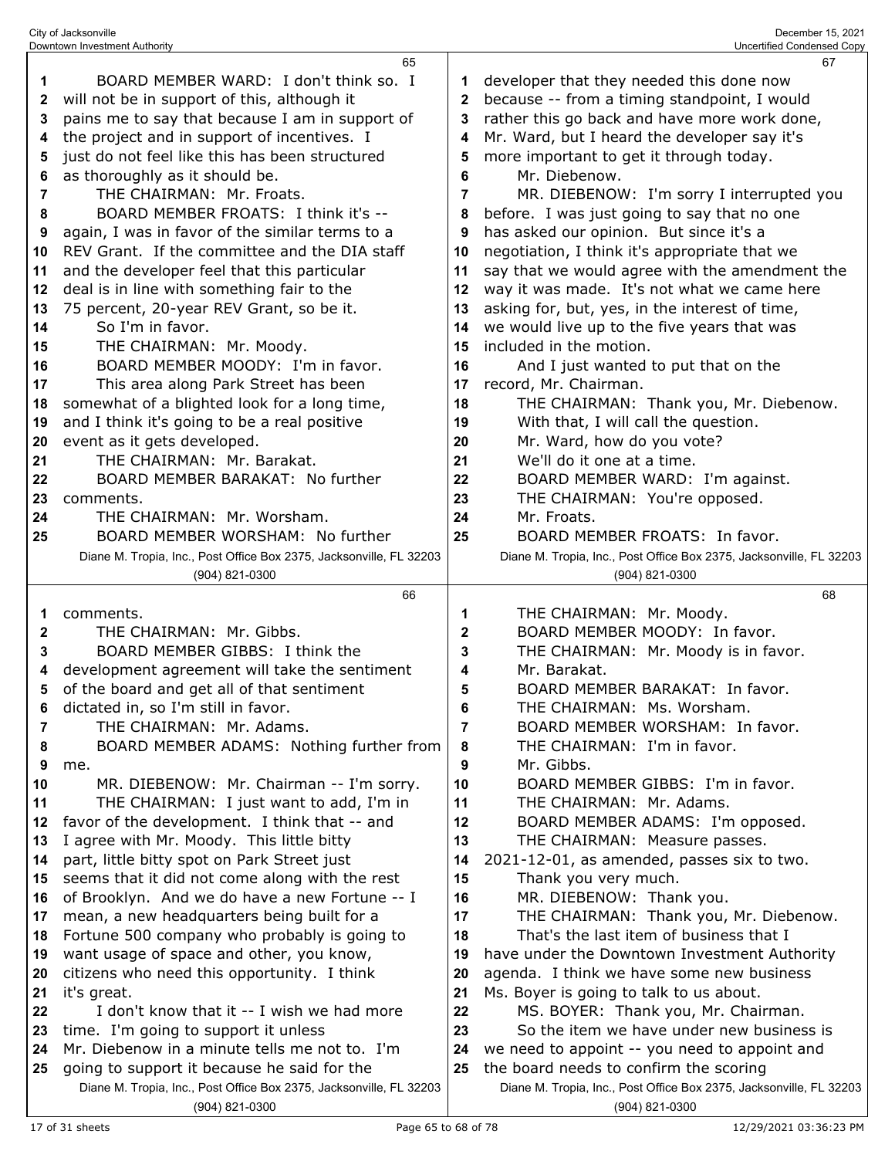|    | Downtown Investment Authority                                       |    | Uncertified Condensed Copy                                          |
|----|---------------------------------------------------------------------|----|---------------------------------------------------------------------|
|    | 65                                                                  |    | 67                                                                  |
| 1  | BOARD MEMBER WARD: I don't think so. I                              | 1  | developer that they needed this done now                            |
| 2  | will not be in support of this, although it                         | 2  | because -- from a timing standpoint, I would                        |
| 3  | pains me to say that because I am in support of                     | 3  | rather this go back and have more work done,                        |
|    |                                                                     |    |                                                                     |
| 4  | the project and in support of incentives. I                         | 4  | Mr. Ward, but I heard the developer say it's                        |
| 5  | just do not feel like this has been structured                      | 5  | more important to get it through today.                             |
| 6  | as thoroughly as it should be.                                      | 6  | Mr. Diebenow.                                                       |
| 7  | THE CHAIRMAN: Mr. Froats.                                           | 7  | MR. DIEBENOW: I'm sorry I interrupted you                           |
| 8  | BOARD MEMBER FROATS: I think it's --                                | 8  | before. I was just going to say that no one                         |
| 9  | again, I was in favor of the similar terms to a                     | 9  | has asked our opinion. But since it's a                             |
| 10 | REV Grant. If the committee and the DIA staff                       | 10 | negotiation, I think it's appropriate that we                       |
| 11 | and the developer feel that this particular                         | 11 | say that we would agree with the amendment the                      |
|    |                                                                     |    |                                                                     |
| 12 | deal is in line with something fair to the                          | 12 | way it was made. It's not what we came here                         |
| 13 | 75 percent, 20-year REV Grant, so be it.                            | 13 | asking for, but, yes, in the interest of time,                      |
| 14 | So I'm in favor.                                                    | 14 | we would live up to the five years that was                         |
| 15 | THE CHAIRMAN: Mr. Moody.                                            | 15 | included in the motion.                                             |
| 16 | BOARD MEMBER MOODY: I'm in favor.                                   | 16 | And I just wanted to put that on the                                |
| 17 | This area along Park Street has been                                | 17 | record, Mr. Chairman.                                               |
| 18 | somewhat of a blighted look for a long time,                        | 18 | THE CHAIRMAN: Thank you, Mr. Diebenow.                              |
| 19 | and I think it's going to be a real positive                        | 19 | With that, I will call the question.                                |
| 20 | event as it gets developed.                                         | 20 | Mr. Ward, how do you vote?                                          |
| 21 | THE CHAIRMAN: Mr. Barakat.                                          | 21 | We'll do it one at a time.                                          |
|    |                                                                     |    |                                                                     |
| 22 | BOARD MEMBER BARAKAT: No further                                    | 22 | BOARD MEMBER WARD: I'm against.                                     |
| 23 | comments.                                                           | 23 | THE CHAIRMAN: You're opposed.                                       |
| 24 | THE CHAIRMAN: Mr. Worsham.                                          | 24 | Mr. Froats.                                                         |
| 25 | BOARD MEMBER WORSHAM: No further                                    | 25 | BOARD MEMBER FROATS: In favor.                                      |
|    | Diane M. Tropia, Inc., Post Office Box 2375, Jacksonville, FL 32203 |    | Diane M. Tropia, Inc., Post Office Box 2375, Jacksonville, FL 32203 |
|    | (904) 821-0300                                                      |    | (904) 821-0300                                                      |
|    |                                                                     |    |                                                                     |
|    | 66                                                                  |    | 68                                                                  |
| 1  | comments.                                                           | 1  |                                                                     |
| 2  | THE CHAIRMAN: Mr. Gibbs.                                            |    | THE CHAIRMAN: Mr. Moody.                                            |
|    |                                                                     | 2  | BOARD MEMBER MOODY: In favor.                                       |
| 3  | BOARD MEMBER GIBBS: I think the                                     | 3  | THE CHAIRMAN: Mr. Moody is in favor.                                |
| 4  | development agreement will take the sentiment                       | 4  | Mr. Barakat.                                                        |
| 5  | of the board and get all of that sentiment                          | 5  | BOARD MEMBER BARAKAT: In favor.                                     |
| 6  | dictated in, so I'm still in favor.                                 | 6  | THE CHAIRMAN: Ms. Worsham.                                          |
| 7  | THE CHAIRMAN: Mr. Adams.                                            | 7  | BOARD MEMBER WORSHAM: In favor.                                     |
| 8  | BOARD MEMBER ADAMS: Nothing further from                            | 8  | THE CHAIRMAN: I'm in favor.                                         |
| 9  | me.                                                                 | 9  | Mr. Gibbs.                                                          |
| 10 | MR. DIEBENOW: Mr. Chairman -- I'm sorry.                            | 10 | BOARD MEMBER GIBBS: I'm in favor.                                   |
| 11 | THE CHAIRMAN: I just want to add, I'm in                            | 11 | THE CHAIRMAN: Mr. Adams.                                            |
| 12 | favor of the development. I think that -- and                       | 12 | BOARD MEMBER ADAMS: I'm opposed.                                    |
| 13 | I agree with Mr. Moody. This little bitty                           | 13 | THE CHAIRMAN: Measure passes.                                       |
| 14 | part, little bitty spot on Park Street just                         | 14 | 2021-12-01, as amended, passes six to two.                          |
| 15 | seems that it did not come along with the rest                      | 15 | Thank you very much.                                                |
| 16 |                                                                     | 16 |                                                                     |
|    | of Brooklyn. And we do have a new Fortune -- I                      |    | MR. DIEBENOW: Thank you.                                            |
| 17 | mean, a new headquarters being built for a                          | 17 | THE CHAIRMAN: Thank you, Mr. Diebenow.                              |
| 18 | Fortune 500 company who probably is going to                        | 18 | That's the last item of business that I                             |
| 19 | want usage of space and other, you know,                            | 19 | have under the Downtown Investment Authority                        |
| 20 | citizens who need this opportunity. I think                         | 20 | agenda. I think we have some new business                           |
| 21 | it's great.                                                         | 21 | Ms. Boyer is going to talk to us about.                             |
| 22 | I don't know that it -- I wish we had more                          | 22 | MS. BOYER: Thank you, Mr. Chairman.                                 |
| 23 | time. I'm going to support it unless                                | 23 | So the item we have under new business is                           |
| 24 | Mr. Diebenow in a minute tells me not to. I'm                       | 24 | we need to appoint -- you need to appoint and                       |
| 25 | going to support it because he said for the                         | 25 | the board needs to confirm the scoring                              |
|    | Diane M. Tropia, Inc., Post Office Box 2375, Jacksonville, FL 32203 |    | Diane M. Tropia, Inc., Post Office Box 2375, Jacksonville, FL 32203 |

City of Jacksonville December 15, 2021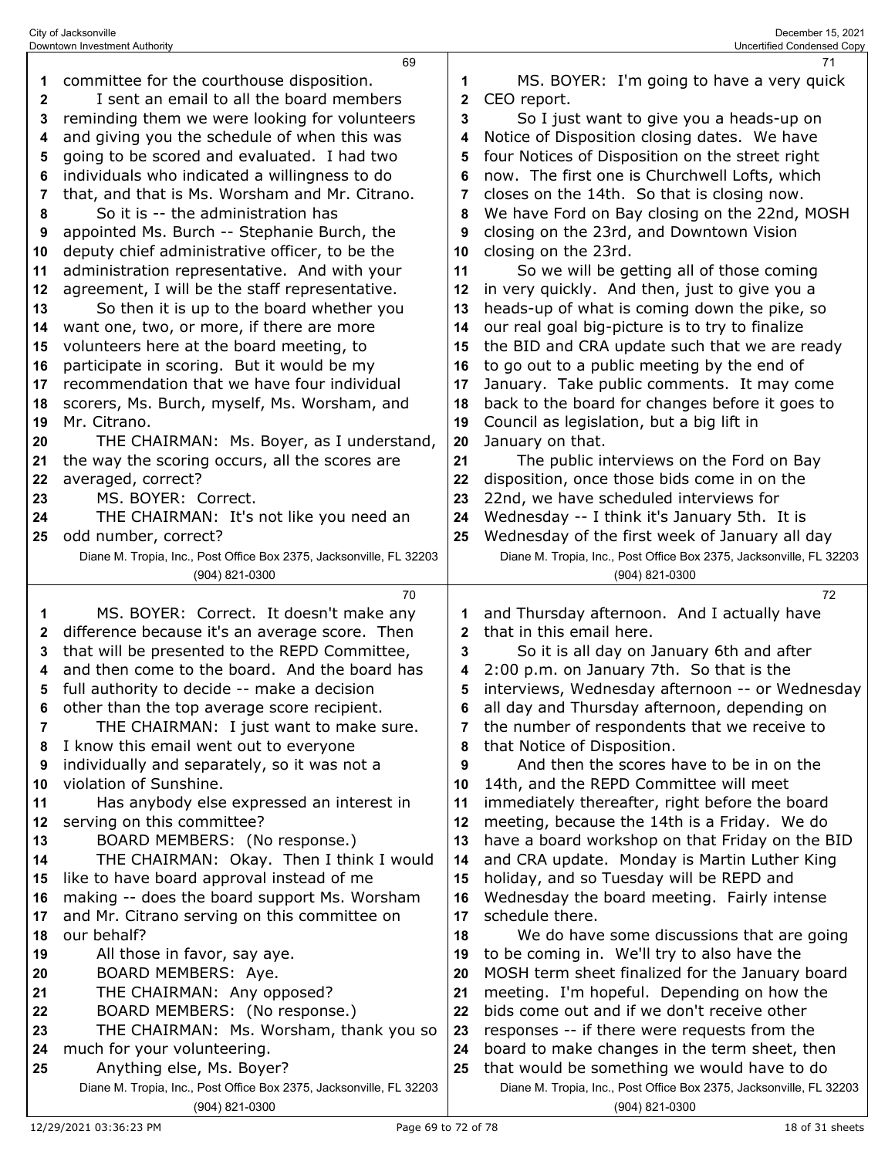|              | 69                                                                                    |    | 71                                                                                    |
|--------------|---------------------------------------------------------------------------------------|----|---------------------------------------------------------------------------------------|
| 1            | committee for the courthouse disposition.                                             | 1  | MS. BOYER: I'm going to have a very quick                                             |
| $\mathbf{2}$ | I sent an email to all the board members                                              | 2  | CEO report.                                                                           |
| 3            | reminding them we were looking for volunteers                                         | 3  | So I just want to give you a heads-up on                                              |
| 4            | and giving you the schedule of when this was                                          | 4  | Notice of Disposition closing dates. We have                                          |
| 5            | going to be scored and evaluated. I had two                                           | 5  | four Notices of Disposition on the street right                                       |
| 6            | individuals who indicated a willingness to do                                         | 6  | now. The first one is Churchwell Lofts, which                                         |
| 7            | that, and that is Ms. Worsham and Mr. Citrano.                                        | 7  | closes on the 14th. So that is closing now.                                           |
| 8            | So it is -- the administration has                                                    | 8  | We have Ford on Bay closing on the 22nd, MOSH                                         |
| 9            | appointed Ms. Burch -- Stephanie Burch, the                                           | 9  | closing on the 23rd, and Downtown Vision                                              |
| 10           | deputy chief administrative officer, to be the                                        | 10 | closing on the 23rd.                                                                  |
| 11           | administration representative. And with your                                          | 11 | So we will be getting all of those coming                                             |
| 12           | agreement, I will be the staff representative.                                        | 12 | in very quickly. And then, just to give you a                                         |
| 13           | So then it is up to the board whether you                                             | 13 | heads-up of what is coming down the pike, so                                          |
| 14           | want one, two, or more, if there are more                                             | 14 | our real goal big-picture is to try to finalize                                       |
| 15           | volunteers here at the board meeting, to                                              | 15 | the BID and CRA update such that we are ready                                         |
| 16           | participate in scoring. But it would be my                                            | 16 | to go out to a public meeting by the end of                                           |
| 17           | recommendation that we have four individual                                           | 17 | January. Take public comments. It may come                                            |
| 18           | scorers, Ms. Burch, myself, Ms. Worsham, and                                          | 18 | back to the board for changes before it goes to                                       |
| 19           | Mr. Citrano.                                                                          | 19 | Council as legislation, but a big lift in                                             |
| 20           | THE CHAIRMAN: Ms. Boyer, as I understand,                                             | 20 | January on that.                                                                      |
| 21           | the way the scoring occurs, all the scores are                                        | 21 | The public interviews on the Ford on Bay                                              |
| 22           | averaged, correct?                                                                    | 22 | disposition, once those bids come in on the                                           |
| 23           | MS. BOYER: Correct.                                                                   | 23 | 22nd, we have scheduled interviews for                                                |
| 24           | THE CHAIRMAN: It's not like you need an                                               | 24 | Wednesday -- I think it's January 5th. It is                                          |
| 25           | odd number, correct?                                                                  | 25 | Wednesday of the first week of January all day                                        |
|              | Diane M. Tropia, Inc., Post Office Box 2375, Jacksonville, FL 32203                   |    | Diane M. Tropia, Inc., Post Office Box 2375, Jacksonville, FL 32203                   |
|              | (904) 821-0300                                                                        |    | (904) 821-0300                                                                        |
|              |                                                                                       |    |                                                                                       |
|              | 70                                                                                    |    | 72                                                                                    |
| 1            | MS. BOYER: Correct. It doesn't make any                                               |    | and Thursday afternoon. And I actually have                                           |
| 2            | difference because it's an average score. Then                                        | 2  | that in this email here.                                                              |
| 3            | that will be presented to the REPD Committee,                                         | 3  | So it is all day on January 6th and after                                             |
| 4            | and then come to the board. And the board has                                         | 4  | 2:00 p.m. on January 7th. So that is the                                              |
| 5            | full authority to decide -- make a decision                                           | 5  | interviews, Wednesday afternoon -- or Wednesday                                       |
| 6            | other than the top average score recipient.                                           | 6  | all day and Thursday afternoon, depending on                                          |
| 7            | THE CHAIRMAN: I just want to make sure.                                               |    | the number of respondents that we receive to                                          |
| 8            | I know this email went out to everyone                                                | 8  | that Notice of Disposition.                                                           |
| 9            | individually and separately, so it was not a                                          | 9  | And then the scores have to be in on the                                              |
| 10           | violation of Sunshine.                                                                | 10 | 14th, and the REPD Committee will meet                                                |
| 11           | Has anybody else expressed an interest in                                             | 11 | immediately thereafter, right before the board                                        |
| 12           | serving on this committee?                                                            | 12 | meeting, because the 14th is a Friday. We do                                          |
| 13           | BOARD MEMBERS: (No response.)                                                         | 13 | have a board workshop on that Friday on the BID                                       |
| 14           | THE CHAIRMAN: Okay. Then I think I would                                              | 14 | and CRA update. Monday is Martin Luther King                                          |
| 15           | like to have board approval instead of me                                             | 15 | holiday, and so Tuesday will be REPD and                                              |
| 16           | making -- does the board support Ms. Worsham                                          | 16 | Wednesday the board meeting. Fairly intense                                           |
| 17           | and Mr. Citrano serving on this committee on                                          | 17 | schedule there.                                                                       |
| 18           | our behalf?                                                                           | 18 | We do have some discussions that are going                                            |
| 19           | All those in favor, say aye.                                                          | 19 | to be coming in. We'll try to also have the                                           |
| 20           | BOARD MEMBERS: Aye.                                                                   | 20 | MOSH term sheet finalized for the January board                                       |
| 21           | THE CHAIRMAN: Any opposed?                                                            | 21 | meeting. I'm hopeful. Depending on how the                                            |
| 22           | BOARD MEMBERS: (No response.)                                                         | 22 | bids come out and if we don't receive other                                           |
| 23           | THE CHAIRMAN: Ms. Worsham, thank you so                                               | 23 | responses -- if there were requests from the                                          |
| 24           | much for your volunteering.                                                           | 24 | board to make changes in the term sheet, then                                         |
| 25           | Anything else, Ms. Boyer?                                                             | 25 | that would be something we would have to do                                           |
|              | Diane M. Tropia, Inc., Post Office Box 2375, Jacksonville, FL 32203<br>(904) 821-0300 |    | Diane M. Tropia, Inc., Post Office Box 2375, Jacksonville, FL 32203<br>(904) 821-0300 |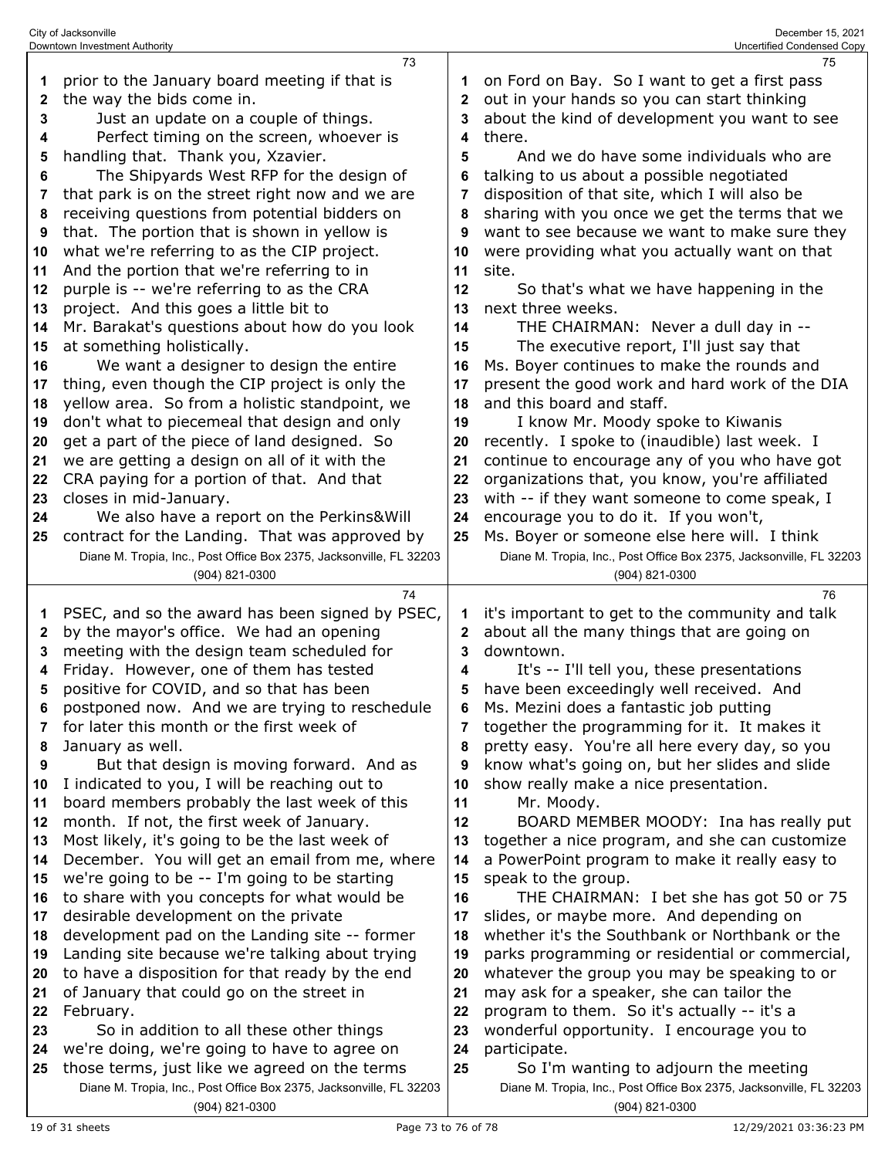|        | City of Jacksonville<br>Downtown Investment Authority                               | December 15, 2021<br>Uncertified Condensed Copy |                                                                                        |
|--------|-------------------------------------------------------------------------------------|-------------------------------------------------|----------------------------------------------------------------------------------------|
|        | 73                                                                                  |                                                 | 75                                                                                     |
| 1      | prior to the January board meeting if that is                                       |                                                 | on Ford on Bay. So I want to get a first pass                                          |
| 2      | the way the bids come in.                                                           | 2                                               | out in your hands so you can start thinking                                            |
| 3      | Just an update on a couple of things.                                               | 3                                               | about the kind of development you want to see                                          |
| 4      | Perfect timing on the screen, whoever is                                            | 4                                               | there.                                                                                 |
| 5      | handling that. Thank you, Xzavier.                                                  | 5                                               | And we do have some individuals who are                                                |
| 6      | The Shipyards West RFP for the design of                                            |                                                 | talking to us about a possible negotiated                                              |
| 7      | that park is on the street right now and we are                                     | 7                                               | disposition of that site, which I will also be                                         |
| 8      | receiving questions from potential bidders on                                       | 8                                               | sharing with you once we get the terms that we                                         |
| 9      | that. The portion that is shown in yellow is                                        | 9                                               | want to see because we want to make sure they                                          |
| 10     | what we're referring to as the CIP project.                                         | 10                                              | were providing what you actually want on that                                          |
| 11     | And the portion that we're referring to in                                          | 11                                              | site.                                                                                  |
| 12     | purple is -- we're referring to as the CRA                                          | 12                                              | So that's what we have happening in the                                                |
| 13     | project. And this goes a little bit to                                              | 13                                              | next three weeks.                                                                      |
| 14     | Mr. Barakat's questions about how do you look                                       | 14                                              | THE CHAIRMAN: Never a dull day in --                                                   |
| 15     | at something holistically.                                                          | 15                                              | The executive report, I'll just say that                                               |
| 16     | We want a designer to design the entire                                             | 16                                              | Ms. Boyer continues to make the rounds and                                             |
| 17     | thing, even though the CIP project is only the                                      | 17                                              | present the good work and hard work of the DIA                                         |
| 18     | yellow area. So from a holistic standpoint, we                                      | 18                                              | and this board and staff.                                                              |
| 19     | don't what to piecemeal that design and only                                        | 19                                              | I know Mr. Moody spoke to Kiwanis                                                      |
| 20     | get a part of the piece of land designed. So                                        | 20                                              | recently. I spoke to (inaudible) last week. I                                          |
| 21     | we are getting a design on all of it with the                                       | 21                                              | continue to encourage any of you who have got                                          |
| 22     | CRA paying for a portion of that. And that                                          | 22                                              | organizations that, you know, you're affiliated                                        |
| 23     | closes in mid-January.                                                              | 23                                              | with -- if they want someone to come speak, I                                          |
| 24     | We also have a report on the Perkins&Will                                           | 24                                              | encourage you to do it. If you won't,                                                  |
| 25     | contract for the Landing. That was approved by                                      | 25                                              | Ms. Boyer or someone else here will. I think                                           |
|        | Diane M. Tropia, Inc., Post Office Box 2375, Jacksonville, FL 32203                 |                                                 | Diane M. Tropia, Inc., Post Office Box 2375, Jacksonville, FL 32203                    |
|        | (904) 821-0300                                                                      |                                                 | (904) 821-0300                                                                         |
|        | 74                                                                                  |                                                 | 76                                                                                     |
| 1      | PSEC, and so the award has been signed by PSEC,                                     | 1                                               | it's important to get to the community and talk                                        |
| 2      | by the mayor's office. We had an opening                                            | 2                                               | about all the many things that are going on                                            |
| 3      | meeting with the design team scheduled for                                          | 3                                               | downtown.                                                                              |
| 4<br>5 | Friday. However, one of them has tested<br>positive for COVID, and so that has been | 4<br>5                                          | It's -- I'll tell you, these presentations<br>have been exceedingly well received. And |
| 6      | postponed now. And we are trying to reschedule                                      | 6                                               | Ms. Mezini does a fantastic job putting                                                |
| 7      | for later this month or the first week of                                           | 7                                               | together the programming for it. It makes it                                           |
| 8      | January as well.                                                                    | 8                                               | pretty easy. You're all here every day, so you                                         |
| 9      | But that design is moving forward. And as                                           | 9                                               | know what's going on, but her slides and slide                                         |
| 10     | I indicated to you, I will be reaching out to                                       | 10                                              | show really make a nice presentation.                                                  |
| 11     | board members probably the last week of this                                        | 11                                              | Mr. Moody.                                                                             |
| 12     | month. If not, the first week of January.                                           | 12                                              | BOARD MEMBER MOODY: Ina has really put                                                 |
| 13     | Most likely, it's going to be the last week of                                      | 13                                              | together a nice program, and she can customize                                         |
| 14     | December. You will get an email from me, where                                      | 14                                              | a PowerPoint program to make it really easy to                                         |
| 15     | we're going to be -- I'm going to be starting                                       | 15                                              | speak to the group.                                                                    |
| 16     | to share with you concepts for what would be                                        | 16                                              | THE CHAIRMAN: I bet she has got 50 or 75                                               |
| 17     | desirable development on the private                                                | 17                                              | slides, or maybe more. And depending on                                                |
| 18     | development pad on the Landing site -- former                                       | 18                                              | whether it's the Southbank or Northbank or the                                         |
| 19     | Landing site because we're talking about trying                                     | 19                                              | parks programming or residential or commercial,                                        |
| 20     | to have a disposition for that ready by the end                                     | 20                                              | whatever the group you may be speaking to or                                           |
| 21     | of January that could go on the street in                                           | 21                                              | may ask for a speaker, she can tailor the                                              |
| 22     | February.                                                                           | 22                                              | program to them. So it's actually -- it's a                                            |
| 23     | So in addition to all these other things                                            | 23                                              | wonderful opportunity. I encourage you to                                              |
| 24     | we're doing, we're going to have to agree on                                        | 24                                              | participate.                                                                           |
| 25     | those terms, just like we agreed on the terms                                       | 25                                              | So I'm wanting to adjourn the meeting                                                  |
|        | Diane M. Tropia, Inc., Post Office Box 2375, Jacksonville, FL 32203                 |                                                 | Diane M. Tropia, Inc., Post Office Box 2375, Jacksonville, FL 32203                    |
|        | (904) 821-0300                                                                      |                                                 | (904) 821-0300                                                                         |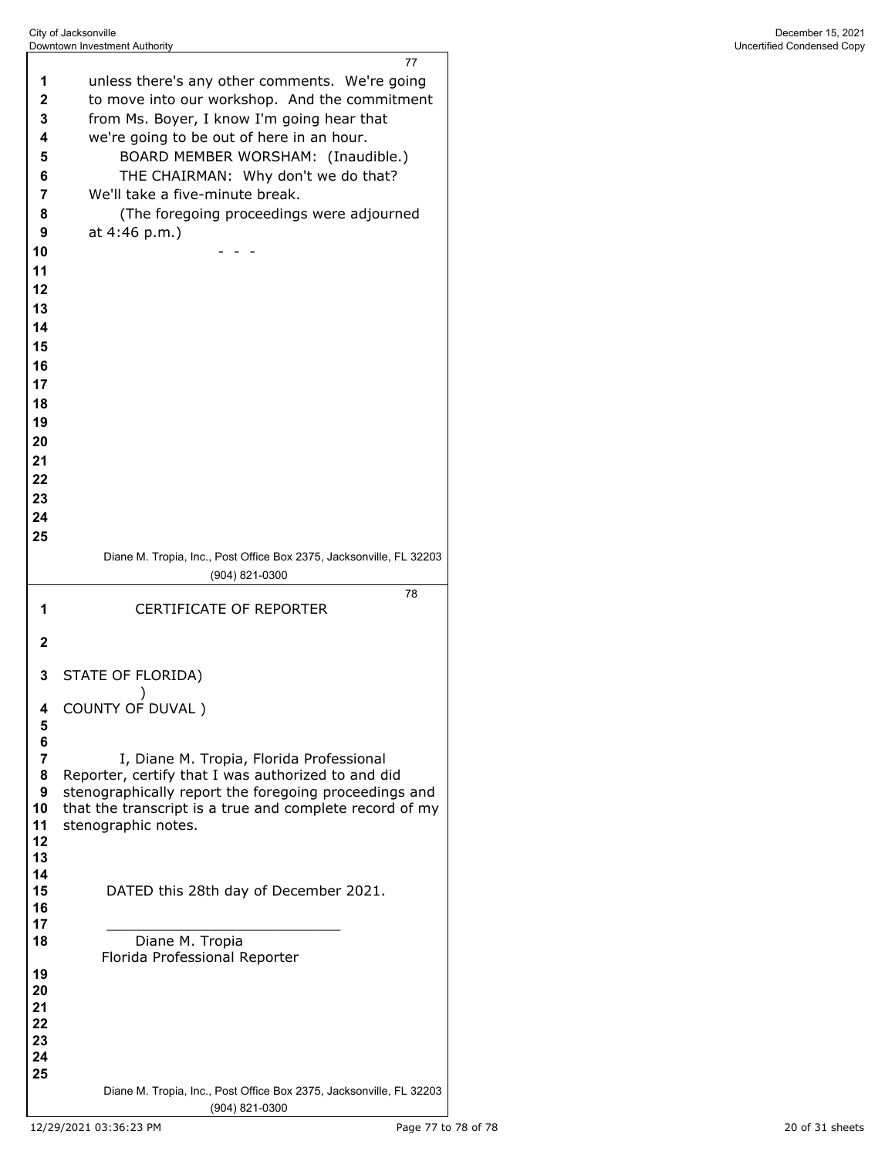|              | 77                                                                             |
|--------------|--------------------------------------------------------------------------------|
| 1            | unless there's any other comments. We're going                                 |
| 2            | to move into our workshop. And the commitment                                  |
| 3            | from Ms. Boyer, I know I'm going hear that                                     |
| 4            | we're going to be out of here in an hour.                                      |
| 5            | BOARD MEMBER WORSHAM: (Inaudible.)                                             |
| 6<br>7       | THE CHAIRMAN: Why don't we do that?<br>We'll take a five-minute break.         |
| 8            | (The foregoing proceedings were adjourned                                      |
| 9            | at 4:46 p.m.)                                                                  |
| 10           |                                                                                |
| 11           |                                                                                |
| 12           |                                                                                |
| 13           |                                                                                |
| 14           |                                                                                |
| 15           |                                                                                |
| 16           |                                                                                |
| 17           |                                                                                |
| 18           |                                                                                |
| 19           |                                                                                |
| 20           |                                                                                |
| 21           |                                                                                |
| 22<br>23     |                                                                                |
| 24           |                                                                                |
| 25           |                                                                                |
|              | Diane M. Tropia, Inc., Post Office Box 2375, Jacksonville, FL 32203            |
|              | (904) 821-0300                                                                 |
|              | 78                                                                             |
| 1            | <b>CERTIFICATE OF REPORTER</b>                                                 |
|              |                                                                                |
| $\mathbf{2}$ |                                                                                |
| 3            | STATE OF FLORIDA)                                                              |
|              |                                                                                |
|              | COUNTY OF DUVAL)                                                               |
| 5<br>6       |                                                                                |
| 7            | I, Diane M. Tropia, Florida Professional                                       |
| 8            | Reporter, certify that I was authorized to and did                             |
| 9            | stenographically report the foregoing proceedings and                          |
| 10<br>11     | that the transcript is a true and complete record of my<br>stenographic notes. |
| 12           |                                                                                |
| 13           |                                                                                |
| 14<br>15     | DATED this 28th day of December 2021.                                          |
| 16           |                                                                                |
| 17           |                                                                                |
| 18           | Diane M. Tropia                                                                |
| 19           | Florida Professional Reporter                                                  |
| 20           |                                                                                |
| 21           |                                                                                |
| 22<br>23     |                                                                                |
| 24           |                                                                                |
| 25           | Diane M. Tropia, Inc., Post Office Box 2375, Jacksonville, FL 32203            |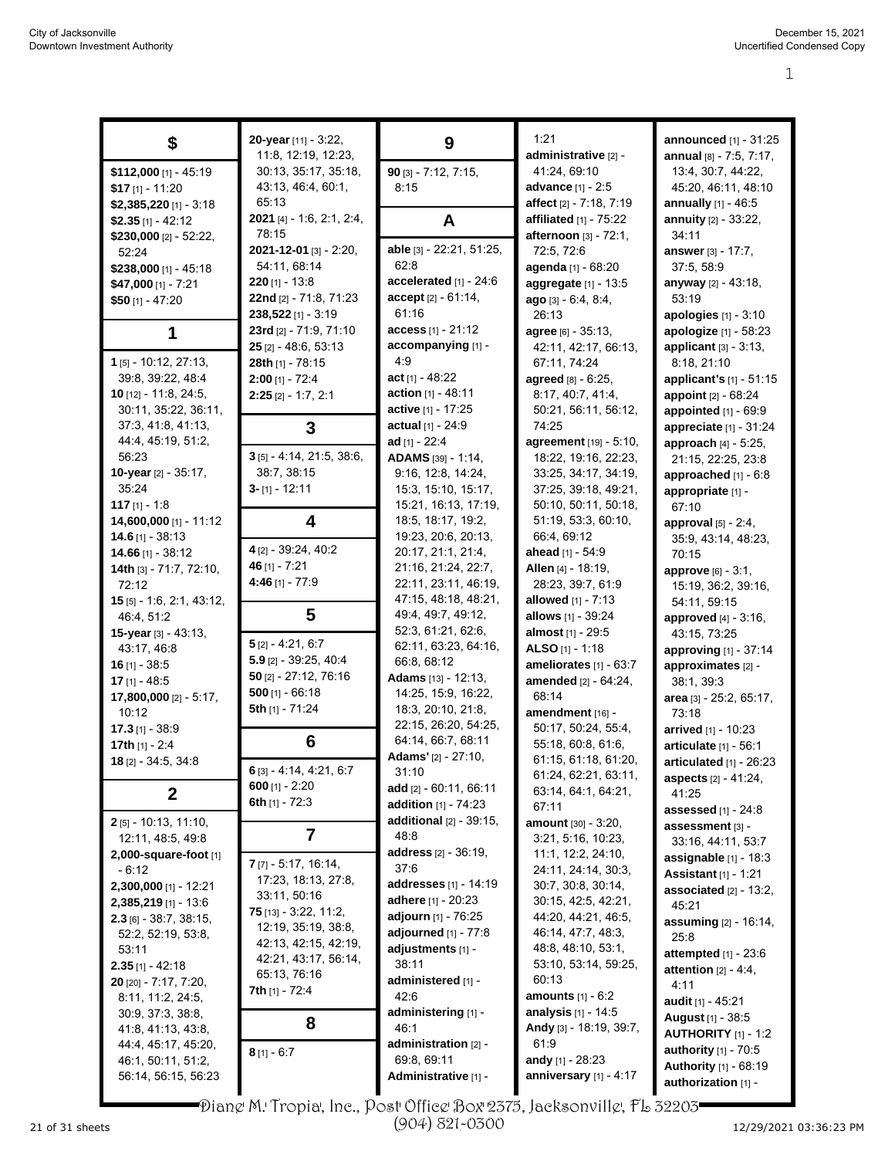|                                    | 20-year [11] - 3:22,                         |                                           | 1:21                                           | announced [1] - 31:25                         |
|------------------------------------|----------------------------------------------|-------------------------------------------|------------------------------------------------|-----------------------------------------------|
| \$                                 | 11:8, 12:19, 12:23,                          | 9                                         | administrative [2] -                           | annual [8] - 7:5, 7:17,                       |
| \$112,000 [1] - 45:19              | 30:13, 35:17, 35:18,                         | $90$ [3] - 7:12, 7:15,                    | 41:24, 69:10                                   | 13:4, 30:7, 44:22,                            |
| $$17$ [1] - 11:20                  | 43:13, 46:4, 60:1,                           | 8:15                                      | advance [1] - 2:5                              | 45:20, 46:11, 48:10                           |
| \$2,385,220 [1] - 3:18             | 65:13                                        |                                           | affect [2] - 7:18, 7:19                        | <b>annually</b> $[1] - 46.5$                  |
| \$2.35 $[1] - 42:12$               | 2021 [4] - 1:6, 2:1, 2:4,                    | A                                         | affiliated $[1]$ - $75:22$                     | annuity [2] - 33:22,                          |
| \$230,000 $[2] - 52:22$            | 78:15                                        |                                           | afternoon [3] - 72:1,                          | 34:11                                         |
| 52:24                              | $2021 - 12 - 01$ [3] - 2:20,                 | able [3] - 22:21, 51:25,                  | 72:5, 72:6                                     | answer [3] - 17:7,                            |
| \$238,000 [1] - 45:18              | 54:11, 68:14                                 | 62:8                                      | agenda [1] - 68:20                             | 37:5, 58:9                                    |
| $$47,000$ [1] - 7:21               | $220$ [1] - 13:8                             | accelerated [1] - 24:6                    | aggregate $[1]$ - 13:5                         | anyway [2] - 43:18,                           |
| $$50$ [1] - 47:20                  | 22nd [2] - 71:8, 71:23                       | accept [2] - 61:14,                       | ago [3] - 6:4, 8:4,                            | 53:19                                         |
|                                    | 238,522 [1] - 3:19                           | 61:16                                     | 26:13                                          | apologies [1] - 3:10                          |
| 1                                  | 23rd [2] - 71:9, 71:10                       | access [1] - 21:12                        | agree [6] - 35:13,                             | apologize [1] - 58:23                         |
|                                    | $25$ [2] - 48:6, 53:13                       | accompanying [1] -                        | 42:11, 42:17, 66:13,                           | applicant $[3] - 3.13$ ,                      |
| $1$ [5] - 10:12, 27:13,            | 28th [1] - 78:15                             | 4:9                                       | 67:11, 74:24                                   | 8:18, 21:10                                   |
| 39:8, 39:22, 48:4                  | $2:00$ [1] - 72:4                            | $act$ [1] - 48:22                         | agreed [8] - 6:25,                             | applicant's [1] - 51:15                       |
| <b>10</b> $[12] - 11.8$ , 24:5,    | $2:25$ [2] - 1:7, 2:1                        | action $[1] - 48:11$                      | 8:17, 40:7, 41:4,                              | appoint [2] - 68:24                           |
| 30:11, 35:22, 36:11,               |                                              | active [1] - 17:25<br>actual [1] - 24:9   | 50:21, 56:11, 56:12,                           | appointed [1] - 69:9                          |
| 37:3, 41:8, 41:13,                 | 3                                            |                                           | 74.25                                          | appreciate [1] - 31:24                        |
| 44:4, 45:19, 51:2,<br>56:23        | $3$ [5] - 4:14, 21:5, 38:6,                  | ad $[1] - 22:4$<br>ADAMS [39] - 1:14,     | agreement [19] - 5:10,<br>18:22, 19:16, 22:23, | approach [4] - 5:25,                          |
| 10-year [2] - 35:17,               | 38:7, 38:15                                  | 9:16, 12:8, 14:24,                        | 33:25, 34:17, 34:19,                           | 21:15, 22:25, 23:8<br>approached [1] - 6:8    |
| 35:24                              | $3 - [1] - 12:11$                            | 15:3, 15:10, 15:17,                       | 37:25, 39:18, 49:21,                           |                                               |
| 117 $[1] - 1.8$                    |                                              | 15:21, 16:13, 17:19,                      | 50:10, 50:11, 50:18,                           | appropriate [1] -<br>67:10                    |
| 14,600,000 [1] - 11:12             | 4                                            | 18:5, 18:17, 19:2,                        | 51:19, 53:3, 60:10,                            | approval $[5]$ - 2:4,                         |
| $14.6$ [1] - 38:13                 |                                              | 19:23, 20:6, 20:13,                       | 66:4, 69:12                                    | 35:9, 43:14, 48:23,                           |
| 14.66 $[1] - 38:12$                | 4 [2] - 39:24, 40:2                          | 20:17, 21:1, 21:4,                        | ahead [1] - 54:9                               | 70:15                                         |
| 14th [3] - 71:7, 72:10,            | 46 $[1] - 7:21$                              | 21:16, 21:24, 22:7,                       | Allen [4] - 18:19,                             | approve [6] - 3:1,                            |
| 72:12                              | 4:46 [1] - 77:9                              | 22:11, 23:11, 46:19,                      | 28:23, 39:7, 61:9                              | 15:19, 36:2, 39:16,                           |
| 15 [5] - 1:6, 2:1, 43:12,          |                                              | 47:15, 48:18, 48:21,                      | allowed $[1] - 7:13$                           | 54:11, 59:15                                  |
| 46:4, 51:2                         | 5                                            | 49:4, 49:7, 49:12,                        | allows [1] - 39:24                             | approved $[4] - 3:16$ ,                       |
| 15-year [3] - 43:13,               |                                              | 52:3, 61:21, 62:6,                        | almost [1] - 29:5                              | 43:15, 73:25                                  |
| 43:17, 46:8                        | $5$ [2] - 4:21, 6:7                          | 62:11, 63:23, 64:16,                      | ALSO $[1] - 1:18$                              | approving [1] - 37:14                         |
| $16$ [1] - 38:5                    | $5.9$ [2] - 39:25, 40:4                      | 66:8, 68:12                               | ameliorates $[1]$ - $63:7$                     | approximates [2] -                            |
| $17$ [1] - 48:5                    | $50$ [2] - 27:12, 76:16                      | <b>Adams</b> $[13] - 12:13$ ,             | amended [2] - 64:24,                           | 38:1, 39:3                                    |
| 17,800,000 [2] - 5:17,             | $500$ [1] - 66:18                            | 14:25, 15:9, 16:22,                       | 68:14                                          | area [3] - 25:2, 65:17,                       |
| 10:12                              | 5th [1] - 71:24                              | 18:3, 20:10, 21:8,                        | amendment [16] -                               | 73:18                                         |
| $17.3$ [1] - 38:9                  |                                              | 22:15, 26:20, 54:25,                      | 50:17, 50:24, 55:4,                            | arrived [1] - 10:23                           |
| 17th $[1] - 2.4$                   | 6                                            | 64:14, 66:7, 68:11<br>Adams' [2] - 27:10, | 55:18, 60:8, 61:6,                             | articulate [1] - 56:1                         |
| 18 [2] - 34:5, 34:8                | 6 [3] - 4:14, 4:21, 6:7                      | 31:10                                     | 61:15, 61:18, 61:20,                           | articulated $[1]$ - 26:23                     |
|                                    | 600 $[1] - 2:20$                             | add $[2] - 60:11, 66:11$                  | 61:24, 62:21, 63:11,                           | <b>aspects</b> [2] - 41:24,                   |
| $\mathbf{2}$                       | 6th $[1] - 72:3$                             | addition [1] - 74:23                      | 63:14, 64:1, 64:21,<br>67:11                   | 41:25                                         |
| $2$ [5] - 10:13, 11:10,            |                                              | additional $[2] - 39:15$ ,                | <b>amount</b> $[30] - 3:20$ ,                  | <b>assessed</b> $[1] - 24:8$                  |
| 12:11, 48:5, 49:8                  | 7                                            | 48:8                                      | 3:21, 5:16, 10:23,                             | assessment [3] -                              |
| 2,000-square-foot [1]              |                                              | address [2] - 36:19,                      | 11:1, 12:2, 24:10,                             | 33:16, 44:11, 53:7<br>assignable $[1]$ - 18:3 |
| $-6:12$                            | $7$ [7] - 5:17, 16:14,                       | 37:6                                      | 24:11, 24:14, 30:3,                            | <b>Assistant</b> [1] - 1:21                   |
| 2,300,000 [1] - 12:21              | 17:23, 18:13, 27:8,                          | <b>addresses</b> [1] - 14:19              | 30:7, 30:8, 30:14,                             | associated $[2] - 13:2$ ,                     |
| $2,385,219$ [1] - 13:6             | 33:11, 50:16                                 | adhere [1] - 20:23                        | 30:15, 42:5, 42:21,                            | 45:21                                         |
| $2.3$ [6] - 38:7, 38:15,           | <b>75</b> [13] - $3.22$ , 11:2,              | adjourn [1] - 76:25                       | 44:20, 44:21, 46:5,                            | assuming [2] - 16:14,                         |
| 52:2, 52:19, 53:8,                 | 12:19, 35:19, 38:8,                          | adjourned $[1]$ - 77:8                    | 46:14, 47:7, 48:3,                             | 25:8                                          |
| 53:11                              | 42:13, 42:15, 42:19,<br>42:21, 43:17, 56:14, | adjustments [1] -                         | 48:8, 48:10, 53:1,                             | attempted $[1]$ - 23:6                        |
| $2.35$ [1] - 42:18                 | 65.13, 76.16                                 | 38:11                                     | 53:10, 53:14, 59:25,                           | attention $[2] - 4.4$ ,                       |
| <b>20</b> [20] - $7:17$ , $7:20$ , | <b>7th</b> [1] - 72:4                        | administered [1] -                        | 60:13                                          | 4:11                                          |
| 8:11, 11:2, 24:5,                  |                                              | 42:6                                      | <b>amounts</b> $[1] - 6:2$                     | <b>audit</b> [1] - 45:21                      |
| 30.9, 37.3, 38.8,                  | 8                                            | administering [1] -                       | <b>analysis</b> $[1]$ - 14:5                   | <b>August</b> [1] - 38:5                      |
| 41.8, 41.13, 43.8,                 |                                              | 46:1                                      | Andy [3] - 18:19, 39:7,                        | <b>AUTHORITY</b> [1] - 1:2                    |
| 44:4, 45:17, 45:20,                | $8$ [1] - 6:7                                | administration [2] -                      | 61:9                                           | authority [1] - 70:5                          |
| 46:1, 50:11, 51:2,                 |                                              | 69:8, 69:11                               | andy [1] - 28:23                               | Authority [1] - 68:19                         |
| 56:14, 56:15, 56:23                |                                              | Administrative [1] -                      | anniversary $[1] - 4:17$                       | authorization [1] -                           |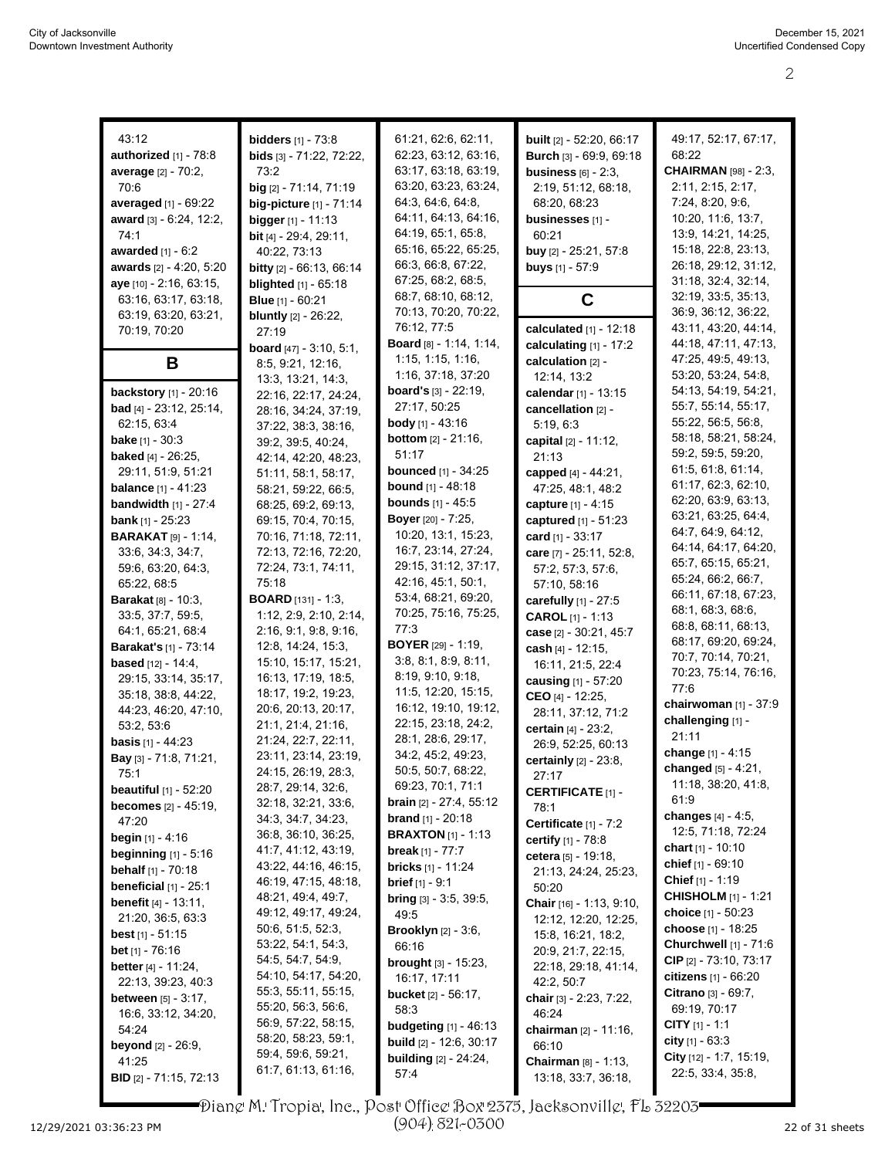| 43:12                          | <b>bidders</b> $[1] - 73.8$         | 61.21, 62:6, 62:11,                         | built [2] - 52:20, 66:17        | 49:17, 52:17, 67:17,                         |
|--------------------------------|-------------------------------------|---------------------------------------------|---------------------------------|----------------------------------------------|
| <b>authorized</b> [1] - 78:8   | bids [3] - 71:22, 72:22,            | 62:23, 63:12, 63:16,                        | Burch [3] - 69:9, 69:18         | 68:22                                        |
| average [2] - 70:2,            | 73.2                                | 63:17, 63:18, 63:19,                        | business $[6]$ - 2:3,           | <b>CHAIRMAN</b> [98] - 2:3,                  |
| 70:6                           | big [2] - 71:14, 71:19              | 63:20, 63:23, 63:24,                        | 2:19, 51:12, 68:18,             | 2:11, 2:15, 2:17,                            |
|                                |                                     | 64:3, 64:6, 64:8,                           |                                 | 7:24, 8:20, 9:6,                             |
| averaged [1] - 69:22           | big-picture [1] - 71:14             | 64:11, 64:13, 64:16,                        | 68:20, 68:23                    | 10:20, 11:6, 13:7,                           |
| award [3] - 6.24, 12:2,        | <b>bigger</b> $[1] - 11:13$         | 64:19, 65:1, 65:8,                          | businesses [1] -                | 13:9, 14:21, 14:25,                          |
| 74:1                           | <b>bit</b> [4] - $29:4$ , $29:11$ , | 65:16, 65:22, 65:25,                        | 60:21                           |                                              |
| awarded $[1] - 6.2$            | 40:22, 73:13                        | 66.3, 66.8, 67.22,                          | buy [2] - 25:21, 57:8           | 15:18, 22:8, 23:13,                          |
| awards [2] - 4:20, 5:20        | <b>bitty</b> $[2] - 66:13, 66:14$   | 67:25, 68:2, 68:5,                          | <b>buys</b> $[1] - 57:9$        | 26:18, 29:12, 31:12,                         |
| aye [10] - 2:16, 63:15,        | <b>blighted</b> [1] - 65:18         |                                             |                                 | 31:18, 32:4, 32:14,                          |
| 63:16, 63:17, 63:18,           | <b>Blue</b> $[1] - 60:21$           | 68:7, 68:10, 68:12,<br>70:13, 70:20, 70:22, | C                               | 32:19, 33:5, 35:13,<br>36:9, 36:12, 36:22,   |
| 63:19, 63:20, 63:21,           | <b>bluntly</b> [2] - 26:22,         | 76:12, 77:5                                 |                                 |                                              |
| 70:19, 70:20                   | 27:19                               | <b>Board</b> $[8] - 1.14, 1.14,$            | calculated $[1] - 12:18$        | 43:11, 43:20, 44:14,<br>44:18, 47:11, 47:13, |
|                                | <b>board</b> $[47] - 3.10, 5.1,$    |                                             | calculating [1] - 17:2          |                                              |
| B                              | 8:5, 9:21, 12:16,                   | 1:15, 1:15, 1:16,                           | calculation [2] -               | 47:25, 49:5, 49:13,                          |
|                                | 13:3, 13:21, 14:3,                  | 1:16, 37:18, 37:20                          | 12:14, 13:2                     | 53:20, 53:24, 54:8,                          |
| <b>backstory</b> $[1] - 20:16$ | 22:16, 22:17, 24:24,                | <b>board's</b> $[3] - 22:19$ ,              | calendar [1] - 13:15            | 54:13, 54:19, 54:21,                         |
| <b>bad</b> [4] - 23:12, 25:14, | 28:16, 34:24, 37:19,                | 27:17, 50:25                                | cancellation [2] -              | 55:7, 55:14, 55:17,                          |
| 62.15, 63.4                    | 37:22, 38:3, 38:16,                 | <b>body</b> [1] - 43:16                     | 5:19, 6:3                       | 55:22, 56:5, 56:8,                           |
| <b>bake</b> $[1] - 30:3$       | 39:2, 39:5, 40:24,                  | <b>bottom</b> $[2] - 21:16$ ,               | capital [2] - 11:12,            | 58:18, 58:21, 58:24,                         |
| <b>baked</b> [4] - 26:25,      | 42:14, 42:20, 48:23,                | 51:17                                       | 21:13                           | 59:2, 59:5, 59:20,                           |
| 29:11, 51:9, 51:21             | 51:11, 58:1, 58:17,                 | <b>bounced</b> [1] - 34:25                  | capped [4] - 44:21,             | 61.5, 61.8, 61.14,                           |
| <b>balance</b> $[1] - 41:23$   | 58:21, 59:22, 66:5,                 | <b>bound</b> [1] - 48:18                    | 47:25, 48:1, 48:2               | 61:17, 62:3, 62:10,                          |
| <b>bandwidth</b> $[1] - 27:4$  | 68:25, 69:2, 69:13,                 | <b>bounds</b> [1] - 45:5                    | capture [1] - 4:15              | 62:20, 63:9, 63:13,                          |
| <b>bank</b> $[1]$ - 25:23      | 69:15, 70:4, 70:15,                 | <b>Boyer</b> $[20] - 7:25$                  | captured [1] - 51:23            | 63:21, 63:25, 64:4,                          |
| <b>BARAKAT</b> [9] - 1.14,     | 70:16, 71:18, 72:11,                | 10:20, 13:1, 15:23,                         | card [1] - 33:17                | 64:7, 64:9, 64:12,                           |
| 33:6, 34:3, 34:7,              | 72:13, 72:16, 72:20,                | 16:7, 23:14, 27:24,                         | care $[7]$ - 25:11, 52:8,       | 64:14, 64:17, 64:20,                         |
| 59.6, 63.20, 64.3,             | 72:24, 73:1, 74:11,                 | 29:15, 31:12, 37:17,                        | 57:2, 57:3, 57:6,               | 65:7, 65:15, 65:21,                          |
| 65:22, 68:5                    | 75:18                               | 42:16, 45:1, 50:1,                          | 57:10, 58:16                    | 65:24, 66:2, 66:7,                           |
| <b>Barakat</b> [8] - 10:3,     | <b>BOARD</b> [131] - 1:3,           | 53:4, 68:21, 69:20,                         | carefully $[1]$ - 27:5          | 66:11, 67:18, 67:23,                         |
| 33:5, 37:7, 59:5,              | 1:12, 2:9, 2:10, 2:14,              | 70:25, 75:16, 75:25,                        | CAROL [1] - 1:13                | 68:1, 68:3, 68:6,                            |
| 64:1, 65:21, 68:4              | 2:16, 9:1, 9:8, 9:16,               | 77:3                                        | case [2] - 30:21, 45:7          | 68:8, 68:11, 68:13,                          |
| <b>Barakat's [1] - 73:14</b>   | 12:8, 14:24, 15:3,                  | <b>BOYER</b> [29] - 1:19,                   | cash [4] - 12:15,               | 68:17, 69:20, 69:24,                         |
| <b>based</b> [12] - 14:4,      | 15:10, 15:17, 15:21,                | 3.8, 8.1, 8.9, 8.11,                        | 16:11, 21:5, 22:4               | 70:7, 70:14, 70:21,                          |
| 29:15, 33:14, 35:17,           | 16:13, 17:19, 18:5,                 | 8:19, 9:10, 9:18,                           | causing [1] - 57:20             | 70:23, 75:14, 76:16,                         |
| 35:18, 38:8, 44:22,            | 18:17, 19:2, 19:23,                 | 11:5, 12:20, 15:15,                         | CEO [4] - 12:25,                | 77:6                                         |
| 44:23, 46:20, 47:10,           | 20:6, 20:13, 20:17,                 | 16:12, 19:10, 19:12,                        | 28:11, 37:12, 71:2              | chairwoman [1] - 37:9                        |
| 53:2, 53:6                     | 21:1, 21:4, 21:16,                  | 22:15, 23:18, 24:2,                         | certain [4] - 23:2,             | challenging [1] -                            |
| <b>basis</b> $[1] - 44:23$     | 21:24, 22:7, 22:11,                 | 28:1, 28:6, 29:17,                          | 26:9, 52:25, 60:13              | 21:11                                        |
| Bay [3] - 71:8, 71:21,         | 23:11, 23:14, 23:19,                | 34:2, 45:2, 49:23,                          | <b>certainly</b> $[2] - 23.8$ , | change [1] - 4:15                            |
| 75:1                           | 24:15, 26:19, 28:3,                 | 50:5, 50:7, 68:22,                          | 27:17                           | changed [5] - 4:21,                          |
| <b>beautiful</b> [1] - 52:20   | 28:7, 29:14, 32:6,                  | 69:23, 70:1, 71:1                           | <b>CERTIFICATE [1] -</b>        | 11:18, 38:20, 41:8,                          |
| <b>becomes</b> $[2] - 45:19$ , | 32:18, 32:21, 33:6,                 | <b>brain</b> $[2] - 27:4, 55:12$            | 78:1                            | 61.9                                         |
| 47:20                          | 34:3, 34:7, 34:23,                  | <b>brand</b> [1] - 20:18                    | Certificate $[1] - 7:2$         | changes [4] - 4:5,                           |
| <b>begin</b> $[1]$ - 4:16      | 36:8, 36:10, 36:25,                 | <b>BRAXTON</b> [1] - 1:13                   | certify $[1] - 78.8$            | 12:5, 71:18, 72:24                           |
| <b>beginning</b> $[1] - 5:16$  | 41:7, 41:12, 43:19,                 | <b>break</b> $[1] - 77:7$                   | cetera [5] - 19:18,             | chart $[1] - 10:10$                          |
| behalf [1] - 70:18             | 43.22, 44.16, 46.15,                | <b>bricks</b> $[1] - 11.24$                 | 21:13, 24:24, 25:23,            | chief $[1] - 69:10$                          |
| beneficial $[1]$ - $25:1$      | 46:19, 47:15, 48:18,                | <b>brief</b> $[1] - 9:1$                    | 50:20                           | <b>Chief</b> $[1] - 1:19$                    |
| <b>benefit</b> $[4] - 13:11$ , | 48:21, 49:4, 49:7,                  | <b>bring</b> $[3]$ - 3:5, 39:5,             | Chair [16] - 1:13, 9:10,        | <b>CHISHOLM</b> [1] - 1:21                   |
| 21:20, 36:5, 63:3              | 49:12, 49:17, 49:24,                | 49:5                                        | 12:12, 12:20, 12:25,            | choice [1] - 50:23                           |
| <b>best</b> $[1] - 51:15$      | 50:6, 51:5, 52:3,                   | <b>Brooklyn</b> [2] - 3:6,                  | 15.8, 16.21, 18.2,              | choose [1] - 18:25                           |
| <b>bet</b> $[1]$ - 76:16       | 53:22, 54:1, 54:3,                  | 66:16                                       | 20.9, 21.7, 22.15,              | <b>Churchwell</b> [1] - 71:6                 |
| <b>better</b> $[4] - 11.24$ ,  | 54:5, 54:7, 54:9,                   | <b>brought</b> $[3] - 15:23$ ,              | 22:18, 29:18, 41:14,            | CIP $[2] - 73:10, 73:17$                     |
| 22:13, 39:23, 40:3             | 54:10, 54:17, 54:20,                | 16:17, 17:11                                | 42:2, 50:7                      | <b>citizens</b> $[1] - 66:20$                |
| <b>between</b> $[5] - 3:17$ ,  | 55:3, 55:11, 55:15,                 | <b>bucket</b> $[2] - 56:17$ ,               | chair $[3] - 2:23, 7:22,$       | Citrano [3] - 69:7,                          |
| 16:6, 33:12, 34:20,            | 55:20, 56:3, 56:6,                  | 58:3                                        | 46:24                           | 69:19, 70:17                                 |
| 54:24                          | 56.9, 57:22, 58:15,                 | <b>budgeting</b> $[1] - 46:13$              | chairman [2] - 11:16,           | <b>CITY</b> $[1] - 1:1$                      |
| <b>beyond</b> $[2] - 26.9$ ,   | 58:20, 58:23, 59:1,                 | <b>build</b> [2] - 12:6, 30:17              | 66:10                           | city $[1] - 63.3$                            |
| 41:25                          | 59.4, 59.6, 59.21,                  | <b>building</b> [2] - 24:24,                |                                 | City [12] - 1:7, 15:19,                      |
|                                | 61:7, 61:13, 61:16,                 | 57:4                                        | Chairman [8] - 1:13,            | 22:5, 33:4, 35:8,                            |
| <b>BID</b> [2] - 71:15, 72:13  |                                     |                                             | 13:18, 33:7, 36:18,             |                                              |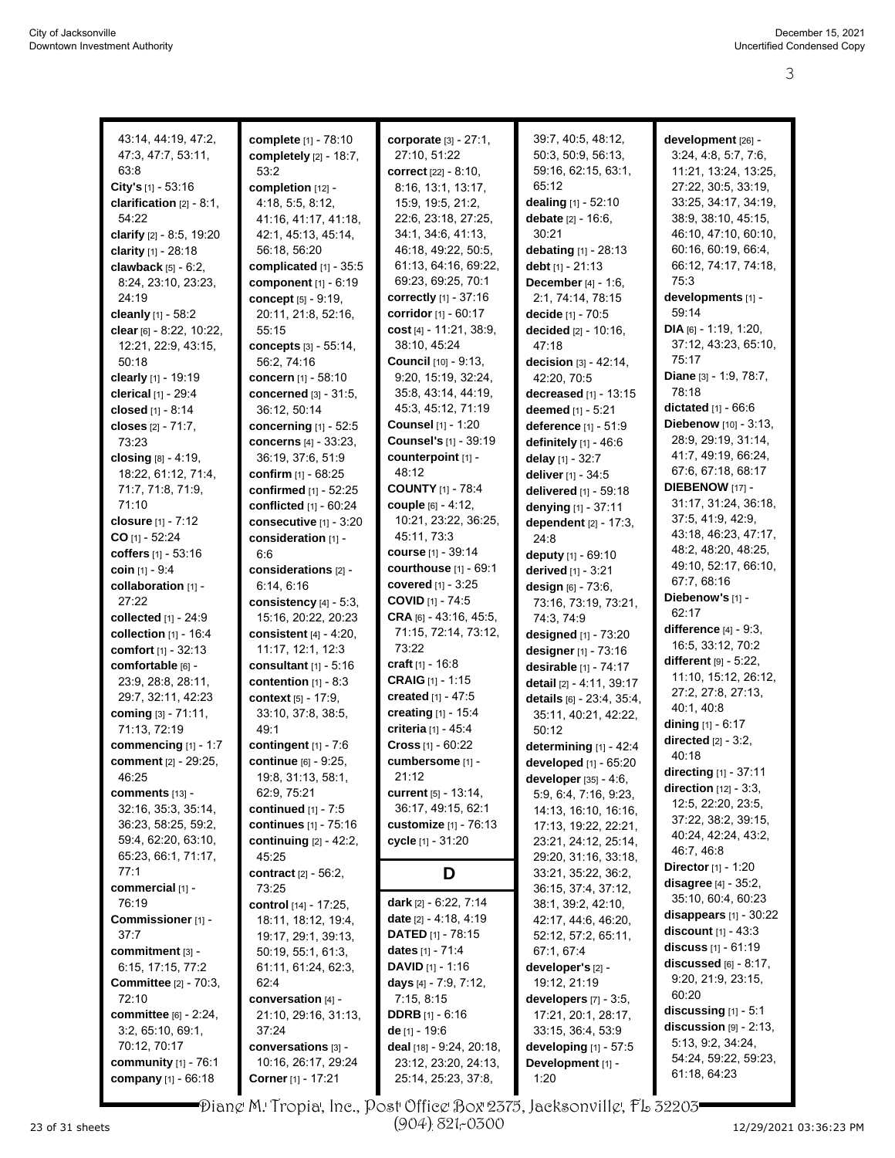3

| 43:14, 44:19, 47:2,          | complete [1] - 78:10         | corporate [3] - 27:1,          | 39:7, 40:5, 48:12,            | development [26] -           |
|------------------------------|------------------------------|--------------------------------|-------------------------------|------------------------------|
| 47:3, 47:7, 53:11,           | completely [2] - 18:7,       | 27:10, 51:22                   | 50:3, 50:9, 56:13,            | 3:24, 4:8, 5:7, 7:6,         |
| 63:8                         | 53:2                         | correct [22] - 8:10,           | 59:16, 62:15, 63:1,           | 11:21, 13:24, 13:25,         |
| City's [1] - 53:16           | completion [12] -            | 8:16, 13:1, 13:17,             | 65:12                         | 27:22, 30:5, 33:19,          |
| clarification [2] - 8:1,     | 4:18, 5:5, 8:12,             | 15:9, 19:5, 21:2,              | dealing [1] - 52:10           | 33:25, 34:17, 34:19,         |
| 54:22                        | 41:16, 41:17, 41:18,         | 22:6, 23:18, 27:25,            | debate [2] - 16:6,            | 38:9, 38:10, 45:15,          |
| clarify [2] - 8:5, 19:20     | 42:1, 45:13, 45:14,          | 34:1, 34:6, 41:13,             | 30:21                         | 46:10, 47:10, 60:10,         |
| clarity [1] - 28:18          | 56:18, 56:20                 | 46:18, 49:22, 50:5,            | debating [1] - 28:13          | 60:16, 60:19, 66:4,          |
| clawback [5] - 6:2,          | complicated [1] - 35:5       | 61:13, 64:16, 69:22,           | debt [1] - 21:13              | 66:12, 74:17, 74:18,         |
| 8:24, 23:10, 23:23,          | component [1] - 6:19         | 69:23, 69:25, 70:1             | <b>December</b> $[4] - 1:6$ , | 75:3                         |
| 24:19                        | concept [5] - 9:19,          | correctly [1] - 37:16          | 2:1, 74:14, 78:15             | developments [1] -           |
| cleanly [1] - 58:2           | 20:11, 21:8, 52:16,          | <b>corridor</b> $[1] - 60:17$  | decide [1] - 70:5             | 59:14                        |
| clear [6] - 8:22, 10:22,     | 55:15                        | cost [4] - 11:21, 38:9,        | decided [2] - 10:16,          | DIA $[6] - 1:19, 1:20,$      |
| 12:21, 22:9, 43:15,          | concepts [3] - 55:14,        | 38:10, 45:24                   | 47:18                         | 37:12, 43:23, 65:10,         |
| 50:18                        | 56:2, 74:16                  | <b>Council</b> [10] - 9:13,    | decision $[3] - 42:14$ ,      | 75:17                        |
| clearly [1] - 19:19          | <b>concern</b> [1] - 58:10   | 9:20, 15:19, 32:24,            | 42:20, 70:5                   | Diane [3] - 1:9, 78:7,       |
| clerical [1] - 29:4          | concerned [3] - 31:5,        | 35:8, 43:14, 44:19,            | decreased [1] - 13:15         | 78:18                        |
| closed [1] - 8:14            | 36:12, 50:14                 | 45:3, 45:12, 71:19             | deemed [1] - 5:21             | dictated [1] - 66:6          |
| closes [2] - 71:7,           | concerning [1] - 52:5        | <b>Counsel</b> [1] - 1:20      | deference [1] - 51:9          | Diebenow [10] - 3:13,        |
| 73:23                        | concerns [4] - 33:23,        | <b>Counsel's</b> [1] - 39:19   | definitely [1] - 46:6         | 28.9, 29.19, 31.14,          |
| closing [8] - 4:19,          | 36:19, 37:6, 51:9            | counterpoint [1] -             | delay [1] - 32:7              | 41.7, 49.19, 66.24,          |
| 18:22, 61:12, 71:4,          | <b>confirm</b> $[1] - 68:25$ | 48:12                          | deliver [1] - 34:5            | 67:6, 67:18, 68:17           |
| 71:7, 71:8, 71:9,            | confirmed [1] - 52:25        | <b>COUNTY [1] - 78:4</b>       | delivered [1] - 59:18         | <b>DIEBENOW</b> [17] -       |
| 71:10                        | conflicted [1] - 60:24       | <b>couple</b> [6] - 4:12,      | denying [1] - 37:11           | 31:17, 31:24, 36:18,         |
| closure [1] - 7:12           | consecutive [1] - 3:20       | 10:21, 23:22, 36:25,           | dependent [2] - 17:3,         | 37:5, 41:9, 42:9,            |
| $CO$ [1] - 52:24             | consideration [1] -          | 45:11, 73:3                    | 24:8                          | 43:18, 46:23, 47:17,         |
| coffers $[1] - 53:16$        | 6:6                          | course [1] - 39:14             | deputy [1] - 69:10            | 48.2, 48.20, 48.25,          |
| coin $[1] - 9.4$             | considerations [2] -         | courthouse [1] - 69:1          | derived [1] - 3:21            | 49:10, 52:17, 66:10,         |
| collaboration [1] -          | 6:14, 6:16                   | covered [1] - 3:25             | design [6] - 73:6,            | 67:7, 68:16                  |
| 27:22                        | consistency [4] - 5:3,       | COVID [1] - 74:5               | 73:16, 73:19, 73:21,          | Diebenow's [1] -             |
| collected $[1] - 24.9$       | 15:16, 20:22, 20:23          | <b>CRA</b> [6] - 43:16, 45:5,  | 74:3, 74:9                    | 62:17                        |
| collection $[1]$ - 16:4      | consistent $[4]$ - 4:20,     | 71:15, 72:14, 73:12,           | designed [1] - 73:20          | difference $[4]$ - $9:3$ ,   |
| comfort [1] - 32:13          | 11:17, 12:1, 12:3            | 73:22                          | designer [1] - 73:16          | 16:5, 33:12, 70:2            |
| comfortable [6] -            | consultant $[1]$ - 5:16      | craft $[1] - 16.8$             | desirable [1] - 74:17         | different $[9] - 5:22$ ,     |
| 23:9, 28:8, 28:11,           | contention $[1] - 8:3$       | <b>CRAIG</b> $[1] - 1:15$      | detail [2] - 4:11, 39:17      | 11:10, 15:12, 26:12,         |
| 29:7, 32:11, 42:23           | context [5] - 17:9,          | created [1] - 47:5             | details [6] - 23:4, 35:4,     | 27:2, 27:8, 27:13,           |
| coming [3] - 71:11,          | 33:10, 37:8, 38:5,           | creating $[1] - 15.4$          | 35:11, 40:21, 42:22,          | 40:1, 40:8                   |
| 71:13, 72:19                 | 49:1                         | criteria [1] - 45:4            | 50:12                         | dining $[1] - 6:17$          |
| commencing [1] - 1:7         | contingent $[1] - 7:6$       | Cross [1] - 60:22              | determining [1] - 42:4        | directed $[2] - 3:2$ ,       |
| <b>comment</b> [2] - 29:25,  | <b>continue</b> [6] - 9:25,  | cumbersome [1] -               | developed [1] - 65:20         | 40:18                        |
| 46:25                        | 19.8, 31.13, 58.1,           | 21:12                          | developer [35] - 4:6,         | directing [1] - 37:11        |
| comments $[13]$ -            | 62:9, 75:21                  | <b>current</b> $[5] - 13:14$ , | 5:9, 6:4, 7:16, 9:23,         | direction [12] - 3:3,        |
| 32:16, 35:3, 35:14,          | continued $[1] - 7:5$        | 36:17, 49:15, 62:1             | 14:13, 16:10, 16:16,          | 12:5, 22:20, 23:5,           |
| 36:23, 58:25, 59:2,          | continues [1] - 75:16        | customize [1] - 76:13          | 17:13, 19:22, 22:21,          | 37:22, 38:2, 39:15,          |
| 59.4, 62.20, 63.10,          | continuing $[2] - 42:2$ ,    | cycle [1] - 31:20              | 23:21, 24:12, 25:14,          | 40.24, 42:24, 43:2,          |
| 65:23, 66:1, 71:17,          | 45:25                        |                                | 29:20, 31:16, 33:18,          | 46:7, 46:8                   |
| 77:1                         | contract [2] - 56:2,         | D                              | 33:21, 35:22, 36:2,           | <b>Director</b> $[1] - 1:20$ |
| commercial [1] -             | 73:25                        |                                | 36:15, 37:4, 37:12,           | disagree [4] - 35:2,         |
| 76:19                        | control [14] - 17:25,        | dark $[2] - 6:22, 7:14$        | 38.1, 39.2, 42.10,            | 35:10, 60:4, 60:23           |
| Commissioner [1] -           | 18:11, 18:12, 19:4,          | <b>date</b> $[2] - 4.18, 4.19$ | 42:17, 44:6, 46:20,           | disappears $[1]$ - 30:22     |
| 37:7                         | 19:17, 29:1, 39:13,          | <b>DATED</b> $[1]$ - 78:15     | 52:12, 57:2, 65:11,           | <b>discount</b> $[1] - 43.3$ |
| commitment [3] -             | 50:19, 55:1, 61:3,           | <b>dates</b> [1] - 71:4        | 67:1, 67:4                    | <b>discuss</b> $[1] - 61:19$ |
| 6:15, 17:15, 77:2            | 61:11, 61:24, 62:3,          | <b>DAVID</b> $[1]$ - 1:16      | developer's [2] -             | discussed $[6]$ - 8:17,      |
| <b>Committee</b> [2] - 70:3, | 62:4                         | days $[4] - 7:9, 7:12,$        | 19:12, 21:19                  | 9:20, 21:9, 23:15,           |
| 72:10                        | conversation [4] -           | 7:15, 8:15                     | developers [7] - 3:5,         | 60:20                        |
| <b>committee</b> [6] - 2:24, | 21:10, 29:16, 31:13,         | <b>DDRB</b> $[1] - 6:16$       | 17:21, 20:1, 28:17,           | discussing $[1]$ - 5:1       |
| 3.2, 65.10, 69.1,            | 37:24                        | <b>de</b> [1] - 19:6           | 33:15, 36:4, 53:9             | discussion $[9] - 2.13$ ,    |
| 70:12, 70:17                 | conversations [3] -          | deal [18] - 9:24, 20:18,       | developing [1] - 57:5         | 5:13, 9:2, 34:24,            |
| community $[1]$ - 76:1       | 10:16, 26:17, 29:24          | 23:12, 23:20, 24:13,           | Development [1] -             | 54:24, 59:22, 59:23,         |
| company [1] - 66:18          | Corner [1] - 17:21           | 25:14, 25:23, 37:8,            | 1:20                          | 61:18, 64:23                 |

Diane M. Tropia, Inc., Post Office Box 2375, Jacksonville, FL 32203

(904) 821-0300

U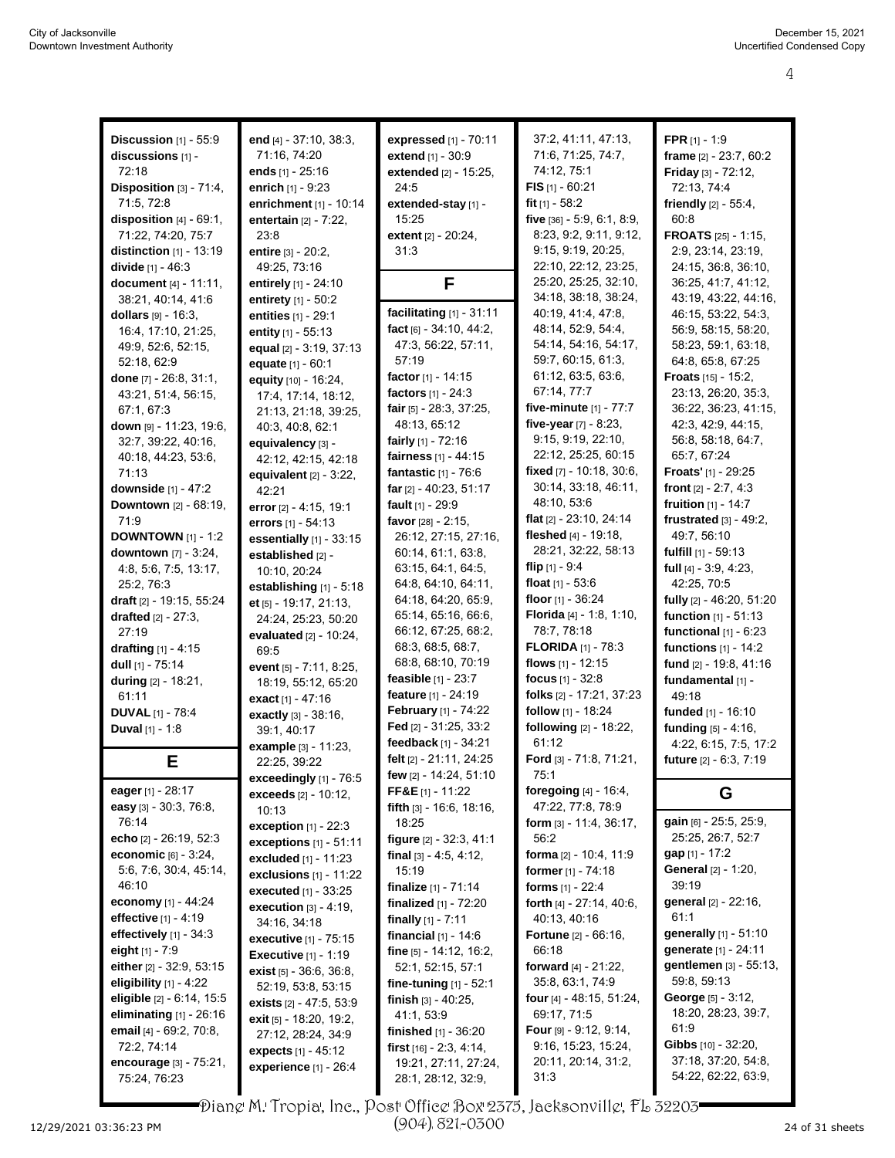| <b>Discussion</b> [1] - 55:9<br>discussions [1] -<br>72:18<br>Disposition [3] - 71:4,<br>71:5, 72:8<br>disposition $[4]$ - $69:1$ ,<br>71:22, 74:20, 75:7<br>distinction $[1]$ - 13:19<br>divide [1] - 46:3<br>document [4] - 11:11,                                                                                                                                                                                           | end [4] - 37:10, 38:3,<br>71:16, 74:20<br>ends [1] - 25:16<br>enrich [1] - 9:23<br>enrichment [1] - 10:14<br>entertain [2] - 7:22,<br>23:8<br>entire [3] - 20:2,<br>49:25, 73:16<br>entirely [1] - 24:10                                                                                                                                                                                                                                                              | expressed [1] - 70:11<br>extend [1] - 30:9<br>extended [2] - 15:25,<br>24:5<br>extended-stay [1] -<br>15:25<br>extent [2] - 20:24,<br>31:3<br>F                                                                                                                                                                                                                                                                                                   | 37:2, 41:11, 47:13,<br>71.6, 71.25, 74.7,<br>74:12, 75:1<br>FIS $[1]$ - 60:21<br>fit $[1] - 58:2$<br>five [36] - 5:9, 6:1, 8:9,<br>8:23, 9:2, 9:11, 9:12,<br>9:15, 9:19, 20:25,<br>22:10, 22:12, 23:25,<br>25:20, 25:25, 32:10,                                                                                                                                                                                 | <b>FPR</b> $[1] - 1:9$<br>frame $[2] - 23:7, 60:2$<br>Friday [3] - 72:12,<br>72:13, 74:4<br>friendly [2] - 55:4,<br>60:8<br><b>FROATS</b> $[25] - 1:15$<br>2:9, 23:14, 23:19,<br>24:15, 36:8, 36:10,<br>36:25, 41:7, 41:12,                                                                                                                                |
|--------------------------------------------------------------------------------------------------------------------------------------------------------------------------------------------------------------------------------------------------------------------------------------------------------------------------------------------------------------------------------------------------------------------------------|-----------------------------------------------------------------------------------------------------------------------------------------------------------------------------------------------------------------------------------------------------------------------------------------------------------------------------------------------------------------------------------------------------------------------------------------------------------------------|---------------------------------------------------------------------------------------------------------------------------------------------------------------------------------------------------------------------------------------------------------------------------------------------------------------------------------------------------------------------------------------------------------------------------------------------------|-----------------------------------------------------------------------------------------------------------------------------------------------------------------------------------------------------------------------------------------------------------------------------------------------------------------------------------------------------------------------------------------------------------------|------------------------------------------------------------------------------------------------------------------------------------------------------------------------------------------------------------------------------------------------------------------------------------------------------------------------------------------------------------|
| 38:21, 40:14, 41:6<br>dollars $[9] - 16:3$ ,<br>16:4, 17:10, 21:25,<br>49.9, 52.6, 52.15,<br>52:18, 62:9<br>done [7] - 26:8, 31:1,<br>43:21, 51:4, 56:15,<br>67:1, 67:3<br>down [9] - 11:23, 19:6,<br>32:7, 39:22, 40:16,                                                                                                                                                                                                      | entirety [1] - 50:2<br>entities $[1] - 29:1$<br>entity $[1] - 55:13$<br>equal [2] - 3:19, 37:13<br>equate [1] - 60:1<br>equity [10] - 16:24,<br>17:4, 17:14, 18:12,<br>21:13, 21:18, 39:25,<br>40:3, 40:8, 62:1<br>equivalency [3] -                                                                                                                                                                                                                                  | facilitating $[1]$ - 31:11<br>fact [6] - 34:10, 44:2,<br>47:3, 56:22, 57:11,<br>57:19<br>factor $[1] - 14:15$<br>factors [1] - 24:3<br>fair [5] - 28:3, 37:25,<br>48:13, 65:12<br>fairly $[1] - 72:16$                                                                                                                                                                                                                                            | 34:18, 38:18, 38:24,<br>40:19, 41:4, 47:8,<br>48:14, 52:9, 54:4,<br>54:14, 54:16, 54:17,<br>59.7, 60.15, 61.3,<br>61:12, 63:5, 63:6,<br>67:14, 77:7<br>five-minute [1] - 77:7<br>five-year $[7] - 8:23$ ,<br>9:15, 9:19, 22:10,                                                                                                                                                                                 | 43:19, 43:22, 44:16,<br>46:15, 53:22, 54:3,<br>56:9, 58:15, 58:20,<br>58:23, 59:1, 63:18,<br>64:8, 65:8, 67:25<br><b>Froats</b> $[15] - 15:2$ ,<br>23:13, 26:20, 35:3,<br>36:22, 36:23, 41:15,<br>42:3, 42:9, 44:15,<br>56:8, 58:18, 64:7,                                                                                                                 |
| 40:18, 44:23, 53:6,<br>71:13<br>downside $[1] - 47:2$<br>Downtown [2] - 68:19,<br>71.9<br><b>DOWNTOWN</b> $[1] - 1:2$<br><b>downtown</b> [7] - 3:24,<br>4.8, 5.6, 7.5, 13.17,<br>25:2, 76:3                                                                                                                                                                                                                                    | 42.12, 42.15, 42.18<br>equivalent $[2] - 3:22$ ,<br>42:21<br>error [2] - 4:15, 19:1<br>errors [1] - 54:13<br>essentially [1] - 33:15<br>established [2] -<br>10:10, 20:24<br>establishing [1] - 5:18                                                                                                                                                                                                                                                                  | fairness [1] - 44:15<br>fantastic [1] - 76:6<br>far $[2] - 40:23, 51:17$<br>fault [1] - 29:9<br>favor [28] - 2:15,<br>26:12, 27:15, 27:16,<br>60:14, 61:1, 63:8,<br>63:15, 64:1, 64:5,<br>64:8, 64:10, 64:11,<br>64:18, 64:20, 65:9,                                                                                                                                                                                                              | 22:12, 25:25, 60:15<br>fixed [7] - 10:18, 30:6,<br>30:14, 33:18, 46:11,<br>48:10, 53.6<br>flat $[2] - 23:10, 24:14$<br>fleshed $[4] - 19.18$ ,<br>28:21, 32:22, 58:13<br>flip $[1] - 9.4$<br>float $[1] - 53.6$<br>floor [1] - 36:24                                                                                                                                                                            | 65:7, 67:24<br>Froats' [1] - 29:25<br>front $[2] - 2:7, 4:3$<br>fruition [1] - 14:7<br>frustrated $[3] - 49:2$ ,<br>49:7, 56:10<br>fulfill $[1]$ - 59:13<br>full $[4] - 3.9, 4.23,$<br>42:25, 70:5<br>fully [2] - 46:20, 51:20                                                                                                                             |
| draft [2] - 19:15, 55:24<br><b>drafted</b> $[2] - 27:3$ ,<br>27:19<br>drafting [1] - 4:15<br>dull [1] - 75:14<br>during [2] - 18:21,<br>61:11<br><b>DUVAL</b> [1] - 78:4<br><b>Duval</b> $[1] - 1.8$                                                                                                                                                                                                                           | et [5] - 19:17, 21:13,<br>24:24, 25:23, 50:20<br>evaluated [2] - 10:24,<br>69:5<br>event [5] - 7:11, 8:25,<br>18:19, 55:12, 65:20<br>exact [1] - 47:16<br>exactly [3] - 38:16,<br>39:1, 40:17                                                                                                                                                                                                                                                                         | 65:14, 65:16, 66:6,<br>66:12, 67:25, 68:2,<br>68:3, 68:5, 68:7,<br>68.8, 68.10, 70.19<br>feasible $[1] - 23.7$<br>feature [1] - 24:19<br>February [1] - 74:22<br>Fed $[2] - 31:25, 33:2$<br>feedback [1] - 34:21                                                                                                                                                                                                                                  | Florida [4] - 1:8, 1:10,<br>78:7, 78:18<br><b>FLORIDA</b> $[1]$ - 78:3<br>flows $[1] - 12:15$<br>focus $[1] - 32.8$<br>folks [2] - 17:21, 37:23<br>follow [1] - 18:24<br>following [2] - 18:22,<br>61:12                                                                                                                                                                                                        | <b>function</b> $[1] - 51:13$<br>functional $[1]$ - $6:23$<br>functions $[1]$ - 14:2<br>fund [2] - 19:8, 41:16<br>fundamental [1] -<br>49:18<br>funded [1] - 16:10<br>funding [5] - 4:16,<br>4:22, 6:15, 7:5, 17:2                                                                                                                                         |
| Е<br>eager [1] - 28:17                                                                                                                                                                                                                                                                                                                                                                                                         | example [3] - 11:23,<br>22:25, 39:22<br>exceedingly [1] - 76:5<br><b>exceeds</b> $[2] - 10:12$                                                                                                                                                                                                                                                                                                                                                                        | felt [2] - 21:11, 24:25<br>few [2] - 14:24, 51:10<br>FF&E $[1] - 11:22$                                                                                                                                                                                                                                                                                                                                                                           | <b>Ford</b> $[3] - 71.8$ , $71.21$ ,<br>75:1<br>foregoing $[4] - 16.4$ ,                                                                                                                                                                                                                                                                                                                                        | future [2] - 6:3, 7:19<br>G                                                                                                                                                                                                                                                                                                                                |
| easy [3] - 30:3, 76:8,<br>76:14<br>echo [2] - 26:19, 52:3<br>economic [6] - 3:24,<br>5.6, 7.6, 30.4, 45.14,<br>46:10<br>economy $[1] - 44.24$<br>effective $[1] - 4.19$<br>effectively $[1]$ - 34:3<br>eight $[1] - 7:9$<br>either [2] - 32.9, 53:15<br>eligibility $[1]$ - 4:22<br>eligible $[2] - 6.14, 15.5$<br>eliminating [1] - 26:16<br>email [4] - 69:2, 70:8,<br>72:2, 74:14<br>encourage [3] - 75:21,<br>75:24, 76:23 | 10:13<br>exception $[1]$ - 22:3<br>exceptions [1] - 51:11<br>excluded $[1]$ - 11:23<br>exclusions $[1]$ - 11:22<br><b>executed</b> [1] - 33:25<br>execution $[3] - 4:19$ ,<br>34:16, 34:18<br>executive [1] - 75:15<br><b>Executive</b> [1] - 1:19<br><b>exist</b> $[5] - 36.6$ , $36.8$ ,<br>52:19, 53:8, 53:15<br><b>exists</b> $[2] - 47:5, 53:9$<br><b>exit</b> $[5] - 18:20, 19:2,$<br>27:12, 28:24, 34:9<br><b>expects</b> [1] - 45:12<br>experience [1] - 26:4 | fifth [3] - 16:6, 18:16,<br>18:25<br>figure [2] - 32:3, 41:1<br>final $[3] - 4.5, 4.12,$<br>15:19<br><b>finalize</b> $[1]$ - 71:14<br>finalized $[1]$ - $72:20$<br>finally $[1] - 7:11$<br>financial $[1]$ - 14:6<br>fine [5] - 14:12, 16:2,<br>52:1, 52:15, 57:1<br>fine-tuning $[1] - 52:1$<br>finish $[3] - 40:25$ ,<br>41:1, 53:9<br><b>finished</b> $[1] - 36:20$<br>first $[16] - 2.3, 4.14,$<br>19:21, 27:11, 27:24,<br>28:1, 28:12, 32:9, | 47:22, 77:8, 78:9<br>form $[3] - 11.4$ , 36:17,<br>56:2<br>forma [2] - 10:4, 11:9<br>former $[1] - 74:18$<br>forms $[1] - 22:4$<br>forth [4] - 27:14, 40:6,<br>40:13, 40:16<br><b>Fortune</b> $[2] - 66:16$ ,<br>66:18<br>forward [4] - 21:22,<br>35:8, 63:1, 74:9<br><b>four</b> $[4] - 48.15, 51.24,$<br>69:17, 71:5<br><b>Four</b> $[9] - 9.12, 9.14,$<br>9:16, 15:23, 15:24,<br>20:11, 20:14, 31:2,<br>31.3 | gain [6] - 25:5, 25:9,<br>25:25, 26:7, 52:7<br>$gap [1] - 17:2$<br><b>General</b> [2] - 1:20,<br>39:19<br>general [2] - 22:16,<br>61:1<br>generally [1] - 51:10<br>generate [1] - 24:11<br>gentlemen [3] - 55:13,<br>59:8, 59:13<br>George [5] - 3:12,<br>18:20, 28:23, 39:7,<br>61:9<br>Gibbs [10] - 32:20,<br>37:18, 37:20, 54:8,<br>54:22, 62:22, 63:9, |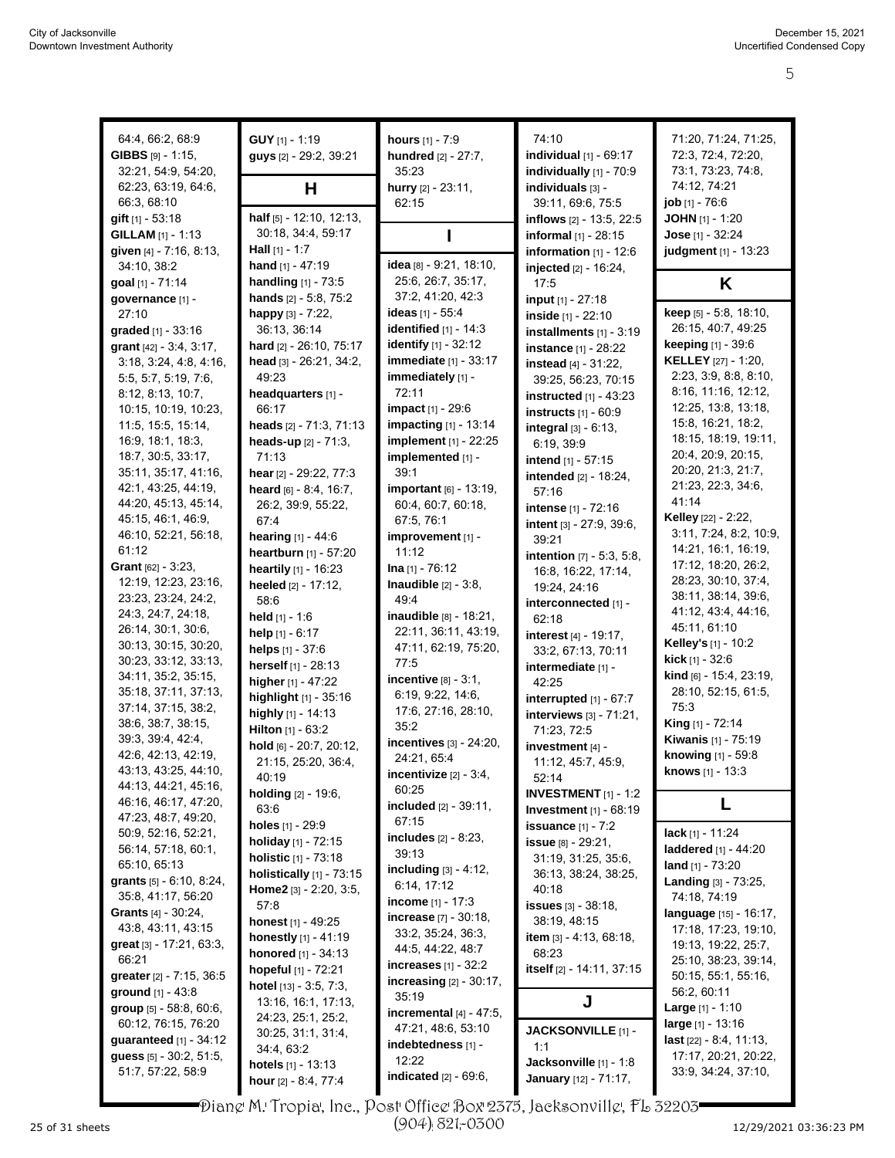| 64:4, 66:2, 68:9            | $GUY$ [1] - 1:19               | hours [1] - 7:9                | 74:10                              | 71:20, 71:24, 71:25,        |
|-----------------------------|--------------------------------|--------------------------------|------------------------------------|-----------------------------|
| GIBBS [9] - 1:15,           | guys [2] - 29:2, 39:21         | hundred [2] - 27:7,            | individual [1] - 69:17             | 72:3, 72:4, 72:20,          |
| 32.21, 54:9, 54:20,         |                                | 35:23                          | individually [1] - 70:9            | 73:1, 73:23, 74:8,          |
| 62:23, 63:19, 64:6,         | н                              | hurry [2] - 23:11,             | individuals [3] -                  | 74:12, 74:21                |
| 66:3, 68:10                 |                                | 62:15                          | 39:11, 69:6, 75:5                  | job [1] - 76:6              |
| <b>gift</b> $[1]$ - 53:18   | half [5] - 12:10, 12:13,       |                                | inflows [2] - 13:5, 22:5           | <b>JOHN</b> $[1]$ - 1:20    |
| GILLAM [1] - 1:13           | 30:18, 34:4, 59:17             |                                |                                    | Jose $[1] - 32:24$          |
| given [4] - 7:16, 8:13,     | <b>Hall</b> $[1]$ - 1:7        |                                | informal [1] - 28:15               | judgment [1] - 13:23        |
|                             | hand $[1] - 47:19$             | idea [8] - 9:21, 18:10,        | information $[1] - 12:6$           |                             |
| 34:10, 38:2                 | <b>handling</b> $[1]$ - 73:5   | 25:6, 26:7, 35:17,             | injected [2] - 16:24,              |                             |
| goal [1] - 71:14            |                                | 37:2, 41:20, 42:3              | 17:5                               | Κ                           |
| governance [1] -            | hands [2] - 5:8, 75:2          | ideas $[1] - 55:4$             | input [1] - 27:18                  | keep [5] - 5:8, 18:10,      |
| 27:10                       | happy [3] - 7:22,              | identified $[1]$ - 14:3        | inside [1] - 22:10                 | 26:15, 40:7, 49:25          |
| graded $[1] - 33:16$        | 36:13, 36:14                   |                                | installments [1] - 3:19            | <b>keeping</b> $[1] - 39.6$ |
| grant [42] - 3:4, 3:17,     | hard [2] - 26:10, 75:17        | <b>identify</b> $[1] - 32:12$  | instance [1] - 28:22               |                             |
| 3:18, 3:24, 4:8, 4:16,      | head [3] - 26:21, 34:2,        | immediate [1] - 33:17          | instead [4] - 31:22,               | <b>KELLEY</b> [27] - 1:20,  |
| 5:5, 5:7, 5:19, 7:6,        | 49.23                          | immediately [1] -              | 39:25, 56:23, 70:15                | 2:23, 3:9, 8:8, 8:10,       |
| 8:12, 8:13, 10:7,           | headquarters [1] -             | 72:11                          | instructed $[1]$ - 43:23           | 8:16, 11:16, 12:12,         |
| 10:15, 10:19, 10:23,        | 66:17                          | <b>impact</b> [1] - 29:6       | instructs $[1] - 60.9$             | 12:25, 13:8, 13:18,         |
| 11:5, 15:5, 15:14,          | heads [2] - 71:3, 71:13        | impacting [1] - 13:14          | integral $[3] - 6:13$ ,            | 15:8, 16:21, 18:2,          |
| 16.9, 18.1, 18.3,           | <b>heads-up</b> $[2] - 71:3$ , | implement [1] - 22:25          | 6:19, 39:9                         | 18:15, 18:19, 19:11,        |
| 18:7, 30:5, 33:17,          | 71:13                          | implemented [1] -              | intend [1] - 57:15                 | 20:4, 20:9, 20:15,          |
| 35:11, 35:17, 41:16,        | hear [2] - 29:22, 77:3         | 39:1                           | <b>intended</b> [2] - 18:24,       | 20:20, 21:3, 21:7,          |
| 42:1, 43:25, 44:19,         | heard [6] - 8:4, 16:7,         | important [6] - 13:19,         | 57:16                              | 21:23, 22:3, 34:6,          |
| 44:20, 45:13, 45:14,        | 26:2, 39:9, 55:22,             | 60.4, 60.7, 60.18,             | intense [1] - 72:16                | 41:14                       |
| 45:15, 46:1, 46:9,          | 67:4                           | 67:5, 76:1                     | intent [3] - 27:9, 39:6,           | Kelley [22] - 2:22,         |
| 46:10, 52:21, 56:18,        | <b>hearing</b> $[1] - 44.6$    | improvement [1] -              | 39:21                              | 3:11, 7:24, 8:2, 10:9,      |
| 61:12                       | heartburn [1] - 57:20          | 11:12                          | <b>intention</b> $[7] - 5:3, 5:8,$ | 14:21, 16:1, 16:19,         |
| <b>Grant</b> $[62] - 3:23$  | heartily [1] - 16:23           | $\ln a$ [1] - 76:12            | 16:8, 16:22, 17:14,                | 17:12, 18:20, 26:2,         |
| 12:19, 12:23, 23:16,        | heeled [2] - 17:12,            | <b>Inaudible</b> $[2] - 3:8$ , | 19:24, 24:16                       | 28:23, 30:10, 37:4,         |
| 23:23, 23:24, 24:2,         | 58:6                           | 49.4                           | interconnected [1] -               | 38:11, 38:14, 39:6,         |
| 24.3, 24.7, 24.18,          | held $[1] - 1:6$               | inaudible [8] - 18:21,         | 62:18                              | 41:12, 43:4, 44:16,         |
| 26:14, 30:1, 30:6,          | help $[1] - 6:17$              | 22:11, 36:11, 43:19,           | interest [4] - 19:17,              | 45:11, 61:10                |
| 30:13, 30:15, 30:20,        | helps [1] - 37:6               | 47:11, 62:19, 75:20,           | 33:2, 67:13, 70:11                 | <b>Kelley's</b> [1] - 10:2  |
| 30:23, 33:12, 33:13,        | herself [1] - 28:13            | 77:5                           | intermediate [1] -                 | <b>kick</b> $[1] - 32:6$    |
| 34:11, 35:2, 35:15,         | higher [1] - 47:22             | incentive $[8] - 3.1$ ,        | 42:25                              | kind [6] - 15:4, 23:19,     |
| 35:18, 37:11, 37:13,        | highlight [1] - 35:16          | 6.19, 9.22, 14.6,              | interrupted [1] - 67:7             | 28:10, 52:15, 61:5,         |
| 37:14, 37:15, 38:2,         | highly [1] - 14:13             | 17:6, 27:16, 28:10,            | interviews [3] - 71:21,            | 75:3                        |
| 38.6, 38.7, 38.15,          | Hilton [1] - 63:2              | 35:2                           | 71:23, 72:5                        | King [1] - 72:14            |
| 39:3, 39:4, 42:4,           | hold [6] - 20:7, 20:12,        | incentives [3] - 24:20,        | investment [4] -                   | <b>Kiwanis</b> [1] - 75:19  |
| 42.6, 42.13, 42.19,         | 21:15, 25:20, 36:4,            | 24:21, 65:4                    | 11:12, 45:7, 45:9,                 | knowing [1] - 59:8          |
| 43:13, 43:25, 44:10,        | 40:19                          | incentivize $[2] - 3.4$ ,      | 52:14                              | <b>knows</b> [1] - 13:3     |
| 44:13, 44:21, 45:16,        | <b>holding</b> $[2] - 19.6$ ,  | 60:25                          | <b>INVESTMENT</b> $[1]$ - 1:2      |                             |
| 46:16, 46:17, 47:20,        | 63.6                           | included [2] - 39:11,          | Investment $[1]$ - $68:19$         | L                           |
| 47:23, 48:7, 49:20,         | holes [1] - 29:9               | 67:15                          | <b>issuance</b> $[1] - 7:2$        |                             |
| 50:9, 52:16, 52:21,         |                                | <b>includes</b> $[2] - 8:23$ , |                                    | lack $[1] - 11:24$          |
| 56:14, 57:18, 60:1,         | holiday [1] - 72:15            | 39:13                          | issue [8] - 29:21,                 | laddered [1] - 44:20        |
| 65:10, 65:13                | <b>holistic</b> [1] - 73:18    | including $[3] - 4:12$ ,       | 31:19, 31:25, 35:6,                | land [1] - 73:20            |
| grants $[5] - 6.10, 8.24$ , | holistically [1] - 73:15       | 6:14, 17:12                    | 36:13, 38:24, 38:25,               | Landing [3] - 73:25,        |
| 35:8, 41:17, 56:20          | Home2 [3] - 2:20, 3:5,         | income $[1] - 17:3$            | 40:18                              | 74:18, 74:19                |
| Grants [4] - 30:24,         | 57:8                           | <b>increase</b> [7] - 30:18,   | <b>issues</b> $[3] - 38:18$ ,      | language [15] - 16:17,      |
| 43.8, 43.11, 43.15          | <b>honest</b> $[1]$ - 49:25    | 33:2, 35:24, 36:3,             | 38:19, 48:15                       | 17:18, 17:23, 19:10,        |
| great [3] - 17:21, 63:3,    | honestly [1] - 41:19           | 44:5, 44:22, 48:7              | item $[3] - 4.13, 68.18$ ,         | 19:13, 19:22, 25:7,         |
| 66:21                       | honored [1] - 34:13            | increases $[1]$ - 32:2         | 68:23                              | 25:10, 38:23, 39:14,        |
| greater [2] - 7:15, 36:5    | hopeful [1] - 72:21            | increasing $[2] - 30:17$ ,     | itself [2] - 14:11, 37:15          | 50:15, 55:1, 55:16,         |
| <b>ground</b> $[1] - 43.8$  | hotel $[13] - 3.5, 7.3$ ,      |                                |                                    | 56:2, 60:11                 |
| group $[5]$ - 58:8, 60:6,   | 13:16, 16:1, 17:13,            | 35:19                          | J                                  | <b>Large</b> $[1] - 1:10$   |
| 60:12, 76:15, 76:20         | 24:23, 25:1, 25:2,             | incremental $[4] - 47:5$ ,     |                                    | large [1] - 13:16           |
| guaranteed $[1]$ - 34:12    | 30.25, 31:1, 31:4,             | 47:21, 48:6, 53:10             | JACKSONVILLE [1] -                 | last [22] - 8:4, 11:13,     |
| guess [5] - 30:2, 51:5,     | 34:4, 63:2                     | indebtedness [1] -             | 1:1                                | 17:17, 20:21, 20:22,        |
| 51:7, 57:22, 58:9           | <b>hotels</b> $[1]$ - 13:13    | 12:22                          | Jacksonville [1] - 1:8             | 33.9, 34.24, 37.10,         |
|                             | hour $[2] - 8.4, 77.4$         | indicated [2] - 69:6,          | January [12] - 71:17,              |                             |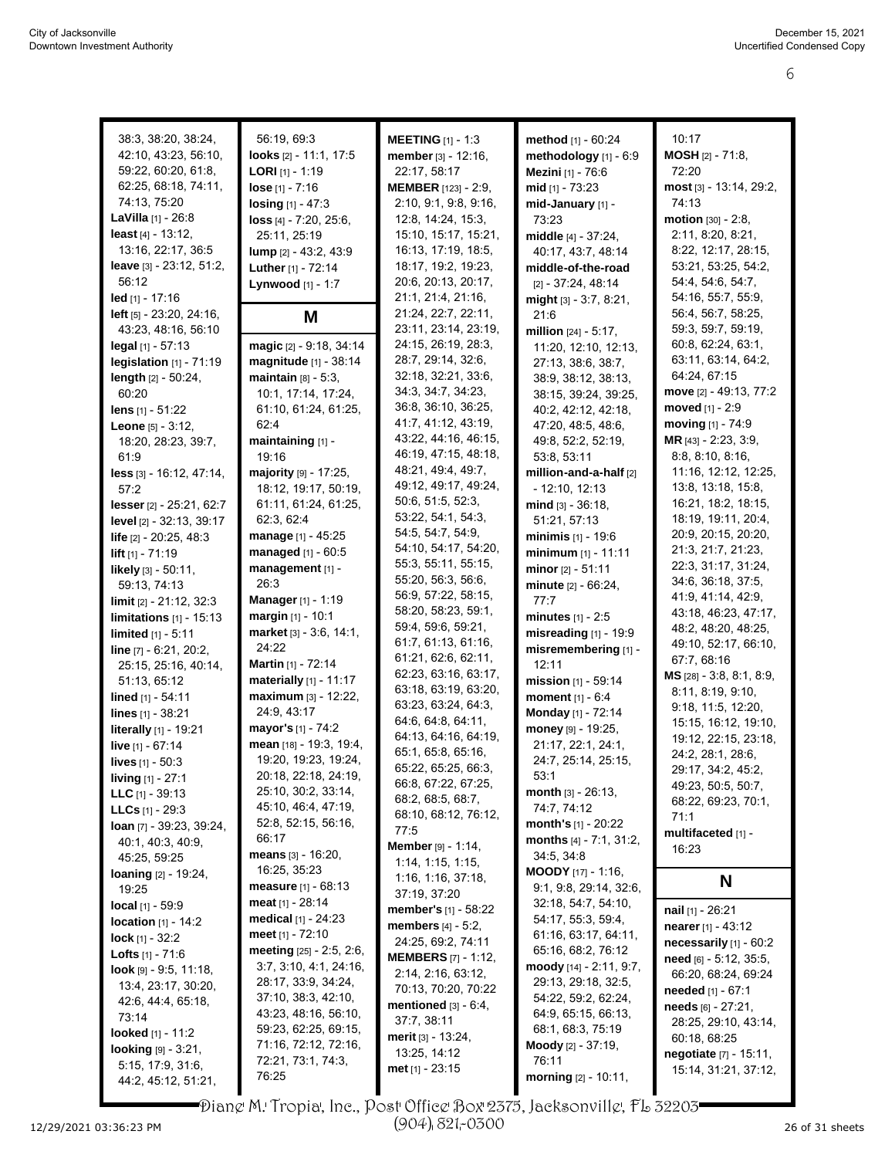| 38:3, 38:20, 38:24,                   | 56:19, 69:3                  | <b>MEETING</b> $[1] - 1.3$     | method [1] - 60:24               | 10:17                     |
|---------------------------------------|------------------------------|--------------------------------|----------------------------------|---------------------------|
| 42:10, 43:23, 56:10,                  | looks [2] - 11:1, 17:5       | member [3] - 12:16,            | methodology [1] - 6:9            | $MOSH_{[2]} - 71:8,$      |
| 59.22, 60:20, 61:8,                   | <b>LORI</b> $[1]$ - 1:19     | 22:17, 58:17                   | Mezini [1] - 76:6                | 72:20                     |
| 62:25, 68:18, 74:11,                  | $lose [1] - 7:16$            | <b>MEMBER</b> [123] - 2:9,     | $mid$ [1] - 73:23                | most [3] - 13:14, 29:2,   |
| 74:13, 75:20                          | $\log_{10}[1] - 47:3$        | 2:10, 9:1, 9:8, 9:16,          | mid-January [1] -                | 74:13                     |
| <b>LaVilla</b> $[1]$ - 26:8           | loss [4] - 7:20, 25:6,       | 12:8, 14:24, 15:3,             | 73:23                            | motion [30] - 2:8,        |
| <b>least</b> $[4] - 13:12$ ,          |                              | 15:10, 15:17, 15:21,           |                                  | 2:11, 8:20, 8:21,         |
|                                       | 25:11, 25:19                 |                                | middle [4] - 37:24,              |                           |
| 13:16, 22:17, 36:5                    | lump [2] - 43:2, 43:9        | 16:13, 17:19, 18:5,            | 40.17, 43.7, 48.14               | 8:22, 12:17, 28:15,       |
| leave [3] - 23:12, 51:2,              | Luther [1] - 72:14           | 18:17, 19:2, 19:23,            | middle-of-the-road               | 53:21, 53:25, 54:2,       |
| 56:12                                 | Lynwood [1] - 1:7            | 20:6, 20:13, 20:17,            | $[2] - 37:24, 48:14$             | 54:4, 54:6, 54:7,         |
| $led$ [1] - 17:16                     |                              | 21:1, 21:4, 21:16,             | might [3] - 3:7, 8:21,           | 54:16, 55:7, 55:9,        |
| <b>left</b> $[5] - 23.20$ , $24.16$ , | M                            | 21:24, 22:7, 22:11,            | 21:6                             | 56:4, 56:7, 58:25,        |
| 43:23, 48:16, 56:10                   |                              | 23:11, 23:14, 23:19,           | million [24] - 5:17,             | 59:3, 59:7, 59:19,        |
| legal [1] - 57:13                     | magic [2] - 9:18, 34:14      | 24:15, 26:19, 28:3,            | 11:20, 12:10, 12:13,             | 60:8, 62:24, 63:1,        |
| legislation $[1]$ - $71:19$           | magnitude [1] - 38:14        | 28:7, 29:14, 32:6,             | 27:13, 38:6, 38:7,               | 63:11, 63:14, 64:2,       |
| length [2] - 50:24,                   | maintain $[8] - 5:3$ ,       | 32:18, 32:21, 33:6,            | 38:9, 38:12, 38:13,              | 64:24, 67:15              |
| 60:20                                 | 10:1, 17:14, 17:24,          | 34:3, 34:7, 34:23,             | 38:15, 39:24, 39:25,             | move [2] - 49:13, 77:2    |
| lens [1] - 51:22                      | 61:10, 61:24, 61:25,         | 36:8, 36:10, 36:25,            | 40.2, 42.12, 42:18,              | moved [1] - 2:9           |
| <b>Leone</b> $[5] - 3.12$ ,           | 62:4                         | 41.7, 41.12, 43.19,            | 47:20, 48:5, 48:6,               | moving [1] - 74:9         |
|                                       |                              | 43:22, 44:16, 46:15,           | 49:8, 52:2, 52:19,               | MR [43] - 2:23, 3:9,      |
| 18:20, 28:23, 39:7,                   | maintaining [1] -<br>19:16   | 46:19, 47:15, 48:18,           | 53:8, 53:11                      | 8.8, 8.10, 8.16,          |
| 61.9                                  |                              | 48:21, 49:4, 49:7,             |                                  |                           |
| less [3] - 16:12, 47:14,              | majority [9] - 17:25,        | 49:12, 49:17, 49:24,           | million-and-a-half [2]           | 11:16, 12:12, 12:25,      |
| 57:2                                  | 18:12, 19:17, 50:19,         | 50:6, 51:5, 52:3,              | $-12:10, 12:13$                  | 13:8, 13:18, 15:8,        |
| lesser [2] - 25:21, 62:7              | 61:11, 61:24, 61:25,         |                                | $mind [3] - 36:18,$              | 16:21, 18:2, 18:15,       |
| level [2] - 32:13, 39:17              | 62:3, 62:4                   | 53:22, 54:1, 54:3,             | 51:21, 57:13                     | 18:19, 19:11, 20:4,       |
| life [2] - 20:25, 48:3                | manage [1] - 45:25           | 54:5, 54:7, 54:9,              | minimis $[1] - 19.6$             | 20:9, 20:15, 20:20,       |
| lift $[1] - 71:19$                    | managed $[1] - 60:5$         | 54:10, 54:17, 54:20,           | minimum [1] - 11:11              | 21:3, 21:7, 21:23,        |
| likely [3] - 50:11,                   | management [1] -             | 55:3, 55:11, 55:15,            | minor $[2] - 51:11$              | 22:3, 31:17, 31:24,       |
| 59:13, 74:13                          | 26:3                         | 55:20, 56:3, 56:6,             | minute [2] - 66:24,              | 34:6, 36:18, 37:5,        |
| limit [2] - 21:12, 32:3               | <b>Manager</b> [1] - 1:19    | 56.9, 57.22, 58.15,            | 77:7                             | 41:9, 41:14, 42:9,        |
| limitations $[1]$ - 15:13             | margin [1] - 10:1            | 58:20, 58:23, 59:1,            | $minutes_{[1]} - 2:5$            | 43:18, 46:23, 47:17,      |
| <b>limited</b> $[1] - 5:11$           | market [3] - 3:6, 14:1,      | 59:4, 59:6, 59:21,             | misreading [1] - 19:9            | 48:2, 48:20, 48:25,       |
|                                       | 24:22                        | 61:7, 61:13, 61:16,            | misremembering [1] -             | 49:10, 52:17, 66:10,      |
| line [7] - 6:21, 20:2,                | <b>Martin</b> $[1]$ - 72:14  | 61:21, 62:6, 62:11,            | 12:11                            | 67:7, 68:16               |
| 25:15, 25:16, 40:14,                  |                              | 62:23, 63:16, 63:17,           |                                  | MS [28] - 3:8, 8:1, 8:9,  |
| 51:13, 65:12                          | materially [1] - 11:17       | 63:18, 63:19, 63:20,           | mission [1] - 59:14              | 8:11, 8:19, 9:10,         |
| lined [1] - 54:11                     | maximum [3] - 12:22,         | 63.23, 63.24, 64.3,            | moment [1] - 6:4                 | 9:18, 11:5, 12:20,        |
| lines [1] - 38:21                     | 24:9, 43:17                  | 64:6, 64:8, 64:11,             | Monday [1] - 72:14               | 15:15, 16:12, 19:10,      |
| literally [1] - 19:21                 | mayor's [1] - 74:2           | 64:13, 64:16, 64:19,           | money [9] - 19:25,               | 19:12, 22:15, 23:18,      |
| live [1] - 67:14                      | mean [18] - 19:3, 19:4,      | 65:1, 65:8, 65:16,             | 21:17, 22:1, 24:1,               | 24:2, 28:1, 28:6,         |
| lives [1] - 50:3                      | 19:20, 19:23, 19:24,         | 65:22, 65:25, 66:3,            | 24:7, 25:14, 25:15,              |                           |
| <b>living</b> $[1]$ - 27:1            | 20:18, 22:18, 24:19,         | 66:8, 67:22, 67:25,            | 53:1                             | 29:17, 34:2, 45:2,        |
| <b>LLC</b> $[1] - 39:13$              | 25:10, 30:2, 33:14,          | 68:2, 68:5, 68:7,              | month $[3] - 26:13$ ,            | 49:23, 50:5, 50:7,        |
| <b>LLCs</b> $[1]$ - 29:3              | 45:10, 46:4, 47:19,          |                                | 74:7, 74:12                      | 68:22, 69:23, 70:1,       |
| <b>loan</b> $[7]$ - 39:23, 39:24,     | 52:8, 52:15, 56:16,          | 68:10, 68:12, 76:12,           | month's $[1]$ - 20:22            | 71:1                      |
| 40:1, 40:3, 40:9,                     | 66:17                        | 77:5                           | <b>months</b> $[4] - 7:1, 31:2,$ | multifaceted [1] -        |
| 45:25, 59:25                          | means [3] - 16:20,           | Member [9] - 1:14,             | 34:5, 34:8                       | 16:23                     |
| <b>loaning</b> $[2] - 19:24$ ,        | 16:25, 35:23                 | 1:14, 1:15, 1:15,              | <b>MOODY</b> $[17] - 1.16$ ,     |                           |
| 19:25                                 | <b>measure</b> $[1] - 68:13$ | 1:16, 1:16, 37:18,             | 9:1, 9:8, 29:14, 32:6,           | N                         |
|                                       | <b>meat</b> $[1]$ - 28:14    | 37:19, 37:20                   | 32:18, 54:7, 54:10,              |                           |
| local [1] - 59:9                      | <b>medical</b> $[1]$ - 24:23 | <b>member's</b> $[1]$ - 58:22  | 54:17, 55:3, 59:4,               | nail [1] - 26:21          |
| <b>location</b> $[1] - 14.2$          | meet [1] - 72:10             | <b>members</b> $[4] - 5.2$ ,   |                                  | <b>nearer</b> [1] - 43:12 |
| <b>lock</b> [1] - 32:2                |                              | 24:25, 69:2, 74:11             | 61:16, 63:17, 64:11,             | necessarily [1] - 60:2    |
| <b>Lofts</b> $[1] - 71.6$             | meeting [25] - 2:5, 2:6,     | <b>MEMBERS</b> [7] - 1:12,     | 65:16, 68:2, 76:12               | need [6] - 5:12, 35:5,    |
| <b>look</b> $[9] - 9.5, 11.18$ ,      | 3:7, 3:10, 4:1, 24:16,       | 2:14, 2:16, 63:12,             | moody $[14] - 2:11, 9:7,$        | 66:20, 68:24, 69:24       |
| 13:4, 23:17, 30:20,                   | 28:17, 33:9, 34:24,          | 70:13, 70:20, 70:22            | 29:13, 29:18, 32:5,              | <b>needed</b> [1] - 67:1  |
| 42:6, 44:4, 65:18,                    | 37:10, 38:3, 42:10,          | <b>mentioned</b> $[3] - 6:4$ , | 54:22, 59:2, 62:24,              | needs $[6] - 27:21$ ,     |
| 73:14                                 | 43:23, 48:16, 56:10,         | 37:7, 38:11                    | 64.9, 65.15, 66.13,              | 28:25, 29:10, 43:14,      |
| <b>looked</b> $[1] - 11:2$            | 59:23, 62:25, 69:15,         | merit $[3] - 13.24$ ,          | 68:1, 68:3, 75:19                | 60:18, 68:25              |
| <b>looking</b> $[9] - 3.21$ ,         | 71:16, 72:12, 72:16,         | 13:25, 14:12                   | <b>Moody</b> [2] - 37:19,        |                           |
| 5:15, 17:9, 31:6,                     | 72.21, 73.1, 74.3,           |                                | 76:11                            | negotiate [7] - 15:11,    |
| 44:2, 45:12, 51:21,                   | 76:25                        | met $[1]$ - 23:15              | morning [2] - 10:11,             | 15:14, 31:21, 37:12,      |
|                                       |                              |                                |                                  |                           |

12/29/2021 03:36:23 PM Page 6 to 6 of 11 26 of 31 sheets Diane M. Tropia, Inc., Post Office Box 2375, Jacksonville, FL 32203 (904) 821-0300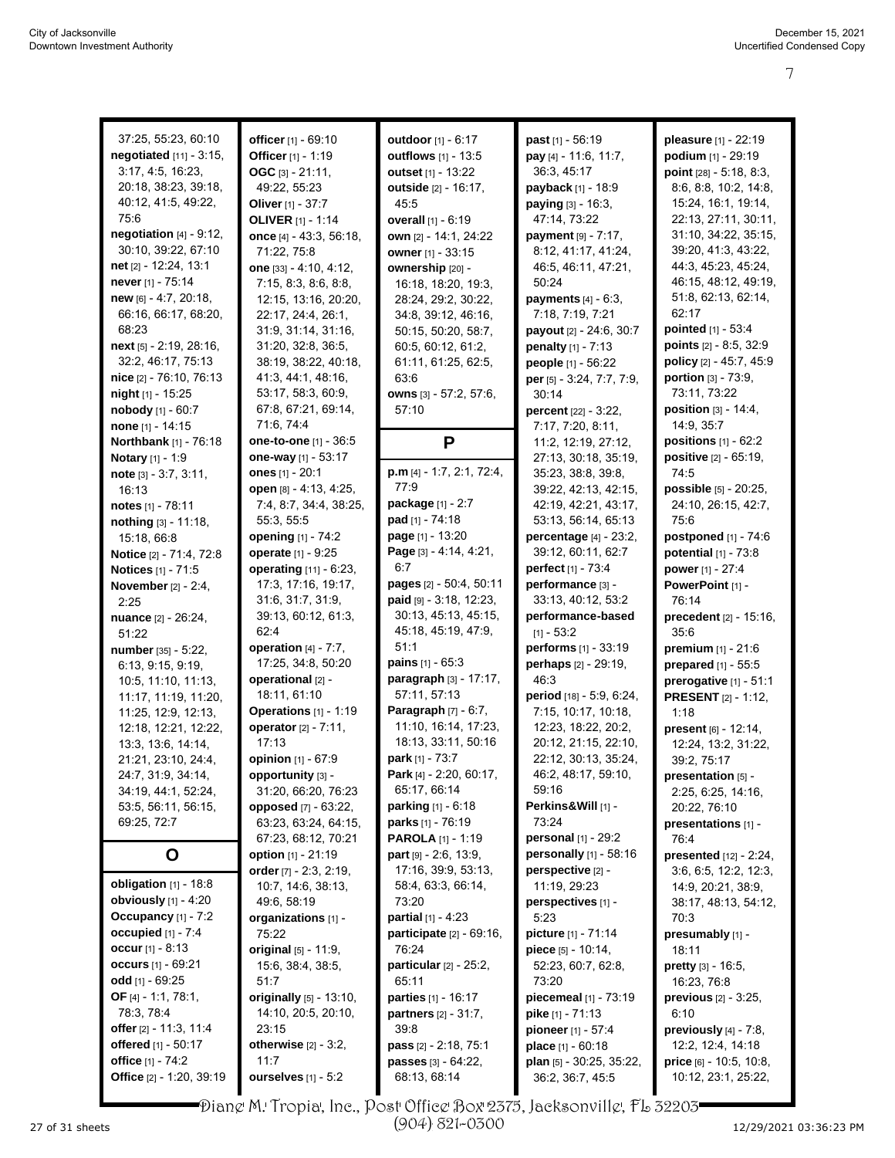7

| 37:25, 55:23, 60:10           | officer [1] - 69:10                      | outdoor [1] - 6:17                         | <b>past</b> $[1]$ - 56:19                | pleasure [1] - 22:19           |
|-------------------------------|------------------------------------------|--------------------------------------------|------------------------------------------|--------------------------------|
| negotiated [11] - 3:15,       | Officer [1] - 1:19                       | outflows [1] - 13:5                        | pay [4] - 11:6, 11:7,                    | podium [1] - 29:19             |
| 3:17, 4:5, 16:23,             | OGC $[3] - 21:11$ ,                      | outset $[1] - 13.22$                       | 36:3, 45:17                              | point $[28] - 5.18, 8.3$ ,     |
| 20:18, 38:23, 39:18,          | 49:22, 55:23                             | outside [2] - 16:17.                       | <b>payback</b> [1] - 18:9                | 8:6, 8:8, 10:2, 14:8,          |
| 40:12, 41:5, 49:22,           | Oliver $[1] - 37:7$                      | 45.5                                       | <b>paying</b> $[3] - 16:3$ ,             | 15:24, 16:1, 19:14,            |
| 75:6                          | <b>OLIVER</b> [1] - 1:14                 | overall [1] - 6:19                         | 47:14, 73:22                             | 22:13, 27:11, 30:11,           |
| negotiation $[4]$ - 9:12,     | once $[4] - 43.3, 56.18,$                | own [2] - 14:1, 24:22                      | <b>payment</b> $[9] - 7:17$ ,            | 31:10, 34:22, 35:15,           |
| 30:10, 39:22, 67:10           | 71:22, 75:8                              | owner $[1] - 33:15$                        | 8:12, 41:17, 41:24,                      | 39:20, 41:3, 43:22,            |
| net $[2] - 12.24, 13.1$       | one [33] - 4:10, 4:12,                   | ownership [20] -                           | 46.5, 46.11, 47.21,                      | 44:3, 45:23, 45:24,            |
| never $[1]$ - 75:14           | 7:15, 8:3, 8:6, 8:8,                     | 16:18, 18:20, 19:3,                        | 50:24                                    | 46:15, 48:12, 49:19,           |
| $new$ [6] - 4:7, 20:18,       | 12:15, 13:16, 20:20,                     | 28:24, 29:2, 30:22,                        | <b>payments</b> $[4] - 6:3$ ,            | 51:8, 62:13, 62:14,            |
| 66:16, 66:17, 68:20,          | 22:17, 24:4, 26:1,                       | 34:8, 39:12, 46:16,                        | 7:18, 7:19, 7:21                         | 62:17                          |
| 68:23                         | 31.9, 31.14, 31.16,                      | 50:15, 50:20, 58:7,                        | payout [2] - 24:6, 30:7                  | pointed [1] - 53:4             |
| next [5] - 2:19, 28:16,       | 31:20, 32:8, 36:5,                       | 60.5, 60.12, 61.2,                         | penalty [1] - 7:13                       | points [2] - 8:5, 32:9         |
| 32:2, 46:17, 75:13            | 38:19, 38:22, 40:18,                     | 61:11, 61:25, 62:5,                        | people [1] - 56:22                       | policy [2] - 45:7, 45:9        |
| nice [2] - 76:10, 76:13       | 41:3, 44:1, 48:16,                       | 63.6                                       | per [5] - 3:24, 7:7, 7:9,                | portion [3] - 73:9,            |
| <b>night</b> $[1]$ - 15:25    | 53:17, 58:3, 60:9,                       | owns [3] - 57:2, 57:6,                     | 30:14                                    | 73:11, 73:22                   |
| nobody [1] - 60:7             | 67:8, 67:21, 69:14,                      | 57:10                                      | <b>percent</b> $[22] - 3:22$ ,           | <b>position</b> $[3] - 14.4$ , |
| <b>none</b> $[1] - 14:15$     | 71.6, 74.4                               |                                            | 7:17, 7:20, 8:11,                        | 14:9, 35:7                     |
| Northbank [1] - 76:18         | one-to-one [1] - 36:5                    | P                                          | 11:2, 12:19, 27:12,                      | positions $[1] - 62:2$         |
| <b>Notary</b> [1] - 1:9       | one-way [1] - 53:17                      |                                            | 27:13, 30:18, 35:19,                     | positive [2] - 65:19,          |
| note $[3] - 3:7, 3:11,$       | ones $[1] - 20:1$                        | p.m [4] - 1:7, 2:1, 72:4,                  | 35:23, 38:8, 39:8,                       | 74:5                           |
| 16:13                         | open [8] - 4:13, 4:25,                   | 77:9                                       | 39:22, 42:13, 42:15,                     | possible [5] - 20:25,          |
| notes $[1]$ - 78:11           | 7:4, 8:7, 34:4, 38:25,                   | package [1] - 2:7                          | 42:19, 42:21, 43:17,                     | 24:10, 26:15, 42:7,            |
| nothing [3] - 11:18,          | 55:3, 55:5                               | <b>pad</b> [1] - 74:18                     | 53:13, 56:14, 65:13                      | 75:6                           |
| 15:18, 66:8                   | opening [1] - 74:2                       | page [1] - 13:20<br>Page [3] - 4:14, 4:21, | <b>percentage</b> [4] - 23:2,            | postponed [1] - 74:6           |
| Notice [2] - 71:4, 72:8       | operate [1] - 9:25                       | 6:7                                        | 39:12, 60:11, 62:7<br>perfect [1] - 73:4 | potential $[1]$ - $73:8$       |
| Notices [1] - 71:5            | operating [11] - 6:23,                   | pages [2] - 50:4, 50:11                    |                                          | power [1] - 27:4               |
| <b>November</b> $[2] - 2:4$ , | 17:3, 17:16, 19:17,<br>31:6, 31:7, 31:9, | $paid [9] - 3.18, 12.23,$                  | performance [3] -<br>33:13, 40:12, 53:2  | PowerPoint [1] -<br>76:14      |
| 2:25                          | 39:13, 60:12, 61:3,                      | 30:13, 45:13, 45:15,                       | performance-based                        | precedent [2] - 15:16,         |
| <b>nuance</b> $[2] - 26:24$ , | 62:4                                     | 45:18, 45:19, 47:9,                        | $[1] - 53:2$                             | 35:6                           |
| 51:22<br>number [35] - 5:22,  | operation $[4] - 7:7$ ,                  | 51:1                                       | performs [1] - 33:19                     | <b>premium</b> $[1] - 21:6$    |
| 6:13, 9:15, 9:19,             | 17:25, 34:8, 50:20                       | <b>pains</b> $[1] - 65:3$                  | perhaps [2] - 29:19,                     | prepared [1] - 55:5            |
| 10.5, 11:10, 11:13,           | operational [2] -                        | paragraph [3] - 17:17,                     | 46.3                                     | prerogative [1] - 51:1         |
| 11:17, 11:19, 11:20,          | 18:11, 61:10                             | 57:11, 57:13                               | period [18] - 5.9, 6.24,                 | <b>PRESENT</b> [2] - 1:12,     |
| 11:25, 12:9, 12:13,           | Operations [1] - 1:19                    | Paragraph [7] - 6:7,                       | 7:15, 10:17, 10:18,                      | 1:18                           |
| 12:18, 12:21, 12:22,          | operator [2] - 7:11,                     | 11:10, 16:14, 17:23,                       | 12:23, 18:22, 20:2,                      | present [6] - 12:14.           |
| 13:3, 13:6, 14:14,            | 17:13                                    | 18:13, 33:11, 50:16                        | 20:12, 21:15, 22:10,                     | 12:24, 13:2, 31:22,            |
| 21:21, 23:10, 24:4,           | opinion [1] - 67:9                       | park [1] - 73:7                            | 22:12, 30:13, 35:24,                     | 39:2, 75:17                    |
| 24:7, 31:9, 34:14,            | opportunity [3] -                        | Park [4] - 2:20, 60:17,                    | 46:2, 48:17, 59:10,                      | presentation [5] -             |
| 34:19, 44:1, 52:24,           | 31:20, 66:20, 76:23                      | 65:17, 66:14                               | 59:16                                    | 2:25, 6:25, 14:16,             |
| 53:5, 56:11, 56:15,           | <b>opposed</b> [7] - 63:22,              | parking [1] - 6:18                         | Perkins&Will [1] -                       | 20:22, 76:10                   |
| 69:25, 72:7                   | 63:23, 63:24, 64:15,                     | <b>parks</b> $[1]$ - 76:19                 | 73:24                                    | presentations [1] -            |
|                               | 67:23, 68:12, 70:21                      | <b>PAROLA</b> [1] - 1:19                   | personal [1] - 29:2                      | 76:4                           |
| O                             | option [1] - 21:19                       | <b>part</b> $[9] - 2.6, 13.9,$             | personally $[1]$ - 58:16                 | presented [12] - 2:24,         |
| obligation $[1]$ - 18:8       | order $[7] - 2.3, 2.19,$                 | 17:16, 39:9, 53:13,                        | perspective [2] -                        | 3:6, 6:5, 12:2, 12:3,          |
| <b>obviously</b> $[1] - 4:20$ | 10:7, 14:6, 38:13,                       | 58.4, 63.3, 66.14,<br>73:20                | 11:19, 29:23                             | 14.9, 20.21, 38.9,             |
| Occupancy [1] - 7:2           | 49:6, 58:19<br>organizations [1] -       | <b>partial</b> $[1] - 4:23$                | perspectives [1] -<br>5:23               | 38:17, 48:13, 54:12,<br>70:3   |
| occupied [1] - 7:4            | 75:22                                    | participate [2] - 69:16,                   | picture [1] - 71:14                      | presumably [1] -               |
| occur $[1] - 8:13$            | original [5] - 11:9.                     | 76:24                                      | piece $[5] - 10:14$ ,                    | 18:11                          |
| occurs $[1] - 69:21$          | 15:6, 38:4, 38:5,                        | particular $[2] - 25:2$ ,                  | 52:23, 60:7, 62:8,                       | <b>pretty</b> $[3] - 16.5$ ,   |
| odd [1] - 69:25               | 51:7                                     | 65:11                                      | 73:20                                    | 16:23, 76:8                    |
| OF $[4] - 1:1, 78:1,$         | originally [5] - 13:10,                  | <b>parties</b> [1] - 16:17                 | piecemeal [1] - 73:19                    | <b>previous</b> $[2] - 3:25$ , |
| 78:3, 78:4                    | 14:10, 20:5, 20:10,                      | <b>partners</b> $[2] - 31:7$ ,             | <b>pike</b> [1] - 71:13                  | 6:10                           |
| offer $[2] - 11:3, 11:4$      | 23:15                                    | 39.8                                       | pioneer [1] - 57:4                       | previously [4] - 7:8,          |
| offered [1] - 50:17           | otherwise $[2] - 3:2$ ,                  | pass [2] - 2:18, 75:1                      | place $[1] - 60:18$                      | 12:2, 12:4, 14:18              |
| office [1] - 74:2             | 11:7                                     | passes [3] - 64:22,                        | plan [5] - 30:25, 35:22,                 | price [6] - 10:5, 10:8,        |
| Office [2] - 1:20, 39:19      | ourselves [1] - 5:2                      | 68:13, 68:14                               | 36:2, 36:7, 45:5                         | 10:12, 23:1, 25:22,            |
|                               |                                          |                                            |                                          |                                |

Diane M. Tropia, Inc., Post Office Box 2375, Jacksonville, FL 32203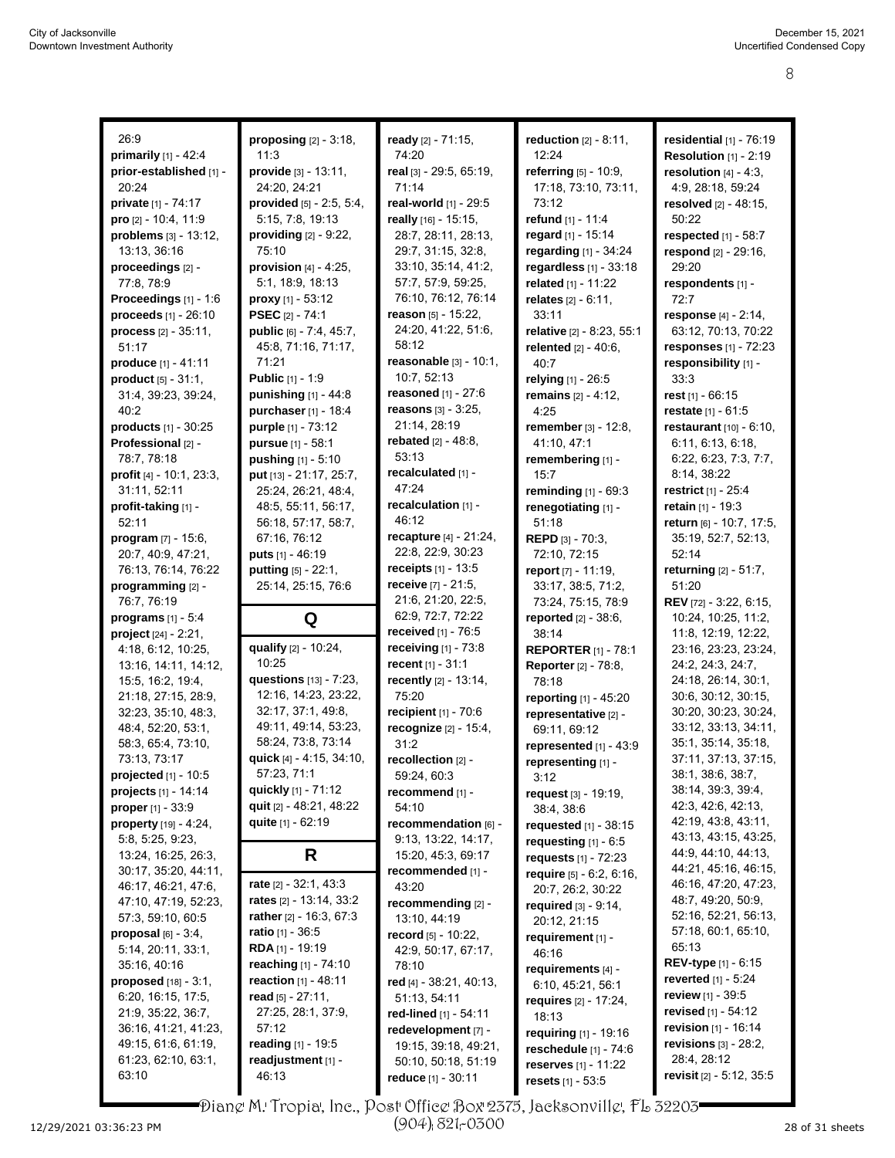| 26:9                                                | proposing $[2] - 3.18$ ,                       | ready [2] - 71:15,                          | reduction $[2] - 8.11$ ,       | residential $[1]$ - $76:19$                  |
|-----------------------------------------------------|------------------------------------------------|---------------------------------------------|--------------------------------|----------------------------------------------|
| primarily $[1] - 42.4$                              | 11:3                                           | 74:20                                       | 12:24                          | <b>Resolution [1] - 2:19</b>                 |
| prior-established [1] -                             | provide [3] - 13:11,                           | real [3] - 29:5, 65:19,                     | referring $[5]$ - 10:9,        | resolution $[4] - 4.3$ ,                     |
| 20:24                                               | 24:20, 24:21                                   | 71:14                                       | 17:18, 73:10, 73:11,           | 4:9, 28:18, 59:24                            |
| <b>private</b> [1] - 74:17                          | provided $[5] - 2:5, 5:4,$                     | real-world [1] - 29:5                       | 73:12                          | resolved [2] - 48:15,                        |
| pro [2] - 10:4, 11:9                                | 5:15, 7:8, 19:13                               | really [16] - 15:15,                        | refund [1] - 11:4              | 50:22                                        |
| problems [3] - 13:12,                               | providing [2] - 9:22,                          | 28:7, 28:11, 28:13,                         | regard [1] - 15:14             | respected $[1]$ - 58:7                       |
| 13:13, 36:16                                        | 75:10                                          | 29:7, 31:15, 32:8,                          | regarding $[1]$ - 34:24        | respond $[2] - 29:16$ ,                      |
| proceedings [2] -                                   | provision $[4] - 4:25$ ,                       | 33:10, 35:14, 41:2,                         | regardless [1] - 33:18         | 29:20                                        |
| 77:8, 78:9                                          | 5:1, 18:9, 18:13                               | 57:7, 57:9, 59:25,                          | related [1] - 11:22            | respondents [1] -                            |
| <b>Proceedings</b> $[1] - 1.6$                      | <b>proxy</b> $[1] - 53:12$                     | 76:10, 76:12, 76:14                         | relates $[2] - 6:11$ ,         | 72:7                                         |
| proceeds [1] - 26:10                                | <b>PSEC</b> [2] - 74:1                         | reason $[5] - 15:22$ ,                      | 33:11                          | response [4] - 2:14,                         |
| process [2] - 35:11,                                | public [6] - 7:4, 45:7,                        | 24:20, 41:22, 51:6,                         | relative [2] - 8:23, 55:1      | 63:12, 70:13, 70:22                          |
| 51:17                                               | 45:8, 71:16, 71:17,                            | 58:12                                       | relented $[2] - 40:6$ ,        | responses $[1] - 72.23$                      |
| produce [1] - 41:11                                 | 71:21                                          | reasonable $[3] - 10.1$ ,                   | 40:7                           | responsibility [1] -                         |
| <b>product</b> $[5] - 31:1$ ,                       | <b>Public [1] - 1:9</b>                        | 10:7, 52:13                                 | relying [1] - 26:5             | 33:3                                         |
| 31:4, 39:23, 39:24,                                 | punishing [1] - 44:8                           | reasoned [1] - 27:6                         | remains $[2] - 4:12$ ,         | rest $[1]$ - 66:15                           |
| 40:2                                                | purchaser [1] - 18:4                           | reasons $[3] - 3:25$ ,                      | 4:25                           | <b>restate</b> $[1] - 61.5$                  |
| products [1] - 30:25                                | purple [1] - 73:12                             | 21:14, 28:19                                | remember [3] - 12:8,           | <b>restaurant</b> $[10] - 6:10$ ,            |
| Professional [2] -                                  |                                                | <b>rebated</b> $[2] - 48.8$ ,               |                                |                                              |
|                                                     | pursue [1] - 58:1                              | 53:13                                       | 41:10, 47:1                    | 6:11, 6:13, 6:18,                            |
| 78:7, 78:18                                         | <b>pushing</b> $[1] - 5:10$                    | recalculated [1] -                          | remembering [1] -              | 6:22, 6:23, 7:3, 7:7,                        |
| profit [4] - 10:1, 23:3,                            | put [13] - 21:17, 25:7,                        | 47.24                                       | 15:7                           | 8:14, 38:22                                  |
| 31:11, 52:11                                        | 25:24, 26:21, 48:4,                            | recalculation [1] -                         | reminding $[1]$ - 69:3         | restrict [1] - 25:4                          |
| profit-taking [1] -                                 | 48:5, 55:11, 56:17,                            | 46:12                                       | renegotiating [1] -            | retain [1] - 19:3                            |
| 52:11                                               | 56:18, 57:17, 58:7,                            | <b>recapture</b> $[4] - 21:24$ ,            | 51:18                          | return [6] - 10:7, 17:5,                     |
| <b>program</b> $[7] - 15:6$ ,                       | 67:16, 76:12                                   | 22:8, 22:9, 30:23                           | <b>REPD</b> $[3] - 70:3$       | 35:19, 52:7, 52:13,                          |
| 20:7, 40:9, 47:21,                                  | <b>puts</b> $[1] - 46:19$                      | <b>receipts</b> $[1] - 13.5$                | 72:10, 72:15                   | 52:14                                        |
| 76:13, 76:14, 76:22                                 | putting [5] - 22:1,                            | receive [7] - 21:5,                         | report [7] - 11:19,            | <b>returning</b> [2] - 51:7,                 |
| programming [2] -                                   | 25:14, 25:15, 76:6                             | 21.6, 21.20, 22.5,                          | 33:17, 38:5, 71:2,             | 51:20                                        |
| 76:7, 76:19                                         |                                                | 62:9, 72:7, 72:22                           | 73:24, 75:15, 78:9             | REV [72] - 3:22, 6:15,                       |
| programs $[1] - 5.4$                                | Q                                              | received [1] - 76:5                         | reported [2] - 38:6,           | 10:24, 10:25, 11:2,                          |
| $project [24] - 2:21,$                              | qualify [2] - 10:24,                           |                                             | 38:14                          | 11:8, 12:19, 12:22,                          |
| 4:18, 6:12, 10:25,                                  | 10:25                                          | receiving $[1]$ - $73:8$                    | <b>REPORTER [1] - 78:1</b>     | 23:16, 23:23, 23:24,                         |
| 13:16, 14:11, 14:12,                                | questions [13] - 7:23,                         | recent [1] - 31:1                           | <b>Reporter</b> [2] - 78:8,    | 24:2, 24:3, 24:7,                            |
| 15:5, 16:2, 19:4,                                   | 12:16, 14:23, 23:22,                           | recently [2] - 13:14,<br>75:20              | 78:18                          | 24:18, 26:14, 30:1,<br>30:6, 30:12, 30:15,   |
| 21:18, 27:15, 28:9,                                 | 32:17, 37:1, 49:8,                             |                                             | reporting [1] - 45:20          |                                              |
| 32:23, 35:10, 48:3,                                 | 49:11, 49:14, 53:23,                           | recipient [1] - 70:6                        | representative [2] -           | 30:20, 30:23, 30:24,<br>33:12, 33:13, 34:11, |
| 48:4, 52:20, 53:1,                                  | 58:24, 73:8, 73:14                             | recognize [2] - 15:4,                       | 69:11, 69:12                   | 35:1, 35:14, 35:18,                          |
| 58:3, 65:4, 73:10,<br>73:13, 73:17                  | quick [4] - 4:15, 34:10,                       | 31:2                                        | represented [1] - 43:9         | 37:11, 37:13, 37:15,                         |
|                                                     | 57:23, 71:1                                    | recollection [2] -                          | representing [1] -             | 38:1, 38:6, 38:7,                            |
| <b>projected</b> $[1]$ - 10:5                       | quickly [1] - 71:12                            | 59:24, 60:3                                 | 3:12                           | 38:14, 39:3, 39:4,                           |
| projects $[1] - 14:14$                              |                                                | recommend [1] -                             | request $[3] - 19:19$ ,        | 42.3, 42.6, 42.13,                           |
| <b>proper</b> $[1] - 33.9$                          | quit [2] - 48:21, 48:22<br>quite $[1]$ - 62:19 | 54:10                                       | 38:4, 38:6                     | 42:19, 43:8, 43:11,                          |
| <b>property</b> $[19] - 4.24$ ,<br>5:8, 5:25, 9:23, |                                                | recommendation [6] -<br>9:13, 13:22, 14:17, | <b>requested</b> $[1] - 38:15$ | 43:13, 43:15, 43:25,                         |
|                                                     |                                                |                                             | requesting $[1] - 6.5$         | 44.9, 44.10, 44.13,                          |
| 13:24, 16:25, 26:3,<br>30:17, 35:20, 44:11,         | R                                              | 15:20, 45:3, 69:17<br>recommended [1] -     | requests [1] - 72:23           | 44:21, 45:16, 46:15,                         |
| 46:17, 46:21, 47:6,                                 | rate [2] - 32:1, 43:3                          | 43:20                                       | require [5] - 6:2, 6:16,       | 46:16, 47:20, 47:23,                         |
| 47:10, 47:19, 52.23,                                | rates [2] - 13:14, 33:2                        |                                             | 20:7, 26:2, 30:22              | 48:7, 49:20, 50:9,                           |
| 57:3, 59:10, 60:5                                   | rather [2] - 16:3, 67:3                        | recommending [2] -                          | required $[3] - 9.14$ ,        | 52:16, 52:21, 56:13,                         |
|                                                     | <b>ratio</b> $[1]$ - 36:5                      | 13:10, 44:19                                | 20:12, 21:15                   | 57:18, 60:1, 65:10,                          |
| proposal $[6]$ - 3:4,<br>5:14, 20:11, 33:1,         | <b>RDA</b> [1] - 19:19                         | record $[5] - 10:22$ ,                      | requirement [1] -              | 65:13                                        |
| 35:16, 40:16                                        | reaching [1] - 74:10                           | 42:9, 50:17, 67:17,                         | 46:16                          | REV-type $[1]$ - 6:15                        |
| <b>proposed</b> $[18] - 3:1$ ,                      | reaction [1] - 48:11                           | 78:10                                       | requirements [4] -             | <b>reverted</b> $[1] - 5:24$                 |
| 6:20, 16:15, 17:5,                                  | read [5] - 27:11,                              | red [4] - 38:21, 40:13,                     | 6:10, 45:21, 56:1              | <b>review</b> $[1] - 39.5$                   |
| 21:9, 35:22, 36:7,                                  | 27:25, 28:1, 37:9,                             | 51:13, 54:11                                | requires [2] - 17:24,          | <b>revised</b> [1] - 54:12                   |
| 36:16, 41:21, 41:23,                                | 57:12                                          | red-lined [1] - 54:11                       | 18:13                          | revision $[1]$ - 16:14                       |
| 49:15, 61:6, 61:19,                                 | reading $[1] - 19.5$                           | redevelopment [7] -                         | requiring $[1]$ - 19:16        | revisions [3] - 28:2,                        |
| 61:23, 62:10, 63:1,                                 | readjustment [1] -                             | 19:15, 39:18, 49:21,                        | reschedule $[1]$ - 74:6        | 28:4, 28:12                                  |
| 63:10                                               |                                                | 50:10, 50:18, 51:19                         | reserves [1] - 11:22           |                                              |
|                                                     | 46:13                                          | reduce [1] - 30:11                          | <b>resets</b> $[1] - 53.5$     | revisit $[2] - 5:12, 35:5$                   |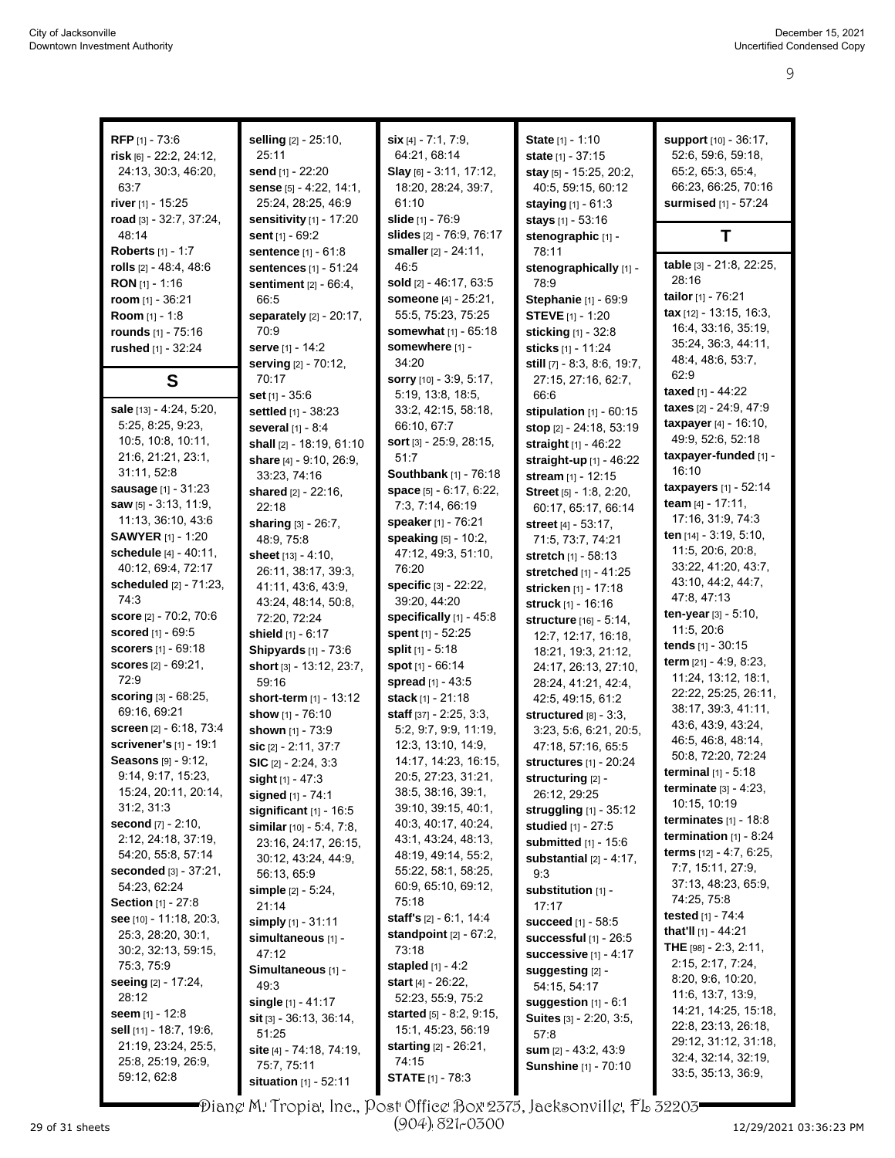9

| RFP [1] - 73:6                                      | selling [2] - 25:10,                | $\textsf{six}[4] - 7:1, 7:9,$     | State [1] - 1:10                            | support [10] - 36:17,                          |
|-----------------------------------------------------|-------------------------------------|-----------------------------------|---------------------------------------------|------------------------------------------------|
| risk [6] - 22.2, 24:12,                             | 25:11                               | 64:21, 68:14                      | state [1] - 37:15                           | 52.6, 59.6, 59.18,                             |
| 24:13, 30:3, 46:20,                                 | send [1] - 22:20                    | Slay [6] - 3:11, 17:12,           | stay $[5]$ - 15:25, 20:2,                   | 65:2, 65:3, 65:4,                              |
| 63:7                                                | sense [5] - 4:22, 14:1,             | 18:20, 28:24, 39:7,               | 40:5, 59:15, 60:12                          | 66:23, 66:25, 70:16                            |
| river [1] - 15:25                                   | 25:24, 28:25, 46:9                  | 61:10                             | <b>staying</b> $[1] - 61:3$                 | surmised [1] - 57:24                           |
| road [3] - 32:7, 37:24,                             | sensitivity [1] - 17:20             | slide [1] - 76:9                  | stays [1] - 53:16                           |                                                |
| 48:14                                               | sent $[1] - 69:2$                   | slides [2] - 76:9, 76:17          | stenographic [1] -                          | Т                                              |
| <b>Roberts</b> [1] - 1:7                            | sentence [1] - 61:8                 | smaller $[2] - 24:11$ ,           | 78:11                                       |                                                |
| rolls $[2] - 48.4, 48.6$                            | sentences [1] - 51:24               | 46.5                              | stenographically [1] -                      | table [3] - 21:8, 22:25,                       |
| <b>RON</b> [1] - 1:16                               | sentiment [2] - 66:4,               | sold [2] - 46:17, 63:5            | 78.9                                        | 28:16                                          |
| room $[1] - 36:21$                                  | 66.5                                | someone [4] - 25:21,              | Stephanie [1] - 69:9                        | tailor [1] - 76:21                             |
| <b>Room</b> $[1] - 1:8$                             | separately $[2] - 20:17$ ,          | 55:5, 75:23, 75:25                | <b>STEVE</b> $[1]$ - 1:20                   | tax $[12] - 13.15, 16.3,$                      |
| rounds [1] - 75:16                                  | 70:9                                | somewhat [1] - 65:18              | sticking [1] - 32:8                         | 16:4, 33:16, 35:19,                            |
| rushed [1] - 32:24                                  | <b>serve</b> [1] - 14:2             | somewhere [1] -                   | sticks [1] - 11:24                          | 35:24, 36:3, 44:11,                            |
|                                                     | serving [2] - 70:12,                | 34:20                             | still $[7] - 8.3, 8.6, 19.7,$               | 48.4, 48.6, 53.7,                              |
| S                                                   | 70:17                               | sorry [10] - 3:9, 5:17,           | 27:15, 27:16, 62:7,                         | 62:9                                           |
|                                                     | set [1] - 35:6                      | 5.19, 13.8, 18.5,                 | 66.6                                        | taxed $[1] - 44:22$                            |
| sale [13] - 4:24, 5:20,                             | settled [1] - 38:23                 | 33:2, 42:15, 58:18,               | stipulation $[1]$ - $60:15$                 | taxes [2] - 24:9, 47:9                         |
| 5:25, 8:25, 9:23,                                   | several [1] - 8:4                   | 66:10, 67:7                       | stop $[2] - 24:18, 53:19$                   | taxpayer [4] - 16:10,                          |
| 10.5, 10.8, 10.11,                                  | shall [2] - 18:19, 61:10            | sort [3] - 25.9, 28:15,           | straight [1] - 46:22                        | 49:9, 52:6, 52:18<br>taxpayer-funded [1] -     |
| 21:6, 21:21, 23:1,                                  | share [4] - 9:10, 26:9,             | 51:7                              | straight-up [1] - 46:22                     | 16:10                                          |
| 31:11, 52:8                                         | 33:23, 74:16                        | Southbank [1] - 76:18             | stream [1] - 12:15                          | taxpayers [1] - 52:14                          |
| <b>sausage</b> [1] - 31:23<br>saw [5] - 3:13, 11:9, | shared [2] - 22:16,                 | space [5] - 6:17, 6:22,           | Street [5] - 1:8, 2:20,                     | team $[4] - 17:11$ ,                           |
| 11:13, 36:10, 43:6                                  | 22:18                               | 7:3, 7:14, 66:19                  | 60.17, 65.17, 66.14                         | 17:16, 31:9, 74:3                              |
| <b>SAWYER</b> [1] - 1:20                            | sharing [3] - 26:7,                 | speaker [1] - 76:21               | street [4] - 53:17,                         | ten [14] - 3:19, 5:10,                         |
| schedule [4] - 40:11,                               | 48.9, 75.8                          | speaking [5] - 10:2,              | 71:5, 73:7, 74:21                           | 11:5, 20:6, 20:8,                              |
| 40:12, 69:4, 72:17                                  | sheet [13] - 4:10,                  | 47:12, 49:3, 51:10,<br>76:20      | <b>stretch</b> [1] - 58:13                  | 33:22, 41:20, 43:7,                            |
| scheduled [2] - 71:23,                              | 26:11, 38:17, 39:3,                 | specific [3] - 22:22,             | stretched [1] - 41:25                       | 43:10, 44:2, 44:7,                             |
| 74:3                                                | 41:11, 43:6, 43:9,                  | 39:20, 44:20                      | stricken [1] - 17:18                        | 47:8, 47:13                                    |
| score [2] - 70:2, 70:6                              | 43:24, 48:14, 50:8,<br>72:20, 72:24 | specifically $[1]$ - 45:8         | struck [1] - 16:16                          | ten-year $[3] - 5:10$ ,                        |
| scored [1] - 69:5                                   | shield [1] - 6:17                   | spent [1] - 52:25                 | structure [16] - 5:14,                      | 11:5, 20:6                                     |
| scorers [1] - 69:18                                 | Shipyards [1] - 73:6                | split [1] - 5:18                  | 12:7, 12:17, 16:18,                         | tends [1] - 30:15                              |
| <b>scores</b> $[2] - 69:21$ ,                       | short [3] - 13:12, 23:7,            | spot $[1] - 66.14$                | 18:21, 19:3, 21:12,<br>24:17, 26:13, 27:10, | term $[21] - 4.9, 8.23,$                       |
| 72.9                                                | 59:16                               | spread [1] - 43:5                 | 28:24, 41:21, 42:4,                         | 11:24, 13:12, 18:1,                            |
| <b>scoring</b> $[3] - 68:25$ ,                      | short-term [1] - 13:12              | stack [1] - 21:18                 | 42:5, 49:15, 61:2                           | 22:22, 25:25, 26:11,                           |
| 69:16, 69:21                                        | show [1] - 76:10                    | <b>staff</b> $[37] - 2:25, 3:3,$  | structured [8] - 3:3.                       | 38:17, 39:3, 41:11,                            |
| screen [2] - 6:18, 73:4                             | shown [1] - 73:9                    | 5:2, 9:7, 9:9, 11:19,             | 3:23, 5.6, 6.21, 20.5,                      | 43.6, 43.9, 43.24,                             |
| <b>scrivener's [1] - 19:1</b>                       | sic [2] - 2:11, 37:7                | 12:3, 13:10, 14:9,                | 47:18, 57:16, 65:5                          | 46.5, 46.8, 48.14,                             |
| Seasons [9] - 9:12,                                 | $SIC$ [2] - 2:24, 3:3               | 14:17, 14:23, 16:15,              | structures [1] - 20:24                      | 50:8, 72:20, 72:24                             |
| 9:14, 9:17, 15:23,                                  | sight $[1] - 47:3$                  | 20:5, 27:23, 31:21,               | structuring [2] -                           | terminal [1] - 5:18                            |
| 15:24, 20:11, 20:14,                                | signed [1] - 74:1                   | 38:5, 38:16, 39:1,                | 26:12, 29:25                                | <b>terminate</b> $[3] - 4:23$ ,                |
| 31:2, 31:3                                          | significant $[1]$ - 16:5            | 39:10, 39:15, 40:1,               | struggling [1] - 35:12                      | 10:15, 10:19                                   |
| second $[7] - 2:10$ ,                               | similar $[10] - 5.4$ , 7:8,         | 40:3, 40:17, 40:24,               | studied [1] - 27:5                          | terminates $[1]$ - 18:8                        |
| 2:12, 24:18, 37:19,                                 | 23:16, 24:17, 26:15,                | 43:1, 43:24, 48:13,               | submitted $[1]$ - 15:6                      | termination $[1]$ - 8:24                       |
| 54:20, 55:8, 57:14                                  | 30:12, 43:24, 44:9,                 | 48:19, 49:14, 55:2,               | substantial $[2] - 4:17$ ,                  | terms [12] - 4:7, 6:25,                        |
| seconded [3] - 37:21,                               | 56:13, 65:9                         | 55:22, 58:1, 58:25,               | 9:3                                         | 7:7, 15:11, 27:9,                              |
| 54:23, 62:24                                        | simple $[2] - 5.24$ ,               | 60.9, 65:10, 69:12,               | substitution [1] -                          | 37:13, 48:23, 65:9,                            |
| <b>Section</b> [1] - 27:8                           | 21:14                               | 75:18                             | 17:17                                       | 74:25, 75:8                                    |
| see [10] - 11:18, 20:3,                             | simply [1] - 31:11                  | staff's $[2] - 6.1$ , 14.4        | succeed [1] - 58:5                          | tested [1] - 74:4                              |
| 25:3, 28:20, 30:1,                                  | simultaneous [1] -                  | standpoint $[2] - 67:2$ ,         | successful [1] - 26:5                       | that'll [1] - 44:21<br>THE $[98] - 2:3, 2:11,$ |
| 30:2, 32:13, 59:15,                                 | 47:12                               | 73:18                             | successive [1] - 4:17                       | 2:15, 2:17, 7:24,                              |
| 75:3, 75:9                                          | Simultaneous [1] -                  | <b>stapled</b> $[1] - 4.2$        | suggesting [2] -                            | 8:20, 9:6, 10:20,                              |
| seeing [2] - 17:24,                                 | 49:3                                | start [4] - 26:22,                | 54:15, 54:17                                | 11:6, 13:7, 13:9,                              |
| 28:12                                               | single [1] - 41:17                  | 52:23, 55:9, 75:2                 | suggestion [1] - 6:1                        | 14:21, 14:25, 15:18,                           |
| seem $[1] - 12.8$                                   | $\textsf{sit}$ [3] - 36:13, 36:14,  | <b>started</b> $[5] - 8.2, 9.15,$ | Suites [3] - 2:20, 3:5,                     | 22:8, 23:13, 26:18,                            |
| sell [11] - 18:7, 19:6,                             | 51:25                               | 15:1, 45:23, 56:19                | 57:8                                        | 29:12, 31:12, 31:18,                           |
| 21:19, 23:24, 25:5,                                 | site [4] - 74:18, 74:19,            | <b>starting</b> $[2] - 26:21$ ,   | sum [2] - 43:2, 43:9                        | 32:4, 32:14, 32:19,                            |
| 25:8, 25:19, 26:9,                                  | 75:7, 75:11                         | 74:15                             | Sunshine [1] - 70:10                        | 33:5, 35:13, 36:9,                             |
| 59:12, 62:8                                         | situation [1] - 52:11               | <b>STATE</b> [1] - 78:3           |                                             |                                                |

Diane M. Tropia, Inc., Post Office Box 2375, Jacksonville, FL 32203 (904) 821-0300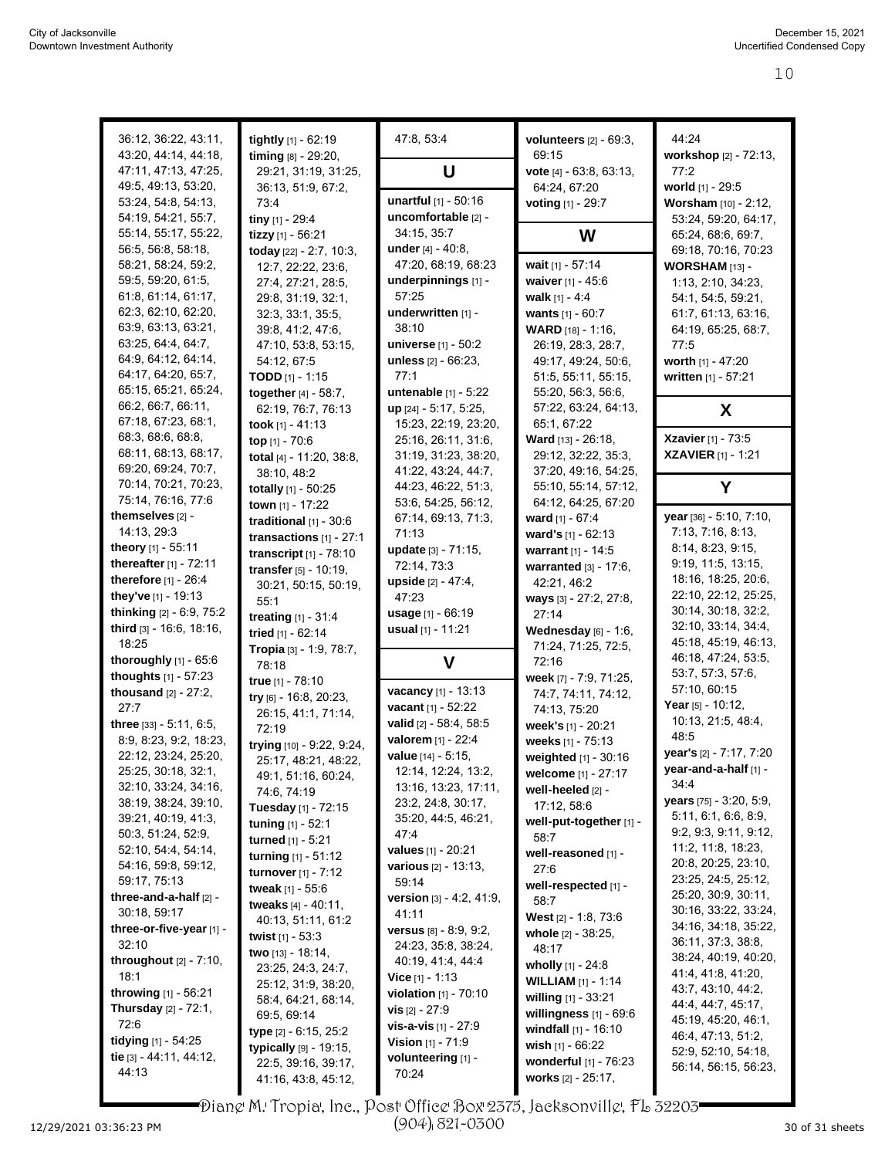| 36:12, 36:22, 43:11,                                   | tightly [1] - 62:19                                   | 47:8, 53:4                                        | volunteers $[2]$ - $69:3$ ,                    | 44:24                                         |
|--------------------------------------------------------|-------------------------------------------------------|---------------------------------------------------|------------------------------------------------|-----------------------------------------------|
| 43:20, 44:14, 44:18,                                   | timing [8] - 29:20,                                   |                                                   | 69:15                                          | workshop [2] - 72:13,                         |
| 47:11, 47:13, 47:25,<br>49:5, 49:13, 53:20,            | 29:21, 31:19, 31:25,<br>36:13, 51:9, 67:2,            | U                                                 | vote [4] - 63:8, 63:13,<br>64:24, 67:20        | 77:2<br>world [1] - 29:5                      |
| 53:24, 54:8, 54:13,                                    | 73:4                                                  | unartful [1] - 50:16                              | voting [1] - 29:7                              | Worsham [10] - 2:12,                          |
| 54:19, 54:21, 55:7,                                    | tiny [1] - 29:4                                       | uncomfortable [2] -                               |                                                | 53:24, 59:20, 64:17,                          |
| 55:14, 55:17, 55:22,                                   | tizzy [1] - 56:21                                     | 34:15, 35:7                                       | W                                              | 65:24, 68:6, 69:7,                            |
| 56.5, 56.8, 58.18,                                     | today [22] - 2:7, 10:3,                               | under $[4] - 40.8$ ,                              |                                                | 69:18, 70:16, 70:23                           |
| 58:21, 58:24, 59:2,                                    | 12:7, 22:22, 23:6,                                    | 47:20, 68:19, 68:23                               | wait [1] - 57:14                               | WORSHAM [13] -                                |
| 59:5, 59:20, 61:5,                                     | 27:4, 27:21, 28:5,                                    | underpinnings [1] -                               | waiver [1] - 45:6                              | 1:13, 2:10, 34:23,                            |
| 61:8, 61:14, 61:17,                                    | 29:8, 31:19, 32:1,                                    | 57:25                                             | walk $[1] - 4:4$                               | 54:1, 54:5, 59:21,                            |
| 62:3, 62:10, 62:20,<br>63.9, 63.13, 63.21,             | 32:3, 33:1, 35:5,                                     | underwritten [1] -<br>38:10                       | wants [1] - 60:7                               | 61:7, 61:13, 63:16,                           |
| 63:25, 64:4, 64:7,                                     | 39.8, 41.2, 47.6,<br>47:10, 53:8, 53:15,              | <b>universe</b> $[1] - 50:2$                      | <b>WARD</b> [18] - 1:16,<br>26:19, 28:3, 28:7, | 64:19, 65:25, 68:7,<br>77:5                   |
| 64.9, 64.12, 64.14,                                    | 54:12, 67:5                                           | unless [2] - 66:23,                               | 49:17, 49:24, 50:6,                            | worth [1] - 47:20                             |
| 64:17, 64:20, 65:7,                                    | <b>TODD</b> $[1] - 1:15$                              | 77:1                                              | 51:5, 55:11, 55:15,                            | written [1] - 57:21                           |
| 65:15, 65:21, 65:24,                                   | together [4] - 58:7,                                  | untenable [1] - 5:22                              | 55:20, 56:3, 56:6,                             |                                               |
| 66:2, 66:7, 66:11,                                     | 62:19, 76:7, 76:13                                    | up [24] - 5:17, 5:25,                             | 57:22, 63:24, 64:13,                           | X                                             |
| 67:18, 67:23, 68:1,                                    | took $[1] - 41:13$                                    | 15:23, 22:19, 23:20,                              | 65:1, 67:22                                    |                                               |
| 68:3, 68:6, 68:8,                                      | top [1] - 70:6                                        | 25:16, 26:11, 31:6,                               | Ward [13] - 26:18,                             | <b>Xzavier</b> [1] - 73:5                     |
| 68:11, 68:13, 68:17,                                   | total [4] - 11:20, 38:8,                              | 31:19, 31:23, 38:20,                              | 29:12, 32:22, 35:3,                            | <b>XZAVIER</b> [1] - 1:21                     |
| 69:20, 69:24, 70:7,<br>70:14, 70:21, 70:23,            | 38:10, 48:2                                           | 41:22, 43:24, 44:7,                               | 37:20, 49:16, 54:25,                           |                                               |
| 75:14, 76:16, 77:6                                     | totally [1] - 50:25                                   | 44.23, 46:22, 51:3,                               | 55:10, 55:14, 57:12,<br>64:12, 64:25, 67:20    | Y                                             |
| themselves [2] -                                       | town [1] - 17:22                                      | 53:6, 54:25, 56:12,<br>67:14, 69:13, 71:3,        | ward $[1] - 67:4$                              | year [36] - 5:10, 7:10,                       |
| 14:13, 29:3                                            | traditional $[1]$ - 30:6                              | 71:13                                             | ward's $[1] - 62:13$                           | 7:13, 7:16, 8:13,                             |
| theory [1] - 55:11                                     | transactions $[1]$ - 27:1<br>transcript $[1]$ - 78:10 | update [3] - 71:15,                               | warrant [1] - 14:5                             | 8:14, 8:23, 9:15,                             |
| thereafter [1] - 72:11                                 | transfer [5] - 10:19,                                 | 72:14, 73:3                                       | warranted [3] - 17:6,                          | 9:19, 11:5, 13:15,                            |
| <b>therefore</b> $[1] - 26:4$                          | 30:21, 50:15, 50:19,                                  | upside [2] - 47:4,                                | 42:21, 46:2                                    | 18:16, 18:25, 20:6,                           |
| they've [1] - 19:13                                    | 55:1                                                  | 47.23                                             | ways [3] - 27:2, 27:8,                         | 22:10, 22:12, 25:25,                          |
| thinking [2] - 6:9, 75:2                               | treating [1] - 31:4                                   | <b>usage</b> $[1] - 66:19$                        | 27:14                                          | 30:14, 30:18, 32:2,                           |
| third [3] - 16:6, 18:16,                               | tried [1] - 62:14                                     | usual [1] - 11:21                                 | Wednesday $[6]$ - 1:6,                         | 32:10, 33:14, 34:4,                           |
| 18:25                                                  | Tropia [3] - 1:9, 78:7,                               |                                                   | 71:24, 71:25, 72:5,                            | 45:18, 45:19, 46:13,<br>46:18, 47:24, 53:5,   |
| thoroughly $[1]$ - $65:6$                              | 78:18                                                 | V                                                 | 72:16                                          | 53:7, 57:3, 57:6,                             |
| thoughts [1] - 57:23<br>thousand $[2] - 27:2$ ,        | true [1] - 78:10                                      | vacancy [1] - 13:13                               | week [7] - 7:9, 71:25,<br>74.7, 74.11, 74:12,  | 57:10, 60:15                                  |
| 27:7                                                   | try [6] - 16:8, 20:23,                                | vacant [1] - 52:22                                | 74:13, 75:20                                   | Year [5] - 10:12,                             |
| three [33] - 5:11, 6:5,                                | 26:15, 41:1, 71:14,<br>72:19                          | valid [2] - 58:4, 58:5                            | week's [1] - 20:21                             | 10:13, 21:5, 48:4,                            |
| 8:9, 8:23, 9:2, 18:23,                                 | trying [10] - 9:22, 9:24,                             | valorem [1] - 22:4                                | weeks [1] - 75:13                              | 48:5                                          |
| 22:12, 23:24, 25:20,                                   | 25:17, 48:21, 48:22,                                  | value [14] - 5:15,                                | weighted [1] - 30:16                           | year's [2] - 7:17, 7:20                       |
| 25:25, 30:18, 32:1,                                    | 49:1, 51:16, 60:24,                                   | 12:14, 12:24, 13:2,                               | welcome [1] - 27:17                            | year-and-a-half [1] -                         |
| 32:10, 33:24, 34:16,                                   | 74:6, 74:19                                           | 13:16, 13:23, 17:11,                              | well-heeled [2] -                              | 34:4                                          |
| 38:19, 38:24, 39:10,                                   | Tuesday [1] - 72:15                                   | 23:2, 24:8, 30:17,                                | 17:12, 58:6                                    | years [75] - 3:20, 5:9,                       |
| 39:21, 40:19, 41:3,                                    | tuning [1] - 52:1                                     | 35:20, 44:5, 46:21,                               | well-put-together [1] -                        | 5:11, 6:1, 6:6, 8:9,<br>9:2, 9:3, 9:11, 9:12, |
| 50:3, 51:24, 52:9,<br>52:10, 54:4, 54:14,              | turned [1] - 5:21                                     | 47.4                                              | 58:7                                           | 11:2, 11:8, 18:23,                            |
| 54:16, 59:8, 59:12,                                    | turning $[1] - 51:12$                                 | values [1] - 20:21<br><b>various</b> [2] - 13:13, | well-reasoned [1] -<br>27:6                    | 20:8, 20:25, 23:10,                           |
| 59:17, 75:13                                           | turnover [1] - 7:12                                   | 59:14                                             | well-respected [1] -                           | 23:25, 24:5, 25:12,                           |
| three-and-a-half $[2]$ -                               | tweak [1] - 55:6<br>tweaks [4] - 40:11,               | version [3] - 4:2, 41:9,                          | 58:7                                           | 25:20, 30:9, 30:11,                           |
| 30:18, 59:17                                           | 40.13, 51.11, 61.2                                    | 41:11                                             | West [2] - 1:8, 73:6                           | 30:16, 33:22, 33:24,                          |
| three-or-five-year [1] -                               | twist $[1] - 53.3$                                    | <b>versus</b> $[8] - 8.9, 9.2,$                   | whole [2] - 38:25,                             | 34:16, 34:18, 35:22,                          |
| 32:10                                                  | <b>two</b> $[13] - 18.14$ ,                           | 24:23, 35:8, 38:24,                               | 48:17                                          | 36:11, 37:3, 38:8,                            |
| throughout [2] - 7:10,                                 | 23:25, 24:3, 24:7,                                    | 40:19, 41:4, 44:4                                 | wholly $[1] - 24.8$                            | 38:24, 40:19, 40:20,<br>41:4, 41:8, 41:20,    |
| 18:1                                                   | 25:12, 31:9, 38:20,                                   | <b>Vice</b> $[1]$ - 1:13                          | <b>WILLIAM</b> [1] - 1:14                      | 43:7, 43:10, 44:2,                            |
| throwing [1] - 56:21<br><b>Thursday</b> $[2] - 72:1$ , | 58:4, 64:21, 68:14,                                   | violation [1] - 70:10                             | willing $[1] - 33.21$                          | 44:4, 44:7, 45:17,                            |
| 72:6                                                   | 69.5, 69.14                                           | <b>vis</b> $[2] - 27.9$<br>vis-a-vis [1] - 27:9   | willingness $[1]$ - $69:6$                     | 45:19, 45:20, 46:1,                           |
| tidying $[1]$ - 54:25                                  | type [2] - 6:15, 25:2                                 | <b>Vision</b> $[1]$ - 71:9                        | windfall [1] - 16:10                           | 46:4, 47:13, 51:2,                            |
| tie [3] - 44:11, 44:12,                                | typically [9] - 19:15,                                | volunteering [1] -                                | wish $[1] - 66.22$<br>wonderful [1] - 76:23    | 52:9, 52:10, 54:18,                           |
| 44:13                                                  | 22:5, 39:16, 39:17,                                   | 70:24                                             | works [2] - 25:17,                             | 56:14, 56:15, 56:23,                          |
|                                                        | 41:16, 43:8, 45:12,                                   |                                                   |                                                |                                               |